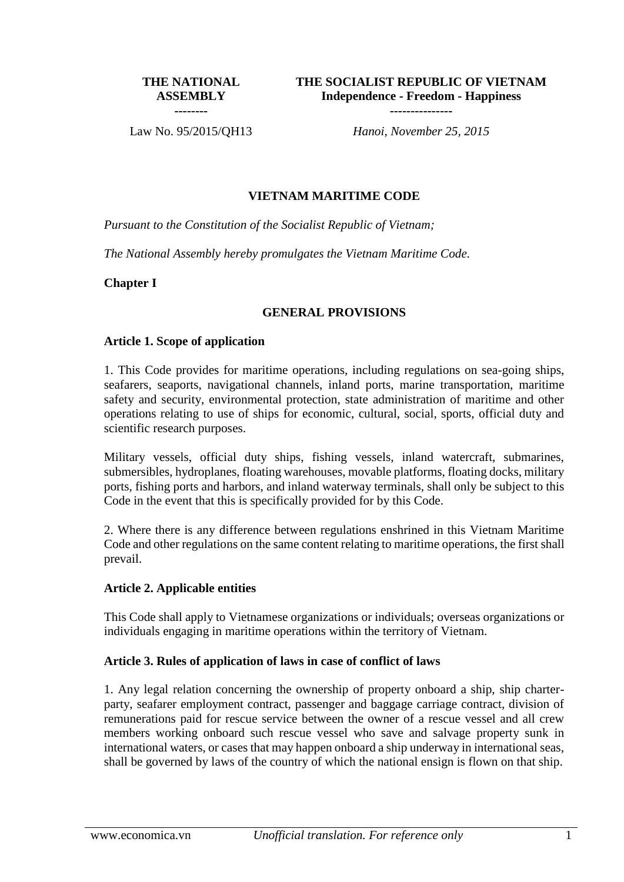#### **THE NATIONAL ASSEMBLY --------**

**THE SOCIALIST REPUBLIC OF VIETNAM Independence - Freedom - Happiness** 

**---------------**

Law No. 95/2015/QH13 *Hanoi, November 25, 2015*

## **VIETNAM MARITIME CODE**

*Pursuant to the Constitution of the Socialist Republic of Vietnam;*

*The National Assembly hereby promulgates the Vietnam Maritime Code.*

**Chapter I**

## **GENERAL PROVISIONS**

#### **Article 1. Scope of application**

1. This Code provides for maritime operations, including regulations on sea-going ships, seafarers, seaports, navigational channels, inland ports, marine transportation, maritime safety and security, environmental protection, state administration of maritime and other operations relating to use of ships for economic, cultural, social, sports, official duty and scientific research purposes.

Military vessels, official duty ships, fishing vessels, inland watercraft, submarines, submersibles, hydroplanes, floating warehouses, movable platforms, floating docks, military ports, fishing ports and harbors, and inland waterway terminals, shall only be subject to this Code in the event that this is specifically provided for by this Code.

2. Where there is any difference between regulations enshrined in this Vietnam Maritime Code and other regulations on the same content relating to maritime operations, the first shall prevail.

## **Article 2. Applicable entities**

This Code shall apply to Vietnamese organizations or individuals; overseas organizations or individuals engaging in maritime operations within the territory of Vietnam.

## **Article 3. Rules of application of laws in case of conflict of laws**

1. Any legal relation concerning the ownership of property onboard a ship, ship charterparty, seafarer employment contract, passenger and baggage carriage contract, division of remunerations paid for rescue service between the owner of a rescue vessel and all crew members working onboard such rescue vessel who save and salvage property sunk in international waters, or cases that may happen onboard a ship underway in international seas, shall be governed by laws of the country of which the national ensign is flown on that ship.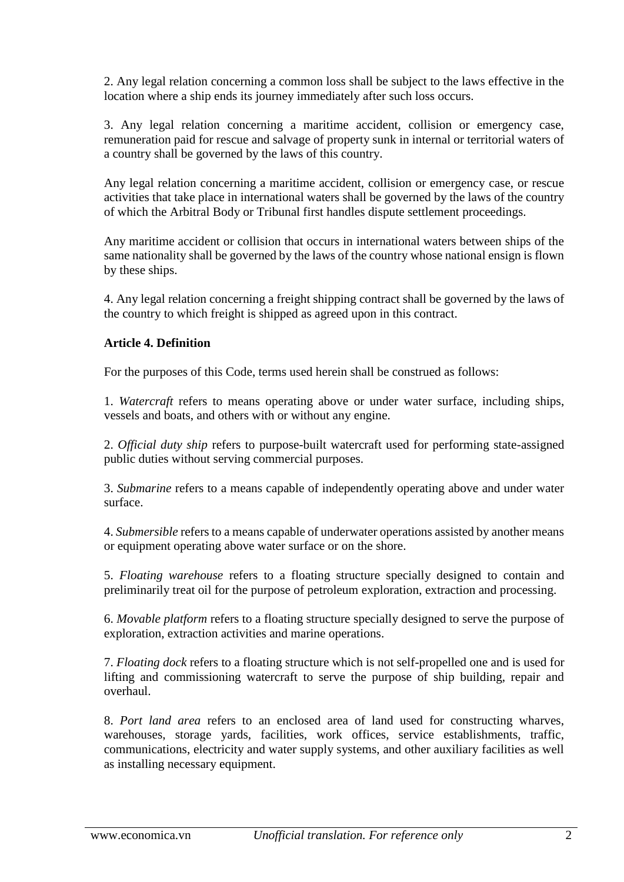2. Any legal relation concerning a common loss shall be subject to the laws effective in the location where a ship ends its journey immediately after such loss occurs.

3. Any legal relation concerning a maritime accident, collision or emergency case, remuneration paid for rescue and salvage of property sunk in internal or territorial waters of a country shall be governed by the laws of this country.

Any legal relation concerning a maritime accident, collision or emergency case, or rescue activities that take place in international waters shall be governed by the laws of the country of which the Arbitral Body or Tribunal first handles dispute settlement proceedings.

Any maritime accident or collision that occurs in international waters between ships of the same nationality shall be governed by the laws of the country whose national ensign is flown by these ships.

4. Any legal relation concerning a freight shipping contract shall be governed by the laws of the country to which freight is shipped as agreed upon in this contract.

## **Article 4. Definition**

For the purposes of this Code, terms used herein shall be construed as follows:

1. *Watercraft* refers to means operating above or under water surface, including ships, vessels and boats, and others with or without any engine.

2. *Official duty ship* refers to purpose-built watercraft used for performing state-assigned public duties without serving commercial purposes.

3. *Submarine* refers to a means capable of independently operating above and under water surface.

4. *Submersible* refers to a means capable of underwater operations assisted by another means or equipment operating above water surface or on the shore.

5. *Floating warehouse* refers to a floating structure specially designed to contain and preliminarily treat oil for the purpose of petroleum exploration, extraction and processing.

6. *Movable platform* refers to a floating structure specially designed to serve the purpose of exploration, extraction activities and marine operations.

7. *Floating dock* refers to a floating structure which is not self-propelled one and is used for lifting and commissioning watercraft to serve the purpose of ship building, repair and overhaul.

8. *Port land area* refers to an enclosed area of land used for constructing wharves, warehouses, storage yards, facilities, work offices, service establishments, traffic, communications, electricity and water supply systems, and other auxiliary facilities as well as installing necessary equipment.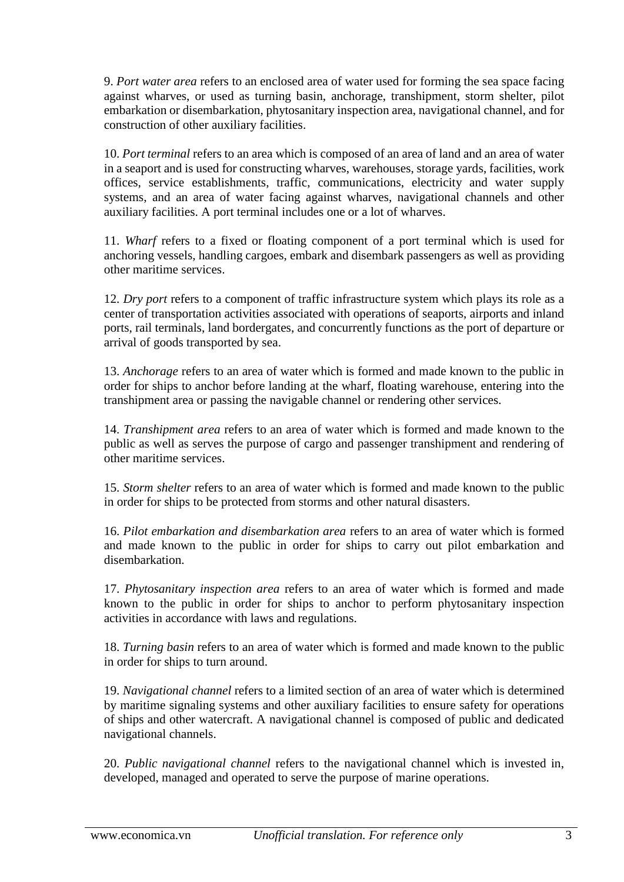9. *Port water area* refers to an enclosed area of water used for forming the sea space facing against wharves, or used as turning basin, anchorage, transhipment, storm shelter, pilot embarkation or disembarkation, phytosanitary inspection area, navigational channel, and for construction of other auxiliary facilities.

10. *Port terminal* refers to an area which is composed of an area of land and an area of water in a seaport and is used for constructing wharves, warehouses, storage yards, facilities, work offices, service establishments, traffic, communications, electricity and water supply systems, and an area of water facing against wharves, navigational channels and other auxiliary facilities. A port terminal includes one or a lot of wharves.

11. *Wharf* refers to a fixed or floating component of a port terminal which is used for anchoring vessels, handling cargoes, embark and disembark passengers as well as providing other maritime services.

12. *Dry port* refers to a component of traffic infrastructure system which plays its role as a center of transportation activities associated with operations of seaports, airports and inland ports, rail terminals, land bordergates, and concurrently functions as the port of departure or arrival of goods transported by sea.

13. *Anchorage* refers to an area of water which is formed and made known to the public in order for ships to anchor before landing at the wharf, floating warehouse, entering into the transhipment area or passing the navigable channel or rendering other services.

14. *Transhipment area* refers to an area of water which is formed and made known to the public as well as serves the purpose of cargo and passenger transhipment and rendering of other maritime services.

15. *Storm shelter* refers to an area of water which is formed and made known to the public in order for ships to be protected from storms and other natural disasters.

16. *Pilot embarkation and disembarkation area* refers to an area of water which is formed and made known to the public in order for ships to carry out pilot embarkation and disembarkation.

17. *Phytosanitary inspection area* refers to an area of water which is formed and made known to the public in order for ships to anchor to perform phytosanitary inspection activities in accordance with laws and regulations.

18. *Turning basin* refers to an area of water which is formed and made known to the public in order for ships to turn around.

19. *Navigational channel* refers to a limited section of an area of water which is determined by maritime signaling systems and other auxiliary facilities to ensure safety for operations of ships and other watercraft. A navigational channel is composed of public and dedicated navigational channels.

20. *Public navigational channel* refers to the navigational channel which is invested in, developed, managed and operated to serve the purpose of marine operations.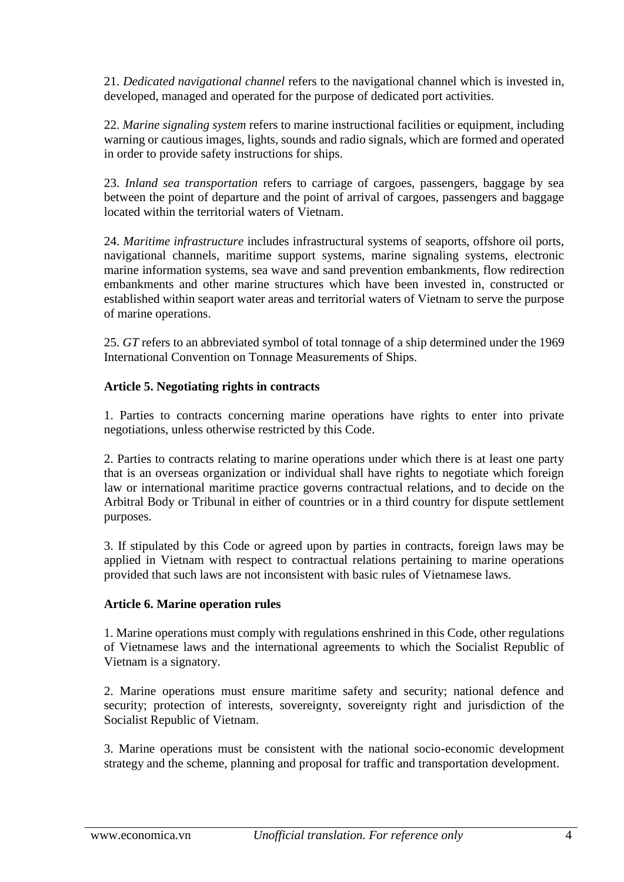21. *Dedicated navigational channel* refers to the navigational channel which is invested in, developed, managed and operated for the purpose of dedicated port activities.

22. *Marine signaling system* refers to marine instructional facilities or equipment, including warning or cautious images, lights, sounds and radio signals, which are formed and operated in order to provide safety instructions for ships.

23. *Inland sea transportation* refers to carriage of cargoes, passengers, baggage by sea between the point of departure and the point of arrival of cargoes, passengers and baggage located within the territorial waters of Vietnam.

24. *Maritime infrastructure* includes infrastructural systems of seaports, offshore oil ports, navigational channels, maritime support systems, marine signaling systems, electronic marine information systems, sea wave and sand prevention embankments, flow redirection embankments and other marine structures which have been invested in, constructed or established within seaport water areas and territorial waters of Vietnam to serve the purpose of marine operations.

25. *GT* refers to an abbreviated symbol of total tonnage of a ship determined under the 1969 International Convention on Tonnage Measurements of Ships.

## **Article 5. Negotiating rights in contracts**

1. Parties to contracts concerning marine operations have rights to enter into private negotiations, unless otherwise restricted by this Code.

2. Parties to contracts relating to marine operations under which there is at least one party that is an overseas organization or individual shall have rights to negotiate which foreign law or international maritime practice governs contractual relations, and to decide on the Arbitral Body or Tribunal in either of countries or in a third country for dispute settlement purposes.

3. If stipulated by this Code or agreed upon by parties in contracts, foreign laws may be applied in Vietnam with respect to contractual relations pertaining to marine operations provided that such laws are not inconsistent with basic rules of Vietnamese laws.

## **Article 6. Marine operation rules**

1. Marine operations must comply with regulations enshrined in this Code, other regulations of Vietnamese laws and the international agreements to which the Socialist Republic of Vietnam is a signatory.

2. Marine operations must ensure maritime safety and security; national defence and security; protection of interests, sovereignty, sovereignty right and jurisdiction of the Socialist Republic of Vietnam.

3. Marine operations must be consistent with the national socio-economic development strategy and the scheme, planning and proposal for traffic and transportation development.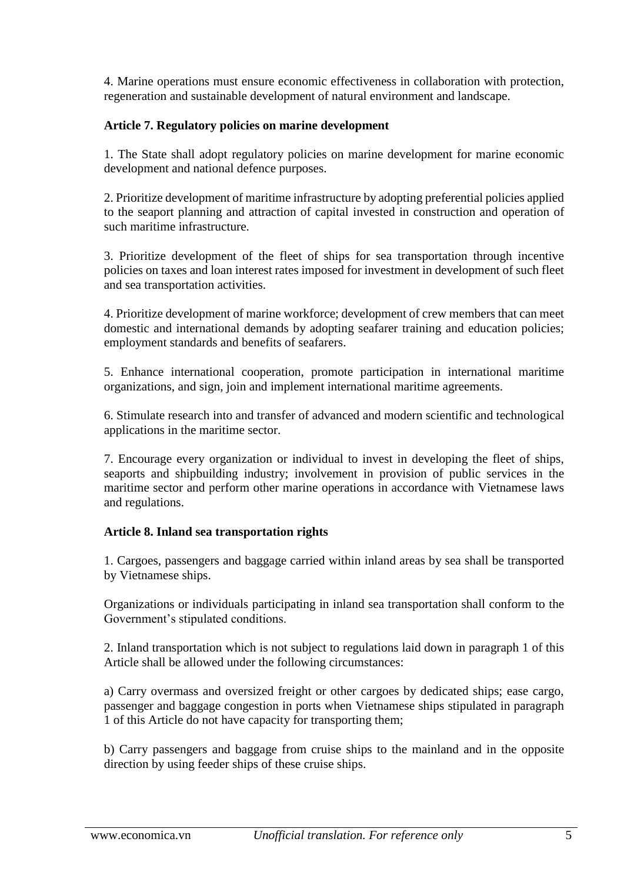4. Marine operations must ensure economic effectiveness in collaboration with protection, regeneration and sustainable development of natural environment and landscape.

# **Article 7. Regulatory policies on marine development**

1. The State shall adopt regulatory policies on marine development for marine economic development and national defence purposes.

2. Prioritize development of maritime infrastructure by adopting preferential policies applied to the seaport planning and attraction of capital invested in construction and operation of such maritime infrastructure.

3. Prioritize development of the fleet of ships for sea transportation through incentive policies on taxes and loan interest rates imposed for investment in development of such fleet and sea transportation activities.

4. Prioritize development of marine workforce; development of crew members that can meet domestic and international demands by adopting seafarer training and education policies; employment standards and benefits of seafarers.

5. Enhance international cooperation, promote participation in international maritime organizations, and sign, join and implement international maritime agreements.

6. Stimulate research into and transfer of advanced and modern scientific and technological applications in the maritime sector.

7. Encourage every organization or individual to invest in developing the fleet of ships, seaports and shipbuilding industry; involvement in provision of public services in the maritime sector and perform other marine operations in accordance with Vietnamese laws and regulations.

## **Article 8. Inland sea transportation rights**

1. Cargoes, passengers and baggage carried within inland areas by sea shall be transported by Vietnamese ships.

Organizations or individuals participating in inland sea transportation shall conform to the Government's stipulated conditions.

2. Inland transportation which is not subject to regulations laid down in paragraph 1 of this Article shall be allowed under the following circumstances:

a) Carry overmass and oversized freight or other cargoes by dedicated ships; ease cargo, passenger and baggage congestion in ports when Vietnamese ships stipulated in paragraph 1 of this Article do not have capacity for transporting them;

b) Carry passengers and baggage from cruise ships to the mainland and in the opposite direction by using feeder ships of these cruise ships.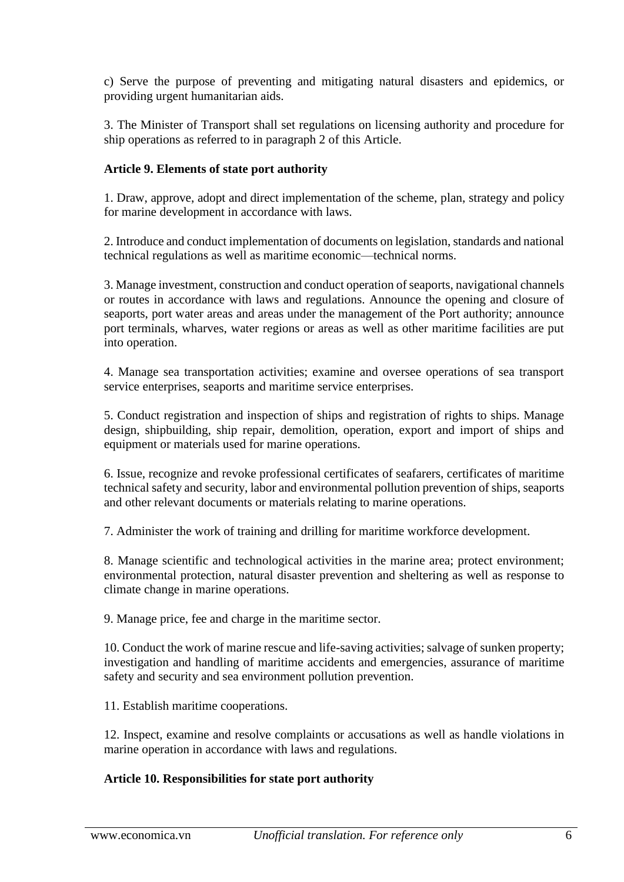c) Serve the purpose of preventing and mitigating natural disasters and epidemics, or providing urgent humanitarian aids.

3. The Minister of Transport shall set regulations on licensing authority and procedure for ship operations as referred to in paragraph 2 of this Article.

## **Article 9. Elements of state port authority**

1. Draw, approve, adopt and direct implementation of the scheme, plan, strategy and policy for marine development in accordance with laws.

2. Introduce and conduct implementation of documents on legislation, standards and national technical regulations as well as maritime economic—technical norms.

3. Manage investment, construction and conduct operation of seaports, navigational channels or routes in accordance with laws and regulations. Announce the opening and closure of seaports, port water areas and areas under the management of the Port authority; announce port terminals, wharves, water regions or areas as well as other maritime facilities are put into operation.

4. Manage sea transportation activities; examine and oversee operations of sea transport service enterprises, seaports and maritime service enterprises.

5. Conduct registration and inspection of ships and registration of rights to ships. Manage design, shipbuilding, ship repair, demolition, operation, export and import of ships and equipment or materials used for marine operations.

6. Issue, recognize and revoke professional certificates of seafarers, certificates of maritime technical safety and security, labor and environmental pollution prevention of ships, seaports and other relevant documents or materials relating to marine operations.

7. Administer the work of training and drilling for maritime workforce development.

8. Manage scientific and technological activities in the marine area; protect environment; environmental protection, natural disaster prevention and sheltering as well as response to climate change in marine operations.

9. Manage price, fee and charge in the maritime sector.

10. Conduct the work of marine rescue and life-saving activities; salvage of sunken property; investigation and handling of maritime accidents and emergencies, assurance of maritime safety and security and sea environment pollution prevention.

11. Establish maritime cooperations.

12. Inspect, examine and resolve complaints or accusations as well as handle violations in marine operation in accordance with laws and regulations.

## **Article 10. Responsibilities for state port authority**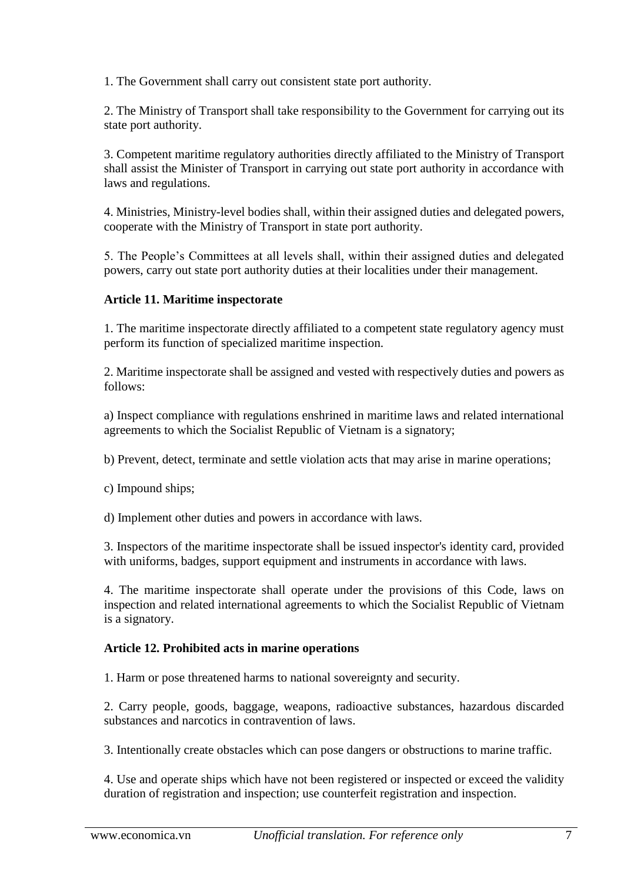1. The Government shall carry out consistent state port authority.

2. The Ministry of Transport shall take responsibility to the Government for carrying out its state port authority.

3. Competent maritime regulatory authorities directly affiliated to the Ministry of Transport shall assist the Minister of Transport in carrying out state port authority in accordance with laws and regulations.

4. Ministries, Ministry-level bodies shall, within their assigned duties and delegated powers, cooperate with the Ministry of Transport in state port authority.

5. The People's Committees at all levels shall, within their assigned duties and delegated powers, carry out state port authority duties at their localities under their management.

## **Article 11. Maritime inspectorate**

1. The maritime inspectorate directly affiliated to a competent state regulatory agency must perform its function of specialized maritime inspection.

2. Maritime inspectorate shall be assigned and vested with respectively duties and powers as follows:

a) Inspect compliance with regulations enshrined in maritime laws and related international agreements to which the Socialist Republic of Vietnam is a signatory;

b) Prevent, detect, terminate and settle violation acts that may arise in marine operations;

c) Impound ships;

d) Implement other duties and powers in accordance with laws.

3. Inspectors of the maritime inspectorate shall be issued inspector's identity card, provided with uniforms, badges, support equipment and instruments in accordance with laws.

4. The maritime inspectorate shall operate under the provisions of this Code, laws on inspection and related international agreements to which the Socialist Republic of Vietnam is a signatory.

## **Article 12. Prohibited acts in marine operations**

1. Harm or pose threatened harms to national sovereignty and security.

2. Carry people, goods, baggage, weapons, radioactive substances, hazardous discarded substances and narcotics in contravention of laws.

3. Intentionally create obstacles which can pose dangers or obstructions to marine traffic.

4. Use and operate ships which have not been registered or inspected or exceed the validity duration of registration and inspection; use counterfeit registration and inspection.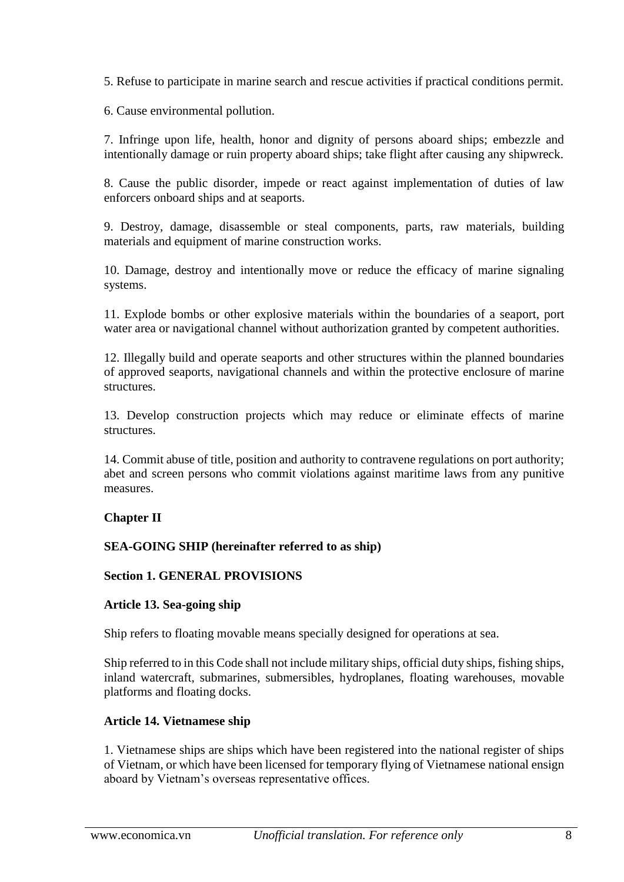5. Refuse to participate in marine search and rescue activities if practical conditions permit.

6. Cause environmental pollution.

7. Infringe upon life, health, honor and dignity of persons aboard ships; embezzle and intentionally damage or ruin property aboard ships; take flight after causing any shipwreck.

8. Cause the public disorder, impede or react against implementation of duties of law enforcers onboard ships and at seaports.

9. Destroy, damage, disassemble or steal components, parts, raw materials, building materials and equipment of marine construction works.

10. Damage, destroy and intentionally move or reduce the efficacy of marine signaling systems.

11. Explode bombs or other explosive materials within the boundaries of a seaport, port water area or navigational channel without authorization granted by competent authorities.

12. Illegally build and operate seaports and other structures within the planned boundaries of approved seaports, navigational channels and within the protective enclosure of marine structures.

13. Develop construction projects which may reduce or eliminate effects of marine structures.

14. Commit abuse of title, position and authority to contravene regulations on port authority; abet and screen persons who commit violations against maritime laws from any punitive measures.

# **Chapter II**

## **SEA-GOING SHIP (hereinafter referred to as ship)**

## **Section 1. GENERAL PROVISIONS**

## **Article 13. Sea-going ship**

Ship refers to floating movable means specially designed for operations at sea.

Ship referred to in this Code shall not include military ships, official duty ships, fishing ships, inland watercraft, submarines, submersibles, hydroplanes, floating warehouses, movable platforms and floating docks.

## **Article 14. Vietnamese ship**

1. Vietnamese ships are ships which have been registered into the national register of ships of Vietnam, or which have been licensed for temporary flying of Vietnamese national ensign aboard by Vietnam's overseas representative offices.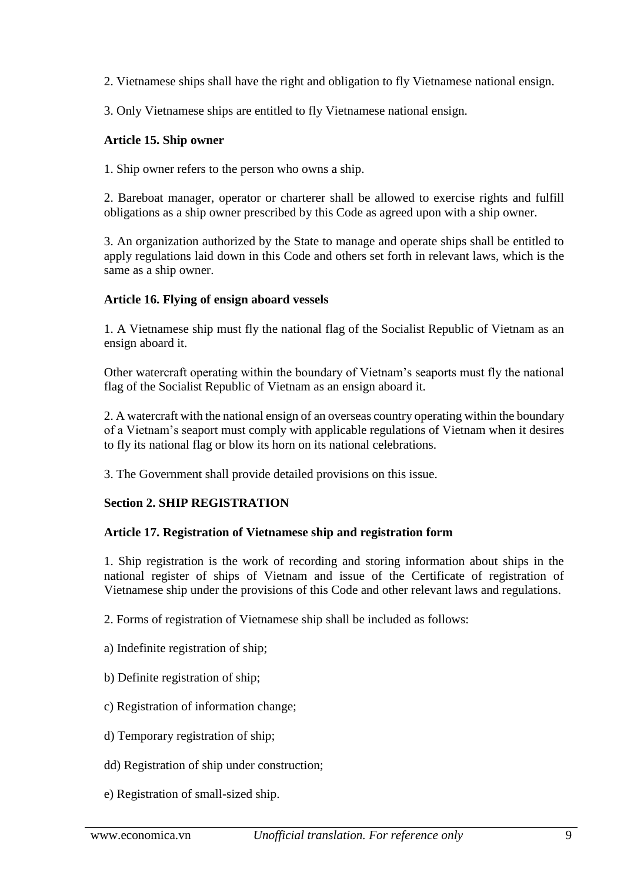2. Vietnamese ships shall have the right and obligation to fly Vietnamese national ensign.

3. Only Vietnamese ships are entitled to fly Vietnamese national ensign.

## **Article 15. Ship owner**

1. Ship owner refers to the person who owns a ship.

2. Bareboat manager, operator or charterer shall be allowed to exercise rights and fulfill obligations as a ship owner prescribed by this Code as agreed upon with a ship owner.

3. An organization authorized by the State to manage and operate ships shall be entitled to apply regulations laid down in this Code and others set forth in relevant laws, which is the same as a ship owner.

## **Article 16. Flying of ensign aboard vessels**

1. A Vietnamese ship must fly the national flag of the Socialist Republic of Vietnam as an ensign aboard it.

Other watercraft operating within the boundary of Vietnam's seaports must fly the national flag of the Socialist Republic of Vietnam as an ensign aboard it.

2. A watercraft with the national ensign of an overseas country operating within the boundary of a Vietnam's seaport must comply with applicable regulations of Vietnam when it desires to fly its national flag or blow its horn on its national celebrations.

3. The Government shall provide detailed provisions on this issue.

## **Section 2. SHIP REGISTRATION**

## **Article 17. Registration of Vietnamese ship and registration form**

1. Ship registration is the work of recording and storing information about ships in the national register of ships of Vietnam and issue of the Certificate of registration of Vietnamese ship under the provisions of this Code and other relevant laws and regulations.

- 2. Forms of registration of Vietnamese ship shall be included as follows:
- a) Indefinite registration of ship;
- b) Definite registration of ship;
- c) Registration of information change;
- d) Temporary registration of ship;
- dd) Registration of ship under construction;
- e) Registration of small-sized ship.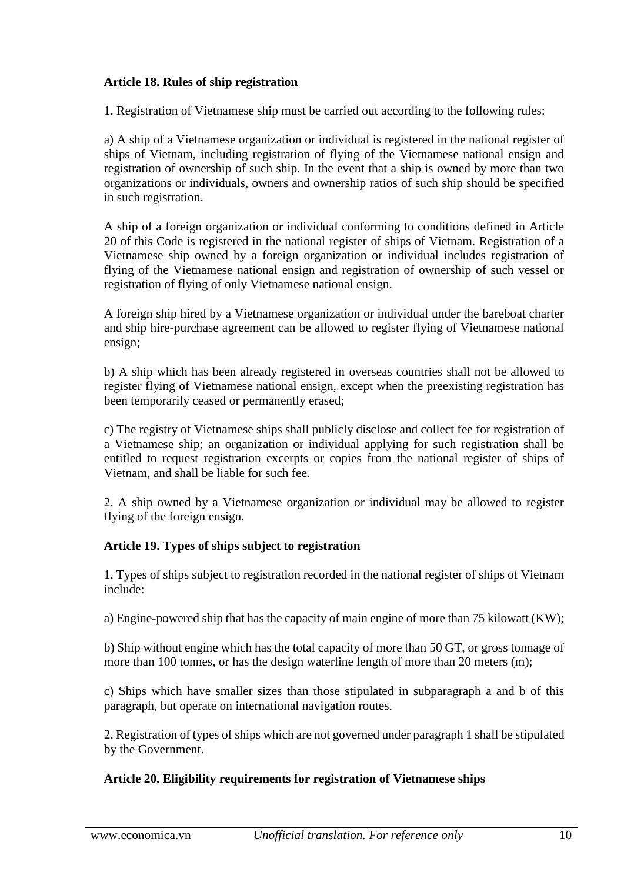## **Article 18. Rules of ship registration**

1. Registration of Vietnamese ship must be carried out according to the following rules:

a) A ship of a Vietnamese organization or individual is registered in the national register of ships of Vietnam, including registration of flying of the Vietnamese national ensign and registration of ownership of such ship. In the event that a ship is owned by more than two organizations or individuals, owners and ownership ratios of such ship should be specified in such registration.

A ship of a foreign organization or individual conforming to conditions defined in Article 20 of this Code is registered in the national register of ships of Vietnam. Registration of a Vietnamese ship owned by a foreign organization or individual includes registration of flying of the Vietnamese national ensign and registration of ownership of such vessel or registration of flying of only Vietnamese national ensign.

A foreign ship hired by a Vietnamese organization or individual under the bareboat charter and ship hire-purchase agreement can be allowed to register flying of Vietnamese national ensign;

b) A ship which has been already registered in overseas countries shall not be allowed to register flying of Vietnamese national ensign, except when the preexisting registration has been temporarily ceased or permanently erased;

c) The registry of Vietnamese ships shall publicly disclose and collect fee for registration of a Vietnamese ship; an organization or individual applying for such registration shall be entitled to request registration excerpts or copies from the national register of ships of Vietnam, and shall be liable for such fee.

2. A ship owned by a Vietnamese organization or individual may be allowed to register flying of the foreign ensign.

# **Article 19. Types of ships subject to registration**

1. Types of ships subject to registration recorded in the national register of ships of Vietnam include:

a) Engine-powered ship that has the capacity of main engine of more than 75 kilowatt (KW);

b) Ship without engine which has the total capacity of more than 50 GT, or gross tonnage of more than 100 tonnes, or has the design waterline length of more than 20 meters (m);

c) Ships which have smaller sizes than those stipulated in subparagraph a and b of this paragraph, but operate on international navigation routes.

2. Registration of types of ships which are not governed under paragraph 1 shall be stipulated by the Government.

## **Article 20. Eligibility requirements for registration of Vietnamese ships**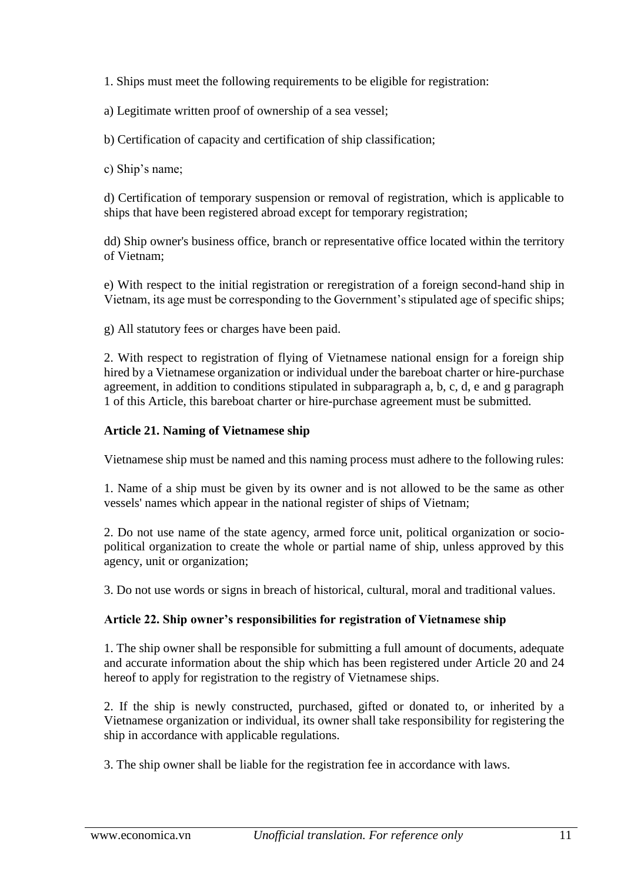1. Ships must meet the following requirements to be eligible for registration:

a) Legitimate written proof of ownership of a sea vessel;

b) Certification of capacity and certification of ship classification;

c) Ship's name;

d) Certification of temporary suspension or removal of registration, which is applicable to ships that have been registered abroad except for temporary registration;

dd) Ship owner's business office, branch or representative office located within the territory of Vietnam;

e) With respect to the initial registration or reregistration of a foreign second-hand ship in Vietnam, its age must be corresponding to the Government's stipulated age of specific ships;

g) All statutory fees or charges have been paid.

2. With respect to registration of flying of Vietnamese national ensign for a foreign ship hired by a Vietnamese organization or individual under the bareboat charter or hire-purchase agreement, in addition to conditions stipulated in subparagraph a, b, c, d, e and g paragraph 1 of this Article, this bareboat charter or hire-purchase agreement must be submitted.

# **Article 21. Naming of Vietnamese ship**

Vietnamese ship must be named and this naming process must adhere to the following rules:

1. Name of a ship must be given by its owner and is not allowed to be the same as other vessels' names which appear in the national register of ships of Vietnam;

2. Do not use name of the state agency, armed force unit, political organization or sociopolitical organization to create the whole or partial name of ship, unless approved by this agency, unit or organization;

3. Do not use words or signs in breach of historical, cultural, moral and traditional values.

# **Article 22. Ship owner's responsibilities for registration of Vietnamese ship**

1. The ship owner shall be responsible for submitting a full amount of documents, adequate and accurate information about the ship which has been registered under Article 20 and 24 hereof to apply for registration to the registry of Vietnamese ships.

2. If the ship is newly constructed, purchased, gifted or donated to, or inherited by a Vietnamese organization or individual, its owner shall take responsibility for registering the ship in accordance with applicable regulations.

3. The ship owner shall be liable for the registration fee in accordance with laws.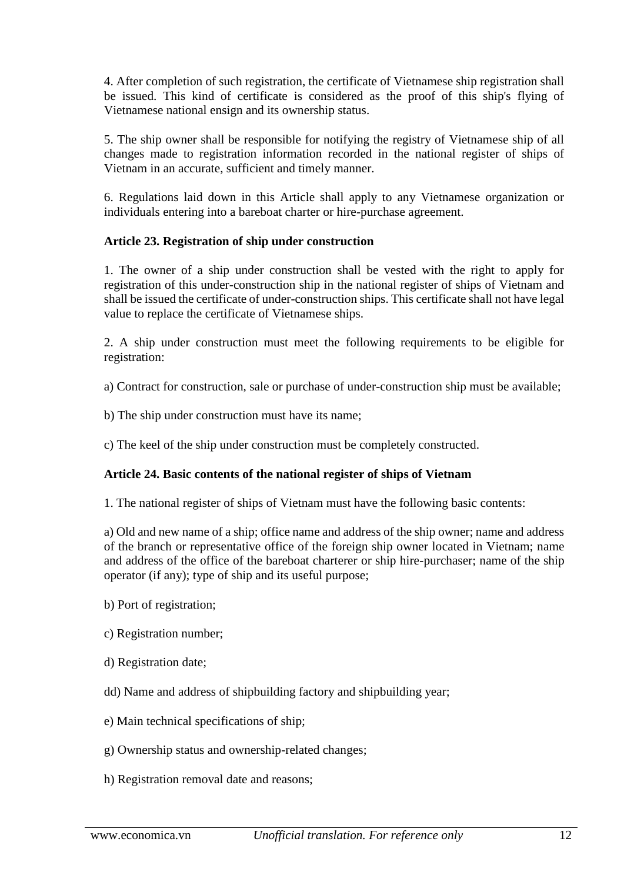4. After completion of such registration, the certificate of Vietnamese ship registration shall be issued. This kind of certificate is considered as the proof of this ship's flying of Vietnamese national ensign and its ownership status.

5. The ship owner shall be responsible for notifying the registry of Vietnamese ship of all changes made to registration information recorded in the national register of ships of Vietnam in an accurate, sufficient and timely manner.

6. Regulations laid down in this Article shall apply to any Vietnamese organization or individuals entering into a bareboat charter or hire-purchase agreement.

# **Article 23. Registration of ship under construction**

1. The owner of a ship under construction shall be vested with the right to apply for registration of this under-construction ship in the national register of ships of Vietnam and shall be issued the certificate of under-construction ships. This certificate shall not have legal value to replace the certificate of Vietnamese ships.

2. A ship under construction must meet the following requirements to be eligible for registration:

a) Contract for construction, sale or purchase of under-construction ship must be available;

b) The ship under construction must have its name;

c) The keel of the ship under construction must be completely constructed.

# **Article 24. Basic contents of the national register of ships of Vietnam**

1. The national register of ships of Vietnam must have the following basic contents:

a) Old and new name of a ship; office name and address of the ship owner; name and address of the branch or representative office of the foreign ship owner located in Vietnam; name and address of the office of the bareboat charterer or ship hire-purchaser; name of the ship operator (if any); type of ship and its useful purpose;

- b) Port of registration;
- c) Registration number;
- d) Registration date;
- dd) Name and address of shipbuilding factory and shipbuilding year;
- e) Main technical specifications of ship;
- g) Ownership status and ownership-related changes;
- h) Registration removal date and reasons;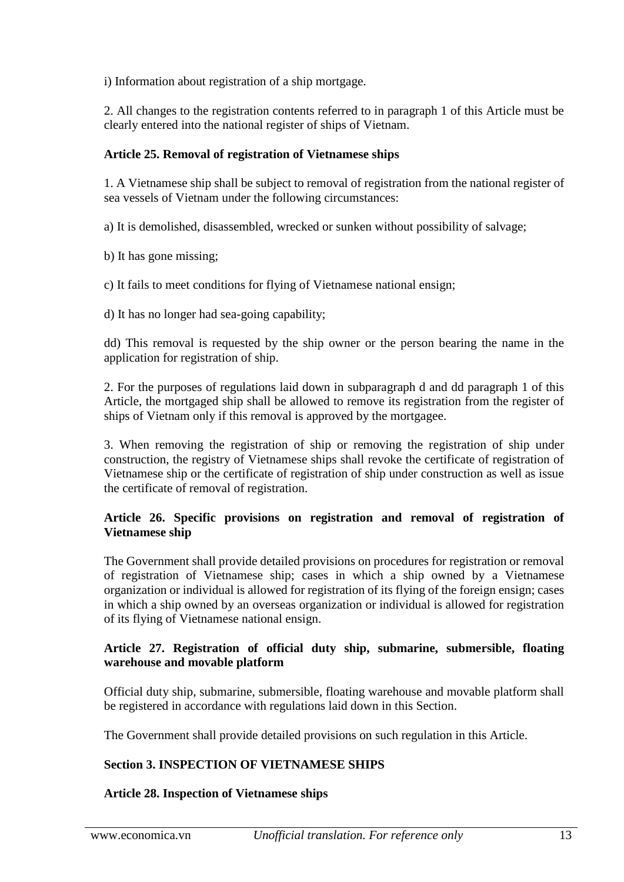i) Information about registration of a ship mortgage.

2. All changes to the registration contents referred to in paragraph 1 of this Article must be clearly entered into the national register of ships of Vietnam.

## **Article 25. Removal of registration of Vietnamese ships**

1. A Vietnamese ship shall be subject to removal of registration from the national register of sea vessels of Vietnam under the following circumstances:

a) It is demolished, disassembled, wrecked or sunken without possibility of salvage;

b) It has gone missing;

c) It fails to meet conditions for flying of Vietnamese national ensign;

d) It has no longer had sea-going capability;

dd) This removal is requested by the ship owner or the person bearing the name in the application for registration of ship.

2. For the purposes of regulations laid down in subparagraph d and dd paragraph 1 of this Article, the mortgaged ship shall be allowed to remove its registration from the register of ships of Vietnam only if this removal is approved by the mortgagee.

3. When removing the registration of ship or removing the registration of ship under construction, the registry of Vietnamese ships shall revoke the certificate of registration of Vietnamese ship or the certificate of registration of ship under construction as well as issue the certificate of removal of registration.

## **Article 26. Specific provisions on registration and removal of registration of Vietnamese ship**

The Government shall provide detailed provisions on procedures for registration or removal of registration of Vietnamese ship; cases in which a ship owned by a Vietnamese organization or individual is allowed for registration of its flying of the foreign ensign; cases in which a ship owned by an overseas organization or individual is allowed for registration of its flying of Vietnamese national ensign.

## **Article 27. Registration of official duty ship, submarine, submersible, floating warehouse and movable platform**

Official duty ship, submarine, submersible, floating warehouse and movable platform shall be registered in accordance with regulations laid down in this Section.

The Government shall provide detailed provisions on such regulation in this Article.

## **Section 3. INSPECTION OF VIETNAMESE SHIPS**

## **Article 28. Inspection of Vietnamese ships**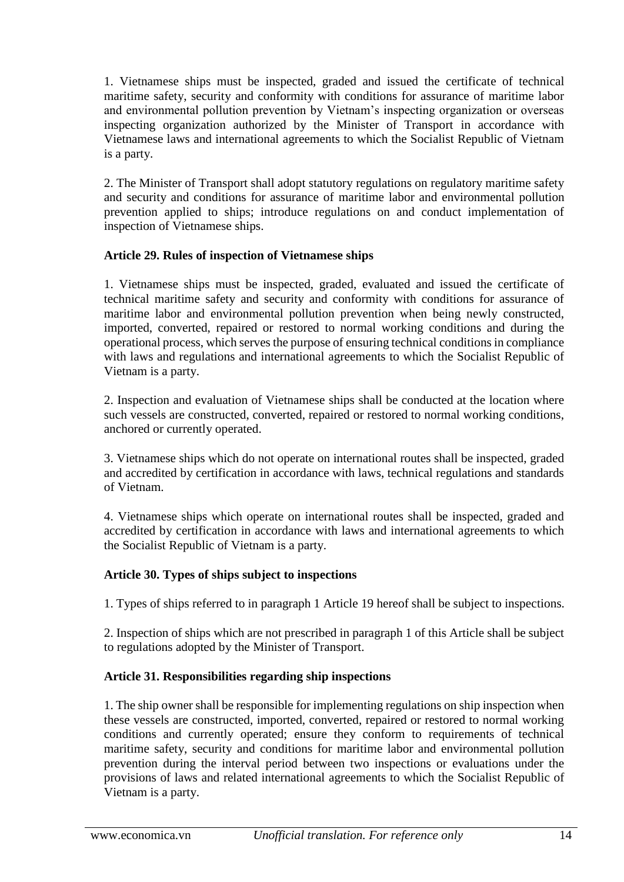1. Vietnamese ships must be inspected, graded and issued the certificate of technical maritime safety, security and conformity with conditions for assurance of maritime labor and environmental pollution prevention by Vietnam's inspecting organization or overseas inspecting organization authorized by the Minister of Transport in accordance with Vietnamese laws and international agreements to which the Socialist Republic of Vietnam is a party.

2. The Minister of Transport shall adopt statutory regulations on regulatory maritime safety and security and conditions for assurance of maritime labor and environmental pollution prevention applied to ships; introduce regulations on and conduct implementation of inspection of Vietnamese ships.

## **Article 29. Rules of inspection of Vietnamese ships**

1. Vietnamese ships must be inspected, graded, evaluated and issued the certificate of technical maritime safety and security and conformity with conditions for assurance of maritime labor and environmental pollution prevention when being newly constructed, imported, converted, repaired or restored to normal working conditions and during the operational process, which serves the purpose of ensuring technical conditions in compliance with laws and regulations and international agreements to which the Socialist Republic of Vietnam is a party.

2. Inspection and evaluation of Vietnamese ships shall be conducted at the location where such vessels are constructed, converted, repaired or restored to normal working conditions, anchored or currently operated.

3. Vietnamese ships which do not operate on international routes shall be inspected, graded and accredited by certification in accordance with laws, technical regulations and standards of Vietnam.

4. Vietnamese ships which operate on international routes shall be inspected, graded and accredited by certification in accordance with laws and international agreements to which the Socialist Republic of Vietnam is a party.

# **Article 30. Types of ships subject to inspections**

1. Types of ships referred to in paragraph 1 Article 19 hereof shall be subject to inspections.

2. Inspection of ships which are not prescribed in paragraph 1 of this Article shall be subject to regulations adopted by the Minister of Transport.

# **Article 31. Responsibilities regarding ship inspections**

1. The ship owner shall be responsible for implementing regulations on ship inspection when these vessels are constructed, imported, converted, repaired or restored to normal working conditions and currently operated; ensure they conform to requirements of technical maritime safety, security and conditions for maritime labor and environmental pollution prevention during the interval period between two inspections or evaluations under the provisions of laws and related international agreements to which the Socialist Republic of Vietnam is a party.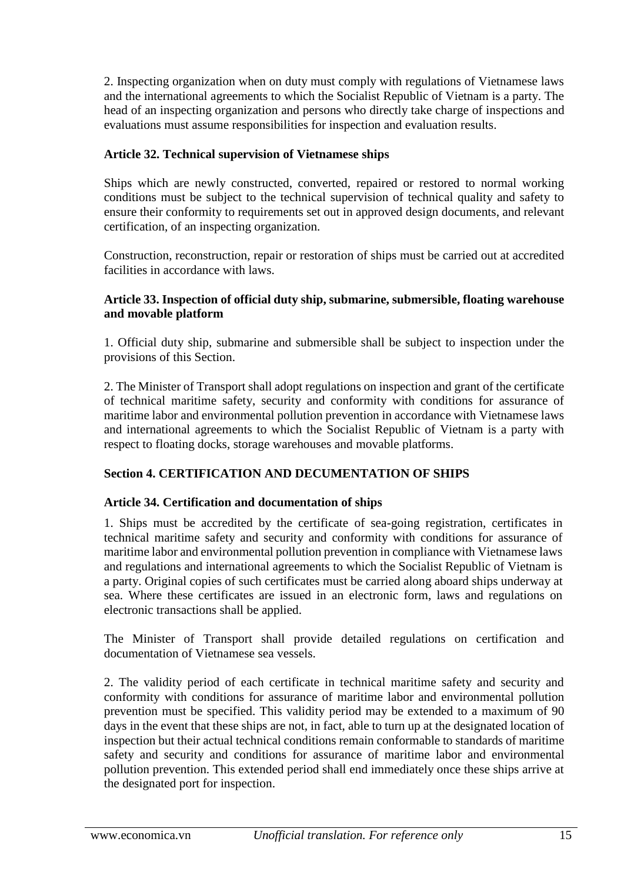2. Inspecting organization when on duty must comply with regulations of Vietnamese laws and the international agreements to which the Socialist Republic of Vietnam is a party. The head of an inspecting organization and persons who directly take charge of inspections and evaluations must assume responsibilities for inspection and evaluation results.

# **Article 32. Technical supervision of Vietnamese ships**

Ships which are newly constructed, converted, repaired or restored to normal working conditions must be subject to the technical supervision of technical quality and safety to ensure their conformity to requirements set out in approved design documents, and relevant certification, of an inspecting organization.

Construction, reconstruction, repair or restoration of ships must be carried out at accredited facilities in accordance with laws.

## **Article 33. Inspection of official duty ship, submarine, submersible, floating warehouse and movable platform**

1. Official duty ship, submarine and submersible shall be subject to inspection under the provisions of this Section.

2. The Minister of Transport shall adopt regulations on inspection and grant of the certificate of technical maritime safety, security and conformity with conditions for assurance of maritime labor and environmental pollution prevention in accordance with Vietnamese laws and international agreements to which the Socialist Republic of Vietnam is a party with respect to floating docks, storage warehouses and movable platforms.

# **Section 4. CERTIFICATION AND DECUMENTATION OF SHIPS**

## **Article 34. Certification and documentation of ships**

1. Ships must be accredited by the certificate of sea-going registration, certificates in technical maritime safety and security and conformity with conditions for assurance of maritime labor and environmental pollution prevention in compliance with Vietnamese laws and regulations and international agreements to which the Socialist Republic of Vietnam is a party. Original copies of such certificates must be carried along aboard ships underway at sea. Where these certificates are issued in an electronic form, laws and regulations on electronic transactions shall be applied.

The Minister of Transport shall provide detailed regulations on certification and documentation of Vietnamese sea vessels.

2. The validity period of each certificate in technical maritime safety and security and conformity with conditions for assurance of maritime labor and environmental pollution prevention must be specified. This validity period may be extended to a maximum of 90 days in the event that these ships are not, in fact, able to turn up at the designated location of inspection but their actual technical conditions remain conformable to standards of maritime safety and security and conditions for assurance of maritime labor and environmental pollution prevention. This extended period shall end immediately once these ships arrive at the designated port for inspection.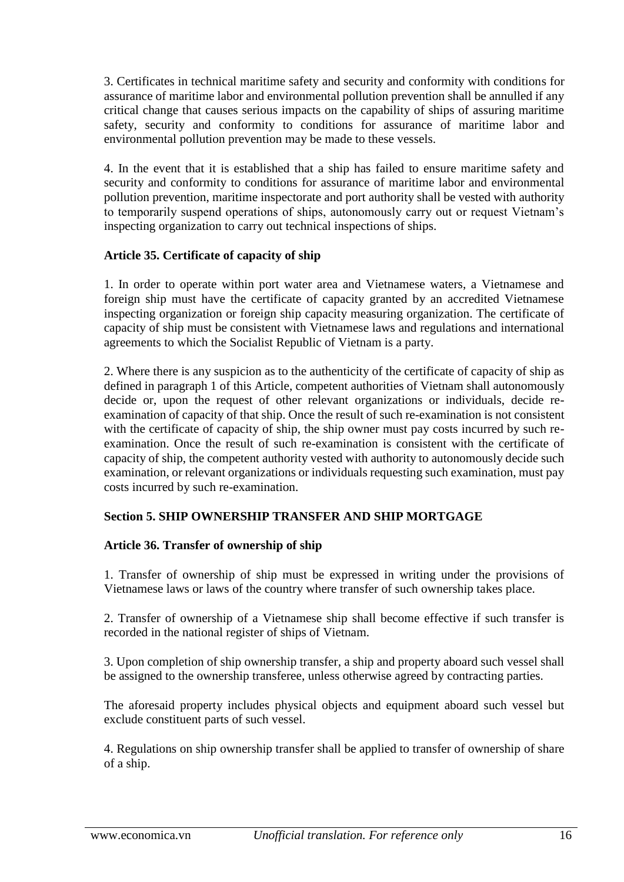3. Certificates in technical maritime safety and security and conformity with conditions for assurance of maritime labor and environmental pollution prevention shall be annulled if any critical change that causes serious impacts on the capability of ships of assuring maritime safety, security and conformity to conditions for assurance of maritime labor and environmental pollution prevention may be made to these vessels.

4. In the event that it is established that a ship has failed to ensure maritime safety and security and conformity to conditions for assurance of maritime labor and environmental pollution prevention, maritime inspectorate and port authority shall be vested with authority to temporarily suspend operations of ships, autonomously carry out or request Vietnam's inspecting organization to carry out technical inspections of ships.

## **Article 35. Certificate of capacity of ship**

1. In order to operate within port water area and Vietnamese waters, a Vietnamese and foreign ship must have the certificate of capacity granted by an accredited Vietnamese inspecting organization or foreign ship capacity measuring organization. The certificate of capacity of ship must be consistent with Vietnamese laws and regulations and international agreements to which the Socialist Republic of Vietnam is a party.

2. Where there is any suspicion as to the authenticity of the certificate of capacity of ship as defined in paragraph 1 of this Article, competent authorities of Vietnam shall autonomously decide or, upon the request of other relevant organizations or individuals, decide reexamination of capacity of that ship. Once the result of such re-examination is not consistent with the certificate of capacity of ship, the ship owner must pay costs incurred by such reexamination. Once the result of such re-examination is consistent with the certificate of capacity of ship, the competent authority vested with authority to autonomously decide such examination, or relevant organizations or individuals requesting such examination, must pay costs incurred by such re-examination.

# **Section 5. SHIP OWNERSHIP TRANSFER AND SHIP MORTGAGE**

## **Article 36. Transfer of ownership of ship**

1. Transfer of ownership of ship must be expressed in writing under the provisions of Vietnamese laws or laws of the country where transfer of such ownership takes place.

2. Transfer of ownership of a Vietnamese ship shall become effective if such transfer is recorded in the national register of ships of Vietnam.

3. Upon completion of ship ownership transfer, a ship and property aboard such vessel shall be assigned to the ownership transferee, unless otherwise agreed by contracting parties.

The aforesaid property includes physical objects and equipment aboard such vessel but exclude constituent parts of such vessel.

4. Regulations on ship ownership transfer shall be applied to transfer of ownership of share of a ship.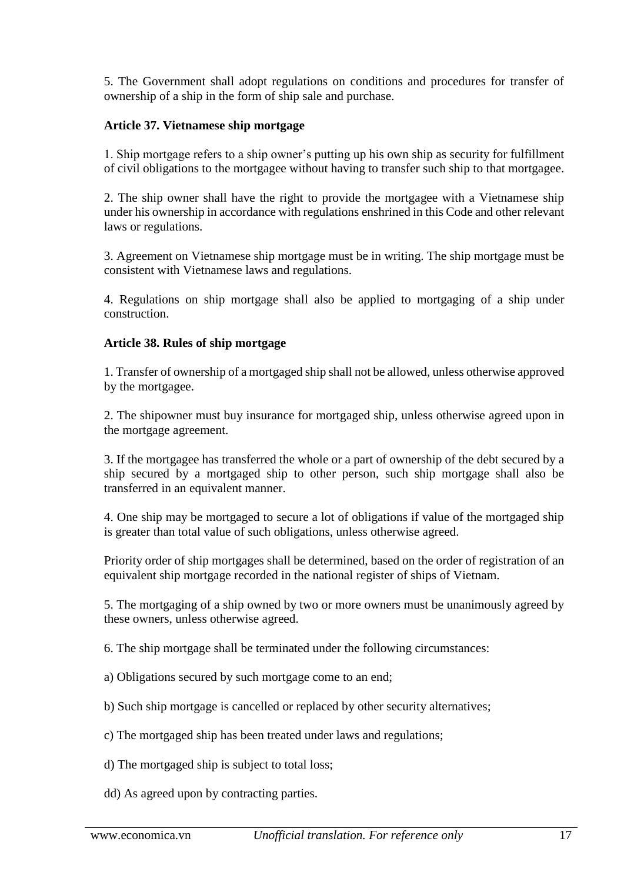5. The Government shall adopt regulations on conditions and procedures for transfer of ownership of a ship in the form of ship sale and purchase.

## **Article 37. Vietnamese ship mortgage**

1. Ship mortgage refers to a ship owner's putting up his own ship as security for fulfillment of civil obligations to the mortgagee without having to transfer such ship to that mortgagee.

2. The ship owner shall have the right to provide the mortgagee with a Vietnamese ship under his ownership in accordance with regulations enshrined in this Code and other relevant laws or regulations.

3. Agreement on Vietnamese ship mortgage must be in writing. The ship mortgage must be consistent with Vietnamese laws and regulations.

4. Regulations on ship mortgage shall also be applied to mortgaging of a ship under construction.

## **Article 38. Rules of ship mortgage**

1. Transfer of ownership of a mortgaged ship shall not be allowed, unless otherwise approved by the mortgagee.

2. The shipowner must buy insurance for mortgaged ship, unless otherwise agreed upon in the mortgage agreement.

3. If the mortgagee has transferred the whole or a part of ownership of the debt secured by a ship secured by a mortgaged ship to other person, such ship mortgage shall also be transferred in an equivalent manner.

4. One ship may be mortgaged to secure a lot of obligations if value of the mortgaged ship is greater than total value of such obligations, unless otherwise agreed.

Priority order of ship mortgages shall be determined, based on the order of registration of an equivalent ship mortgage recorded in the national register of ships of Vietnam.

5. The mortgaging of a ship owned by two or more owners must be unanimously agreed by these owners, unless otherwise agreed.

6. The ship mortgage shall be terminated under the following circumstances:

- a) Obligations secured by such mortgage come to an end;
- b) Such ship mortgage is cancelled or replaced by other security alternatives;
- c) The mortgaged ship has been treated under laws and regulations;
- d) The mortgaged ship is subject to total loss;
- dd) As agreed upon by contracting parties.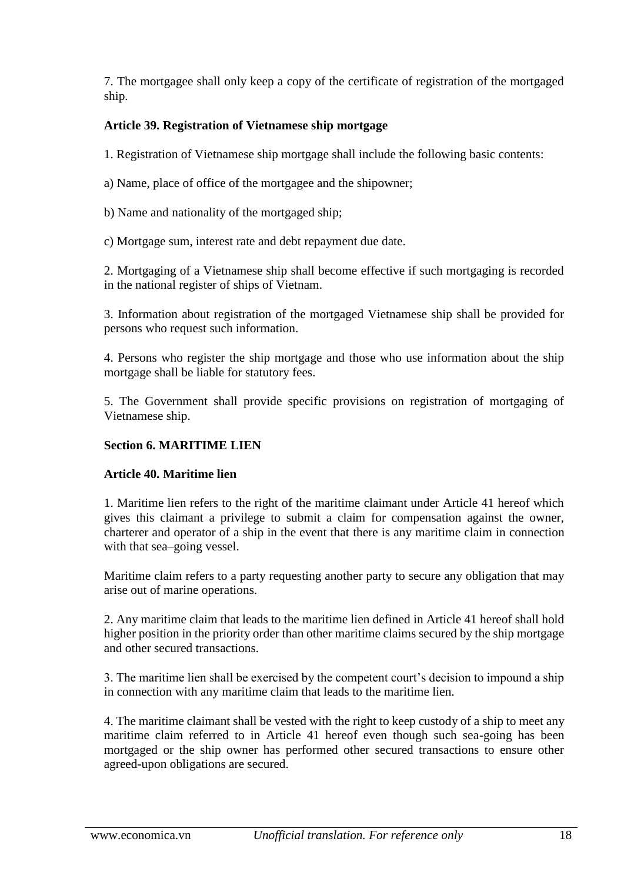7. The mortgagee shall only keep a copy of the certificate of registration of the mortgaged ship.

# **Article 39. Registration of Vietnamese ship mortgage**

1. Registration of Vietnamese ship mortgage shall include the following basic contents:

a) Name, place of office of the mortgagee and the shipowner;

b) Name and nationality of the mortgaged ship;

c) Mortgage sum, interest rate and debt repayment due date.

2. Mortgaging of a Vietnamese ship shall become effective if such mortgaging is recorded in the national register of ships of Vietnam.

3. Information about registration of the mortgaged Vietnamese ship shall be provided for persons who request such information.

4. Persons who register the ship mortgage and those who use information about the ship mortgage shall be liable for statutory fees.

5. The Government shall provide specific provisions on registration of mortgaging of Vietnamese ship.

# **Section 6. MARITIME LIEN**

# **Article 40. Maritime lien**

1. Maritime lien refers to the right of the maritime claimant under Article 41 hereof which gives this claimant a privilege to submit a claim for compensation against the owner, charterer and operator of a ship in the event that there is any maritime claim in connection with that sea–going vessel.

Maritime claim refers to a party requesting another party to secure any obligation that may arise out of marine operations.

2. Any maritime claim that leads to the maritime lien defined in Article 41 hereof shall hold higher position in the priority order than other maritime claims secured by the ship mortgage and other secured transactions.

3. The maritime lien shall be exercised by the competent court's decision to impound a ship in connection with any maritime claim that leads to the maritime lien.

4. The maritime claimant shall be vested with the right to keep custody of a ship to meet any maritime claim referred to in Article 41 hereof even though such sea-going has been mortgaged or the ship owner has performed other secured transactions to ensure other agreed-upon obligations are secured.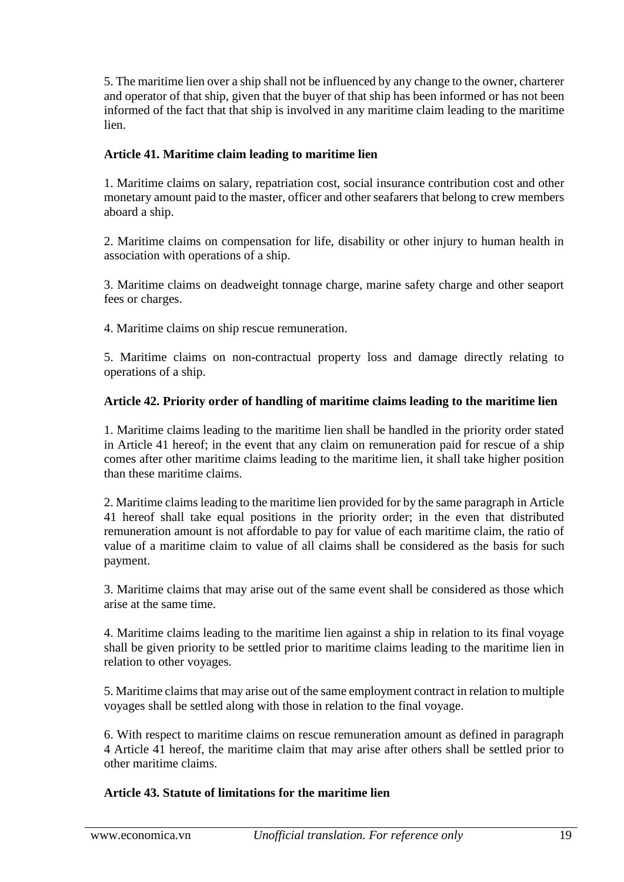5. The maritime lien over a ship shall not be influenced by any change to the owner, charterer and operator of that ship, given that the buyer of that ship has been informed or has not been informed of the fact that that ship is involved in any maritime claim leading to the maritime lien.

## **Article 41. Maritime claim leading to maritime lien**

1. Maritime claims on salary, repatriation cost, social insurance contribution cost and other monetary amount paid to the master, officer and other seafarers that belong to crew members aboard a ship.

2. Maritime claims on compensation for life, disability or other injury to human health in association with operations of a ship.

3. Maritime claims on deadweight tonnage charge, marine safety charge and other seaport fees or charges.

4. Maritime claims on ship rescue remuneration.

5. Maritime claims on non-contractual property loss and damage directly relating to operations of a ship.

## **Article 42. Priority order of handling of maritime claims leading to the maritime lien**

1. Maritime claims leading to the maritime lien shall be handled in the priority order stated in Article 41 hereof; in the event that any claim on remuneration paid for rescue of a ship comes after other maritime claims leading to the maritime lien, it shall take higher position than these maritime claims.

2. Maritime claims leading to the maritime lien provided for by the same paragraph in Article 41 hereof shall take equal positions in the priority order; in the even that distributed remuneration amount is not affordable to pay for value of each maritime claim, the ratio of value of a maritime claim to value of all claims shall be considered as the basis for such payment.

3. Maritime claims that may arise out of the same event shall be considered as those which arise at the same time.

4. Maritime claims leading to the maritime lien against a ship in relation to its final voyage shall be given priority to be settled prior to maritime claims leading to the maritime lien in relation to other voyages.

5. Maritime claims that may arise out of the same employment contract in relation to multiple voyages shall be settled along with those in relation to the final voyage.

6. With respect to maritime claims on rescue remuneration amount as defined in paragraph 4 Article 41 hereof, the maritime claim that may arise after others shall be settled prior to other maritime claims.

## **Article 43. Statute of limitations for the maritime lien**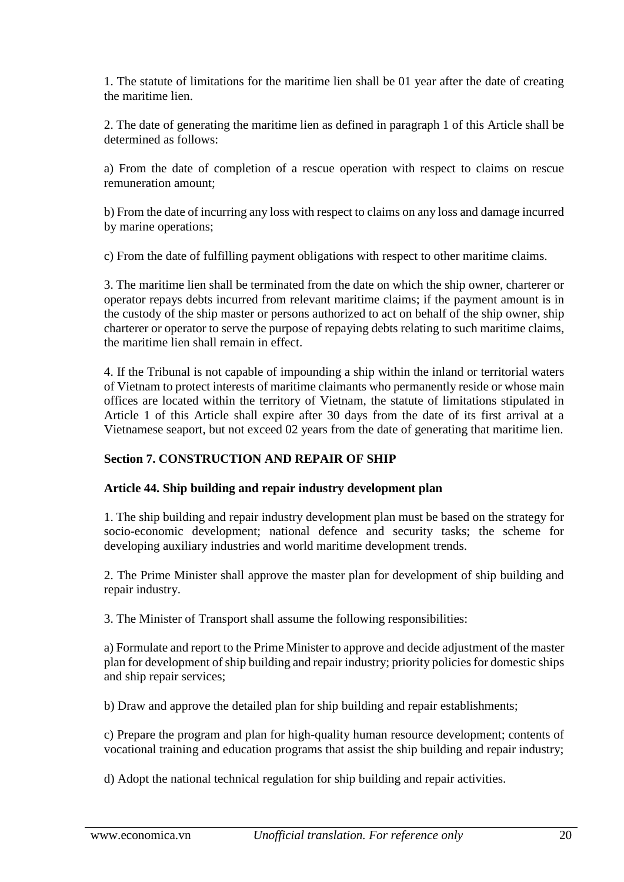1. The statute of limitations for the maritime lien shall be 01 year after the date of creating the maritime lien.

2. The date of generating the maritime lien as defined in paragraph 1 of this Article shall be determined as follows:

a) From the date of completion of a rescue operation with respect to claims on rescue remuneration amount;

b) From the date of incurring any loss with respect to claims on any loss and damage incurred by marine operations;

c) From the date of fulfilling payment obligations with respect to other maritime claims.

3. The maritime lien shall be terminated from the date on which the ship owner, charterer or operator repays debts incurred from relevant maritime claims; if the payment amount is in the custody of the ship master or persons authorized to act on behalf of the ship owner, ship charterer or operator to serve the purpose of repaying debts relating to such maritime claims, the maritime lien shall remain in effect.

4. If the Tribunal is not capable of impounding a ship within the inland or territorial waters of Vietnam to protect interests of maritime claimants who permanently reside or whose main offices are located within the territory of Vietnam, the statute of limitations stipulated in Article 1 of this Article shall expire after 30 days from the date of its first arrival at a Vietnamese seaport, but not exceed 02 years from the date of generating that maritime lien.

# **Section 7. CONSTRUCTION AND REPAIR OF SHIP**

# **Article 44. Ship building and repair industry development plan**

1. The ship building and repair industry development plan must be based on the strategy for socio-economic development; national defence and security tasks; the scheme for developing auxiliary industries and world maritime development trends.

2. The Prime Minister shall approve the master plan for development of ship building and repair industry.

3. The Minister of Transport shall assume the following responsibilities:

a) Formulate and report to the Prime Minister to approve and decide adjustment of the master plan for development of ship building and repair industry; priority policies for domestic ships and ship repair services;

b) Draw and approve the detailed plan for ship building and repair establishments;

c) Prepare the program and plan for high-quality human resource development; contents of vocational training and education programs that assist the ship building and repair industry;

d) Adopt the national technical regulation for ship building and repair activities.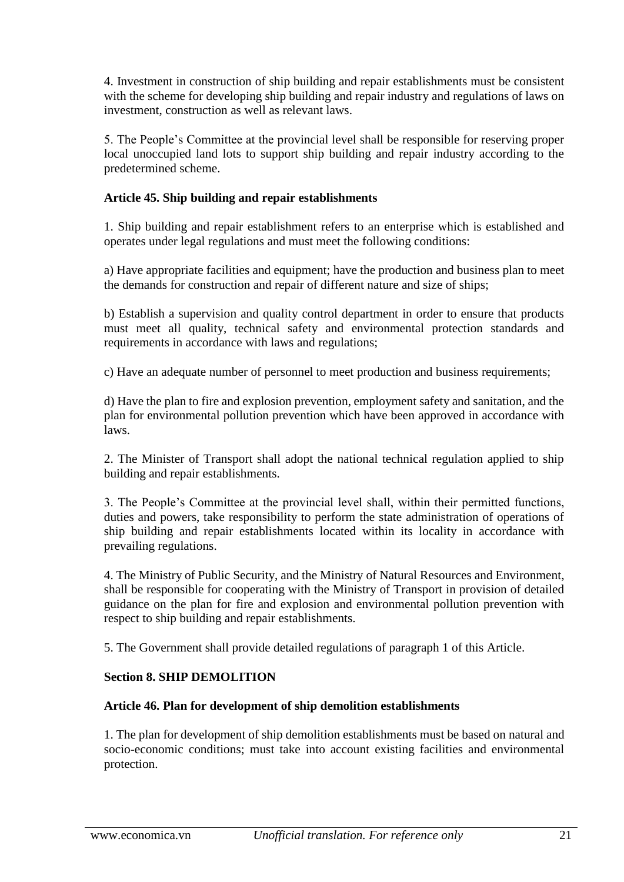4. Investment in construction of ship building and repair establishments must be consistent with the scheme for developing ship building and repair industry and regulations of laws on investment, construction as well as relevant laws.

5. The People's Committee at the provincial level shall be responsible for reserving proper local unoccupied land lots to support ship building and repair industry according to the predetermined scheme.

# **Article 45. Ship building and repair establishments**

1. Ship building and repair establishment refers to an enterprise which is established and operates under legal regulations and must meet the following conditions:

a) Have appropriate facilities and equipment; have the production and business plan to meet the demands for construction and repair of different nature and size of ships;

b) Establish a supervision and quality control department in order to ensure that products must meet all quality, technical safety and environmental protection standards and requirements in accordance with laws and regulations;

c) Have an adequate number of personnel to meet production and business requirements;

d) Have the plan to fire and explosion prevention, employment safety and sanitation, and the plan for environmental pollution prevention which have been approved in accordance with laws.

2. The Minister of Transport shall adopt the national technical regulation applied to ship building and repair establishments.

3. The People's Committee at the provincial level shall, within their permitted functions, duties and powers, take responsibility to perform the state administration of operations of ship building and repair establishments located within its locality in accordance with prevailing regulations.

4. The Ministry of Public Security, and the Ministry of Natural Resources and Environment, shall be responsible for cooperating with the Ministry of Transport in provision of detailed guidance on the plan for fire and explosion and environmental pollution prevention with respect to ship building and repair establishments.

5. The Government shall provide detailed regulations of paragraph 1 of this Article.

# **Section 8. SHIP DEMOLITION**

## **Article 46. Plan for development of ship demolition establishments**

1. The plan for development of ship demolition establishments must be based on natural and socio-economic conditions; must take into account existing facilities and environmental protection.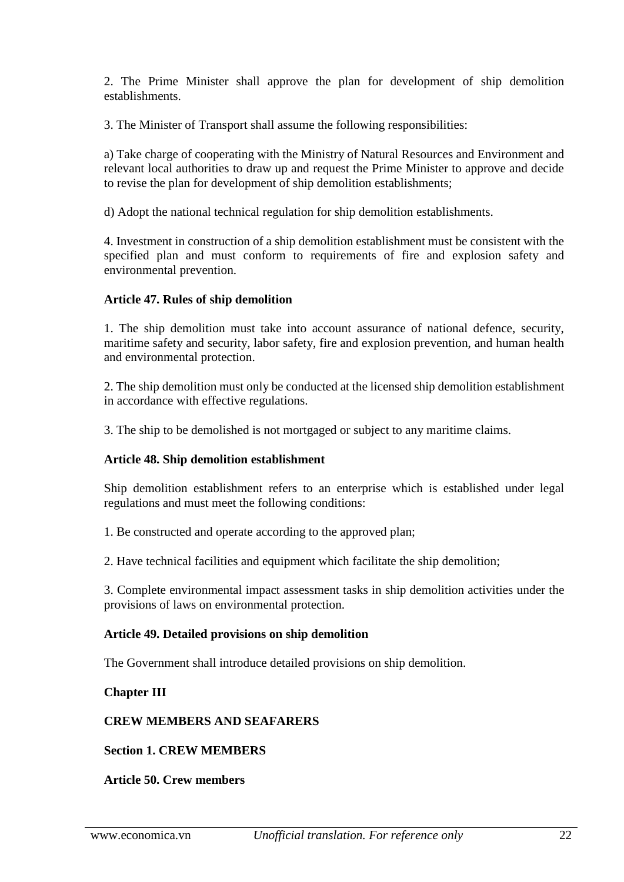2. The Prime Minister shall approve the plan for development of ship demolition establishments.

3. The Minister of Transport shall assume the following responsibilities:

a) Take charge of cooperating with the Ministry of Natural Resources and Environment and relevant local authorities to draw up and request the Prime Minister to approve and decide to revise the plan for development of ship demolition establishments;

d) Adopt the national technical regulation for ship demolition establishments.

4. Investment in construction of a ship demolition establishment must be consistent with the specified plan and must conform to requirements of fire and explosion safety and environmental prevention.

## **Article 47. Rules of ship demolition**

1. The ship demolition must take into account assurance of national defence, security, maritime safety and security, labor safety, fire and explosion prevention, and human health and environmental protection.

2. The ship demolition must only be conducted at the licensed ship demolition establishment in accordance with effective regulations.

3. The ship to be demolished is not mortgaged or subject to any maritime claims.

## **Article 48. Ship demolition establishment**

Ship demolition establishment refers to an enterprise which is established under legal regulations and must meet the following conditions:

1. Be constructed and operate according to the approved plan;

2. Have technical facilities and equipment which facilitate the ship demolition;

3. Complete environmental impact assessment tasks in ship demolition activities under the provisions of laws on environmental protection.

#### **Article 49. Detailed provisions on ship demolition**

The Government shall introduce detailed provisions on ship demolition.

## **Chapter III**

## **CREW MEMBERS AND SEAFARERS**

#### **Section 1. CREW MEMBERS**

#### **Article 50. Crew members**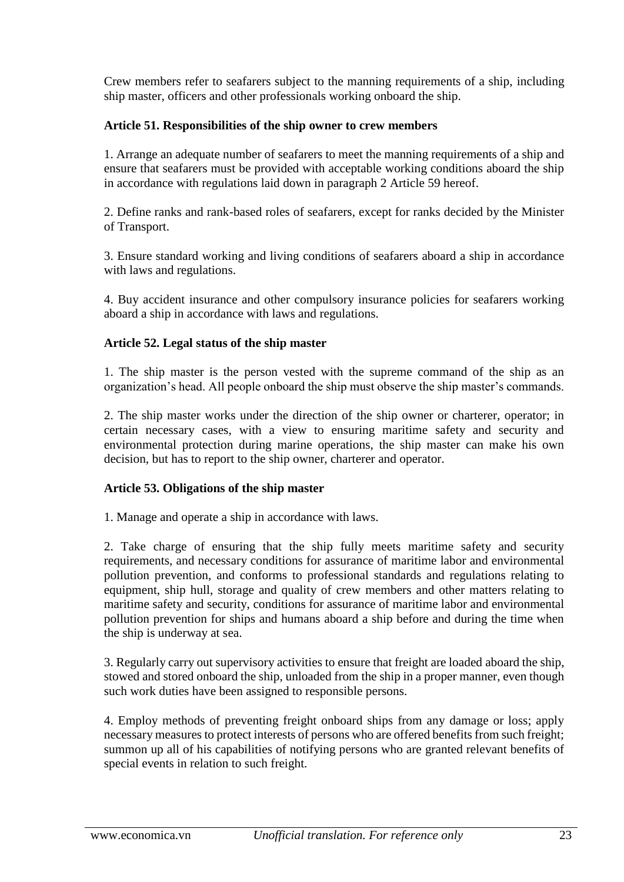Crew members refer to seafarers subject to the manning requirements of a ship, including ship master, officers and other professionals working onboard the ship.

# **Article 51. Responsibilities of the ship owner to crew members**

1. Arrange an adequate number of seafarers to meet the manning requirements of a ship and ensure that seafarers must be provided with acceptable working conditions aboard the ship in accordance with regulations laid down in paragraph 2 Article 59 hereof.

2. Define ranks and rank-based roles of seafarers, except for ranks decided by the Minister of Transport.

3. Ensure standard working and living conditions of seafarers aboard a ship in accordance with laws and regulations.

4. Buy accident insurance and other compulsory insurance policies for seafarers working aboard a ship in accordance with laws and regulations.

# **Article 52. Legal status of the ship master**

1. The ship master is the person vested with the supreme command of the ship as an organization's head. All people onboard the ship must observe the ship master's commands.

2. The ship master works under the direction of the ship owner or charterer, operator; in certain necessary cases, with a view to ensuring maritime safety and security and environmental protection during marine operations, the ship master can make his own decision, but has to report to the ship owner, charterer and operator.

# **Article 53. Obligations of the ship master**

1. Manage and operate a ship in accordance with laws.

2. Take charge of ensuring that the ship fully meets maritime safety and security requirements, and necessary conditions for assurance of maritime labor and environmental pollution prevention, and conforms to professional standards and regulations relating to equipment, ship hull, storage and quality of crew members and other matters relating to maritime safety and security, conditions for assurance of maritime labor and environmental pollution prevention for ships and humans aboard a ship before and during the time when the ship is underway at sea.

3. Regularly carry out supervisory activities to ensure that freight are loaded aboard the ship, stowed and stored onboard the ship, unloaded from the ship in a proper manner, even though such work duties have been assigned to responsible persons.

4. Employ methods of preventing freight onboard ships from any damage or loss; apply necessary measures to protect interests of persons who are offered benefits from such freight; summon up all of his capabilities of notifying persons who are granted relevant benefits of special events in relation to such freight.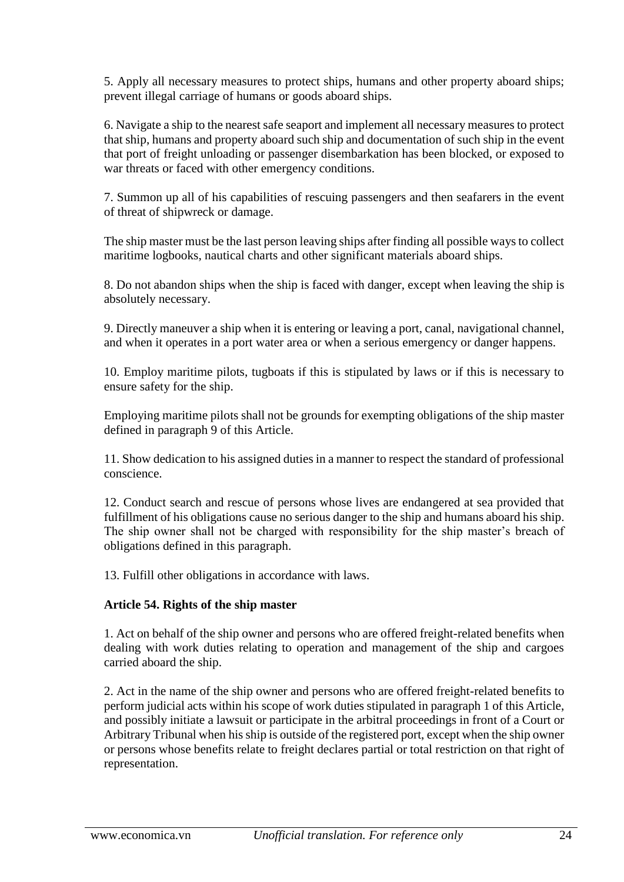5. Apply all necessary measures to protect ships, humans and other property aboard ships; prevent illegal carriage of humans or goods aboard ships.

6. Navigate a ship to the nearest safe seaport and implement all necessary measures to protect that ship, humans and property aboard such ship and documentation of such ship in the event that port of freight unloading or passenger disembarkation has been blocked, or exposed to war threats or faced with other emergency conditions.

7. Summon up all of his capabilities of rescuing passengers and then seafarers in the event of threat of shipwreck or damage.

The ship master must be the last person leaving ships after finding all possible ways to collect maritime logbooks, nautical charts and other significant materials aboard ships.

8. Do not abandon ships when the ship is faced with danger, except when leaving the ship is absolutely necessary.

9. Directly maneuver a ship when it is entering or leaving a port, canal, navigational channel, and when it operates in a port water area or when a serious emergency or danger happens.

10. Employ maritime pilots, tugboats if this is stipulated by laws or if this is necessary to ensure safety for the ship.

Employing maritime pilots shall not be grounds for exempting obligations of the ship master defined in paragraph 9 of this Article.

11. Show dedication to his assigned duties in a manner to respect the standard of professional conscience.

12. Conduct search and rescue of persons whose lives are endangered at sea provided that fulfillment of his obligations cause no serious danger to the ship and humans aboard his ship. The ship owner shall not be charged with responsibility for the ship master's breach of obligations defined in this paragraph.

13. Fulfill other obligations in accordance with laws.

## **Article 54. Rights of the ship master**

1. Act on behalf of the ship owner and persons who are offered freight-related benefits when dealing with work duties relating to operation and management of the ship and cargoes carried aboard the ship.

2. Act in the name of the ship owner and persons who are offered freight-related benefits to perform judicial acts within his scope of work duties stipulated in paragraph 1 of this Article, and possibly initiate a lawsuit or participate in the arbitral proceedings in front of a Court or Arbitrary Tribunal when his ship is outside of the registered port, except when the ship owner or persons whose benefits relate to freight declares partial or total restriction on that right of representation.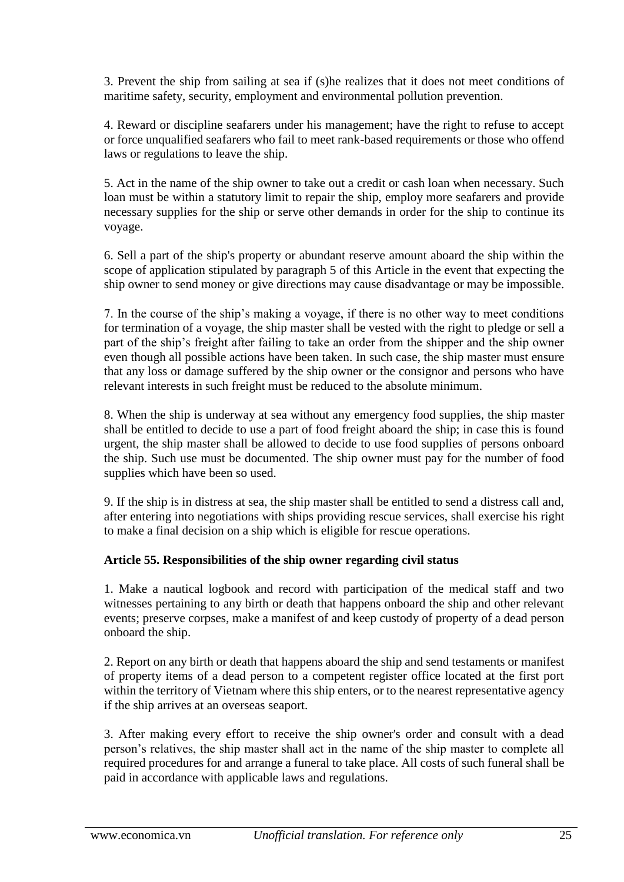3. Prevent the ship from sailing at sea if (s)he realizes that it does not meet conditions of maritime safety, security, employment and environmental pollution prevention.

4. Reward or discipline seafarers under his management; have the right to refuse to accept or force unqualified seafarers who fail to meet rank-based requirements or those who offend laws or regulations to leave the ship.

5. Act in the name of the ship owner to take out a credit or cash loan when necessary. Such loan must be within a statutory limit to repair the ship, employ more seafarers and provide necessary supplies for the ship or serve other demands in order for the ship to continue its voyage.

6. Sell a part of the ship's property or abundant reserve amount aboard the ship within the scope of application stipulated by paragraph 5 of this Article in the event that expecting the ship owner to send money or give directions may cause disadvantage or may be impossible.

7. In the course of the ship's making a voyage, if there is no other way to meet conditions for termination of a voyage, the ship master shall be vested with the right to pledge or sell a part of the ship's freight after failing to take an order from the shipper and the ship owner even though all possible actions have been taken. In such case, the ship master must ensure that any loss or damage suffered by the ship owner or the consignor and persons who have relevant interests in such freight must be reduced to the absolute minimum.

8. When the ship is underway at sea without any emergency food supplies, the ship master shall be entitled to decide to use a part of food freight aboard the ship; in case this is found urgent, the ship master shall be allowed to decide to use food supplies of persons onboard the ship. Such use must be documented. The ship owner must pay for the number of food supplies which have been so used.

9. If the ship is in distress at sea, the ship master shall be entitled to send a distress call and, after entering into negotiations with ships providing rescue services, shall exercise his right to make a final decision on a ship which is eligible for rescue operations.

# **Article 55. Responsibilities of the ship owner regarding civil status**

1. Make a nautical logbook and record with participation of the medical staff and two witnesses pertaining to any birth or death that happens onboard the ship and other relevant events; preserve corpses, make a manifest of and keep custody of property of a dead person onboard the ship.

2. Report on any birth or death that happens aboard the ship and send testaments or manifest of property items of a dead person to a competent register office located at the first port within the territory of Vietnam where this ship enters, or to the nearest representative agency if the ship arrives at an overseas seaport.

3. After making every effort to receive the ship owner's order and consult with a dead person's relatives, the ship master shall act in the name of the ship master to complete all required procedures for and arrange a funeral to take place. All costs of such funeral shall be paid in accordance with applicable laws and regulations.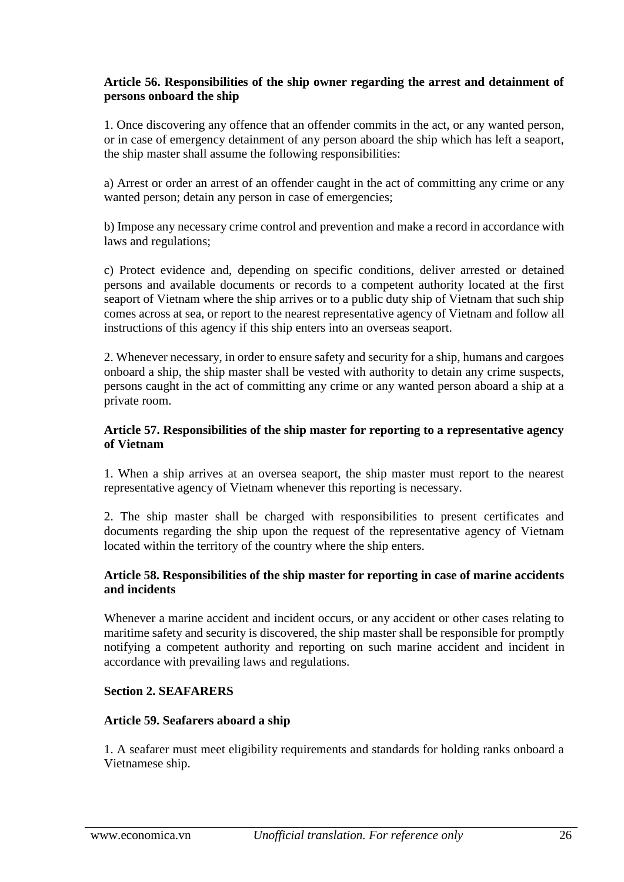## **Article 56. Responsibilities of the ship owner regarding the arrest and detainment of persons onboard the ship**

1. Once discovering any offence that an offender commits in the act, or any wanted person, or in case of emergency detainment of any person aboard the ship which has left a seaport, the ship master shall assume the following responsibilities:

a) Arrest or order an arrest of an offender caught in the act of committing any crime or any wanted person; detain any person in case of emergencies;

b) Impose any necessary crime control and prevention and make a record in accordance with laws and regulations;

c) Protect evidence and, depending on specific conditions, deliver arrested or detained persons and available documents or records to a competent authority located at the first seaport of Vietnam where the ship arrives or to a public duty ship of Vietnam that such ship comes across at sea, or report to the nearest representative agency of Vietnam and follow all instructions of this agency if this ship enters into an overseas seaport.

2. Whenever necessary, in order to ensure safety and security for a ship, humans and cargoes onboard a ship, the ship master shall be vested with authority to detain any crime suspects, persons caught in the act of committing any crime or any wanted person aboard a ship at a private room.

#### **Article 57. Responsibilities of the ship master for reporting to a representative agency of Vietnam**

1. When a ship arrives at an oversea seaport, the ship master must report to the nearest representative agency of Vietnam whenever this reporting is necessary.

2. The ship master shall be charged with responsibilities to present certificates and documents regarding the ship upon the request of the representative agency of Vietnam located within the territory of the country where the ship enters.

## **Article 58. Responsibilities of the ship master for reporting in case of marine accidents and incidents**

Whenever a marine accident and incident occurs, or any accident or other cases relating to maritime safety and security is discovered, the ship master shall be responsible for promptly notifying a competent authority and reporting on such marine accident and incident in accordance with prevailing laws and regulations.

## **Section 2. SEAFARERS**

## **Article 59. Seafarers aboard a ship**

1. A seafarer must meet eligibility requirements and standards for holding ranks onboard a Vietnamese ship.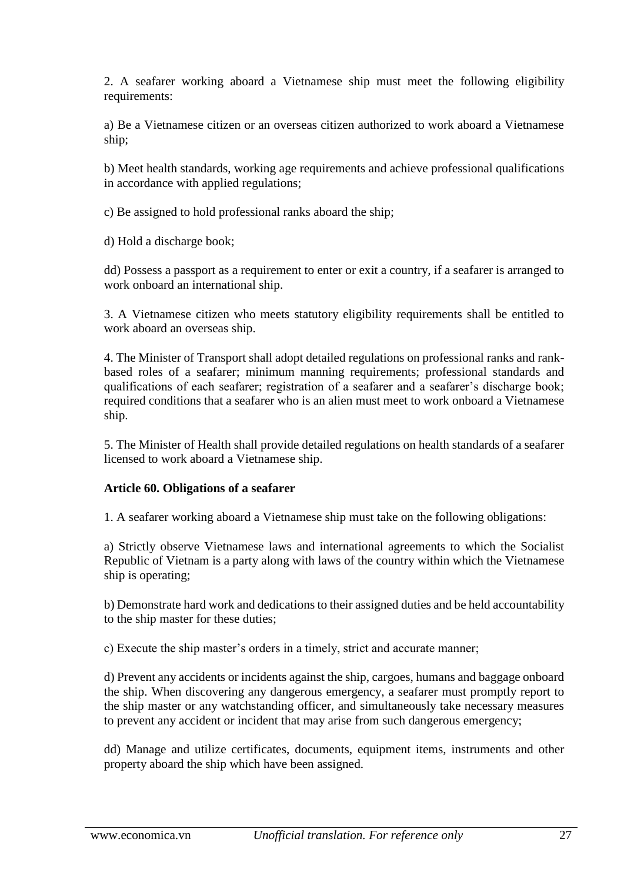2. A seafarer working aboard a Vietnamese ship must meet the following eligibility requirements:

a) Be a Vietnamese citizen or an overseas citizen authorized to work aboard a Vietnamese ship;

b) Meet health standards, working age requirements and achieve professional qualifications in accordance with applied regulations;

c) Be assigned to hold professional ranks aboard the ship;

d) Hold a discharge book;

dd) Possess a passport as a requirement to enter or exit a country, if a seafarer is arranged to work onboard an international ship.

3. A Vietnamese citizen who meets statutory eligibility requirements shall be entitled to work aboard an overseas ship.

4. The Minister of Transport shall adopt detailed regulations on professional ranks and rankbased roles of a seafarer; minimum manning requirements; professional standards and qualifications of each seafarer; registration of a seafarer and a seafarer's discharge book; required conditions that a seafarer who is an alien must meet to work onboard a Vietnamese ship.

5. The Minister of Health shall provide detailed regulations on health standards of a seafarer licensed to work aboard a Vietnamese ship.

## **Article 60. Obligations of a seafarer**

1. A seafarer working aboard a Vietnamese ship must take on the following obligations:

a) Strictly observe Vietnamese laws and international agreements to which the Socialist Republic of Vietnam is a party along with laws of the country within which the Vietnamese ship is operating;

b) Demonstrate hard work and dedications to their assigned duties and be held accountability to the ship master for these duties;

c) Execute the ship master's orders in a timely, strict and accurate manner;

d) Prevent any accidents or incidents against the ship, cargoes, humans and baggage onboard the ship. When discovering any dangerous emergency, a seafarer must promptly report to the ship master or any watchstanding officer, and simultaneously take necessary measures to prevent any accident or incident that may arise from such dangerous emergency;

dd) Manage and utilize certificates, documents, equipment items, instruments and other property aboard the ship which have been assigned.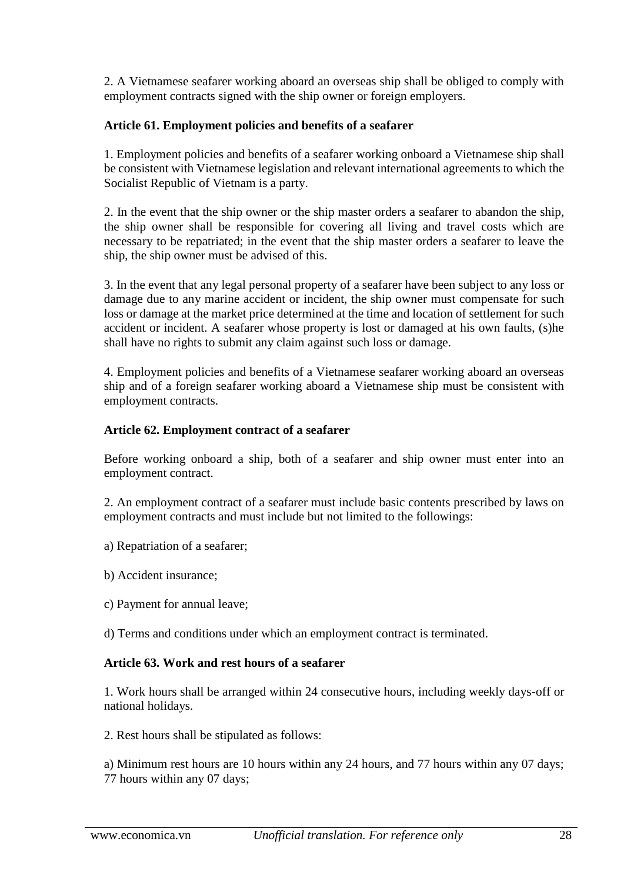2. A Vietnamese seafarer working aboard an overseas ship shall be obliged to comply with employment contracts signed with the ship owner or foreign employers.

# **Article 61. Employment policies and benefits of a seafarer**

1. Employment policies and benefits of a seafarer working onboard a Vietnamese ship shall be consistent with Vietnamese legislation and relevant international agreements to which the Socialist Republic of Vietnam is a party.

2. In the event that the ship owner or the ship master orders a seafarer to abandon the ship, the ship owner shall be responsible for covering all living and travel costs which are necessary to be repatriated; in the event that the ship master orders a seafarer to leave the ship, the ship owner must be advised of this.

3. In the event that any legal personal property of a seafarer have been subject to any loss or damage due to any marine accident or incident, the ship owner must compensate for such loss or damage at the market price determined at the time and location of settlement for such accident or incident. A seafarer whose property is lost or damaged at his own faults, (s)he shall have no rights to submit any claim against such loss or damage.

4. Employment policies and benefits of a Vietnamese seafarer working aboard an overseas ship and of a foreign seafarer working aboard a Vietnamese ship must be consistent with employment contracts.

## **Article 62. Employment contract of a seafarer**

Before working onboard a ship, both of a seafarer and ship owner must enter into an employment contract.

2. An employment contract of a seafarer must include basic contents prescribed by laws on employment contracts and must include but not limited to the followings:

- a) Repatriation of a seafarer;
- b) Accident insurance;
- c) Payment for annual leave;
- d) Terms and conditions under which an employment contract is terminated.

# **Article 63. Work and rest hours of a seafarer**

1. Work hours shall be arranged within 24 consecutive hours, including weekly days-off or national holidays.

2. Rest hours shall be stipulated as follows:

a) Minimum rest hours are 10 hours within any 24 hours, and 77 hours within any 07 days; 77 hours within any 07 days;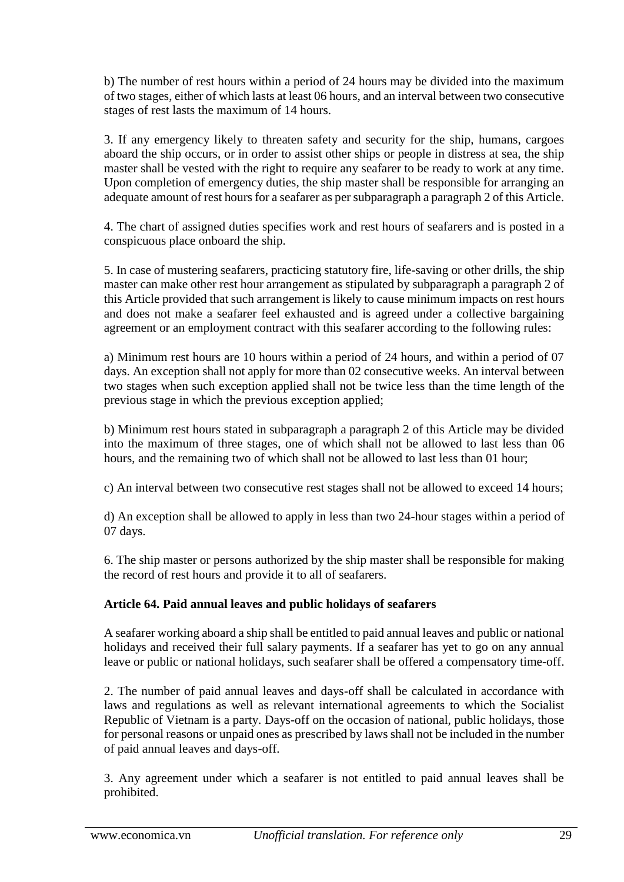b) The number of rest hours within a period of 24 hours may be divided into the maximum of two stages, either of which lasts at least 06 hours, and an interval between two consecutive stages of rest lasts the maximum of 14 hours.

3. If any emergency likely to threaten safety and security for the ship, humans, cargoes aboard the ship occurs, or in order to assist other ships or people in distress at sea, the ship master shall be vested with the right to require any seafarer to be ready to work at any time. Upon completion of emergency duties, the ship master shall be responsible for arranging an adequate amount of rest hours for a seafarer as per subparagraph a paragraph 2 of this Article.

4. The chart of assigned duties specifies work and rest hours of seafarers and is posted in a conspicuous place onboard the ship.

5. In case of mustering seafarers, practicing statutory fire, life-saving or other drills, the ship master can make other rest hour arrangement as stipulated by subparagraph a paragraph 2 of this Article provided that such arrangement is likely to cause minimum impacts on rest hours and does not make a seafarer feel exhausted and is agreed under a collective bargaining agreement or an employment contract with this seafarer according to the following rules:

a) Minimum rest hours are 10 hours within a period of 24 hours, and within a period of 07 days. An exception shall not apply for more than 02 consecutive weeks. An interval between two stages when such exception applied shall not be twice less than the time length of the previous stage in which the previous exception applied;

b) Minimum rest hours stated in subparagraph a paragraph 2 of this Article may be divided into the maximum of three stages, one of which shall not be allowed to last less than 06 hours, and the remaining two of which shall not be allowed to last less than 01 hour;

c) An interval between two consecutive rest stages shall not be allowed to exceed 14 hours;

d) An exception shall be allowed to apply in less than two 24-hour stages within a period of 07 days.

6. The ship master or persons authorized by the ship master shall be responsible for making the record of rest hours and provide it to all of seafarers.

# **Article 64. Paid annual leaves and public holidays of seafarers**

A seafarer working aboard a ship shall be entitled to paid annual leaves and public or national holidays and received their full salary payments. If a seafarer has yet to go on any annual leave or public or national holidays, such seafarer shall be offered a compensatory time-off.

2. The number of paid annual leaves and days-off shall be calculated in accordance with laws and regulations as well as relevant international agreements to which the Socialist Republic of Vietnam is a party. Days-off on the occasion of national, public holidays, those for personal reasons or unpaid ones as prescribed by laws shall not be included in the number of paid annual leaves and days-off.

3. Any agreement under which a seafarer is not entitled to paid annual leaves shall be prohibited.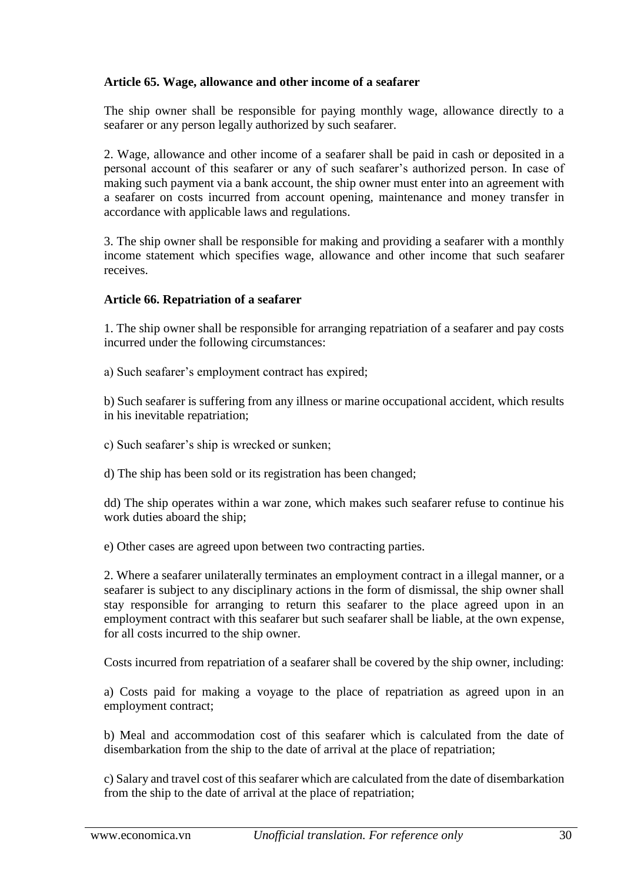## **Article 65. Wage, allowance and other income of a seafarer**

The ship owner shall be responsible for paying monthly wage, allowance directly to a seafarer or any person legally authorized by such seafarer.

2. Wage, allowance and other income of a seafarer shall be paid in cash or deposited in a personal account of this seafarer or any of such seafarer's authorized person. In case of making such payment via a bank account, the ship owner must enter into an agreement with a seafarer on costs incurred from account opening, maintenance and money transfer in accordance with applicable laws and regulations.

3. The ship owner shall be responsible for making and providing a seafarer with a monthly income statement which specifies wage, allowance and other income that such seafarer receives.

## **Article 66. Repatriation of a seafarer**

1. The ship owner shall be responsible for arranging repatriation of a seafarer and pay costs incurred under the following circumstances:

a) Such seafarer's employment contract has expired;

b) Such seafarer is suffering from any illness or marine occupational accident, which results in his inevitable repatriation;

c) Such seafarer's ship is wrecked or sunken;

d) The ship has been sold or its registration has been changed;

dd) The ship operates within a war zone, which makes such seafarer refuse to continue his work duties aboard the ship;

e) Other cases are agreed upon between two contracting parties.

2. Where a seafarer unilaterally terminates an employment contract in a illegal manner, or a seafarer is subject to any disciplinary actions in the form of dismissal, the ship owner shall stay responsible for arranging to return this seafarer to the place agreed upon in an employment contract with this seafarer but such seafarer shall be liable, at the own expense, for all costs incurred to the ship owner.

Costs incurred from repatriation of a seafarer shall be covered by the ship owner, including:

a) Costs paid for making a voyage to the place of repatriation as agreed upon in an employment contract;

b) Meal and accommodation cost of this seafarer which is calculated from the date of disembarkation from the ship to the date of arrival at the place of repatriation;

c) Salary and travel cost of this seafarer which are calculated from the date of disembarkation from the ship to the date of arrival at the place of repatriation;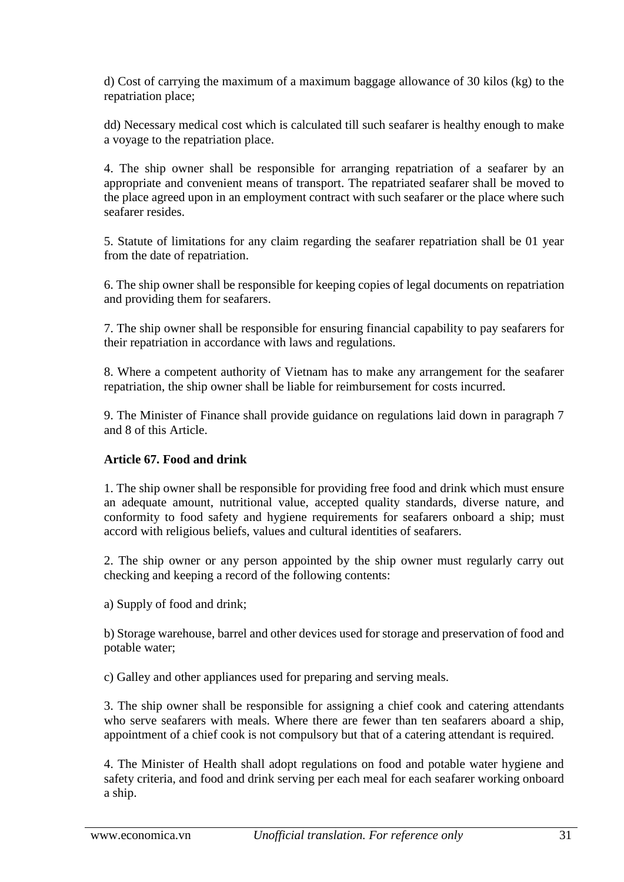d) Cost of carrying the maximum of a maximum baggage allowance of 30 kilos (kg) to the repatriation place;

dd) Necessary medical cost which is calculated till such seafarer is healthy enough to make a voyage to the repatriation place.

4. The ship owner shall be responsible for arranging repatriation of a seafarer by an appropriate and convenient means of transport. The repatriated seafarer shall be moved to the place agreed upon in an employment contract with such seafarer or the place where such seafarer resides.

5. Statute of limitations for any claim regarding the seafarer repatriation shall be 01 year from the date of repatriation.

6. The ship owner shall be responsible for keeping copies of legal documents on repatriation and providing them for seafarers.

7. The ship owner shall be responsible for ensuring financial capability to pay seafarers for their repatriation in accordance with laws and regulations.

8. Where a competent authority of Vietnam has to make any arrangement for the seafarer repatriation, the ship owner shall be liable for reimbursement for costs incurred.

9. The Minister of Finance shall provide guidance on regulations laid down in paragraph 7 and 8 of this Article.

# **Article 67. Food and drink**

1. The ship owner shall be responsible for providing free food and drink which must ensure an adequate amount, nutritional value, accepted quality standards, diverse nature, and conformity to food safety and hygiene requirements for seafarers onboard a ship; must accord with religious beliefs, values and cultural identities of seafarers.

2. The ship owner or any person appointed by the ship owner must regularly carry out checking and keeping a record of the following contents:

a) Supply of food and drink;

b) Storage warehouse, barrel and other devices used for storage and preservation of food and potable water;

c) Galley and other appliances used for preparing and serving meals.

3. The ship owner shall be responsible for assigning a chief cook and catering attendants who serve seafarers with meals. Where there are fewer than ten seafarers aboard a ship, appointment of a chief cook is not compulsory but that of a catering attendant is required.

4. The Minister of Health shall adopt regulations on food and potable water hygiene and safety criteria, and food and drink serving per each meal for each seafarer working onboard a ship.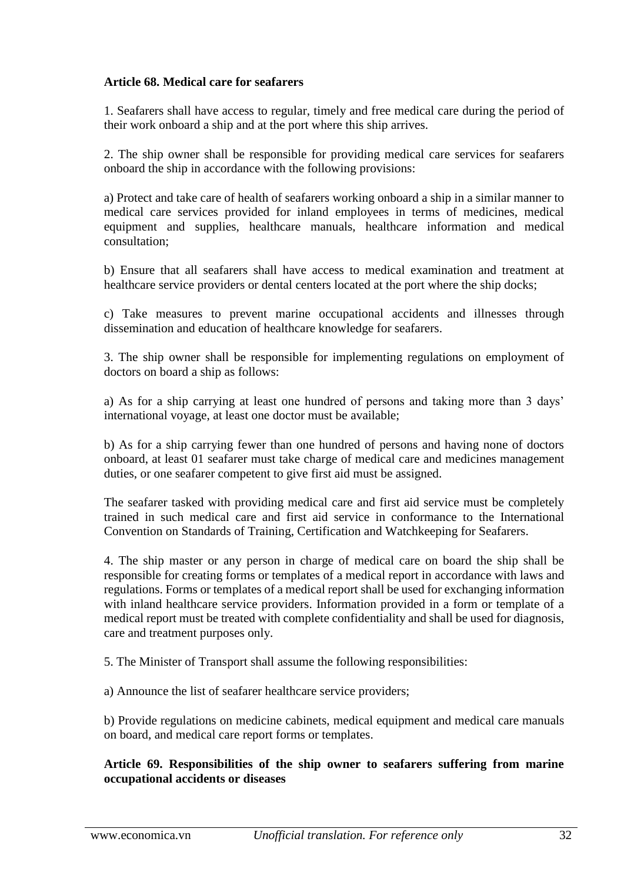## **Article 68. Medical care for seafarers**

1. Seafarers shall have access to regular, timely and free medical care during the period of their work onboard a ship and at the port where this ship arrives.

2. The ship owner shall be responsible for providing medical care services for seafarers onboard the ship in accordance with the following provisions:

a) Protect and take care of health of seafarers working onboard a ship in a similar manner to medical care services provided for inland employees in terms of medicines, medical equipment and supplies, healthcare manuals, healthcare information and medical consultation;

b) Ensure that all seafarers shall have access to medical examination and treatment at healthcare service providers or dental centers located at the port where the ship docks;

c) Take measures to prevent marine occupational accidents and illnesses through dissemination and education of healthcare knowledge for seafarers.

3. The ship owner shall be responsible for implementing regulations on employment of doctors on board a ship as follows:

a) As for a ship carrying at least one hundred of persons and taking more than 3 days' international voyage, at least one doctor must be available;

b) As for a ship carrying fewer than one hundred of persons and having none of doctors onboard, at least 01 seafarer must take charge of medical care and medicines management duties, or one seafarer competent to give first aid must be assigned.

The seafarer tasked with providing medical care and first aid service must be completely trained in such medical care and first aid service in conformance to the International Convention on Standards of Training, Certification and Watchkeeping for Seafarers.

4. The ship master or any person in charge of medical care on board the ship shall be responsible for creating forms or templates of a medical report in accordance with laws and regulations. Forms or templates of a medical report shall be used for exchanging information with inland healthcare service providers. Information provided in a form or template of a medical report must be treated with complete confidentiality and shall be used for diagnosis, care and treatment purposes only.

5. The Minister of Transport shall assume the following responsibilities:

a) Announce the list of seafarer healthcare service providers;

b) Provide regulations on medicine cabinets, medical equipment and medical care manuals on board, and medical care report forms or templates.

## **Article 69. Responsibilities of the ship owner to seafarers suffering from marine occupational accidents or diseases**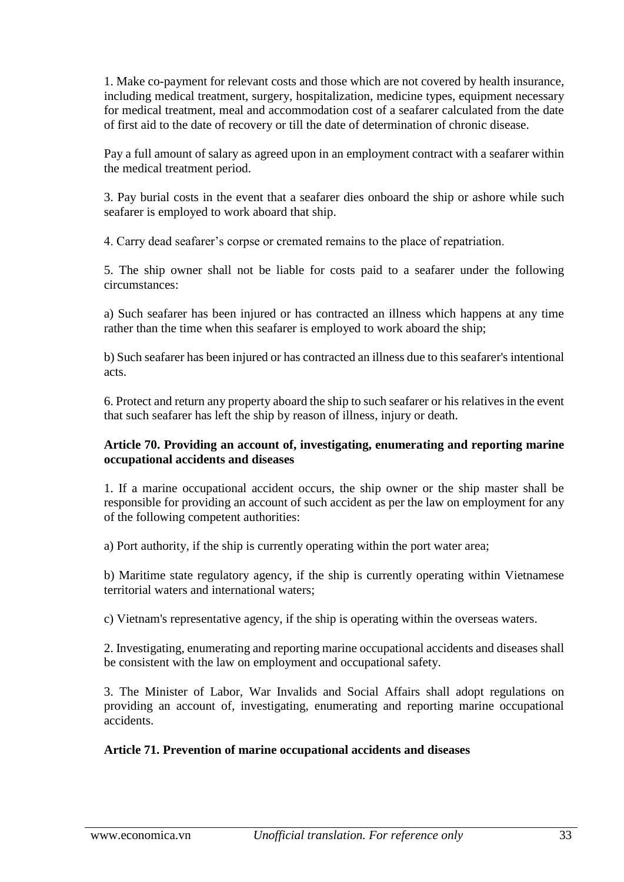1. Make co-payment for relevant costs and those which are not covered by health insurance, including medical treatment, surgery, hospitalization, medicine types, equipment necessary for medical treatment, meal and accommodation cost of a seafarer calculated from the date of first aid to the date of recovery or till the date of determination of chronic disease.

Pay a full amount of salary as agreed upon in an employment contract with a seafarer within the medical treatment period.

3. Pay burial costs in the event that a seafarer dies onboard the ship or ashore while such seafarer is employed to work aboard that ship.

4. Carry dead seafarer's corpse or cremated remains to the place of repatriation.

5. The ship owner shall not be liable for costs paid to a seafarer under the following circumstances:

a) Such seafarer has been injured or has contracted an illness which happens at any time rather than the time when this seafarer is employed to work aboard the ship;

b) Such seafarer has been injured or has contracted an illness due to this seafarer's intentional acts.

6. Protect and return any property aboard the ship to such seafarer or his relatives in the event that such seafarer has left the ship by reason of illness, injury or death.

## **Article 70. Providing an account of, investigating, enumerating and reporting marine occupational accidents and diseases**

1. If a marine occupational accident occurs, the ship owner or the ship master shall be responsible for providing an account of such accident as per the law on employment for any of the following competent authorities:

a) Port authority, if the ship is currently operating within the port water area;

b) Maritime state regulatory agency, if the ship is currently operating within Vietnamese territorial waters and international waters;

c) Vietnam's representative agency, if the ship is operating within the overseas waters.

2. Investigating, enumerating and reporting marine occupational accidents and diseases shall be consistent with the law on employment and occupational safety.

3. The Minister of Labor, War Invalids and Social Affairs shall adopt regulations on providing an account of, investigating, enumerating and reporting marine occupational accidents.

# **Article 71. Prevention of marine occupational accidents and diseases**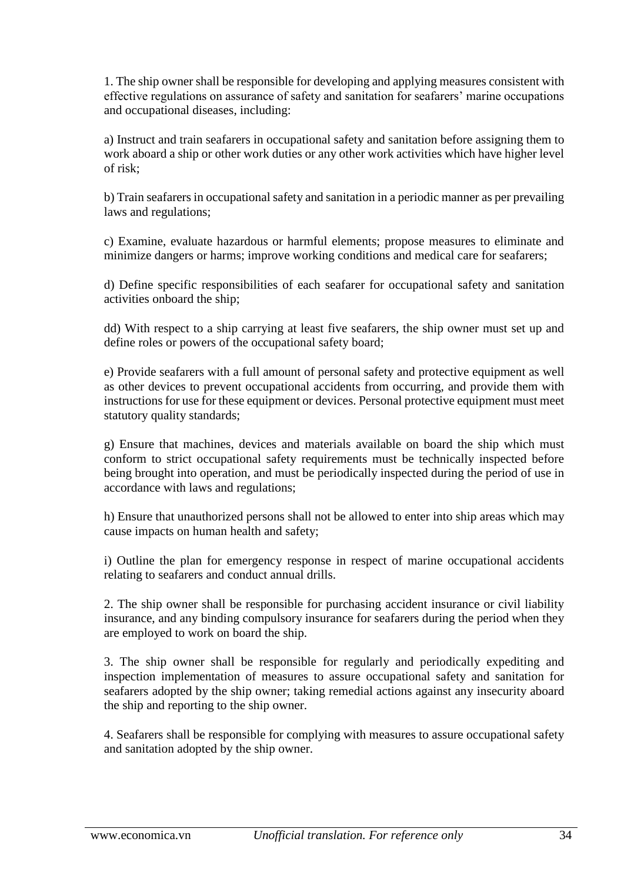1. The ship owner shall be responsible for developing and applying measures consistent with effective regulations on assurance of safety and sanitation for seafarers' marine occupations and occupational diseases, including:

a) Instruct and train seafarers in occupational safety and sanitation before assigning them to work aboard a ship or other work duties or any other work activities which have higher level of risk;

b) Train seafarers in occupational safety and sanitation in a periodic manner as per prevailing laws and regulations;

c) Examine, evaluate hazardous or harmful elements; propose measures to eliminate and minimize dangers or harms; improve working conditions and medical care for seafarers;

d) Define specific responsibilities of each seafarer for occupational safety and sanitation activities onboard the ship;

dd) With respect to a ship carrying at least five seafarers, the ship owner must set up and define roles or powers of the occupational safety board;

e) Provide seafarers with a full amount of personal safety and protective equipment as well as other devices to prevent occupational accidents from occurring, and provide them with instructions for use for these equipment or devices. Personal protective equipment must meet statutory quality standards;

g) Ensure that machines, devices and materials available on board the ship which must conform to strict occupational safety requirements must be technically inspected before being brought into operation, and must be periodically inspected during the period of use in accordance with laws and regulations;

h) Ensure that unauthorized persons shall not be allowed to enter into ship areas which may cause impacts on human health and safety;

i) Outline the plan for emergency response in respect of marine occupational accidents relating to seafarers and conduct annual drills.

2. The ship owner shall be responsible for purchasing accident insurance or civil liability insurance, and any binding compulsory insurance for seafarers during the period when they are employed to work on board the ship.

3. The ship owner shall be responsible for regularly and periodically expediting and inspection implementation of measures to assure occupational safety and sanitation for seafarers adopted by the ship owner; taking remedial actions against any insecurity aboard the ship and reporting to the ship owner.

4. Seafarers shall be responsible for complying with measures to assure occupational safety and sanitation adopted by the ship owner.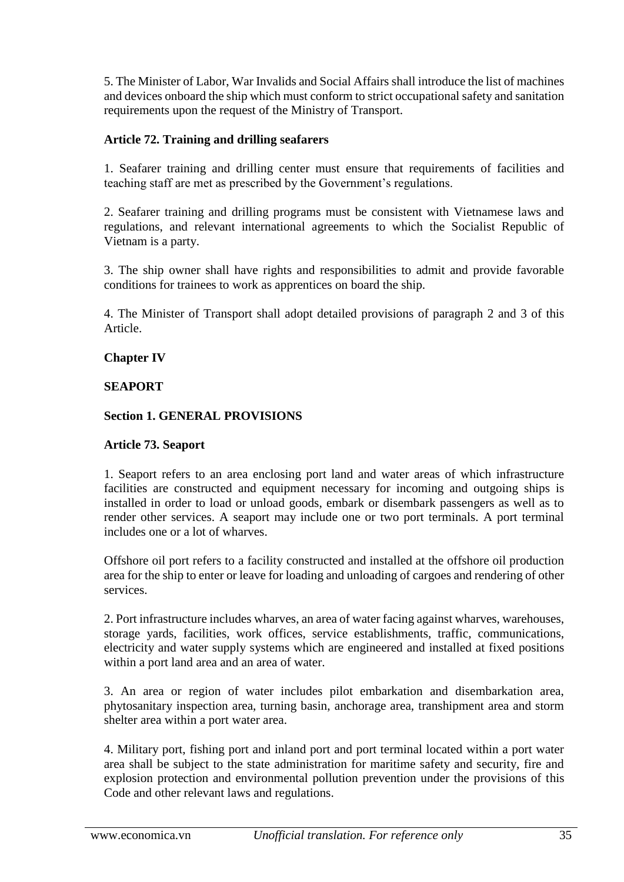5. The Minister of Labor, War Invalids and Social Affairs shall introduce the list of machines and devices onboard the ship which must conform to strict occupational safety and sanitation requirements upon the request of the Ministry of Transport.

# **Article 72. Training and drilling seafarers**

1. Seafarer training and drilling center must ensure that requirements of facilities and teaching staff are met as prescribed by the Government's regulations.

2. Seafarer training and drilling programs must be consistent with Vietnamese laws and regulations, and relevant international agreements to which the Socialist Republic of Vietnam is a party.

3. The ship owner shall have rights and responsibilities to admit and provide favorable conditions for trainees to work as apprentices on board the ship.

4. The Minister of Transport shall adopt detailed provisions of paragraph 2 and 3 of this Article.

## **Chapter IV**

## **SEAPORT**

## **Section 1. GENERAL PROVISIONS**

## **Article 73. Seaport**

1. Seaport refers to an area enclosing port land and water areas of which infrastructure facilities are constructed and equipment necessary for incoming and outgoing ships is installed in order to load or unload goods, embark or disembark passengers as well as to render other services. A seaport may include one or two port terminals. A port terminal includes one or a lot of wharves.

Offshore oil port refers to a facility constructed and installed at the offshore oil production area for the ship to enter or leave for loading and unloading of cargoes and rendering of other services.

2. Port infrastructure includes wharves, an area of water facing against wharves, warehouses, storage yards, facilities, work offices, service establishments, traffic, communications, electricity and water supply systems which are engineered and installed at fixed positions within a port land area and an area of water.

3. An area or region of water includes pilot embarkation and disembarkation area, phytosanitary inspection area, turning basin, anchorage area, transhipment area and storm shelter area within a port water area.

4. Military port, fishing port and inland port and port terminal located within a port water area shall be subject to the state administration for maritime safety and security, fire and explosion protection and environmental pollution prevention under the provisions of this Code and other relevant laws and regulations.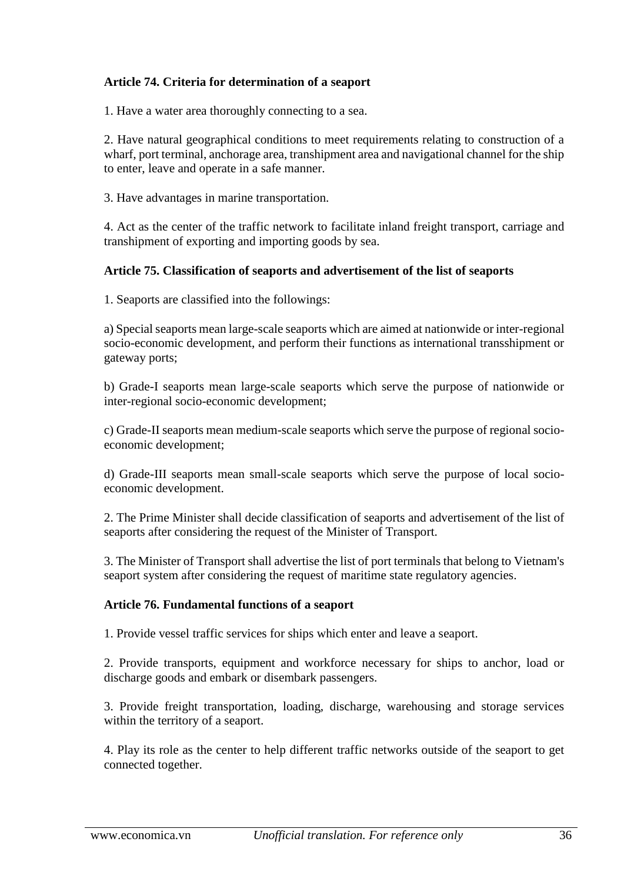# **Article 74. Criteria for determination of a seaport**

1. Have a water area thoroughly connecting to a sea.

2. Have natural geographical conditions to meet requirements relating to construction of a wharf, port terminal, anchorage area, transhipment area and navigational channel for the ship to enter, leave and operate in a safe manner.

3. Have advantages in marine transportation.

4. Act as the center of the traffic network to facilitate inland freight transport, carriage and transhipment of exporting and importing goods by sea.

## **Article 75. Classification of seaports and advertisement of the list of seaports**

1. Seaports are classified into the followings:

a) Special seaports mean large-scale seaports which are aimed at nationwide or inter-regional socio-economic development, and perform their functions as international transshipment or gateway ports;

b) Grade-I seaports mean large-scale seaports which serve the purpose of nationwide or inter-regional socio-economic development;

c) Grade-II seaports mean medium-scale seaports which serve the purpose of regional socioeconomic development;

d) Grade-III seaports mean small-scale seaports which serve the purpose of local socioeconomic development.

2. The Prime Minister shall decide classification of seaports and advertisement of the list of seaports after considering the request of the Minister of Transport.

3. The Minister of Transport shall advertise the list of port terminals that belong to Vietnam's seaport system after considering the request of maritime state regulatory agencies.

## **Article 76. Fundamental functions of a seaport**

1. Provide vessel traffic services for ships which enter and leave a seaport.

2. Provide transports, equipment and workforce necessary for ships to anchor, load or discharge goods and embark or disembark passengers.

3. Provide freight transportation, loading, discharge, warehousing and storage services within the territory of a seaport.

4. Play its role as the center to help different traffic networks outside of the seaport to get connected together.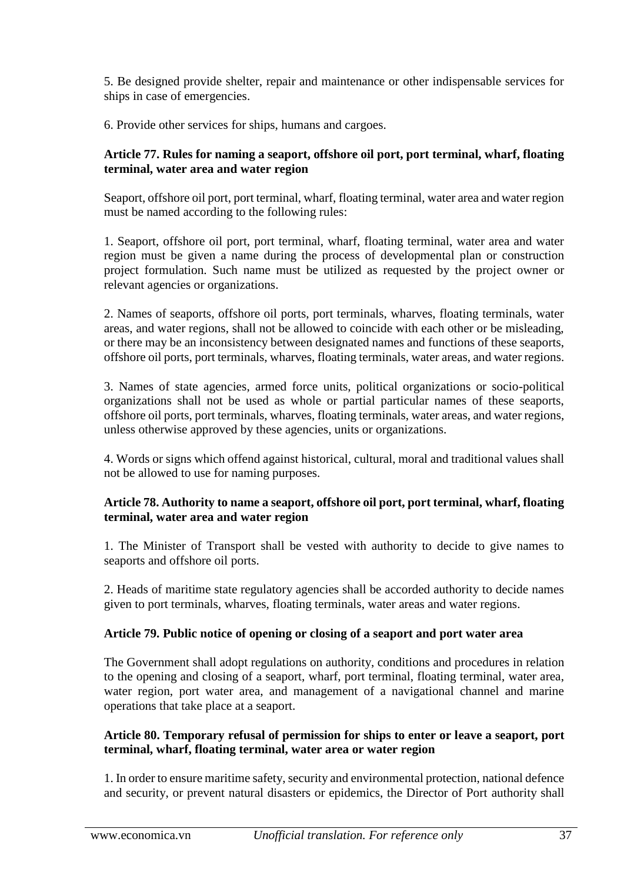5. Be designed provide shelter, repair and maintenance or other indispensable services for ships in case of emergencies.

6. Provide other services for ships, humans and cargoes.

### **Article 77. Rules for naming a seaport, offshore oil port, port terminal, wharf, floating terminal, water area and water region**

Seaport, offshore oil port, port terminal, wharf, floating terminal, water area and water region must be named according to the following rules:

1. Seaport, offshore oil port, port terminal, wharf, floating terminal, water area and water region must be given a name during the process of developmental plan or construction project formulation. Such name must be utilized as requested by the project owner or relevant agencies or organizations.

2. Names of seaports, offshore oil ports, port terminals, wharves, floating terminals, water areas, and water regions, shall not be allowed to coincide with each other or be misleading, or there may be an inconsistency between designated names and functions of these seaports, offshore oil ports, port terminals, wharves, floating terminals, water areas, and water regions.

3. Names of state agencies, armed force units, political organizations or socio-political organizations shall not be used as whole or partial particular names of these seaports, offshore oil ports, port terminals, wharves, floating terminals, water areas, and water regions, unless otherwise approved by these agencies, units or organizations.

4. Words or signs which offend against historical, cultural, moral and traditional values shall not be allowed to use for naming purposes.

# **Article 78. Authority to name a seaport, offshore oil port, port terminal, wharf, floating terminal, water area and water region**

1. The Minister of Transport shall be vested with authority to decide to give names to seaports and offshore oil ports.

2. Heads of maritime state regulatory agencies shall be accorded authority to decide names given to port terminals, wharves, floating terminals, water areas and water regions.

# **Article 79. Public notice of opening or closing of a seaport and port water area**

The Government shall adopt regulations on authority, conditions and procedures in relation to the opening and closing of a seaport, wharf, port terminal, floating terminal, water area, water region, port water area, and management of a navigational channel and marine operations that take place at a seaport.

## **Article 80. Temporary refusal of permission for ships to enter or leave a seaport, port terminal, wharf, floating terminal, water area or water region**

1. In order to ensure maritime safety, security and environmental protection, national defence and security, or prevent natural disasters or epidemics, the Director of Port authority shall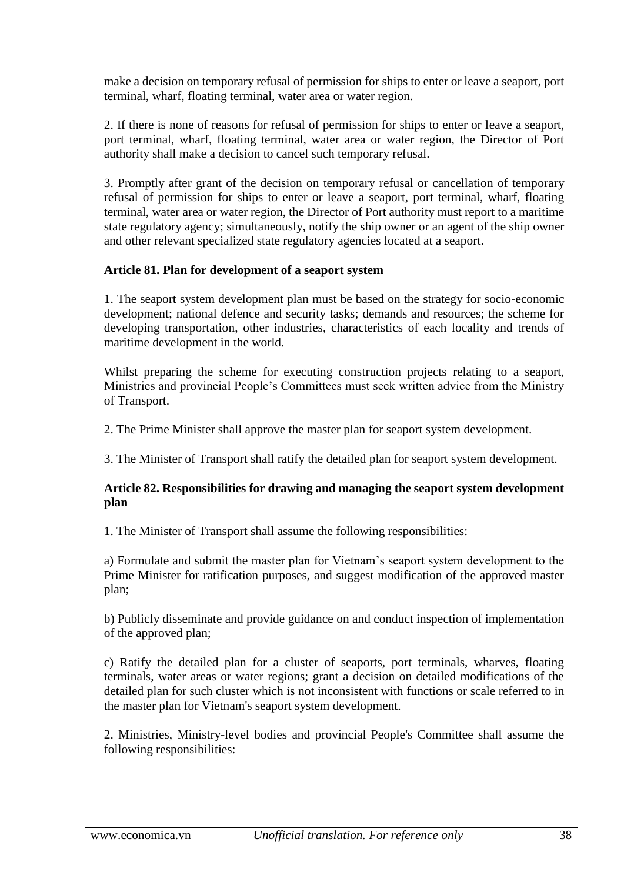make a decision on temporary refusal of permission for ships to enter or leave a seaport, port terminal, wharf, floating terminal, water area or water region.

2. If there is none of reasons for refusal of permission for ships to enter or leave a seaport, port terminal, wharf, floating terminal, water area or water region, the Director of Port authority shall make a decision to cancel such temporary refusal.

3. Promptly after grant of the decision on temporary refusal or cancellation of temporary refusal of permission for ships to enter or leave a seaport, port terminal, wharf, floating terminal, water area or water region, the Director of Port authority must report to a maritime state regulatory agency; simultaneously, notify the ship owner or an agent of the ship owner and other relevant specialized state regulatory agencies located at a seaport.

## **Article 81. Plan for development of a seaport system**

1. The seaport system development plan must be based on the strategy for socio-economic development; national defence and security tasks; demands and resources; the scheme for developing transportation, other industries, characteristics of each locality and trends of maritime development in the world.

Whilst preparing the scheme for executing construction projects relating to a seaport, Ministries and provincial People's Committees must seek written advice from the Ministry of Transport.

2. The Prime Minister shall approve the master plan for seaport system development.

3. The Minister of Transport shall ratify the detailed plan for seaport system development.

#### **Article 82. Responsibilities for drawing and managing the seaport system development plan**

1. The Minister of Transport shall assume the following responsibilities:

a) Formulate and submit the master plan for Vietnam's seaport system development to the Prime Minister for ratification purposes, and suggest modification of the approved master plan;

b) Publicly disseminate and provide guidance on and conduct inspection of implementation of the approved plan;

c) Ratify the detailed plan for a cluster of seaports, port terminals, wharves, floating terminals, water areas or water regions; grant a decision on detailed modifications of the detailed plan for such cluster which is not inconsistent with functions or scale referred to in the master plan for Vietnam's seaport system development.

2. Ministries, Ministry-level bodies and provincial People's Committee shall assume the following responsibilities: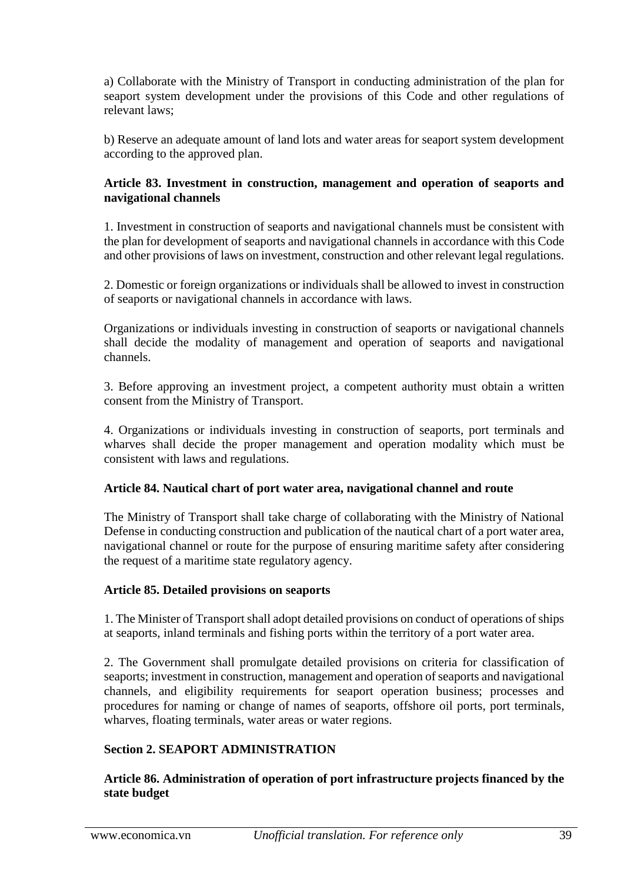a) Collaborate with the Ministry of Transport in conducting administration of the plan for seaport system development under the provisions of this Code and other regulations of relevant laws;

b) Reserve an adequate amount of land lots and water areas for seaport system development according to the approved plan.

#### **Article 83. Investment in construction, management and operation of seaports and navigational channels**

1. Investment in construction of seaports and navigational channels must be consistent with the plan for development of seaports and navigational channels in accordance with this Code and other provisions of laws on investment, construction and other relevant legal regulations.

2. Domestic or foreign organizations or individuals shall be allowed to invest in construction of seaports or navigational channels in accordance with laws.

Organizations or individuals investing in construction of seaports or navigational channels shall decide the modality of management and operation of seaports and navigational channels.

3. Before approving an investment project, a competent authority must obtain a written consent from the Ministry of Transport.

4. Organizations or individuals investing in construction of seaports, port terminals and wharves shall decide the proper management and operation modality which must be consistent with laws and regulations.

#### **Article 84. Nautical chart of port water area, navigational channel and route**

The Ministry of Transport shall take charge of collaborating with the Ministry of National Defense in conducting construction and publication of the nautical chart of a port water area, navigational channel or route for the purpose of ensuring maritime safety after considering the request of a maritime state regulatory agency.

#### **Article 85. Detailed provisions on seaports**

1. The Minister of Transport shall adopt detailed provisions on conduct of operations of ships at seaports, inland terminals and fishing ports within the territory of a port water area.

2. The Government shall promulgate detailed provisions on criteria for classification of seaports; investment in construction, management and operation of seaports and navigational channels, and eligibility requirements for seaport operation business; processes and procedures for naming or change of names of seaports, offshore oil ports, port terminals, wharves, floating terminals, water areas or water regions.

#### **Section 2. SEAPORT ADMINISTRATION**

**Article 86. Administration of operation of port infrastructure projects financed by the state budget**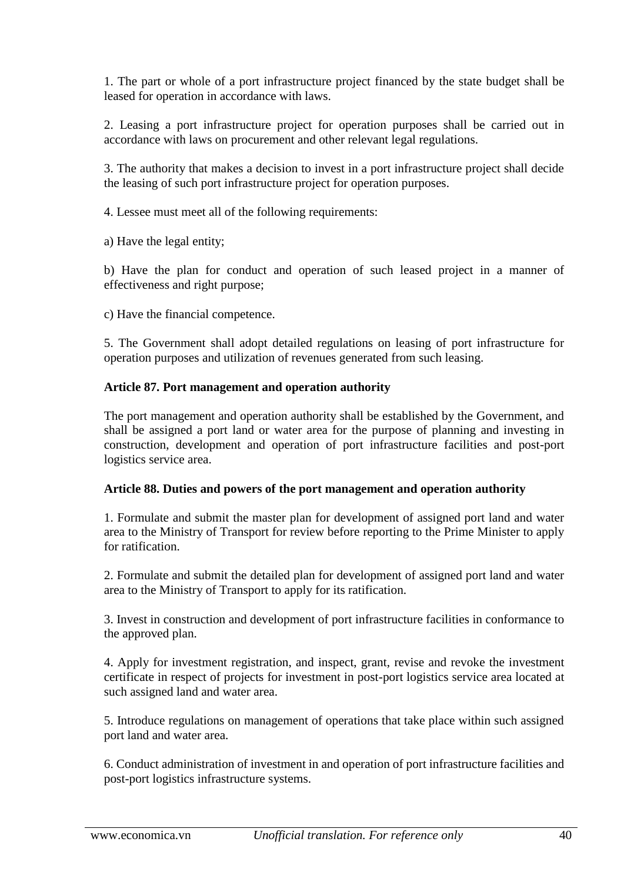1. The part or whole of a port infrastructure project financed by the state budget shall be leased for operation in accordance with laws.

2. Leasing a port infrastructure project for operation purposes shall be carried out in accordance with laws on procurement and other relevant legal regulations.

3. The authority that makes a decision to invest in a port infrastructure project shall decide the leasing of such port infrastructure project for operation purposes.

4. Lessee must meet all of the following requirements:

a) Have the legal entity;

b) Have the plan for conduct and operation of such leased project in a manner of effectiveness and right purpose;

c) Have the financial competence.

5. The Government shall adopt detailed regulations on leasing of port infrastructure for operation purposes and utilization of revenues generated from such leasing.

## **Article 87. Port management and operation authority**

The port management and operation authority shall be established by the Government, and shall be assigned a port land or water area for the purpose of planning and investing in construction, development and operation of port infrastructure facilities and post-port logistics service area.

#### **Article 88. Duties and powers of the port management and operation authority**

1. Formulate and submit the master plan for development of assigned port land and water area to the Ministry of Transport for review before reporting to the Prime Minister to apply for ratification.

2. Formulate and submit the detailed plan for development of assigned port land and water area to the Ministry of Transport to apply for its ratification.

3. Invest in construction and development of port infrastructure facilities in conformance to the approved plan.

4. Apply for investment registration, and inspect, grant, revise and revoke the investment certificate in respect of projects for investment in post-port logistics service area located at such assigned land and water area.

5. Introduce regulations on management of operations that take place within such assigned port land and water area.

6. Conduct administration of investment in and operation of port infrastructure facilities and post-port logistics infrastructure systems.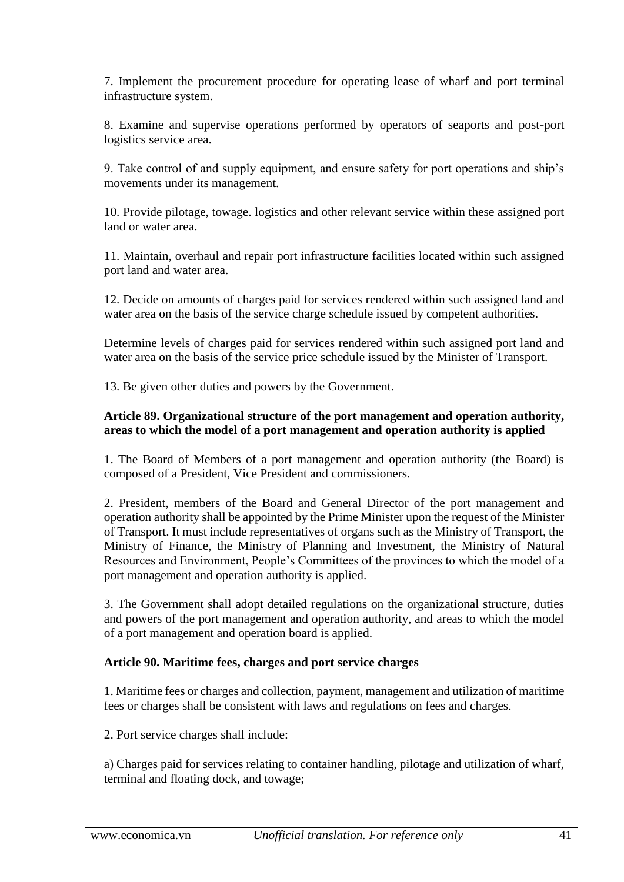7. Implement the procurement procedure for operating lease of wharf and port terminal infrastructure system.

8. Examine and supervise operations performed by operators of seaports and post-port logistics service area.

9. Take control of and supply equipment, and ensure safety for port operations and ship's movements under its management.

10. Provide pilotage, towage. logistics and other relevant service within these assigned port land or water area.

11. Maintain, overhaul and repair port infrastructure facilities located within such assigned port land and water area.

12. Decide on amounts of charges paid for services rendered within such assigned land and water area on the basis of the service charge schedule issued by competent authorities.

Determine levels of charges paid for services rendered within such assigned port land and water area on the basis of the service price schedule issued by the Minister of Transport.

13. Be given other duties and powers by the Government.

#### **Article 89. Organizational structure of the port management and operation authority, areas to which the model of a port management and operation authority is applied**

1. The Board of Members of a port management and operation authority (the Board) is composed of a President, Vice President and commissioners.

2. President, members of the Board and General Director of the port management and operation authority shall be appointed by the Prime Minister upon the request of the Minister of Transport. It must include representatives of organs such as the Ministry of Transport, the Ministry of Finance, the Ministry of Planning and Investment, the Ministry of Natural Resources and Environment, People's Committees of the provinces to which the model of a port management and operation authority is applied.

3. The Government shall adopt detailed regulations on the organizational structure, duties and powers of the port management and operation authority, and areas to which the model of a port management and operation board is applied.

#### **Article 90. Maritime fees, charges and port service charges**

1. Maritime fees or charges and collection, payment, management and utilization of maritime fees or charges shall be consistent with laws and regulations on fees and charges.

2. Port service charges shall include:

a) Charges paid for services relating to container handling, pilotage and utilization of wharf, terminal and floating dock, and towage;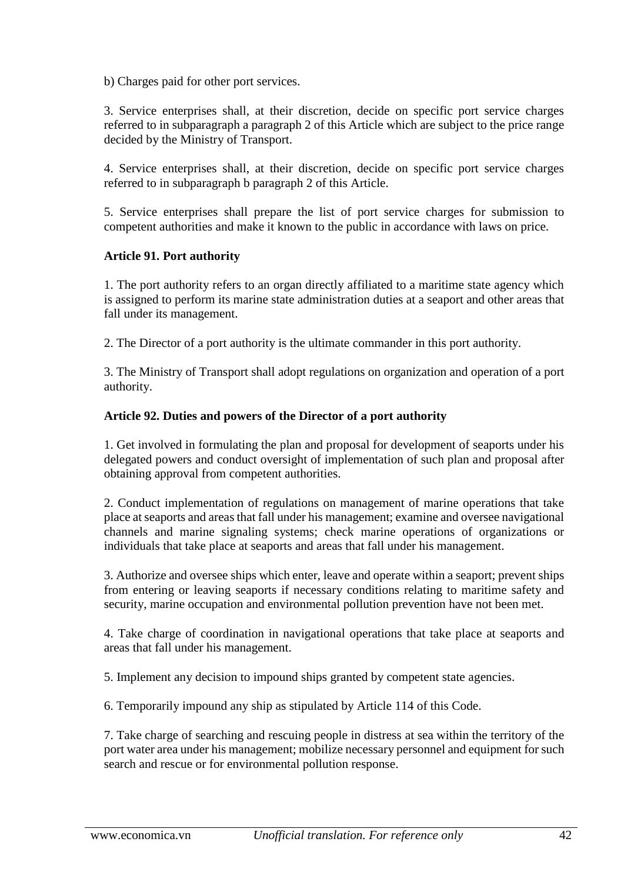b) Charges paid for other port services.

3. Service enterprises shall, at their discretion, decide on specific port service charges referred to in subparagraph a paragraph 2 of this Article which are subject to the price range decided by the Ministry of Transport.

4. Service enterprises shall, at their discretion, decide on specific port service charges referred to in subparagraph b paragraph 2 of this Article.

5. Service enterprises shall prepare the list of port service charges for submission to competent authorities and make it known to the public in accordance with laws on price.

#### **Article 91. Port authority**

1. The port authority refers to an organ directly affiliated to a maritime state agency which is assigned to perform its marine state administration duties at a seaport and other areas that fall under its management.

2. The Director of a port authority is the ultimate commander in this port authority.

3. The Ministry of Transport shall adopt regulations on organization and operation of a port authority.

#### **Article 92. Duties and powers of the Director of a port authority**

1. Get involved in formulating the plan and proposal for development of seaports under his delegated powers and conduct oversight of implementation of such plan and proposal after obtaining approval from competent authorities.

2. Conduct implementation of regulations on management of marine operations that take place at seaports and areas that fall under his management; examine and oversee navigational channels and marine signaling systems; check marine operations of organizations or individuals that take place at seaports and areas that fall under his management.

3. Authorize and oversee ships which enter, leave and operate within a seaport; prevent ships from entering or leaving seaports if necessary conditions relating to maritime safety and security, marine occupation and environmental pollution prevention have not been met.

4. Take charge of coordination in navigational operations that take place at seaports and areas that fall under his management.

5. Implement any decision to impound ships granted by competent state agencies.

6. Temporarily impound any ship as stipulated by Article 114 of this Code.

7. Take charge of searching and rescuing people in distress at sea within the territory of the port water area under his management; mobilize necessary personnel and equipment for such search and rescue or for environmental pollution response.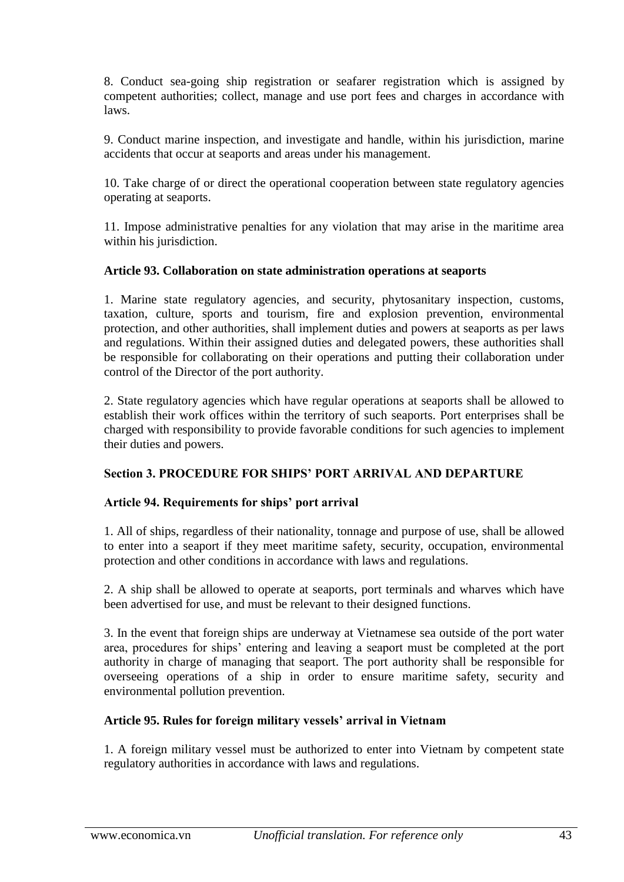8. Conduct sea-going ship registration or seafarer registration which is assigned by competent authorities; collect, manage and use port fees and charges in accordance with laws.

9. Conduct marine inspection, and investigate and handle, within his jurisdiction, marine accidents that occur at seaports and areas under his management.

10. Take charge of or direct the operational cooperation between state regulatory agencies operating at seaports.

11. Impose administrative penalties for any violation that may arise in the maritime area within his jurisdiction.

#### **Article 93. Collaboration on state administration operations at seaports**

1. Marine state regulatory agencies, and security, phytosanitary inspection, customs, taxation, culture, sports and tourism, fire and explosion prevention, environmental protection, and other authorities, shall implement duties and powers at seaports as per laws and regulations. Within their assigned duties and delegated powers, these authorities shall be responsible for collaborating on their operations and putting their collaboration under control of the Director of the port authority.

2. State regulatory agencies which have regular operations at seaports shall be allowed to establish their work offices within the territory of such seaports. Port enterprises shall be charged with responsibility to provide favorable conditions for such agencies to implement their duties and powers.

#### **Section 3. PROCEDURE FOR SHIPS' PORT ARRIVAL AND DEPARTURE**

#### **Article 94. Requirements for ships' port arrival**

1. All of ships, regardless of their nationality, tonnage and purpose of use, shall be allowed to enter into a seaport if they meet maritime safety, security, occupation, environmental protection and other conditions in accordance with laws and regulations.

2. A ship shall be allowed to operate at seaports, port terminals and wharves which have been advertised for use, and must be relevant to their designed functions.

3. In the event that foreign ships are underway at Vietnamese sea outside of the port water area, procedures for ships' entering and leaving a seaport must be completed at the port authority in charge of managing that seaport. The port authority shall be responsible for overseeing operations of a ship in order to ensure maritime safety, security and environmental pollution prevention.

#### **Article 95. Rules for foreign military vessels' arrival in Vietnam**

1. A foreign military vessel must be authorized to enter into Vietnam by competent state regulatory authorities in accordance with laws and regulations.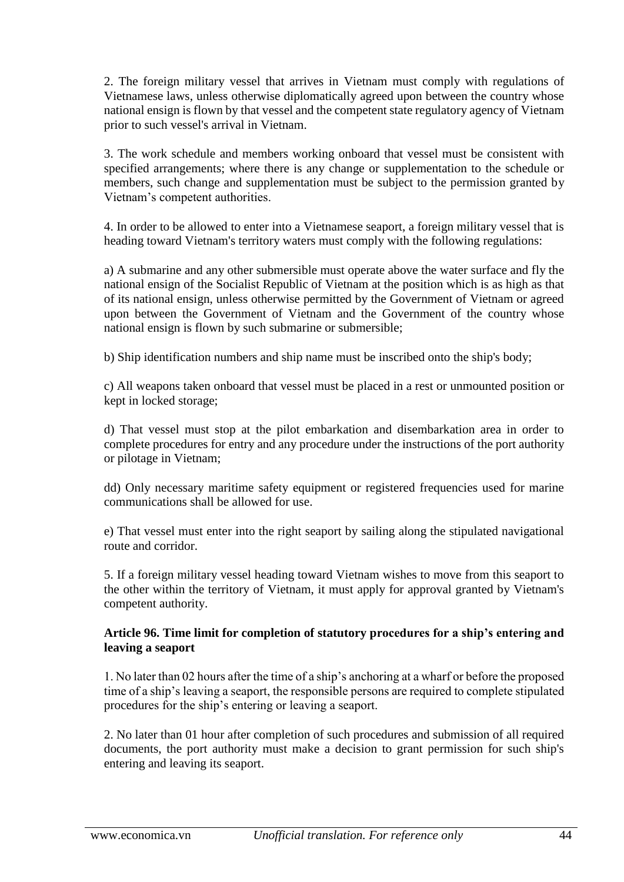2. The foreign military vessel that arrives in Vietnam must comply with regulations of Vietnamese laws, unless otherwise diplomatically agreed upon between the country whose national ensign is flown by that vessel and the competent state regulatory agency of Vietnam prior to such vessel's arrival in Vietnam.

3. The work schedule and members working onboard that vessel must be consistent with specified arrangements; where there is any change or supplementation to the schedule or members, such change and supplementation must be subject to the permission granted by Vietnam's competent authorities.

4. In order to be allowed to enter into a Vietnamese seaport, a foreign military vessel that is heading toward Vietnam's territory waters must comply with the following regulations:

a) A submarine and any other submersible must operate above the water surface and fly the national ensign of the Socialist Republic of Vietnam at the position which is as high as that of its national ensign, unless otherwise permitted by the Government of Vietnam or agreed upon between the Government of Vietnam and the Government of the country whose national ensign is flown by such submarine or submersible;

b) Ship identification numbers and ship name must be inscribed onto the ship's body;

c) All weapons taken onboard that vessel must be placed in a rest or unmounted position or kept in locked storage;

d) That vessel must stop at the pilot embarkation and disembarkation area in order to complete procedures for entry and any procedure under the instructions of the port authority or pilotage in Vietnam;

dd) Only necessary maritime safety equipment or registered frequencies used for marine communications shall be allowed for use.

e) That vessel must enter into the right seaport by sailing along the stipulated navigational route and corridor.

5. If a foreign military vessel heading toward Vietnam wishes to move from this seaport to the other within the territory of Vietnam, it must apply for approval granted by Vietnam's competent authority.

#### **Article 96. Time limit for completion of statutory procedures for a ship's entering and leaving a seaport**

1. No later than 02 hours after the time of a ship's anchoring at a wharf or before the proposed time of a ship's leaving a seaport, the responsible persons are required to complete stipulated procedures for the ship's entering or leaving a seaport.

2. No later than 01 hour after completion of such procedures and submission of all required documents, the port authority must make a decision to grant permission for such ship's entering and leaving its seaport.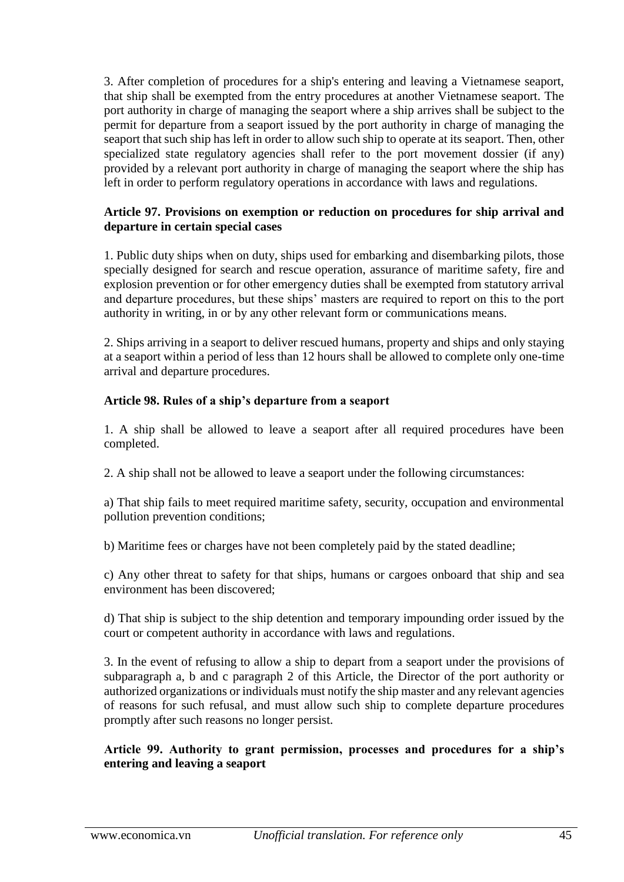3. After completion of procedures for a ship's entering and leaving a Vietnamese seaport, that ship shall be exempted from the entry procedures at another Vietnamese seaport. The port authority in charge of managing the seaport where a ship arrives shall be subject to the permit for departure from a seaport issued by the port authority in charge of managing the seaport that such ship has left in order to allow such ship to operate at its seaport. Then, other specialized state regulatory agencies shall refer to the port movement dossier (if any) provided by a relevant port authority in charge of managing the seaport where the ship has left in order to perform regulatory operations in accordance with laws and regulations.

### **Article 97. Provisions on exemption or reduction on procedures for ship arrival and departure in certain special cases**

1. Public duty ships when on duty, ships used for embarking and disembarking pilots, those specially designed for search and rescue operation, assurance of maritime safety, fire and explosion prevention or for other emergency duties shall be exempted from statutory arrival and departure procedures, but these ships' masters are required to report on this to the port authority in writing, in or by any other relevant form or communications means.

2. Ships arriving in a seaport to deliver rescued humans, property and ships and only staying at a seaport within a period of less than 12 hours shall be allowed to complete only one-time arrival and departure procedures.

## **Article 98. Rules of a ship's departure from a seaport**

1. A ship shall be allowed to leave a seaport after all required procedures have been completed.

2. A ship shall not be allowed to leave a seaport under the following circumstances:

a) That ship fails to meet required maritime safety, security, occupation and environmental pollution prevention conditions;

b) Maritime fees or charges have not been completely paid by the stated deadline;

c) Any other threat to safety for that ships, humans or cargoes onboard that ship and sea environment has been discovered;

d) That ship is subject to the ship detention and temporary impounding order issued by the court or competent authority in accordance with laws and regulations.

3. In the event of refusing to allow a ship to depart from a seaport under the provisions of subparagraph a, b and c paragraph 2 of this Article, the Director of the port authority or authorized organizations or individuals must notify the ship master and any relevant agencies of reasons for such refusal, and must allow such ship to complete departure procedures promptly after such reasons no longer persist.

# **Article 99. Authority to grant permission, processes and procedures for a ship's entering and leaving a seaport**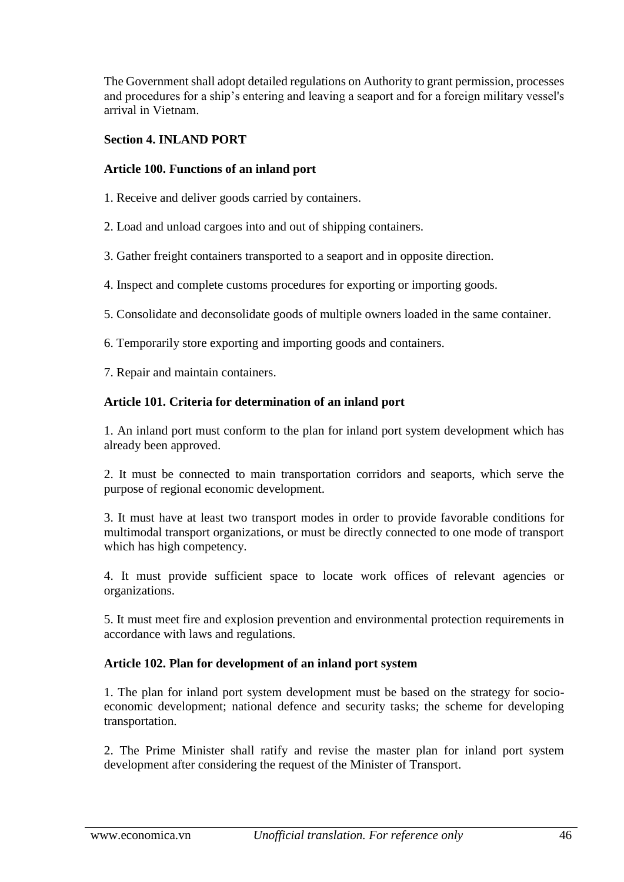The Government shall adopt detailed regulations on Authority to grant permission, processes and procedures for a ship's entering and leaving a seaport and for a foreign military vessel's arrival in Vietnam.

### **Section 4. INLAND PORT**

### **Article 100. Functions of an inland port**

- 1. Receive and deliver goods carried by containers.
- 2. Load and unload cargoes into and out of shipping containers.
- 3. Gather freight containers transported to a seaport and in opposite direction.
- 4. Inspect and complete customs procedures for exporting or importing goods.
- 5. Consolidate and deconsolidate goods of multiple owners loaded in the same container.
- 6. Temporarily store exporting and importing goods and containers.
- 7. Repair and maintain containers.

## **Article 101. Criteria for determination of an inland port**

1. An inland port must conform to the plan for inland port system development which has already been approved.

2. It must be connected to main transportation corridors and seaports, which serve the purpose of regional economic development.

3. It must have at least two transport modes in order to provide favorable conditions for multimodal transport organizations, or must be directly connected to one mode of transport which has high competency.

4. It must provide sufficient space to locate work offices of relevant agencies or organizations.

5. It must meet fire and explosion prevention and environmental protection requirements in accordance with laws and regulations.

#### **Article 102. Plan for development of an inland port system**

1. The plan for inland port system development must be based on the strategy for socioeconomic development; national defence and security tasks; the scheme for developing transportation.

2. The Prime Minister shall ratify and revise the master plan for inland port system development after considering the request of the Minister of Transport.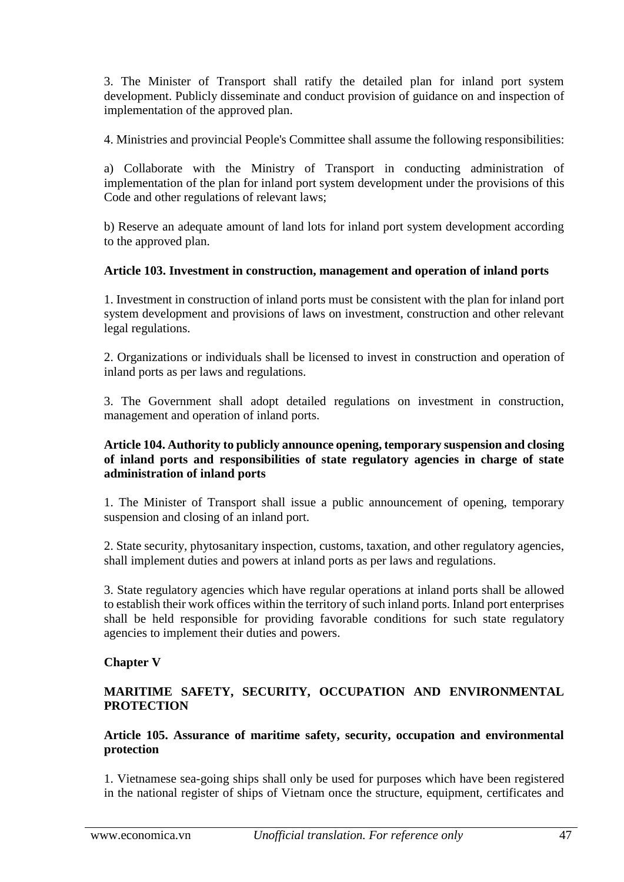3. The Minister of Transport shall ratify the detailed plan for inland port system development. Publicly disseminate and conduct provision of guidance on and inspection of implementation of the approved plan.

4. Ministries and provincial People's Committee shall assume the following responsibilities:

a) Collaborate with the Ministry of Transport in conducting administration of implementation of the plan for inland port system development under the provisions of this Code and other regulations of relevant laws;

b) Reserve an adequate amount of land lots for inland port system development according to the approved plan.

## **Article 103. Investment in construction, management and operation of inland ports**

1. Investment in construction of inland ports must be consistent with the plan for inland port system development and provisions of laws on investment, construction and other relevant legal regulations.

2. Organizations or individuals shall be licensed to invest in construction and operation of inland ports as per laws and regulations.

3. The Government shall adopt detailed regulations on investment in construction, management and operation of inland ports.

#### **Article 104. Authority to publicly announce opening, temporary suspension and closing of inland ports and responsibilities of state regulatory agencies in charge of state administration of inland ports**

1. The Minister of Transport shall issue a public announcement of opening, temporary suspension and closing of an inland port.

2. State security, phytosanitary inspection, customs, taxation, and other regulatory agencies, shall implement duties and powers at inland ports as per laws and regulations.

3. State regulatory agencies which have regular operations at inland ports shall be allowed to establish their work offices within the territory of such inland ports. Inland port enterprises shall be held responsible for providing favorable conditions for such state regulatory agencies to implement their duties and powers.

### **Chapter V**

## **MARITIME SAFETY, SECURITY, OCCUPATION AND ENVIRONMENTAL PROTECTION**

**Article 105. Assurance of maritime safety, security, occupation and environmental protection**

1. Vietnamese sea-going ships shall only be used for purposes which have been registered in the national register of ships of Vietnam once the structure, equipment, certificates and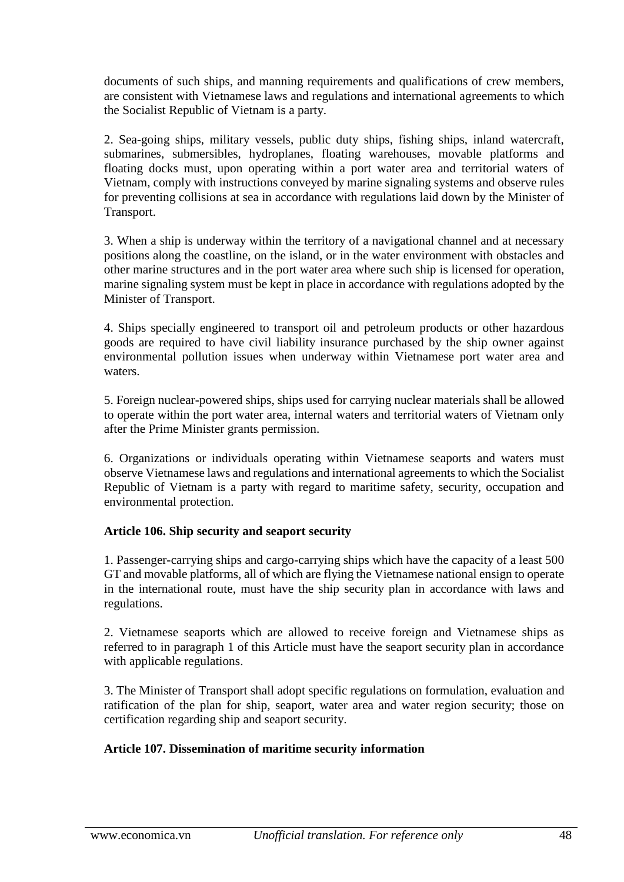documents of such ships, and manning requirements and qualifications of crew members, are consistent with Vietnamese laws and regulations and international agreements to which the Socialist Republic of Vietnam is a party.

2. Sea-going ships, military vessels, public duty ships, fishing ships, inland watercraft, submarines, submersibles, hydroplanes, floating warehouses, movable platforms and floating docks must, upon operating within a port water area and territorial waters of Vietnam, comply with instructions conveyed by marine signaling systems and observe rules for preventing collisions at sea in accordance with regulations laid down by the Minister of Transport.

3. When a ship is underway within the territory of a navigational channel and at necessary positions along the coastline, on the island, or in the water environment with obstacles and other marine structures and in the port water area where such ship is licensed for operation, marine signaling system must be kept in place in accordance with regulations adopted by the Minister of Transport.

4. Ships specially engineered to transport oil and petroleum products or other hazardous goods are required to have civil liability insurance purchased by the ship owner against environmental pollution issues when underway within Vietnamese port water area and waters.

5. Foreign nuclear-powered ships, ships used for carrying nuclear materials shall be allowed to operate within the port water area, internal waters and territorial waters of Vietnam only after the Prime Minister grants permission.

6. Organizations or individuals operating within Vietnamese seaports and waters must observe Vietnamese laws and regulations and international agreements to which the Socialist Republic of Vietnam is a party with regard to maritime safety, security, occupation and environmental protection.

#### **Article 106. Ship security and seaport security**

1. Passenger-carrying ships and cargo-carrying ships which have the capacity of a least 500 GT and movable platforms, all of which are flying the Vietnamese national ensign to operate in the international route, must have the ship security plan in accordance with laws and regulations.

2. Vietnamese seaports which are allowed to receive foreign and Vietnamese ships as referred to in paragraph 1 of this Article must have the seaport security plan in accordance with applicable regulations.

3. The Minister of Transport shall adopt specific regulations on formulation, evaluation and ratification of the plan for ship, seaport, water area and water region security; those on certification regarding ship and seaport security.

# **Article 107. Dissemination of maritime security information**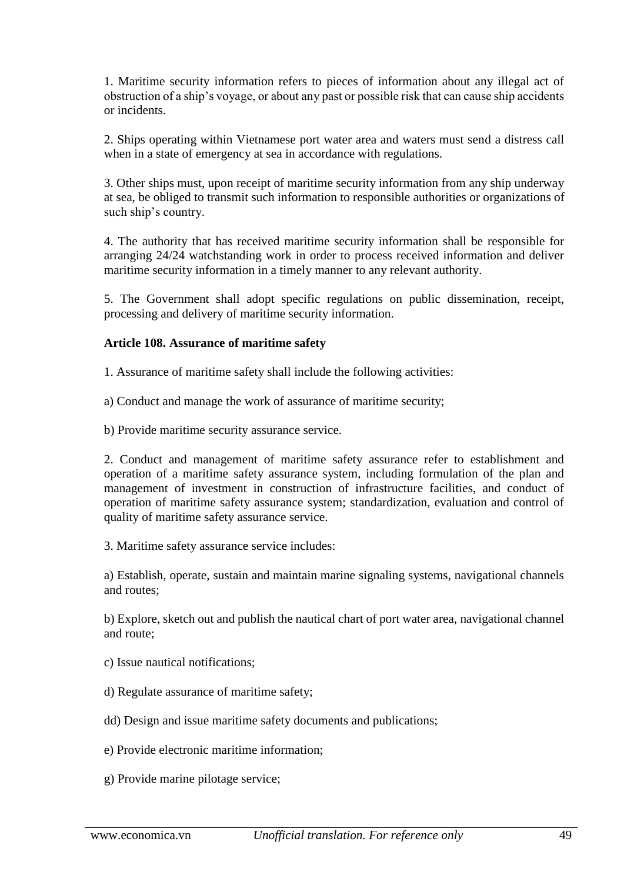1. Maritime security information refers to pieces of information about any illegal act of obstruction of a ship's voyage, or about any past or possible risk that can cause ship accidents or incidents.

2. Ships operating within Vietnamese port water area and waters must send a distress call when in a state of emergency at sea in accordance with regulations.

3. Other ships must, upon receipt of maritime security information from any ship underway at sea, be obliged to transmit such information to responsible authorities or organizations of such ship's country.

4. The authority that has received maritime security information shall be responsible for arranging 24/24 watchstanding work in order to process received information and deliver maritime security information in a timely manner to any relevant authority.

5. The Government shall adopt specific regulations on public dissemination, receipt, processing and delivery of maritime security information.

## **Article 108. Assurance of maritime safety**

1. Assurance of maritime safety shall include the following activities:

- a) Conduct and manage the work of assurance of maritime security;
- b) Provide maritime security assurance service.

2. Conduct and management of maritime safety assurance refer to establishment and operation of a maritime safety assurance system, including formulation of the plan and management of investment in construction of infrastructure facilities, and conduct of operation of maritime safety assurance system; standardization, evaluation and control of quality of maritime safety assurance service.

3. Maritime safety assurance service includes:

a) Establish, operate, sustain and maintain marine signaling systems, navigational channels and routes;

b) Explore, sketch out and publish the nautical chart of port water area, navigational channel and route;

- c) Issue nautical notifications;
- d) Regulate assurance of maritime safety;

dd) Design and issue maritime safety documents and publications;

- e) Provide electronic maritime information;
- g) Provide marine pilotage service;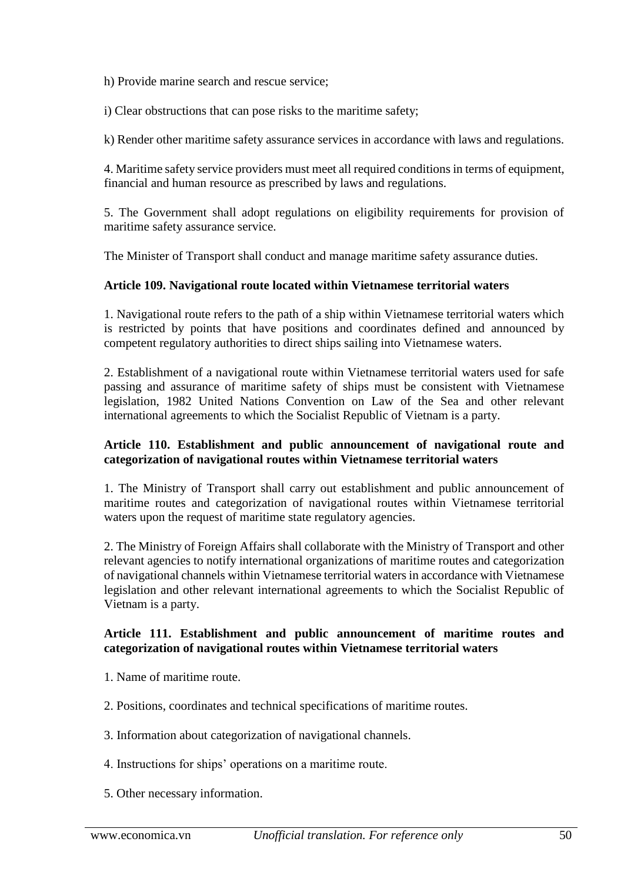h) Provide marine search and rescue service;

i) Clear obstructions that can pose risks to the maritime safety;

k) Render other maritime safety assurance services in accordance with laws and regulations.

4. Maritime safety service providers must meet all required conditions in terms of equipment, financial and human resource as prescribed by laws and regulations.

5. The Government shall adopt regulations on eligibility requirements for provision of maritime safety assurance service.

The Minister of Transport shall conduct and manage maritime safety assurance duties.

#### **Article 109. Navigational route located within Vietnamese territorial waters**

1. Navigational route refers to the path of a ship within Vietnamese territorial waters which is restricted by points that have positions and coordinates defined and announced by competent regulatory authorities to direct ships sailing into Vietnamese waters.

2. Establishment of a navigational route within Vietnamese territorial waters used for safe passing and assurance of maritime safety of ships must be consistent with Vietnamese legislation, 1982 United Nations Convention on Law of the Sea and other relevant international agreements to which the Socialist Republic of Vietnam is a party.

#### **Article 110. Establishment and public announcement of navigational route and categorization of navigational routes within Vietnamese territorial waters**

1. The Ministry of Transport shall carry out establishment and public announcement of maritime routes and categorization of navigational routes within Vietnamese territorial waters upon the request of maritime state regulatory agencies.

2. The Ministry of Foreign Affairs shall collaborate with the Ministry of Transport and other relevant agencies to notify international organizations of maritime routes and categorization of navigational channels within Vietnamese territorial waters in accordance with Vietnamese legislation and other relevant international agreements to which the Socialist Republic of Vietnam is a party.

#### **Article 111. Establishment and public announcement of maritime routes and categorization of navigational routes within Vietnamese territorial waters**

- 1. Name of maritime route.
- 2. Positions, coordinates and technical specifications of maritime routes.
- 3. Information about categorization of navigational channels.
- 4. Instructions for ships' operations on a maritime route.
- 5. Other necessary information.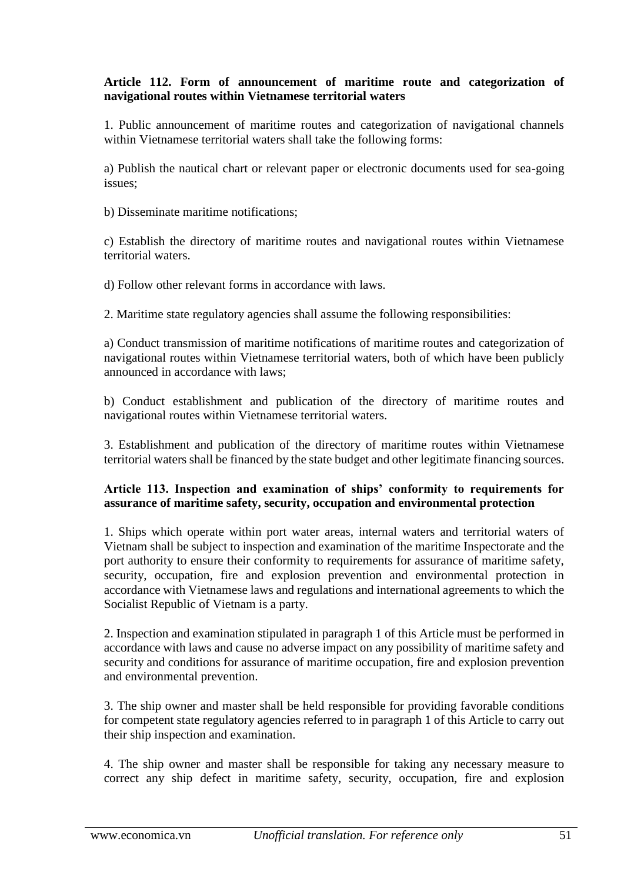## **Article 112. Form of announcement of maritime route and categorization of navigational routes within Vietnamese territorial waters**

1. Public announcement of maritime routes and categorization of navigational channels within Vietnamese territorial waters shall take the following forms:

a) Publish the nautical chart or relevant paper or electronic documents used for sea-going issues;

b) Disseminate maritime notifications;

c) Establish the directory of maritime routes and navigational routes within Vietnamese territorial waters.

d) Follow other relevant forms in accordance with laws.

2. Maritime state regulatory agencies shall assume the following responsibilities:

a) Conduct transmission of maritime notifications of maritime routes and categorization of navigational routes within Vietnamese territorial waters, both of which have been publicly announced in accordance with laws;

b) Conduct establishment and publication of the directory of maritime routes and navigational routes within Vietnamese territorial waters.

3. Establishment and publication of the directory of maritime routes within Vietnamese territorial waters shall be financed by the state budget and other legitimate financing sources.

#### **Article 113. Inspection and examination of ships' conformity to requirements for assurance of maritime safety, security, occupation and environmental protection**

1. Ships which operate within port water areas, internal waters and territorial waters of Vietnam shall be subject to inspection and examination of the maritime Inspectorate and the port authority to ensure their conformity to requirements for assurance of maritime safety, security, occupation, fire and explosion prevention and environmental protection in accordance with Vietnamese laws and regulations and international agreements to which the Socialist Republic of Vietnam is a party.

2. Inspection and examination stipulated in paragraph 1 of this Article must be performed in accordance with laws and cause no adverse impact on any possibility of maritime safety and security and conditions for assurance of maritime occupation, fire and explosion prevention and environmental prevention.

3. The ship owner and master shall be held responsible for providing favorable conditions for competent state regulatory agencies referred to in paragraph 1 of this Article to carry out their ship inspection and examination.

4. The ship owner and master shall be responsible for taking any necessary measure to correct any ship defect in maritime safety, security, occupation, fire and explosion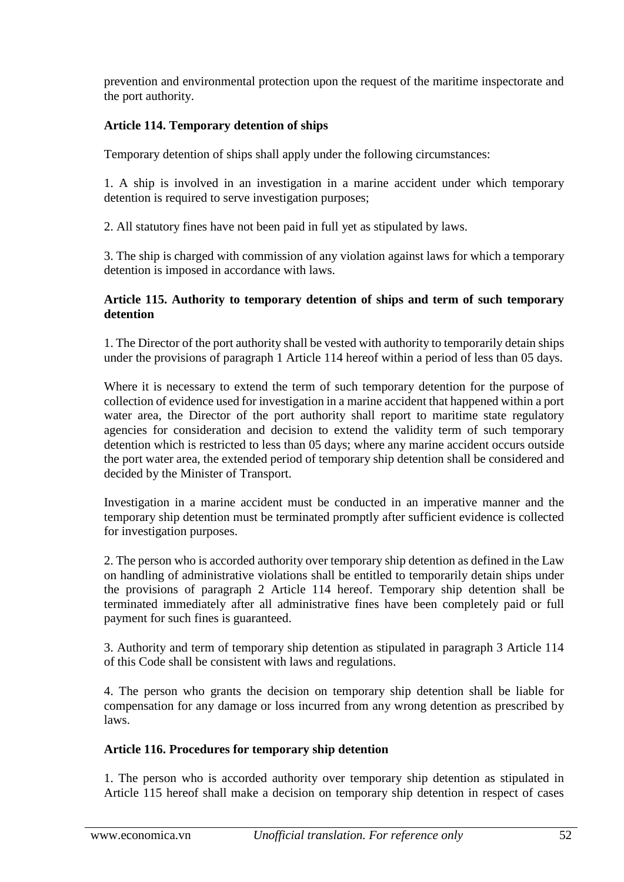prevention and environmental protection upon the request of the maritime inspectorate and the port authority.

# **Article 114. Temporary detention of ships**

Temporary detention of ships shall apply under the following circumstances:

1. A ship is involved in an investigation in a marine accident under which temporary detention is required to serve investigation purposes;

2. All statutory fines have not been paid in full yet as stipulated by laws.

3. The ship is charged with commission of any violation against laws for which a temporary detention is imposed in accordance with laws.

## **Article 115. Authority to temporary detention of ships and term of such temporary detention**

1. The Director of the port authority shall be vested with authority to temporarily detain ships under the provisions of paragraph 1 Article 114 hereof within a period of less than 05 days.

Where it is necessary to extend the term of such temporary detention for the purpose of collection of evidence used for investigation in a marine accident that happened within a port water area, the Director of the port authority shall report to maritime state regulatory agencies for consideration and decision to extend the validity term of such temporary detention which is restricted to less than 05 days; where any marine accident occurs outside the port water area, the extended period of temporary ship detention shall be considered and decided by the Minister of Transport.

Investigation in a marine accident must be conducted in an imperative manner and the temporary ship detention must be terminated promptly after sufficient evidence is collected for investigation purposes.

2. The person who is accorded authority over temporary ship detention as defined in the Law on handling of administrative violations shall be entitled to temporarily detain ships under the provisions of paragraph 2 Article 114 hereof. Temporary ship detention shall be terminated immediately after all administrative fines have been completely paid or full payment for such fines is guaranteed.

3. Authority and term of temporary ship detention as stipulated in paragraph 3 Article 114 of this Code shall be consistent with laws and regulations.

4. The person who grants the decision on temporary ship detention shall be liable for compensation for any damage or loss incurred from any wrong detention as prescribed by laws.

# **Article 116. Procedures for temporary ship detention**

1. The person who is accorded authority over temporary ship detention as stipulated in Article 115 hereof shall make a decision on temporary ship detention in respect of cases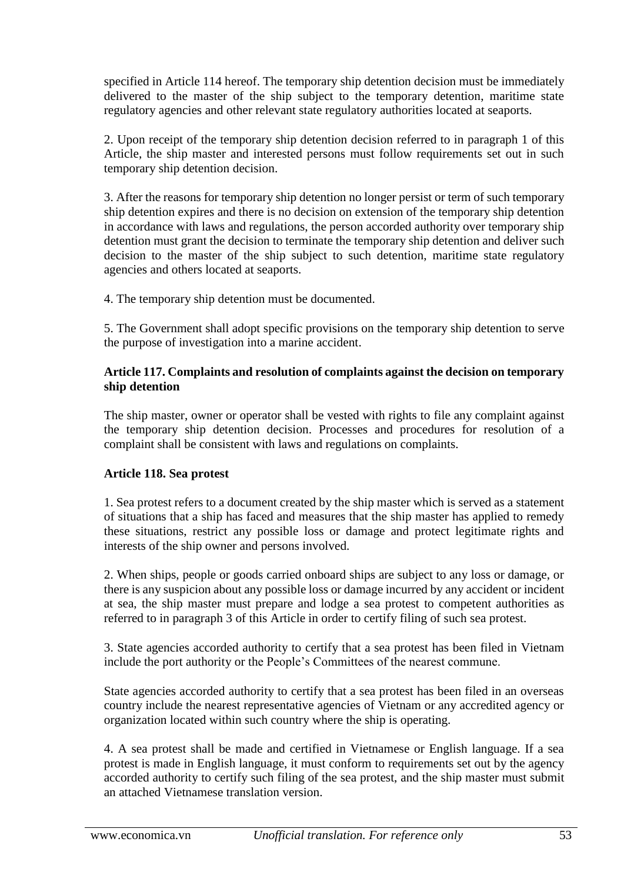specified in Article 114 hereof. The temporary ship detention decision must be immediately delivered to the master of the ship subject to the temporary detention, maritime state regulatory agencies and other relevant state regulatory authorities located at seaports.

2. Upon receipt of the temporary ship detention decision referred to in paragraph 1 of this Article, the ship master and interested persons must follow requirements set out in such temporary ship detention decision.

3. After the reasons for temporary ship detention no longer persist or term of such temporary ship detention expires and there is no decision on extension of the temporary ship detention in accordance with laws and regulations, the person accorded authority over temporary ship detention must grant the decision to terminate the temporary ship detention and deliver such decision to the master of the ship subject to such detention, maritime state regulatory agencies and others located at seaports.

4. The temporary ship detention must be documented.

5. The Government shall adopt specific provisions on the temporary ship detention to serve the purpose of investigation into a marine accident.

## **Article 117. Complaints and resolution of complaints against the decision on temporary ship detention**

The ship master, owner or operator shall be vested with rights to file any complaint against the temporary ship detention decision. Processes and procedures for resolution of a complaint shall be consistent with laws and regulations on complaints.

# **Article 118. Sea protest**

1. Sea protest refers to a document created by the ship master which is served as a statement of situations that a ship has faced and measures that the ship master has applied to remedy these situations, restrict any possible loss or damage and protect legitimate rights and interests of the ship owner and persons involved.

2. When ships, people or goods carried onboard ships are subject to any loss or damage, or there is any suspicion about any possible loss or damage incurred by any accident or incident at sea, the ship master must prepare and lodge a sea protest to competent authorities as referred to in paragraph 3 of this Article in order to certify filing of such sea protest.

3. State agencies accorded authority to certify that a sea protest has been filed in Vietnam include the port authority or the People's Committees of the nearest commune.

State agencies accorded authority to certify that a sea protest has been filed in an overseas country include the nearest representative agencies of Vietnam or any accredited agency or organization located within such country where the ship is operating.

4. A sea protest shall be made and certified in Vietnamese or English language. If a sea protest is made in English language, it must conform to requirements set out by the agency accorded authority to certify such filing of the sea protest, and the ship master must submit an attached Vietnamese translation version.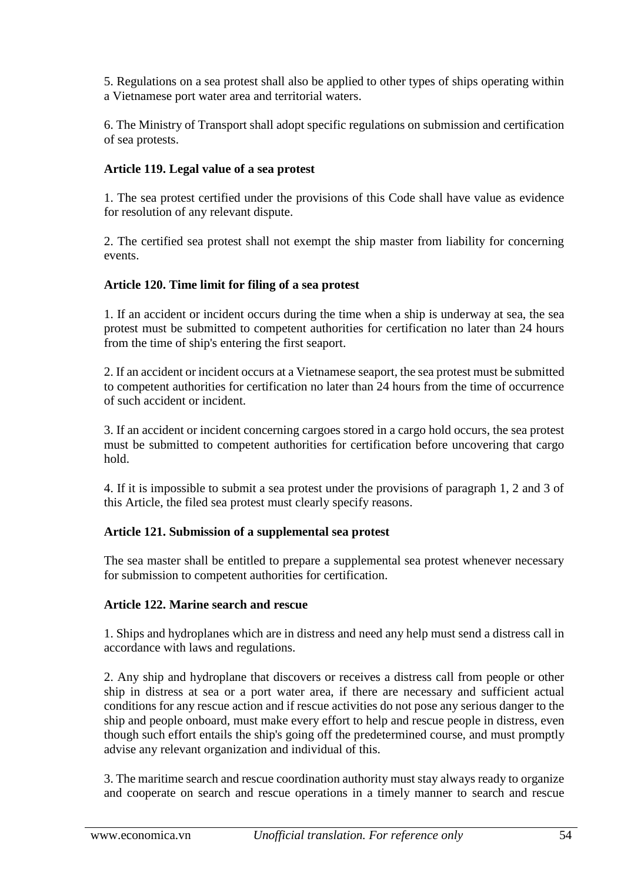5. Regulations on a sea protest shall also be applied to other types of ships operating within a Vietnamese port water area and territorial waters.

6. The Ministry of Transport shall adopt specific regulations on submission and certification of sea protests.

# **Article 119. Legal value of a sea protest**

1. The sea protest certified under the provisions of this Code shall have value as evidence for resolution of any relevant dispute.

2. The certified sea protest shall not exempt the ship master from liability for concerning events.

# **Article 120. Time limit for filing of a sea protest**

1. If an accident or incident occurs during the time when a ship is underway at sea, the sea protest must be submitted to competent authorities for certification no later than 24 hours from the time of ship's entering the first seaport.

2. If an accident or incident occurs at a Vietnamese seaport, the sea protest must be submitted to competent authorities for certification no later than 24 hours from the time of occurrence of such accident or incident.

3. If an accident or incident concerning cargoes stored in a cargo hold occurs, the sea protest must be submitted to competent authorities for certification before uncovering that cargo hold.

4. If it is impossible to submit a sea protest under the provisions of paragraph 1, 2 and 3 of this Article, the filed sea protest must clearly specify reasons.

# **Article 121. Submission of a supplemental sea protest**

The sea master shall be entitled to prepare a supplemental sea protest whenever necessary for submission to competent authorities for certification.

# **Article 122. Marine search and rescue**

1. Ships and hydroplanes which are in distress and need any help must send a distress call in accordance with laws and regulations.

2. Any ship and hydroplane that discovers or receives a distress call from people or other ship in distress at sea or a port water area, if there are necessary and sufficient actual conditions for any rescue action and if rescue activities do not pose any serious danger to the ship and people onboard, must make every effort to help and rescue people in distress, even though such effort entails the ship's going off the predetermined course, and must promptly advise any relevant organization and individual of this.

3. The maritime search and rescue coordination authority must stay always ready to organize and cooperate on search and rescue operations in a timely manner to search and rescue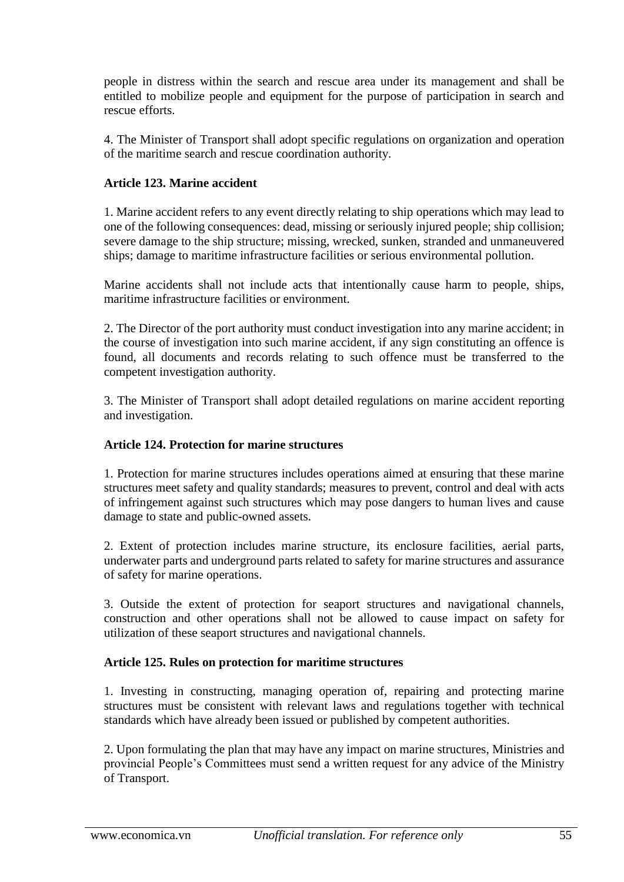people in distress within the search and rescue area under its management and shall be entitled to mobilize people and equipment for the purpose of participation in search and rescue efforts.

4. The Minister of Transport shall adopt specific regulations on organization and operation of the maritime search and rescue coordination authority.

# **Article 123. Marine accident**

1. Marine accident refers to any event directly relating to ship operations which may lead to one of the following consequences: dead, missing or seriously injured people; ship collision; severe damage to the ship structure; missing, wrecked, sunken, stranded and unmaneuvered ships; damage to maritime infrastructure facilities or serious environmental pollution.

Marine accidents shall not include acts that intentionally cause harm to people, ships, maritime infrastructure facilities or environment.

2. The Director of the port authority must conduct investigation into any marine accident; in the course of investigation into such marine accident, if any sign constituting an offence is found, all documents and records relating to such offence must be transferred to the competent investigation authority.

3. The Minister of Transport shall adopt detailed regulations on marine accident reporting and investigation.

#### **Article 124. Protection for marine structures**

1. Protection for marine structures includes operations aimed at ensuring that these marine structures meet safety and quality standards; measures to prevent, control and deal with acts of infringement against such structures which may pose dangers to human lives and cause damage to state and public-owned assets.

2. Extent of protection includes marine structure, its enclosure facilities, aerial parts, underwater parts and underground parts related to safety for marine structures and assurance of safety for marine operations.

3. Outside the extent of protection for seaport structures and navigational channels, construction and other operations shall not be allowed to cause impact on safety for utilization of these seaport structures and navigational channels.

#### **Article 125. Rules on protection for maritime structures**

1. Investing in constructing, managing operation of, repairing and protecting marine structures must be consistent with relevant laws and regulations together with technical standards which have already been issued or published by competent authorities.

2. Upon formulating the plan that may have any impact on marine structures, Ministries and provincial People's Committees must send a written request for any advice of the Ministry of Transport.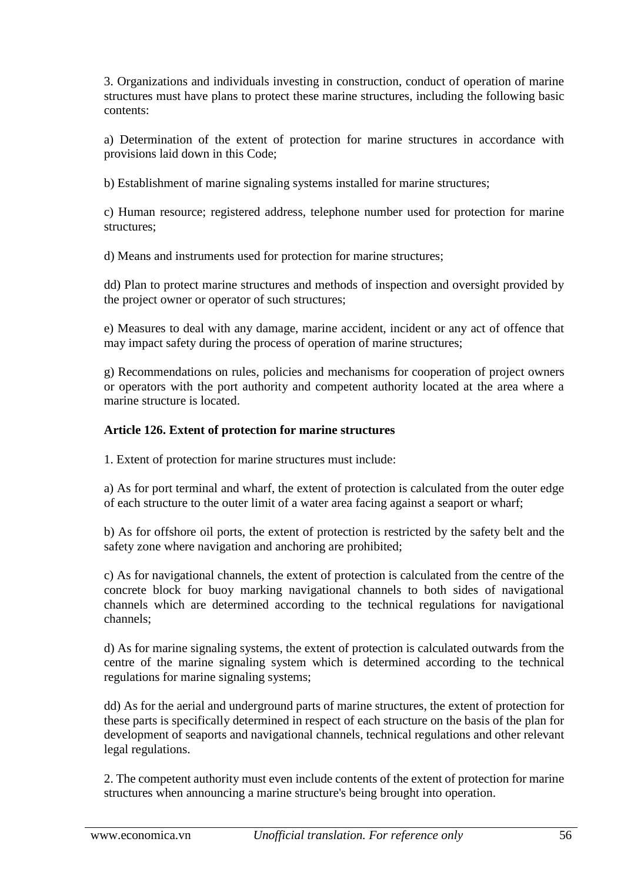3. Organizations and individuals investing in construction, conduct of operation of marine structures must have plans to protect these marine structures, including the following basic contents:

a) Determination of the extent of protection for marine structures in accordance with provisions laid down in this Code;

b) Establishment of marine signaling systems installed for marine structures;

c) Human resource; registered address, telephone number used for protection for marine structures;

d) Means and instruments used for protection for marine structures;

dd) Plan to protect marine structures and methods of inspection and oversight provided by the project owner or operator of such structures;

e) Measures to deal with any damage, marine accident, incident or any act of offence that may impact safety during the process of operation of marine structures;

g) Recommendations on rules, policies and mechanisms for cooperation of project owners or operators with the port authority and competent authority located at the area where a marine structure is located.

#### **Article 126. Extent of protection for marine structures**

1. Extent of protection for marine structures must include:

a) As for port terminal and wharf, the extent of protection is calculated from the outer edge of each structure to the outer limit of a water area facing against a seaport or wharf;

b) As for offshore oil ports, the extent of protection is restricted by the safety belt and the safety zone where navigation and anchoring are prohibited;

c) As for navigational channels, the extent of protection is calculated from the centre of the concrete block for buoy marking navigational channels to both sides of navigational channels which are determined according to the technical regulations for navigational channels;

d) As for marine signaling systems, the extent of protection is calculated outwards from the centre of the marine signaling system which is determined according to the technical regulations for marine signaling systems;

dd) As for the aerial and underground parts of marine structures, the extent of protection for these parts is specifically determined in respect of each structure on the basis of the plan for development of seaports and navigational channels, technical regulations and other relevant legal regulations.

2. The competent authority must even include contents of the extent of protection for marine structures when announcing a marine structure's being brought into operation.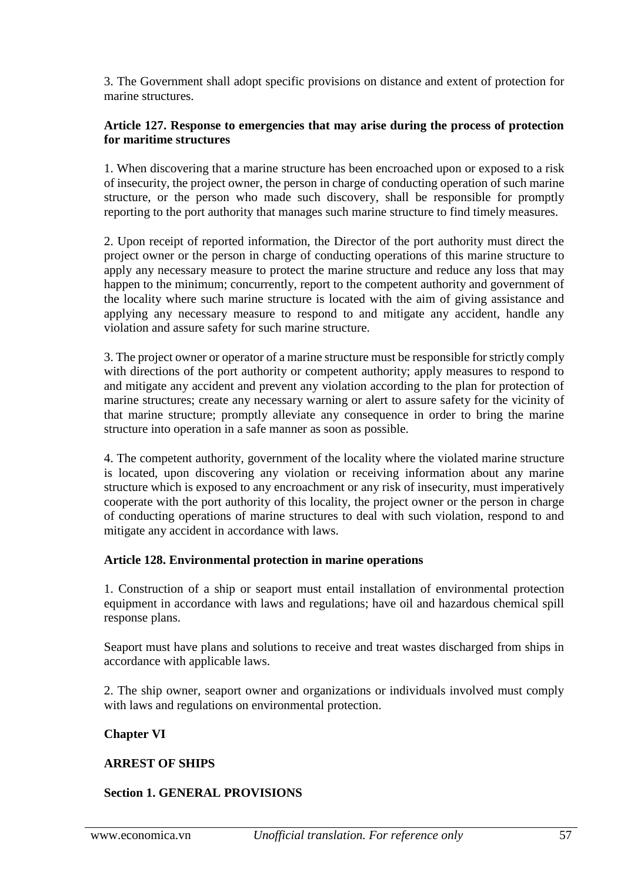3. The Government shall adopt specific provisions on distance and extent of protection for marine structures.

#### **Article 127. Response to emergencies that may arise during the process of protection for maritime structures**

1. When discovering that a marine structure has been encroached upon or exposed to a risk of insecurity, the project owner, the person in charge of conducting operation of such marine structure, or the person who made such discovery, shall be responsible for promptly reporting to the port authority that manages such marine structure to find timely measures.

2. Upon receipt of reported information, the Director of the port authority must direct the project owner or the person in charge of conducting operations of this marine structure to apply any necessary measure to protect the marine structure and reduce any loss that may happen to the minimum; concurrently, report to the competent authority and government of the locality where such marine structure is located with the aim of giving assistance and applying any necessary measure to respond to and mitigate any accident, handle any violation and assure safety for such marine structure.

3. The project owner or operator of a marine structure must be responsible for strictly comply with directions of the port authority or competent authority; apply measures to respond to and mitigate any accident and prevent any violation according to the plan for protection of marine structures; create any necessary warning or alert to assure safety for the vicinity of that marine structure; promptly alleviate any consequence in order to bring the marine structure into operation in a safe manner as soon as possible.

4. The competent authority, government of the locality where the violated marine structure is located, upon discovering any violation or receiving information about any marine structure which is exposed to any encroachment or any risk of insecurity, must imperatively cooperate with the port authority of this locality, the project owner or the person in charge of conducting operations of marine structures to deal with such violation, respond to and mitigate any accident in accordance with laws.

#### **Article 128. Environmental protection in marine operations**

1. Construction of a ship or seaport must entail installation of environmental protection equipment in accordance with laws and regulations; have oil and hazardous chemical spill response plans.

Seaport must have plans and solutions to receive and treat wastes discharged from ships in accordance with applicable laws.

2. The ship owner, seaport owner and organizations or individuals involved must comply with laws and regulations on environmental protection.

#### **Chapter VI**

#### **ARREST OF SHIPS**

#### **Section 1. GENERAL PROVISIONS**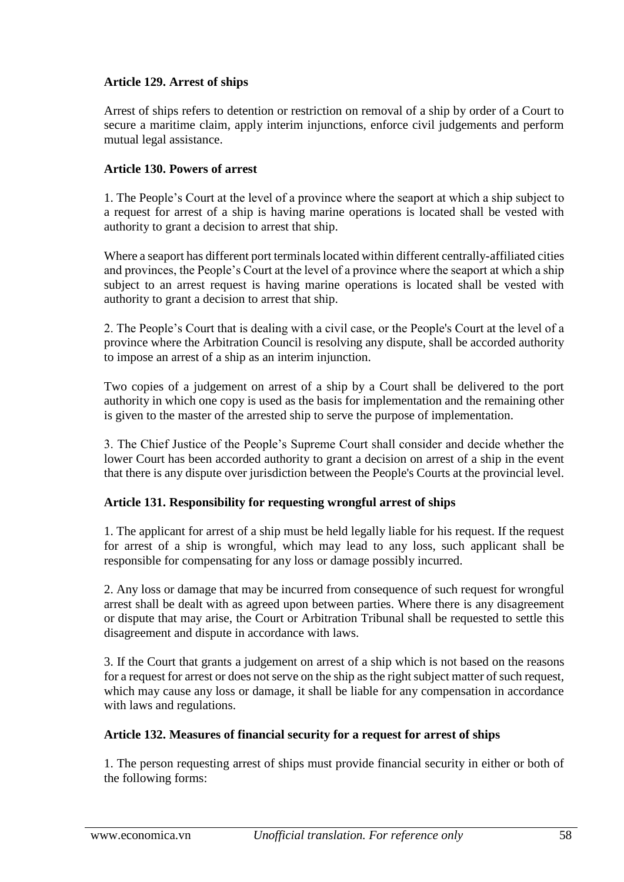# **Article 129. Arrest of ships**

Arrest of ships refers to detention or restriction on removal of a ship by order of a Court to secure a maritime claim, apply interim injunctions, enforce civil judgements and perform mutual legal assistance.

### **Article 130. Powers of arrest**

1. The People's Court at the level of a province where the seaport at which a ship subject to a request for arrest of a ship is having marine operations is located shall be vested with authority to grant a decision to arrest that ship.

Where a seaport has different port terminals located within different centrally-affiliated cities and provinces, the People's Court at the level of a province where the seaport at which a ship subject to an arrest request is having marine operations is located shall be vested with authority to grant a decision to arrest that ship.

2. The People's Court that is dealing with a civil case, or the People's Court at the level of a province where the Arbitration Council is resolving any dispute, shall be accorded authority to impose an arrest of a ship as an interim injunction.

Two copies of a judgement on arrest of a ship by a Court shall be delivered to the port authority in which one copy is used as the basis for implementation and the remaining other is given to the master of the arrested ship to serve the purpose of implementation.

3. The Chief Justice of the People's Supreme Court shall consider and decide whether the lower Court has been accorded authority to grant a decision on arrest of a ship in the event that there is any dispute over jurisdiction between the People's Courts at the provincial level.

#### **Article 131. Responsibility for requesting wrongful arrest of ships**

1. The applicant for arrest of a ship must be held legally liable for his request. If the request for arrest of a ship is wrongful, which may lead to any loss, such applicant shall be responsible for compensating for any loss or damage possibly incurred.

2. Any loss or damage that may be incurred from consequence of such request for wrongful arrest shall be dealt with as agreed upon between parties. Where there is any disagreement or dispute that may arise, the Court or Arbitration Tribunal shall be requested to settle this disagreement and dispute in accordance with laws.

3. If the Court that grants a judgement on arrest of a ship which is not based on the reasons for a request for arrest or does not serve on the ship as the right subject matter of such request, which may cause any loss or damage, it shall be liable for any compensation in accordance with laws and regulations.

#### **Article 132. Measures of financial security for a request for arrest of ships**

1. The person requesting arrest of ships must provide financial security in either or both of the following forms: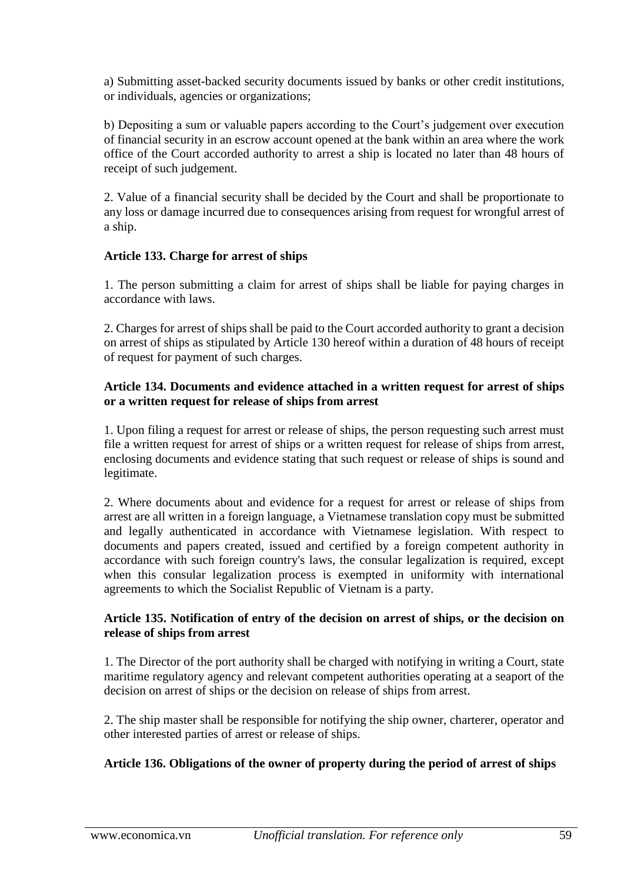a) Submitting asset-backed security documents issued by banks or other credit institutions, or individuals, agencies or organizations;

b) Depositing a sum or valuable papers according to the Court's judgement over execution of financial security in an escrow account opened at the bank within an area where the work office of the Court accorded authority to arrest a ship is located no later than 48 hours of receipt of such judgement.

2. Value of a financial security shall be decided by the Court and shall be proportionate to any loss or damage incurred due to consequences arising from request for wrongful arrest of a ship.

## **Article 133. Charge for arrest of ships**

1. The person submitting a claim for arrest of ships shall be liable for paying charges in accordance with laws.

2. Charges for arrest of ships shall be paid to the Court accorded authority to grant a decision on arrest of ships as stipulated by Article 130 hereof within a duration of 48 hours of receipt of request for payment of such charges.

#### **Article 134. Documents and evidence attached in a written request for arrest of ships or a written request for release of ships from arrest**

1. Upon filing a request for arrest or release of ships, the person requesting such arrest must file a written request for arrest of ships or a written request for release of ships from arrest, enclosing documents and evidence stating that such request or release of ships is sound and legitimate.

2. Where documents about and evidence for a request for arrest or release of ships from arrest are all written in a foreign language, a Vietnamese translation copy must be submitted and legally authenticated in accordance with Vietnamese legislation. With respect to documents and papers created, issued and certified by a foreign competent authority in accordance with such foreign country's laws, the consular legalization is required, except when this consular legalization process is exempted in uniformity with international agreements to which the Socialist Republic of Vietnam is a party.

## **Article 135. Notification of entry of the decision on arrest of ships, or the decision on release of ships from arrest**

1. The Director of the port authority shall be charged with notifying in writing a Court, state maritime regulatory agency and relevant competent authorities operating at a seaport of the decision on arrest of ships or the decision on release of ships from arrest.

2. The ship master shall be responsible for notifying the ship owner, charterer, operator and other interested parties of arrest or release of ships.

# **Article 136. Obligations of the owner of property during the period of arrest of ships**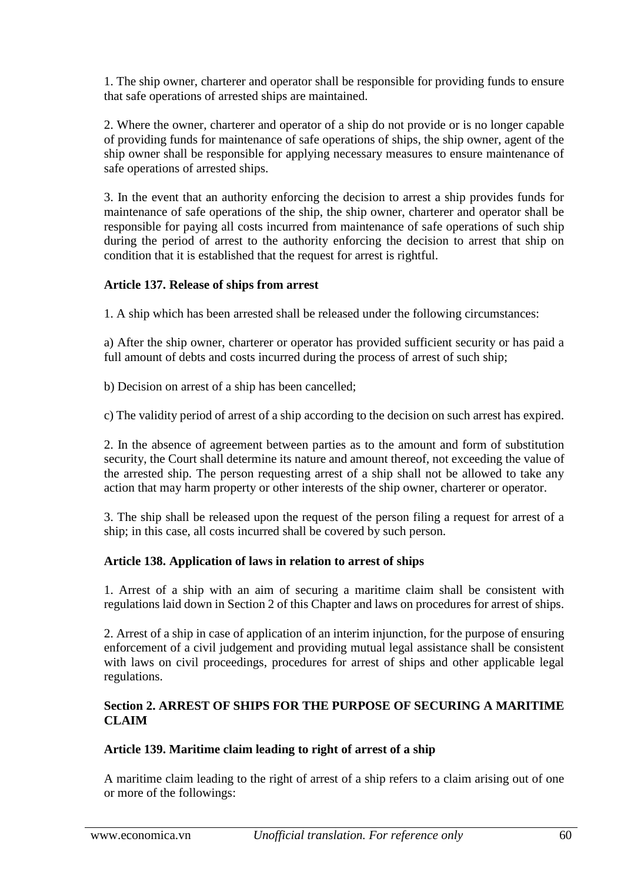1. The ship owner, charterer and operator shall be responsible for providing funds to ensure that safe operations of arrested ships are maintained.

2. Where the owner, charterer and operator of a ship do not provide or is no longer capable of providing funds for maintenance of safe operations of ships, the ship owner, agent of the ship owner shall be responsible for applying necessary measures to ensure maintenance of safe operations of arrested ships.

3. In the event that an authority enforcing the decision to arrest a ship provides funds for maintenance of safe operations of the ship, the ship owner, charterer and operator shall be responsible for paying all costs incurred from maintenance of safe operations of such ship during the period of arrest to the authority enforcing the decision to arrest that ship on condition that it is established that the request for arrest is rightful.

## **Article 137. Release of ships from arrest**

1. A ship which has been arrested shall be released under the following circumstances:

a) After the ship owner, charterer or operator has provided sufficient security or has paid a full amount of debts and costs incurred during the process of arrest of such ship;

b) Decision on arrest of a ship has been cancelled;

c) The validity period of arrest of a ship according to the decision on such arrest has expired.

2. In the absence of agreement between parties as to the amount and form of substitution security, the Court shall determine its nature and amount thereof, not exceeding the value of the arrested ship. The person requesting arrest of a ship shall not be allowed to take any action that may harm property or other interests of the ship owner, charterer or operator.

3. The ship shall be released upon the request of the person filing a request for arrest of a ship; in this case, all costs incurred shall be covered by such person.

#### **Article 138. Application of laws in relation to arrest of ships**

1. Arrest of a ship with an aim of securing a maritime claim shall be consistent with regulations laid down in Section 2 of this Chapter and laws on procedures for arrest of ships.

2. Arrest of a ship in case of application of an interim injunction, for the purpose of ensuring enforcement of a civil judgement and providing mutual legal assistance shall be consistent with laws on civil proceedings, procedures for arrest of ships and other applicable legal regulations.

## **Section 2. ARREST OF SHIPS FOR THE PURPOSE OF SECURING A MARITIME CLAIM**

#### **Article 139. Maritime claim leading to right of arrest of a ship**

A maritime claim leading to the right of arrest of a ship refers to a claim arising out of one or more of the followings: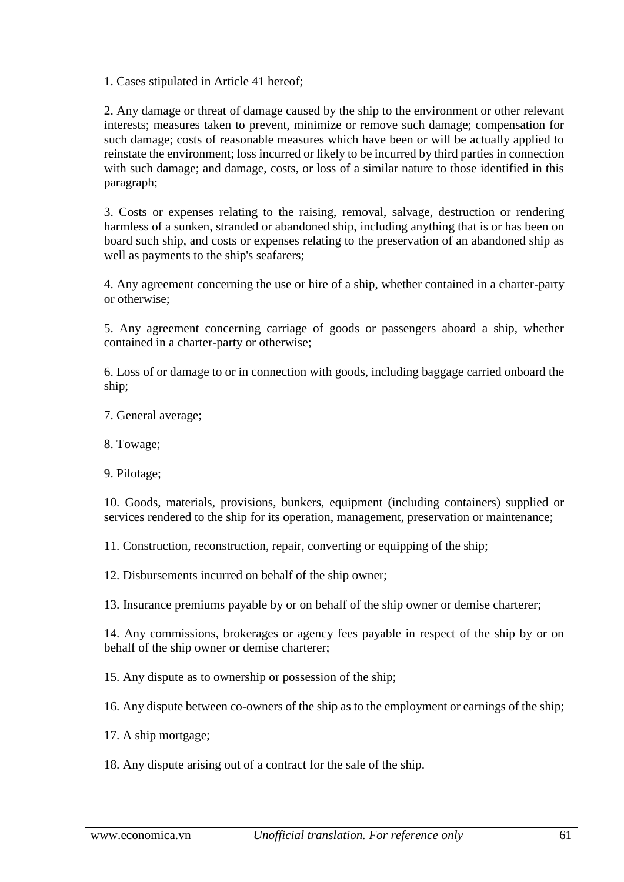1. Cases stipulated in Article 41 hereof;

2. Any damage or threat of damage caused by the ship to the environment or other relevant interests; measures taken to prevent, minimize or remove such damage; compensation for such damage; costs of reasonable measures which have been or will be actually applied to reinstate the environment; loss incurred or likely to be incurred by third parties in connection with such damage; and damage, costs, or loss of a similar nature to those identified in this paragraph;

3. Costs or expenses relating to the raising, removal, salvage, destruction or rendering harmless of a sunken, stranded or abandoned ship, including anything that is or has been on board such ship, and costs or expenses relating to the preservation of an abandoned ship as well as payments to the ship's seafarers;

4. Any agreement concerning the use or hire of a ship, whether contained in a charter-party or otherwise;

5. Any agreement concerning carriage of goods or passengers aboard a ship, whether contained in a charter-party or otherwise;

6. Loss of or damage to or in connection with goods, including baggage carried onboard the ship;

- 7. General average;
- 8. Towage;
- 9. Pilotage;

10. Goods, materials, provisions, bunkers, equipment (including containers) supplied or services rendered to the ship for its operation, management, preservation or maintenance;

11. Construction, reconstruction, repair, converting or equipping of the ship;

12. Disbursements incurred on behalf of the ship owner;

13. Insurance premiums payable by or on behalf of the ship owner or demise charterer;

14. Any commissions, brokerages or agency fees payable in respect of the ship by or on behalf of the ship owner or demise charterer;

15. Any dispute as to ownership or possession of the ship;

16. Any dispute between co-owners of the ship as to the employment or earnings of the ship;

- 17. A ship mortgage;
- 18. Any dispute arising out of a contract for the sale of the ship.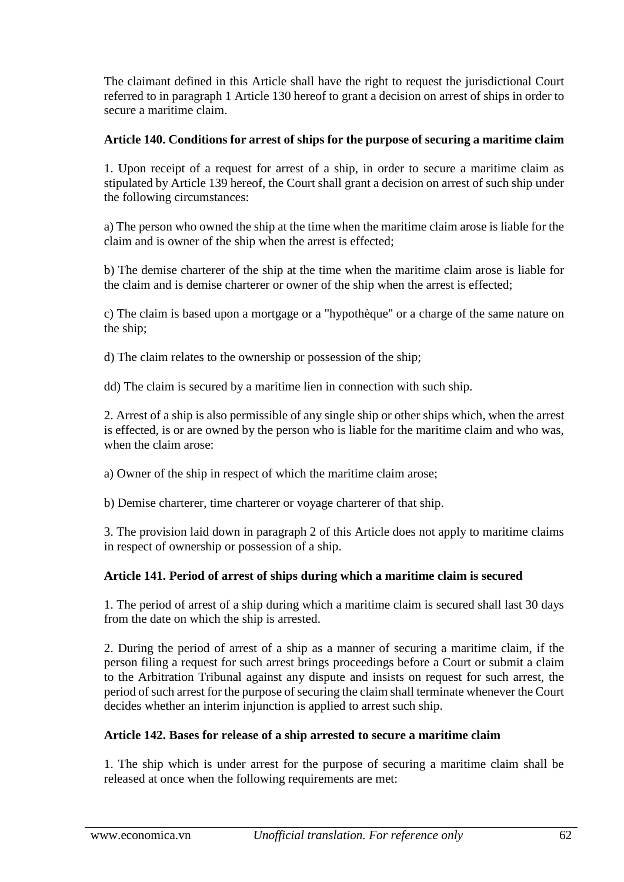The claimant defined in this Article shall have the right to request the jurisdictional Court referred to in paragraph 1 Article 130 hereof to grant a decision on arrest of ships in order to secure a maritime claim.

# **Article 140. Conditions for arrest of ships for the purpose of securing a maritime claim**

1. Upon receipt of a request for arrest of a ship, in order to secure a maritime claim as stipulated by Article 139 hereof, the Court shall grant a decision on arrest of such ship under the following circumstances:

a) The person who owned the ship at the time when the maritime claim arose is liable for the claim and is owner of the ship when the arrest is effected;

b) The demise charterer of the ship at the time when the maritime claim arose is liable for the claim and is demise charterer or owner of the ship when the arrest is effected;

c) The claim is based upon a mortgage or a "hypothèque" or a charge of the same nature on the ship;

d) The claim relates to the ownership or possession of the ship;

dd) The claim is secured by a maritime lien in connection with such ship.

2. Arrest of a ship is also permissible of any single ship or other ships which, when the arrest is effected, is or are owned by the person who is liable for the maritime claim and who was, when the claim arose:

a) Owner of the ship in respect of which the maritime claim arose;

b) Demise charterer, time charterer or voyage charterer of that ship.

3. The provision laid down in paragraph 2 of this Article does not apply to maritime claims in respect of ownership or possession of a ship.

# **Article 141. Period of arrest of ships during which a maritime claim is secured**

1. The period of arrest of a ship during which a maritime claim is secured shall last 30 days from the date on which the ship is arrested.

2. During the period of arrest of a ship as a manner of securing a maritime claim, if the person filing a request for such arrest brings proceedings before a Court or submit a claim to the Arbitration Tribunal against any dispute and insists on request for such arrest, the period of such arrest for the purpose of securing the claim shall terminate whenever the Court decides whether an interim injunction is applied to arrest such ship.

# **Article 142. Bases for release of a ship arrested to secure a maritime claim**

1. The ship which is under arrest for the purpose of securing a maritime claim shall be released at once when the following requirements are met: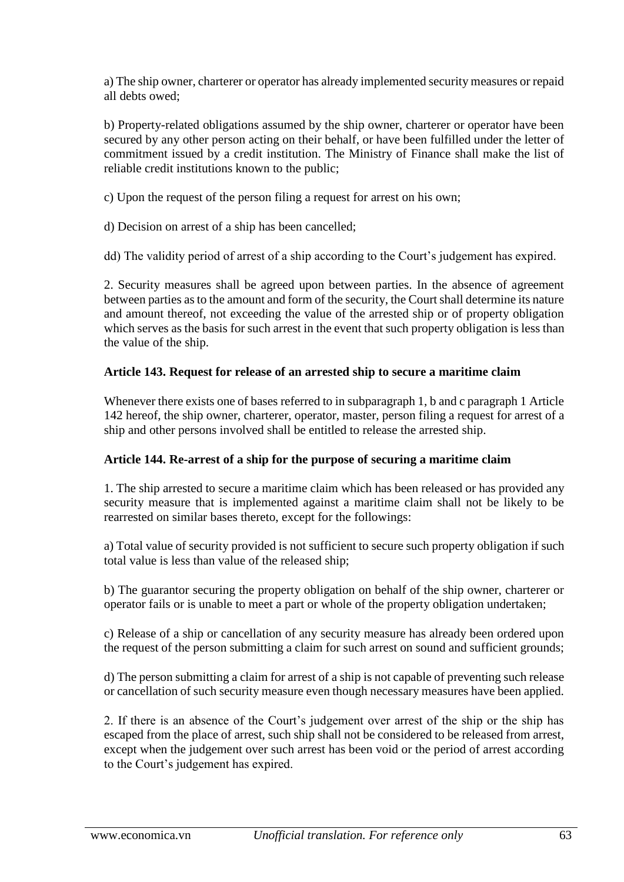a) The ship owner, charterer or operator has already implemented security measures or repaid all debts owed;

b) Property-related obligations assumed by the ship owner, charterer or operator have been secured by any other person acting on their behalf, or have been fulfilled under the letter of commitment issued by a credit institution. The Ministry of Finance shall make the list of reliable credit institutions known to the public;

c) Upon the request of the person filing a request for arrest on his own;

d) Decision on arrest of a ship has been cancelled;

dd) The validity period of arrest of a ship according to the Court's judgement has expired.

2. Security measures shall be agreed upon between parties. In the absence of agreement between parties as to the amount and form of the security, the Court shall determine its nature and amount thereof, not exceeding the value of the arrested ship or of property obligation which serves as the basis for such arrest in the event that such property obligation is less than the value of the ship.

## **Article 143. Request for release of an arrested ship to secure a maritime claim**

Whenever there exists one of bases referred to in subparagraph 1, b and c paragraph 1 Article 142 hereof, the ship owner, charterer, operator, master, person filing a request for arrest of a ship and other persons involved shall be entitled to release the arrested ship.

#### **Article 144. Re-arrest of a ship for the purpose of securing a maritime claim**

1. The ship arrested to secure a maritime claim which has been released or has provided any security measure that is implemented against a maritime claim shall not be likely to be rearrested on similar bases thereto, except for the followings:

a) Total value of security provided is not sufficient to secure such property obligation if such total value is less than value of the released ship;

b) The guarantor securing the property obligation on behalf of the ship owner, charterer or operator fails or is unable to meet a part or whole of the property obligation undertaken;

c) Release of a ship or cancellation of any security measure has already been ordered upon the request of the person submitting a claim for such arrest on sound and sufficient grounds;

d) The person submitting a claim for arrest of a ship is not capable of preventing such release or cancellation of such security measure even though necessary measures have been applied.

2. If there is an absence of the Court's judgement over arrest of the ship or the ship has escaped from the place of arrest, such ship shall not be considered to be released from arrest, except when the judgement over such arrest has been void or the period of arrest according to the Court's judgement has expired.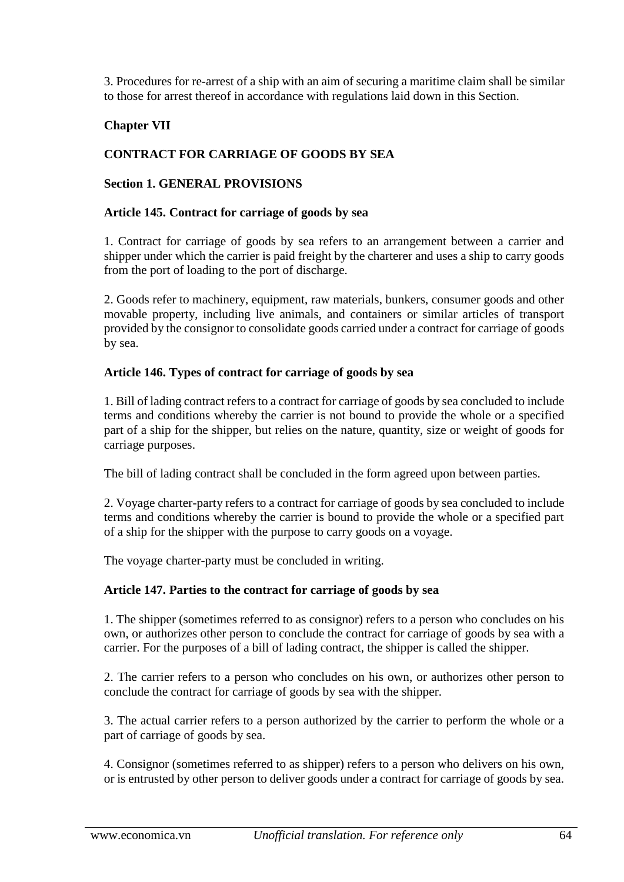3. Procedures for re-arrest of a ship with an aim of securing a maritime claim shall be similar to those for arrest thereof in accordance with regulations laid down in this Section.

# **Chapter VII**

# **CONTRACT FOR CARRIAGE OF GOODS BY SEA**

#### **Section 1. GENERAL PROVISIONS**

#### **Article 145. Contract for carriage of goods by sea**

1. Contract for carriage of goods by sea refers to an arrangement between a carrier and shipper under which the carrier is paid freight by the charterer and uses a ship to carry goods from the port of loading to the port of discharge.

2. Goods refer to machinery, equipment, raw materials, bunkers, consumer goods and other movable property, including live animals, and containers or similar articles of transport provided by the consignor to consolidate goods carried under a contract for carriage of goods by sea.

#### **Article 146. Types of contract for carriage of goods by sea**

1. Bill of lading contract refers to a contract for carriage of goods by sea concluded to include terms and conditions whereby the carrier is not bound to provide the whole or a specified part of a ship for the shipper, but relies on the nature, quantity, size or weight of goods for carriage purposes.

The bill of lading contract shall be concluded in the form agreed upon between parties.

2. Voyage charter-party refers to a contract for carriage of goods by sea concluded to include terms and conditions whereby the carrier is bound to provide the whole or a specified part of a ship for the shipper with the purpose to carry goods on a voyage.

The voyage charter-party must be concluded in writing.

#### **Article 147. Parties to the contract for carriage of goods by sea**

1. The shipper (sometimes referred to as consignor) refers to a person who concludes on his own, or authorizes other person to conclude the contract for carriage of goods by sea with a carrier. For the purposes of a bill of lading contract, the shipper is called the shipper.

2. The carrier refers to a person who concludes on his own, or authorizes other person to conclude the contract for carriage of goods by sea with the shipper.

3. The actual carrier refers to a person authorized by the carrier to perform the whole or a part of carriage of goods by sea.

4. Consignor (sometimes referred to as shipper) refers to a person who delivers on his own, or is entrusted by other person to deliver goods under a contract for carriage of goods by sea.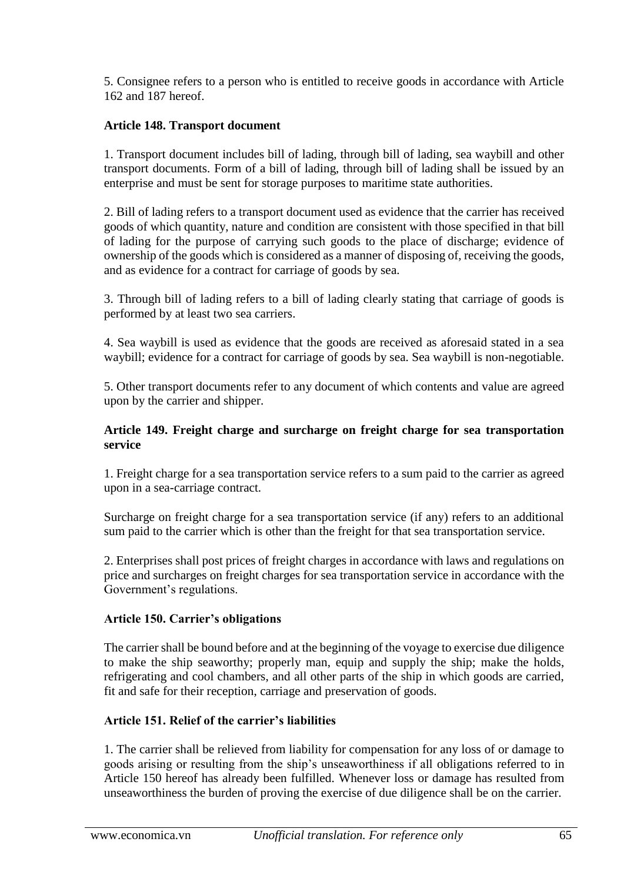5. Consignee refers to a person who is entitled to receive goods in accordance with Article 162 and 187 hereof.

# **Article 148. Transport document**

1. Transport document includes bill of lading, through bill of lading, sea waybill and other transport documents. Form of a bill of lading, through bill of lading shall be issued by an enterprise and must be sent for storage purposes to maritime state authorities.

2. Bill of lading refers to a transport document used as evidence that the carrier has received goods of which quantity, nature and condition are consistent with those specified in that bill of lading for the purpose of carrying such goods to the place of discharge; evidence of ownership of the goods which is considered as a manner of disposing of, receiving the goods, and as evidence for a contract for carriage of goods by sea.

3. Through bill of lading refers to a bill of lading clearly stating that carriage of goods is performed by at least two sea carriers.

4. Sea waybill is used as evidence that the goods are received as aforesaid stated in a sea waybill; evidence for a contract for carriage of goods by sea. Sea waybill is non-negotiable.

5. Other transport documents refer to any document of which contents and value are agreed upon by the carrier and shipper.

#### **Article 149. Freight charge and surcharge on freight charge for sea transportation service**

1. Freight charge for a sea transportation service refers to a sum paid to the carrier as agreed upon in a sea-carriage contract.

Surcharge on freight charge for a sea transportation service (if any) refers to an additional sum paid to the carrier which is other than the freight for that sea transportation service.

2. Enterprises shall post prices of freight charges in accordance with laws and regulations on price and surcharges on freight charges for sea transportation service in accordance with the Government's regulations.

#### **Article 150. Carrier's obligations**

The carrier shall be bound before and at the beginning of the voyage to exercise due diligence to make the ship seaworthy; properly man, equip and supply the ship; make the holds, refrigerating and cool chambers, and all other parts of the ship in which goods are carried, fit and safe for their reception, carriage and preservation of goods.

#### **Article 151. Relief of the carrier's liabilities**

1. The carrier shall be relieved from liability for compensation for any loss of or damage to goods arising or resulting from the ship's unseaworthiness if all obligations referred to in Article 150 hereof has already been fulfilled. Whenever loss or damage has resulted from unseaworthiness the burden of proving the exercise of due diligence shall be on the carrier.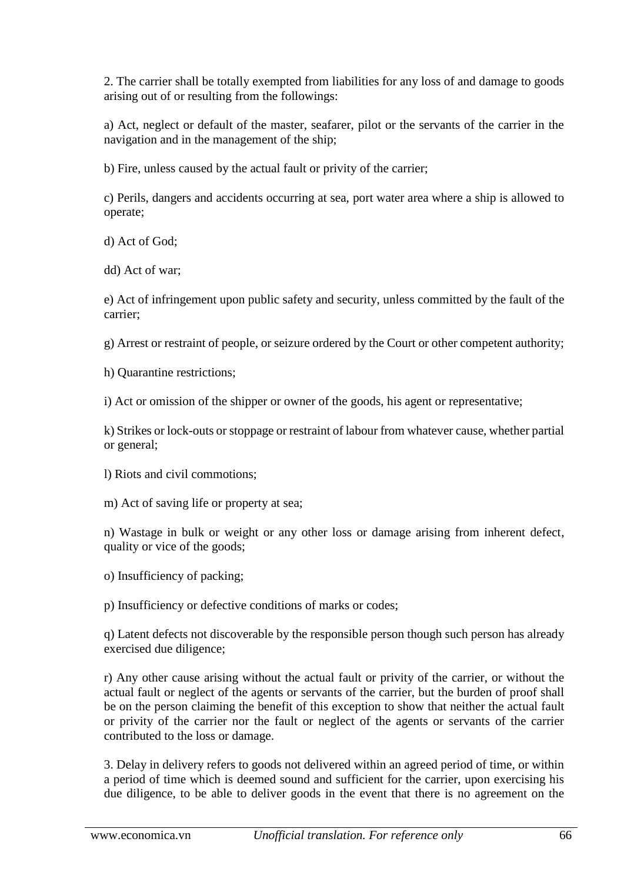2. The carrier shall be totally exempted from liabilities for any loss of and damage to goods arising out of or resulting from the followings:

a) Act, neglect or default of the master, seafarer, pilot or the servants of the carrier in the navigation and in the management of the ship;

b) Fire, unless caused by the actual fault or privity of the carrier;

c) Perils, dangers and accidents occurring at sea, port water area where a ship is allowed to operate;

d) Act of God;

dd) Act of war;

e) Act of infringement upon public safety and security, unless committed by the fault of the carrier;

g) Arrest or restraint of people, or seizure ordered by the Court or other competent authority;

h) Quarantine restrictions;

i) Act or omission of the shipper or owner of the goods, his agent or representative;

k) Strikes or lock-outs or stoppage or restraint of labour from whatever cause, whether partial or general;

- l) Riots and civil commotions;
- m) Act of saving life or property at sea;

n) Wastage in bulk or weight or any other loss or damage arising from inherent defect, quality or vice of the goods;

o) Insufficiency of packing;

p) Insufficiency or defective conditions of marks or codes;

q) Latent defects not discoverable by the responsible person though such person has already exercised due diligence;

r) Any other cause arising without the actual fault or privity of the carrier, or without the actual fault or neglect of the agents or servants of the carrier, but the burden of proof shall be on the person claiming the benefit of this exception to show that neither the actual fault or privity of the carrier nor the fault or neglect of the agents or servants of the carrier contributed to the loss or damage.

3. Delay in delivery refers to goods not delivered within an agreed period of time, or within a period of time which is deemed sound and sufficient for the carrier, upon exercising his due diligence, to be able to deliver goods in the event that there is no agreement on the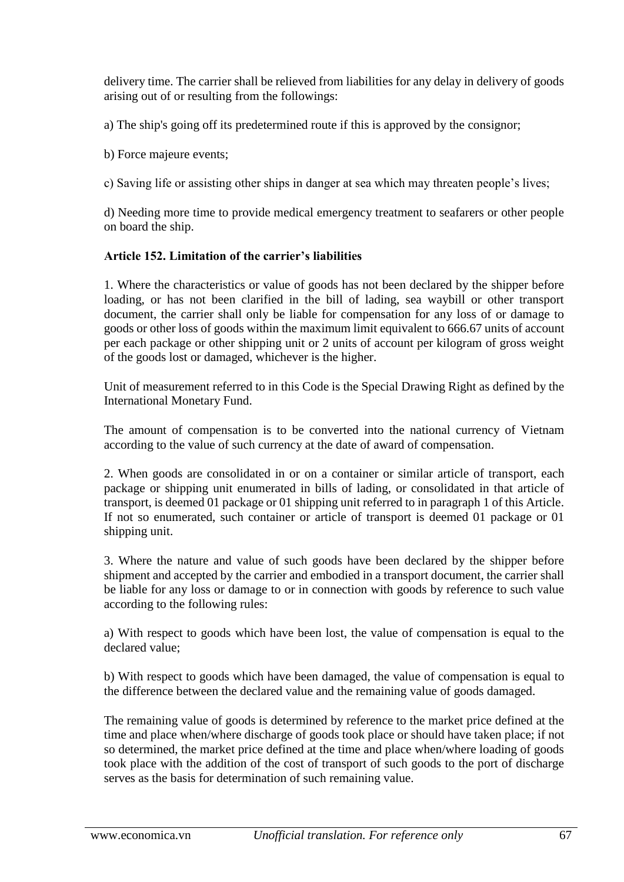delivery time. The carrier shall be relieved from liabilities for any delay in delivery of goods arising out of or resulting from the followings:

a) The ship's going off its predetermined route if this is approved by the consignor;

b) Force majeure events;

c) Saving life or assisting other ships in danger at sea which may threaten people's lives;

d) Needing more time to provide medical emergency treatment to seafarers or other people on board the ship.

# **Article 152. Limitation of the carrier's liabilities**

1. Where the characteristics or value of goods has not been declared by the shipper before loading, or has not been clarified in the bill of lading, sea waybill or other transport document, the carrier shall only be liable for compensation for any loss of or damage to goods or other loss of goods within the maximum limit equivalent to 666.67 units of account per each package or other shipping unit or 2 units of account per kilogram of gross weight of the goods lost or damaged, whichever is the higher.

Unit of measurement referred to in this Code is the Special Drawing Right as defined by the International Monetary Fund.

The amount of compensation is to be converted into the national currency of Vietnam according to the value of such currency at the date of award of compensation.

2. When goods are consolidated in or on a container or similar article of transport, each package or shipping unit enumerated in bills of lading, or consolidated in that article of transport, is deemed 01 package or 01 shipping unit referred to in paragraph 1 of this Article. If not so enumerated, such container or article of transport is deemed 01 package or 01 shipping unit.

3. Where the nature and value of such goods have been declared by the shipper before shipment and accepted by the carrier and embodied in a transport document, the carrier shall be liable for any loss or damage to or in connection with goods by reference to such value according to the following rules:

a) With respect to goods which have been lost, the value of compensation is equal to the declared value;

b) With respect to goods which have been damaged, the value of compensation is equal to the difference between the declared value and the remaining value of goods damaged.

The remaining value of goods is determined by reference to the market price defined at the time and place when/where discharge of goods took place or should have taken place; if not so determined, the market price defined at the time and place when/where loading of goods took place with the addition of the cost of transport of such goods to the port of discharge serves as the basis for determination of such remaining value.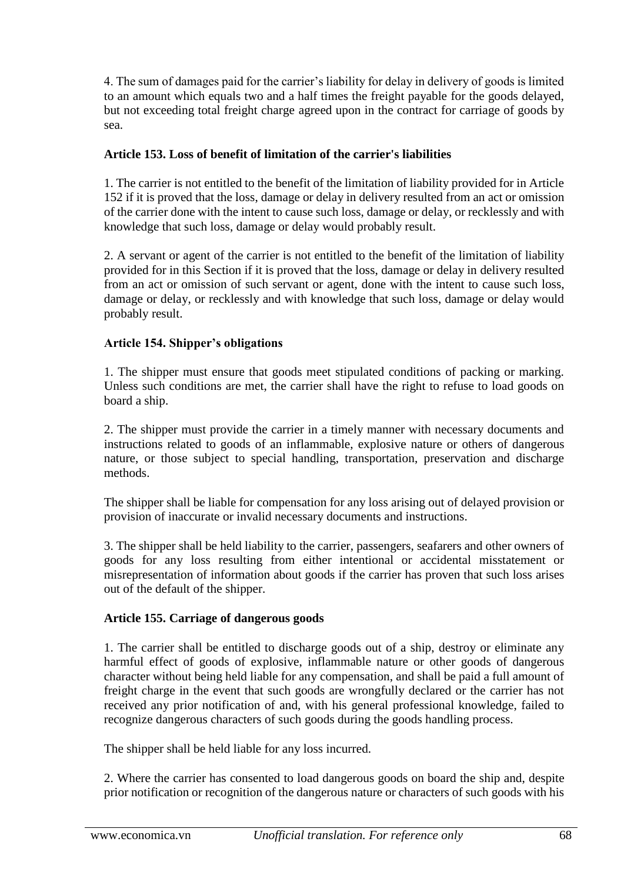4. The sum of damages paid for the carrier's liability for delay in delivery of goods is limited to an amount which equals two and a half times the freight payable for the goods delayed, but not exceeding total freight charge agreed upon in the contract for carriage of goods by sea.

# **Article 153. Loss of benefit of limitation of the carrier's liabilities**

1. The carrier is not entitled to the benefit of the limitation of liability provided for in Article 152 if it is proved that the loss, damage or delay in delivery resulted from an act or omission of the carrier done with the intent to cause such loss, damage or delay, or recklessly and with knowledge that such loss, damage or delay would probably result.

2. A servant or agent of the carrier is not entitled to the benefit of the limitation of liability provided for in this Section if it is proved that the loss, damage or delay in delivery resulted from an act or omission of such servant or agent, done with the intent to cause such loss, damage or delay, or recklessly and with knowledge that such loss, damage or delay would probably result.

## **Article 154. Shipper's obligations**

1. The shipper must ensure that goods meet stipulated conditions of packing or marking. Unless such conditions are met, the carrier shall have the right to refuse to load goods on board a ship.

2. The shipper must provide the carrier in a timely manner with necessary documents and instructions related to goods of an inflammable, explosive nature or others of dangerous nature, or those subject to special handling, transportation, preservation and discharge methods.

The shipper shall be liable for compensation for any loss arising out of delayed provision or provision of inaccurate or invalid necessary documents and instructions.

3. The shipper shall be held liability to the carrier, passengers, seafarers and other owners of goods for any loss resulting from either intentional or accidental misstatement or misrepresentation of information about goods if the carrier has proven that such loss arises out of the default of the shipper.

#### **Article 155. Carriage of dangerous goods**

1. The carrier shall be entitled to discharge goods out of a ship, destroy or eliminate any harmful effect of goods of explosive, inflammable nature or other goods of dangerous character without being held liable for any compensation, and shall be paid a full amount of freight charge in the event that such goods are wrongfully declared or the carrier has not received any prior notification of and, with his general professional knowledge, failed to recognize dangerous characters of such goods during the goods handling process.

The shipper shall be held liable for any loss incurred.

2. Where the carrier has consented to load dangerous goods on board the ship and, despite prior notification or recognition of the dangerous nature or characters of such goods with his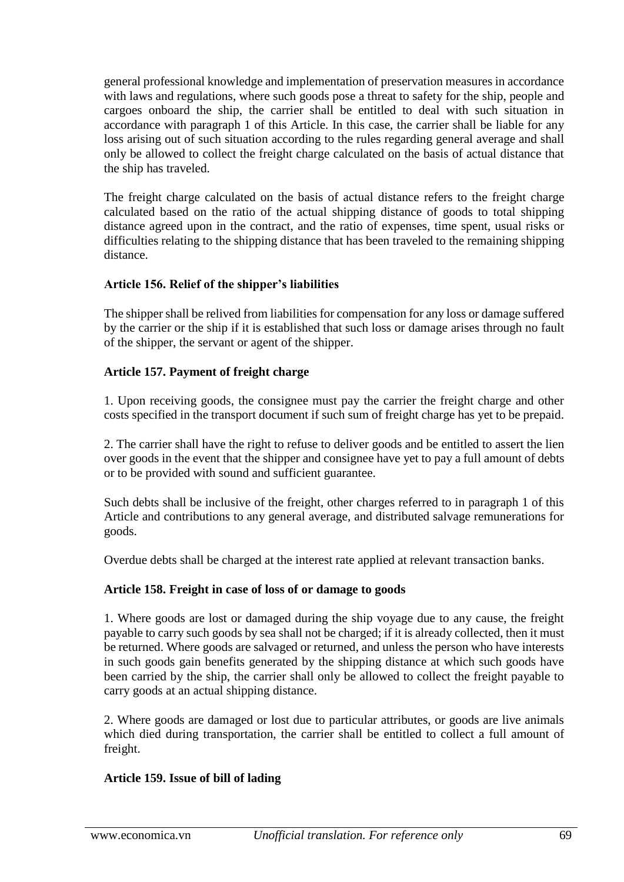general professional knowledge and implementation of preservation measures in accordance with laws and regulations, where such goods pose a threat to safety for the ship, people and cargoes onboard the ship, the carrier shall be entitled to deal with such situation in accordance with paragraph 1 of this Article. In this case, the carrier shall be liable for any loss arising out of such situation according to the rules regarding general average and shall only be allowed to collect the freight charge calculated on the basis of actual distance that the ship has traveled.

The freight charge calculated on the basis of actual distance refers to the freight charge calculated based on the ratio of the actual shipping distance of goods to total shipping distance agreed upon in the contract, and the ratio of expenses, time spent, usual risks or difficulties relating to the shipping distance that has been traveled to the remaining shipping distance.

# **Article 156. Relief of the shipper's liabilities**

The shipper shall be relived from liabilities for compensation for any loss or damage suffered by the carrier or the ship if it is established that such loss or damage arises through no fault of the shipper, the servant or agent of the shipper.

## **Article 157. Payment of freight charge**

1. Upon receiving goods, the consignee must pay the carrier the freight charge and other costs specified in the transport document if such sum of freight charge has yet to be prepaid.

2. The carrier shall have the right to refuse to deliver goods and be entitled to assert the lien over goods in the event that the shipper and consignee have yet to pay a full amount of debts or to be provided with sound and sufficient guarantee.

Such debts shall be inclusive of the freight, other charges referred to in paragraph 1 of this Article and contributions to any general average, and distributed salvage remunerations for goods.

Overdue debts shall be charged at the interest rate applied at relevant transaction banks.

#### **Article 158. Freight in case of loss of or damage to goods**

1. Where goods are lost or damaged during the ship voyage due to any cause, the freight payable to carry such goods by sea shall not be charged; if it is already collected, then it must be returned. Where goods are salvaged or returned, and unless the person who have interests in such goods gain benefits generated by the shipping distance at which such goods have been carried by the ship, the carrier shall only be allowed to collect the freight payable to carry goods at an actual shipping distance.

2. Where goods are damaged or lost due to particular attributes, or goods are live animals which died during transportation, the carrier shall be entitled to collect a full amount of freight.

#### **Article 159. Issue of bill of lading**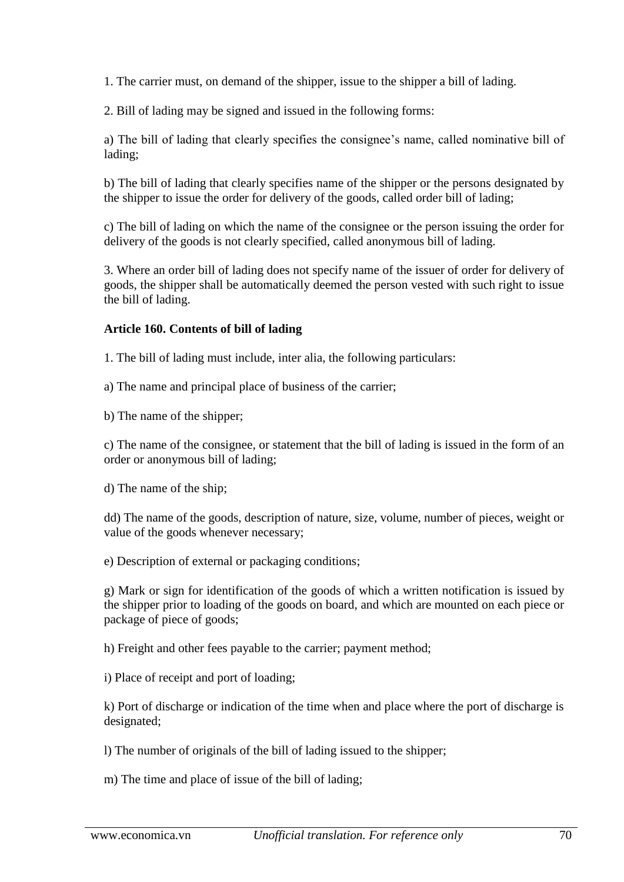1. The carrier must, on demand of the shipper, issue to the shipper a bill of lading.

2. Bill of lading may be signed and issued in the following forms:

a) The bill of lading that clearly specifies the consignee's name, called nominative bill of lading;

b) The bill of lading that clearly specifies name of the shipper or the persons designated by the shipper to issue the order for delivery of the goods, called order bill of lading;

c) The bill of lading on which the name of the consignee or the person issuing the order for delivery of the goods is not clearly specified, called anonymous bill of lading.

3. Where an order bill of lading does not specify name of the issuer of order for delivery of goods, the shipper shall be automatically deemed the person vested with such right to issue the bill of lading.

## **Article 160. Contents of bill of lading**

1. The bill of lading must include, inter alia, the following particulars:

a) The name and principal place of business of the carrier;

b) The name of the shipper;

c) The name of the consignee, or statement that the bill of lading is issued in the form of an order or anonymous bill of lading;

d) The name of the ship;

dd) The name of the goods, description of nature, size, volume, number of pieces, weight or value of the goods whenever necessary;

e) Description of external or packaging conditions;

g) Mark or sign for identification of the goods of which a written notification is issued by the shipper prior to loading of the goods on board, and which are mounted on each piece or package of piece of goods;

h) Freight and other fees payable to the carrier; payment method;

i) Place of receipt and port of loading;

k) Port of discharge or indication of the time when and place where the port of discharge is designated;

l) The number of originals of the bill of lading issued to the shipper;

m) The time and place of issue of the bill of lading;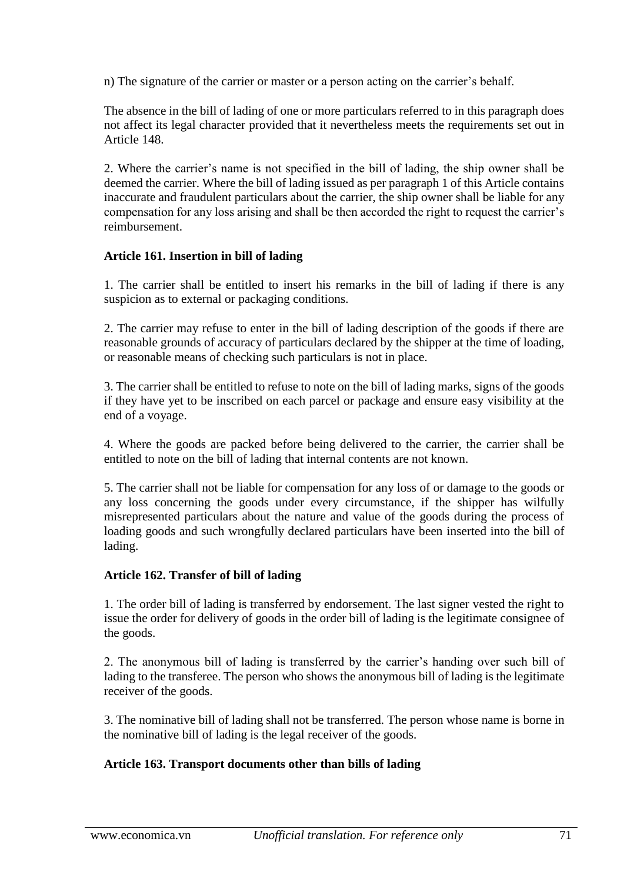n) The signature of the carrier or master or a person acting on the carrier's behalf.

The absence in the bill of lading of one or more particulars referred to in this paragraph does not affect its legal character provided that it nevertheless meets the requirements set out in Article 148.

2. Where the carrier's name is not specified in the bill of lading, the ship owner shall be deemed the carrier. Where the bill of lading issued as per paragraph 1 of this Article contains inaccurate and fraudulent particulars about the carrier, the ship owner shall be liable for any compensation for any loss arising and shall be then accorded the right to request the carrier's reimbursement.

## **Article 161. Insertion in bill of lading**

1. The carrier shall be entitled to insert his remarks in the bill of lading if there is any suspicion as to external or packaging conditions.

2. The carrier may refuse to enter in the bill of lading description of the goods if there are reasonable grounds of accuracy of particulars declared by the shipper at the time of loading, or reasonable means of checking such particulars is not in place.

3. The carrier shall be entitled to refuse to note on the bill of lading marks, signs of the goods if they have yet to be inscribed on each parcel or package and ensure easy visibility at the end of a voyage.

4. Where the goods are packed before being delivered to the carrier, the carrier shall be entitled to note on the bill of lading that internal contents are not known.

5. The carrier shall not be liable for compensation for any loss of or damage to the goods or any loss concerning the goods under every circumstance, if the shipper has wilfully misrepresented particulars about the nature and value of the goods during the process of loading goods and such wrongfully declared particulars have been inserted into the bill of lading.

# **Article 162. Transfer of bill of lading**

1. The order bill of lading is transferred by endorsement. The last signer vested the right to issue the order for delivery of goods in the order bill of lading is the legitimate consignee of the goods.

2. The anonymous bill of lading is transferred by the carrier's handing over such bill of lading to the transferee. The person who shows the anonymous bill of lading is the legitimate receiver of the goods.

3. The nominative bill of lading shall not be transferred. The person whose name is borne in the nominative bill of lading is the legal receiver of the goods.

# **Article 163. Transport documents other than bills of lading**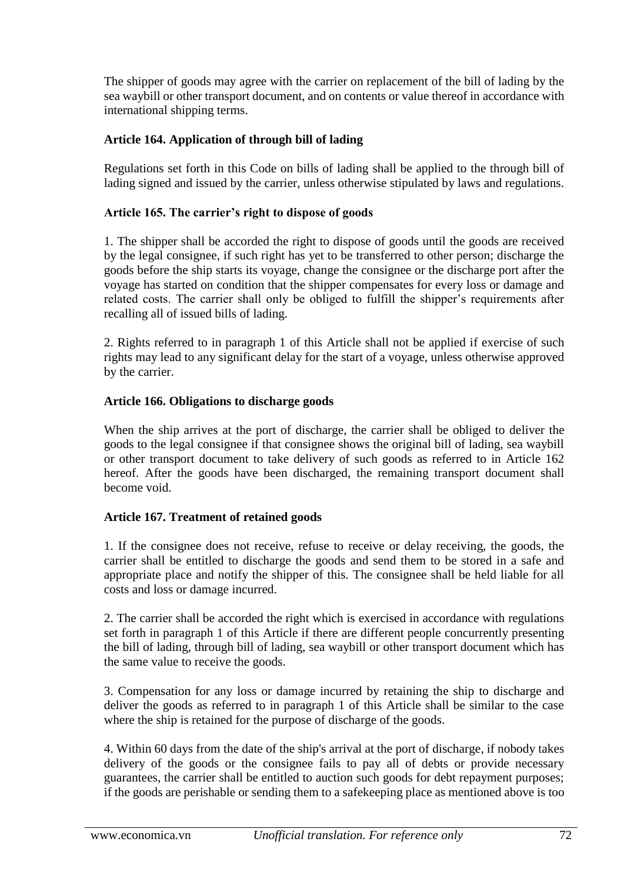The shipper of goods may agree with the carrier on replacement of the bill of lading by the sea waybill or other transport document, and on contents or value thereof in accordance with international shipping terms.

# **Article 164. Application of through bill of lading**

Regulations set forth in this Code on bills of lading shall be applied to the through bill of lading signed and issued by the carrier, unless otherwise stipulated by laws and regulations.

### **Article 165. The carrier's right to dispose of goods**

1. The shipper shall be accorded the right to dispose of goods until the goods are received by the legal consignee, if such right has yet to be transferred to other person; discharge the goods before the ship starts its voyage, change the consignee or the discharge port after the voyage has started on condition that the shipper compensates for every loss or damage and related costs. The carrier shall only be obliged to fulfill the shipper's requirements after recalling all of issued bills of lading.

2. Rights referred to in paragraph 1 of this Article shall not be applied if exercise of such rights may lead to any significant delay for the start of a voyage, unless otherwise approved by the carrier.

#### **Article 166. Obligations to discharge goods**

When the ship arrives at the port of discharge, the carrier shall be obliged to deliver the goods to the legal consignee if that consignee shows the original bill of lading, sea waybill or other transport document to take delivery of such goods as referred to in Article 162 hereof. After the goods have been discharged, the remaining transport document shall become void.

#### **Article 167. Treatment of retained goods**

1. If the consignee does not receive, refuse to receive or delay receiving, the goods, the carrier shall be entitled to discharge the goods and send them to be stored in a safe and appropriate place and notify the shipper of this. The consignee shall be held liable for all costs and loss or damage incurred.

2. The carrier shall be accorded the right which is exercised in accordance with regulations set forth in paragraph 1 of this Article if there are different people concurrently presenting the bill of lading, through bill of lading, sea waybill or other transport document which has the same value to receive the goods.

3. Compensation for any loss or damage incurred by retaining the ship to discharge and deliver the goods as referred to in paragraph 1 of this Article shall be similar to the case where the ship is retained for the purpose of discharge of the goods.

4. Within 60 days from the date of the ship's arrival at the port of discharge, if nobody takes delivery of the goods or the consignee fails to pay all of debts or provide necessary guarantees, the carrier shall be entitled to auction such goods for debt repayment purposes; if the goods are perishable or sending them to a safekeeping place as mentioned above is too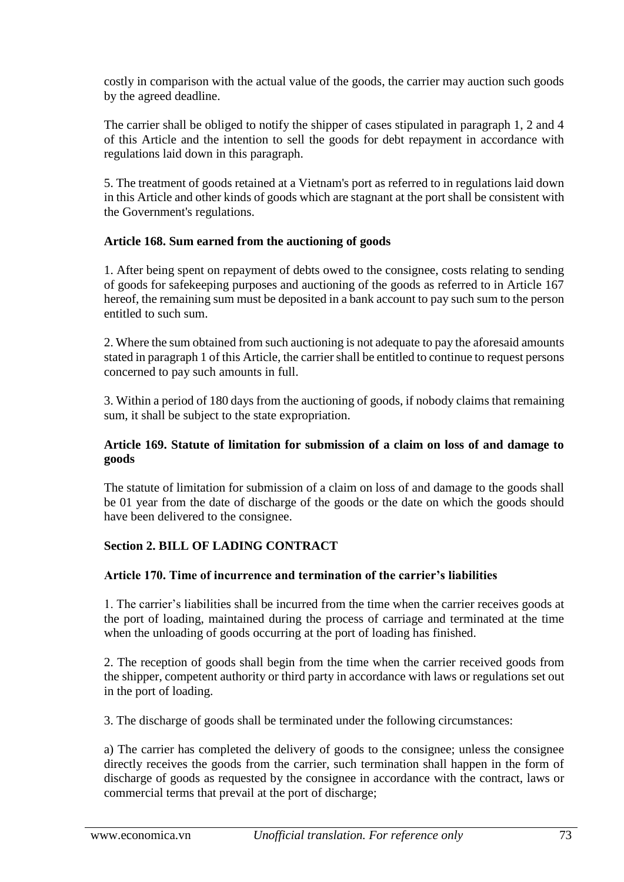costly in comparison with the actual value of the goods, the carrier may auction such goods by the agreed deadline.

The carrier shall be obliged to notify the shipper of cases stipulated in paragraph 1, 2 and 4 of this Article and the intention to sell the goods for debt repayment in accordance with regulations laid down in this paragraph.

5. The treatment of goods retained at a Vietnam's port as referred to in regulations laid down in this Article and other kinds of goods which are stagnant at the port shall be consistent with the Government's regulations.

### **Article 168. Sum earned from the auctioning of goods**

1. After being spent on repayment of debts owed to the consignee, costs relating to sending of goods for safekeeping purposes and auctioning of the goods as referred to in Article 167 hereof, the remaining sum must be deposited in a bank account to pay such sum to the person entitled to such sum.

2. Where the sum obtained from such auctioning is not adequate to pay the aforesaid amounts stated in paragraph 1 of this Article, the carrier shall be entitled to continue to request persons concerned to pay such amounts in full.

3. Within a period of 180 days from the auctioning of goods, if nobody claims that remaining sum, it shall be subject to the state expropriation.

### **Article 169. Statute of limitation for submission of a claim on loss of and damage to goods**

The statute of limitation for submission of a claim on loss of and damage to the goods shall be 01 year from the date of discharge of the goods or the date on which the goods should have been delivered to the consignee.

## **Section 2. BILL OF LADING CONTRACT**

#### **Article 170. Time of incurrence and termination of the carrier's liabilities**

1. The carrier's liabilities shall be incurred from the time when the carrier receives goods at the port of loading, maintained during the process of carriage and terminated at the time when the unloading of goods occurring at the port of loading has finished.

2. The reception of goods shall begin from the time when the carrier received goods from the shipper, competent authority or third party in accordance with laws or regulations set out in the port of loading.

3. The discharge of goods shall be terminated under the following circumstances:

a) The carrier has completed the delivery of goods to the consignee; unless the consignee directly receives the goods from the carrier, such termination shall happen in the form of discharge of goods as requested by the consignee in accordance with the contract, laws or commercial terms that prevail at the port of discharge;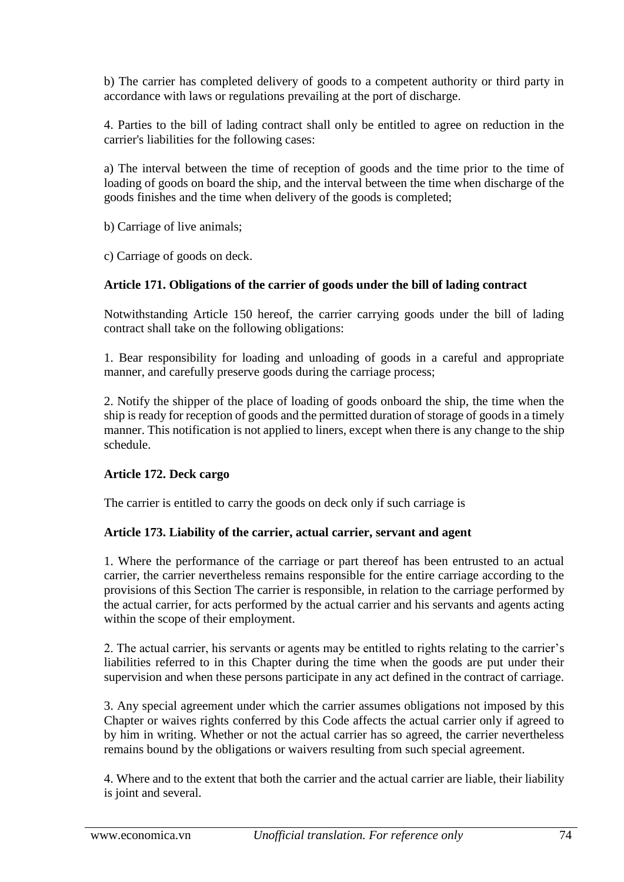b) The carrier has completed delivery of goods to a competent authority or third party in accordance with laws or regulations prevailing at the port of discharge.

4. Parties to the bill of lading contract shall only be entitled to agree on reduction in the carrier's liabilities for the following cases:

a) The interval between the time of reception of goods and the time prior to the time of loading of goods on board the ship, and the interval between the time when discharge of the goods finishes and the time when delivery of the goods is completed;

b) Carriage of live animals;

c) Carriage of goods on deck.

## **Article 171. Obligations of the carrier of goods under the bill of lading contract**

Notwithstanding Article 150 hereof, the carrier carrying goods under the bill of lading contract shall take on the following obligations:

1. Bear responsibility for loading and unloading of goods in a careful and appropriate manner, and carefully preserve goods during the carriage process;

2. Notify the shipper of the place of loading of goods onboard the ship, the time when the ship is ready for reception of goods and the permitted duration of storage of goods in a timely manner. This notification is not applied to liners, except when there is any change to the ship schedule.

## **Article 172. Deck cargo**

The carrier is entitled to carry the goods on deck only if such carriage is

## **Article 173. Liability of the carrier, actual carrier, servant and agent**

1. Where the performance of the carriage or part thereof has been entrusted to an actual carrier, the carrier nevertheless remains responsible for the entire carriage according to the provisions of this Section The carrier is responsible, in relation to the carriage performed by the actual carrier, for acts performed by the actual carrier and his servants and agents acting within the scope of their employment.

2. The actual carrier, his servants or agents may be entitled to rights relating to the carrier's liabilities referred to in this Chapter during the time when the goods are put under their supervision and when these persons participate in any act defined in the contract of carriage.

3. Any special agreement under which the carrier assumes obligations not imposed by this Chapter or waives rights conferred by this Code affects the actual carrier only if agreed to by him in writing. Whether or not the actual carrier has so agreed, the carrier nevertheless remains bound by the obligations or waivers resulting from such special agreement.

4. Where and to the extent that both the carrier and the actual carrier are liable, their liability is joint and several.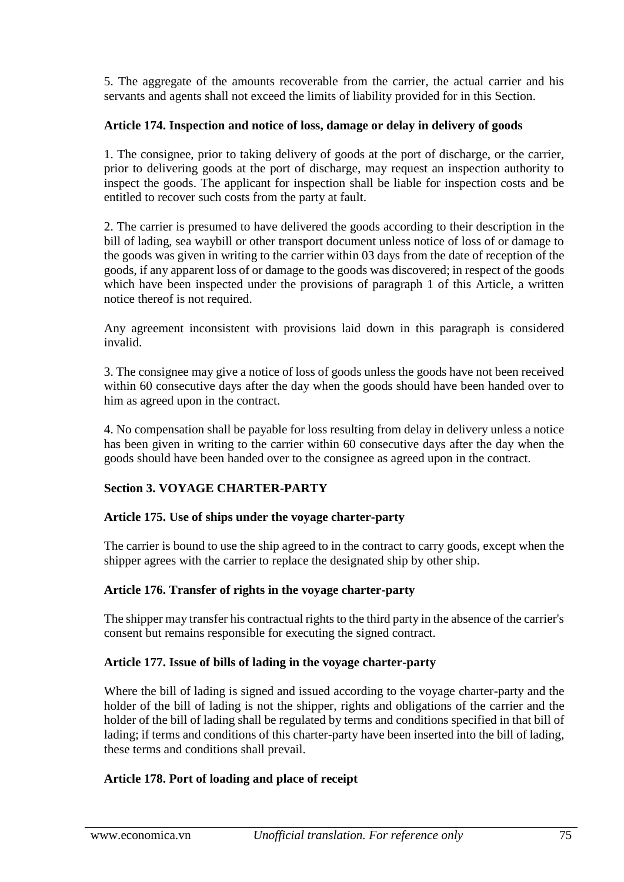5. The aggregate of the amounts recoverable from the carrier, the actual carrier and his servants and agents shall not exceed the limits of liability provided for in this Section.

## **Article 174. Inspection and notice of loss, damage or delay in delivery of goods**

1. The consignee, prior to taking delivery of goods at the port of discharge, or the carrier, prior to delivering goods at the port of discharge, may request an inspection authority to inspect the goods. The applicant for inspection shall be liable for inspection costs and be entitled to recover such costs from the party at fault.

2. The carrier is presumed to have delivered the goods according to their description in the bill of lading, sea waybill or other transport document unless notice of loss of or damage to the goods was given in writing to the carrier within 03 days from the date of reception of the goods, if any apparent loss of or damage to the goods was discovered; in respect of the goods which have been inspected under the provisions of paragraph 1 of this Article, a written notice thereof is not required.

Any agreement inconsistent with provisions laid down in this paragraph is considered invalid.

3. The consignee may give a notice of loss of goods unless the goods have not been received within 60 consecutive days after the day when the goods should have been handed over to him as agreed upon in the contract.

4. No compensation shall be payable for loss resulting from delay in delivery unless a notice has been given in writing to the carrier within 60 consecutive days after the day when the goods should have been handed over to the consignee as agreed upon in the contract.

## **Section 3. VOYAGE CHARTER-PARTY**

#### **Article 175. Use of ships under the voyage charter-party**

The carrier is bound to use the ship agreed to in the contract to carry goods, except when the shipper agrees with the carrier to replace the designated ship by other ship.

#### **Article 176. Transfer of rights in the voyage charter-party**

The shipper may transfer his contractual rights to the third party in the absence of the carrier's consent but remains responsible for executing the signed contract.

#### **Article 177. Issue of bills of lading in the voyage charter-party**

Where the bill of lading is signed and issued according to the voyage charter-party and the holder of the bill of lading is not the shipper, rights and obligations of the carrier and the holder of the bill of lading shall be regulated by terms and conditions specified in that bill of lading; if terms and conditions of this charter-party have been inserted into the bill of lading, these terms and conditions shall prevail.

#### **Article 178. Port of loading and place of receipt**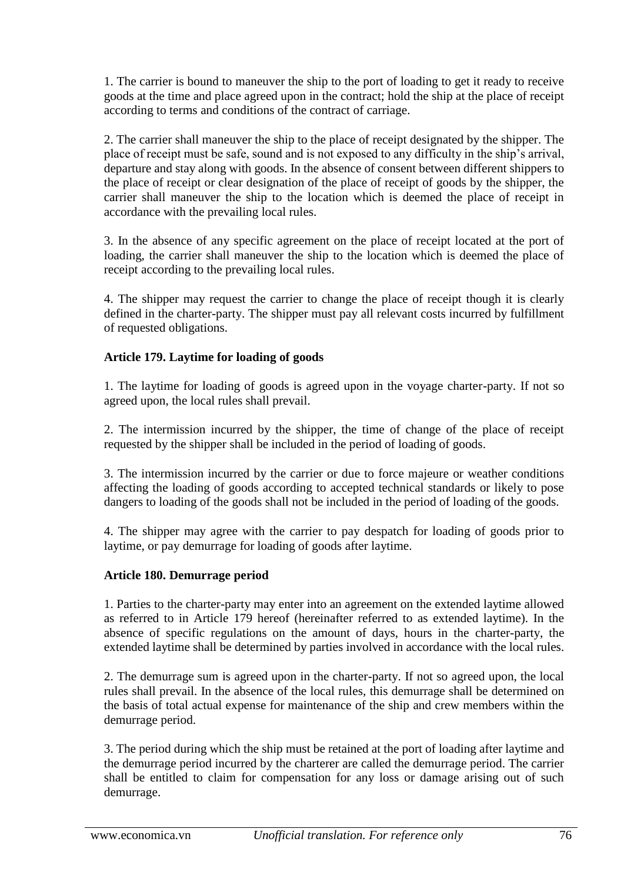1. The carrier is bound to maneuver the ship to the port of loading to get it ready to receive goods at the time and place agreed upon in the contract; hold the ship at the place of receipt according to terms and conditions of the contract of carriage.

2. The carrier shall maneuver the ship to the place of receipt designated by the shipper. The place of receipt must be safe, sound and is not exposed to any difficulty in the ship's arrival, departure and stay along with goods. In the absence of consent between different shippers to the place of receipt or clear designation of the place of receipt of goods by the shipper, the carrier shall maneuver the ship to the location which is deemed the place of receipt in accordance with the prevailing local rules.

3. In the absence of any specific agreement on the place of receipt located at the port of loading, the carrier shall maneuver the ship to the location which is deemed the place of receipt according to the prevailing local rules.

4. The shipper may request the carrier to change the place of receipt though it is clearly defined in the charter-party. The shipper must pay all relevant costs incurred by fulfillment of requested obligations.

## **Article 179. Laytime for loading of goods**

1. The laytime for loading of goods is agreed upon in the voyage charter-party. If not so agreed upon, the local rules shall prevail.

2. The intermission incurred by the shipper, the time of change of the place of receipt requested by the shipper shall be included in the period of loading of goods.

3. The intermission incurred by the carrier or due to force majeure or weather conditions affecting the loading of goods according to accepted technical standards or likely to pose dangers to loading of the goods shall not be included in the period of loading of the goods.

4. The shipper may agree with the carrier to pay despatch for loading of goods prior to laytime, or pay demurrage for loading of goods after laytime.

## **Article 180. Demurrage period**

1. Parties to the charter-party may enter into an agreement on the extended laytime allowed as referred to in Article 179 hereof (hereinafter referred to as extended laytime). In the absence of specific regulations on the amount of days, hours in the charter-party, the extended laytime shall be determined by parties involved in accordance with the local rules.

2. The demurrage sum is agreed upon in the charter-party. If not so agreed upon, the local rules shall prevail. In the absence of the local rules, this demurrage shall be determined on the basis of total actual expense for maintenance of the ship and crew members within the demurrage period.

3. The period during which the ship must be retained at the port of loading after laytime and the demurrage period incurred by the charterer are called the demurrage period. The carrier shall be entitled to claim for compensation for any loss or damage arising out of such demurrage.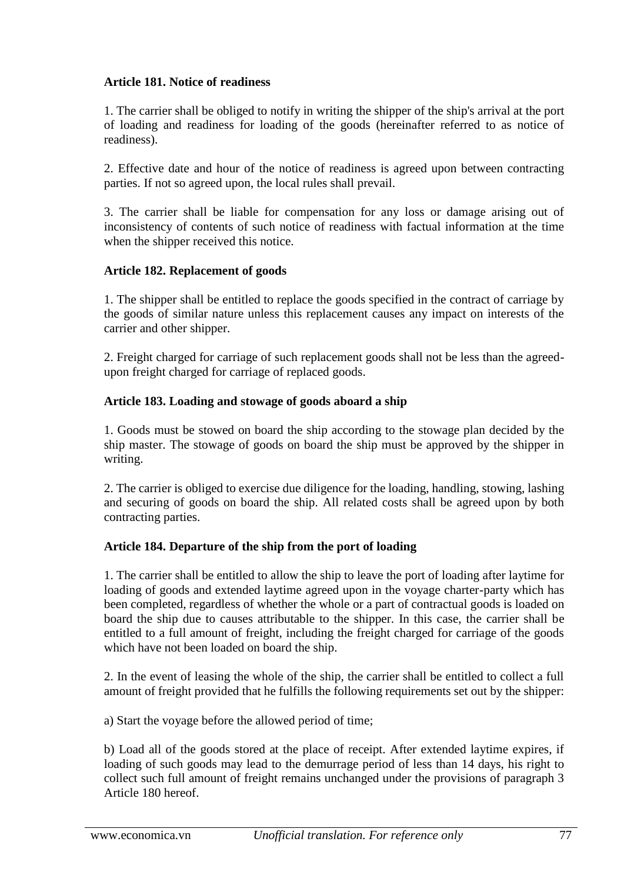### **Article 181. Notice of readiness**

1. The carrier shall be obliged to notify in writing the shipper of the ship's arrival at the port of loading and readiness for loading of the goods (hereinafter referred to as notice of readiness).

2. Effective date and hour of the notice of readiness is agreed upon between contracting parties. If not so agreed upon, the local rules shall prevail.

3. The carrier shall be liable for compensation for any loss or damage arising out of inconsistency of contents of such notice of readiness with factual information at the time when the shipper received this notice.

### **Article 182. Replacement of goods**

1. The shipper shall be entitled to replace the goods specified in the contract of carriage by the goods of similar nature unless this replacement causes any impact on interests of the carrier and other shipper.

2. Freight charged for carriage of such replacement goods shall not be less than the agreedupon freight charged for carriage of replaced goods.

### **Article 183. Loading and stowage of goods aboard a ship**

1. Goods must be stowed on board the ship according to the stowage plan decided by the ship master. The stowage of goods on board the ship must be approved by the shipper in writing.

2. The carrier is obliged to exercise due diligence for the loading, handling, stowing, lashing and securing of goods on board the ship. All related costs shall be agreed upon by both contracting parties.

#### **Article 184. Departure of the ship from the port of loading**

1. The carrier shall be entitled to allow the ship to leave the port of loading after laytime for loading of goods and extended laytime agreed upon in the voyage charter-party which has been completed, regardless of whether the whole or a part of contractual goods is loaded on board the ship due to causes attributable to the shipper. In this case, the carrier shall be entitled to a full amount of freight, including the freight charged for carriage of the goods which have not been loaded on board the ship.

2. In the event of leasing the whole of the ship, the carrier shall be entitled to collect a full amount of freight provided that he fulfills the following requirements set out by the shipper:

a) Start the voyage before the allowed period of time;

b) Load all of the goods stored at the place of receipt. After extended laytime expires, if loading of such goods may lead to the demurrage period of less than 14 days, his right to collect such full amount of freight remains unchanged under the provisions of paragraph 3 Article 180 hereof.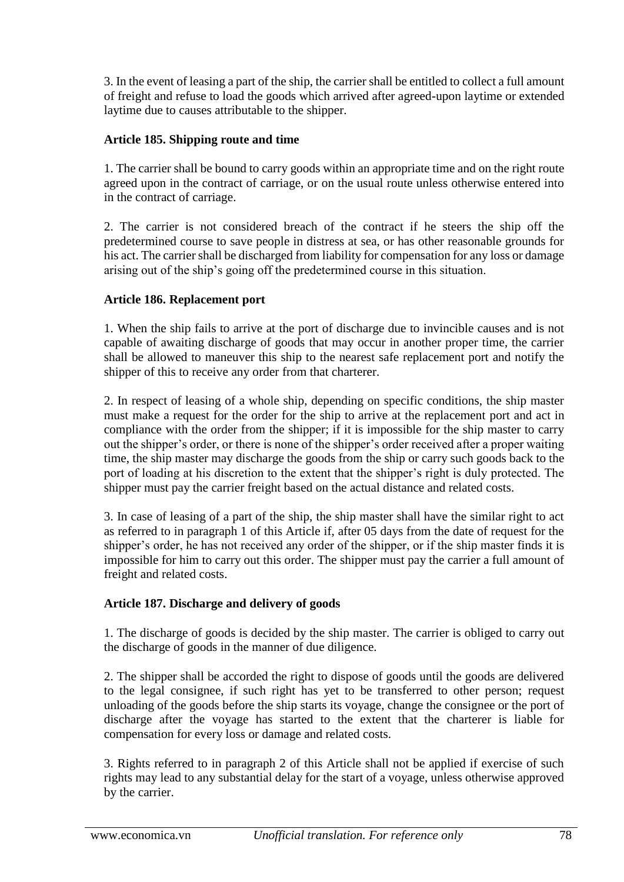3. In the event of leasing a part of the ship, the carrier shall be entitled to collect a full amount of freight and refuse to load the goods which arrived after agreed-upon laytime or extended laytime due to causes attributable to the shipper.

## **Article 185. Shipping route and time**

1. The carrier shall be bound to carry goods within an appropriate time and on the right route agreed upon in the contract of carriage, or on the usual route unless otherwise entered into in the contract of carriage.

2. The carrier is not considered breach of the contract if he steers the ship off the predetermined course to save people in distress at sea, or has other reasonable grounds for his act. The carrier shall be discharged from liability for compensation for any loss or damage arising out of the ship's going off the predetermined course in this situation.

## **Article 186. Replacement port**

1. When the ship fails to arrive at the port of discharge due to invincible causes and is not capable of awaiting discharge of goods that may occur in another proper time, the carrier shall be allowed to maneuver this ship to the nearest safe replacement port and notify the shipper of this to receive any order from that charterer.

2. In respect of leasing of a whole ship, depending on specific conditions, the ship master must make a request for the order for the ship to arrive at the replacement port and act in compliance with the order from the shipper; if it is impossible for the ship master to carry out the shipper's order, or there is none of the shipper's order received after a proper waiting time, the ship master may discharge the goods from the ship or carry such goods back to the port of loading at his discretion to the extent that the shipper's right is duly protected. The shipper must pay the carrier freight based on the actual distance and related costs.

3. In case of leasing of a part of the ship, the ship master shall have the similar right to act as referred to in paragraph 1 of this Article if, after 05 days from the date of request for the shipper's order, he has not received any order of the shipper, or if the ship master finds it is impossible for him to carry out this order. The shipper must pay the carrier a full amount of freight and related costs.

## **Article 187. Discharge and delivery of goods**

1. The discharge of goods is decided by the ship master. The carrier is obliged to carry out the discharge of goods in the manner of due diligence.

2. The shipper shall be accorded the right to dispose of goods until the goods are delivered to the legal consignee, if such right has yet to be transferred to other person; request unloading of the goods before the ship starts its voyage, change the consignee or the port of discharge after the voyage has started to the extent that the charterer is liable for compensation for every loss or damage and related costs.

3. Rights referred to in paragraph 2 of this Article shall not be applied if exercise of such rights may lead to any substantial delay for the start of a voyage, unless otherwise approved by the carrier.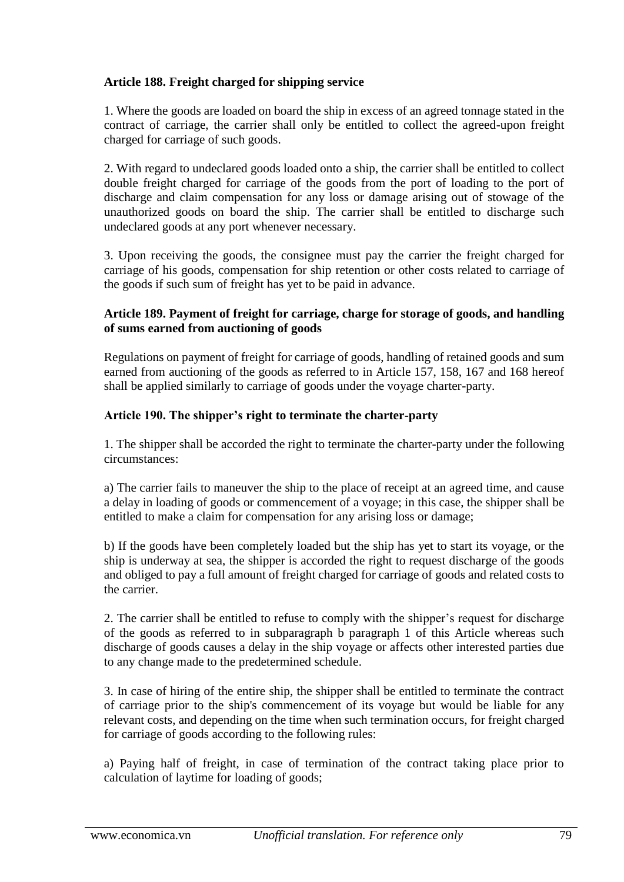## **Article 188. Freight charged for shipping service**

1. Where the goods are loaded on board the ship in excess of an agreed tonnage stated in the contract of carriage, the carrier shall only be entitled to collect the agreed-upon freight charged for carriage of such goods.

2. With regard to undeclared goods loaded onto a ship, the carrier shall be entitled to collect double freight charged for carriage of the goods from the port of loading to the port of discharge and claim compensation for any loss or damage arising out of stowage of the unauthorized goods on board the ship. The carrier shall be entitled to discharge such undeclared goods at any port whenever necessary.

3. Upon receiving the goods, the consignee must pay the carrier the freight charged for carriage of his goods, compensation for ship retention or other costs related to carriage of the goods if such sum of freight has yet to be paid in advance.

#### **Article 189. Payment of freight for carriage, charge for storage of goods, and handling of sums earned from auctioning of goods**

Regulations on payment of freight for carriage of goods, handling of retained goods and sum earned from auctioning of the goods as referred to in Article 157, 158, 167 and 168 hereof shall be applied similarly to carriage of goods under the voyage charter-party.

#### **Article 190. The shipper's right to terminate the charter-party**

1. The shipper shall be accorded the right to terminate the charter-party under the following circumstances:

a) The carrier fails to maneuver the ship to the place of receipt at an agreed time, and cause a delay in loading of goods or commencement of a voyage; in this case, the shipper shall be entitled to make a claim for compensation for any arising loss or damage;

b) If the goods have been completely loaded but the ship has yet to start its voyage, or the ship is underway at sea, the shipper is accorded the right to request discharge of the goods and obliged to pay a full amount of freight charged for carriage of goods and related costs to the carrier.

2. The carrier shall be entitled to refuse to comply with the shipper's request for discharge of the goods as referred to in subparagraph b paragraph 1 of this Article whereas such discharge of goods causes a delay in the ship voyage or affects other interested parties due to any change made to the predetermined schedule.

3. In case of hiring of the entire ship, the shipper shall be entitled to terminate the contract of carriage prior to the ship's commencement of its voyage but would be liable for any relevant costs, and depending on the time when such termination occurs, for freight charged for carriage of goods according to the following rules:

a) Paying half of freight, in case of termination of the contract taking place prior to calculation of laytime for loading of goods;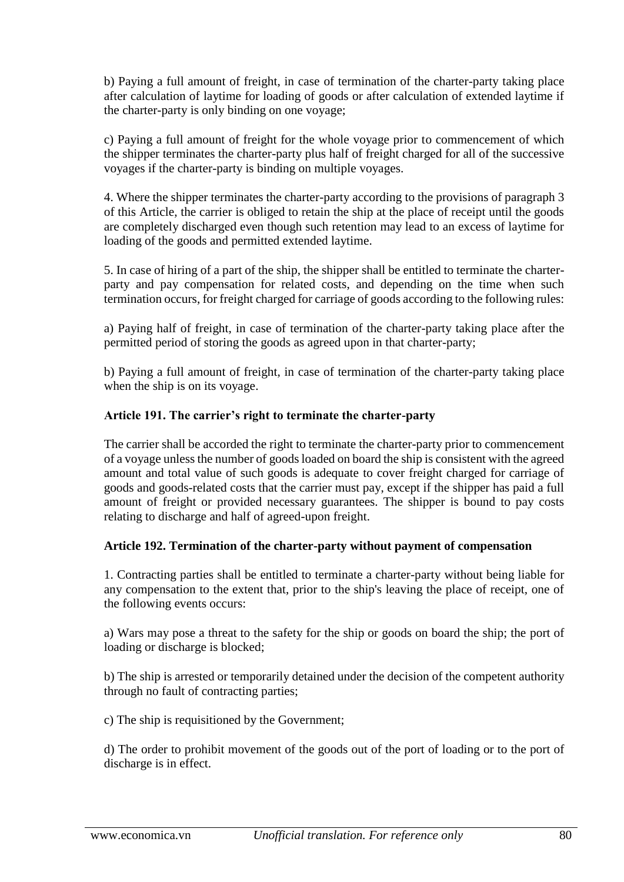b) Paying a full amount of freight, in case of termination of the charter-party taking place after calculation of laytime for loading of goods or after calculation of extended laytime if the charter-party is only binding on one voyage;

c) Paying a full amount of freight for the whole voyage prior to commencement of which the shipper terminates the charter-party plus half of freight charged for all of the successive voyages if the charter-party is binding on multiple voyages.

4. Where the shipper terminates the charter-party according to the provisions of paragraph 3 of this Article, the carrier is obliged to retain the ship at the place of receipt until the goods are completely discharged even though such retention may lead to an excess of laytime for loading of the goods and permitted extended laytime.

5. In case of hiring of a part of the ship, the shipper shall be entitled to terminate the charterparty and pay compensation for related costs, and depending on the time when such termination occurs, for freight charged for carriage of goods according to the following rules:

a) Paying half of freight, in case of termination of the charter-party taking place after the permitted period of storing the goods as agreed upon in that charter-party;

b) Paying a full amount of freight, in case of termination of the charter-party taking place when the ship is on its voyage.

### **Article 191. The carrier's right to terminate the charter-party**

The carrier shall be accorded the right to terminate the charter-party prior to commencement of a voyage unless the number of goods loaded on board the ship is consistent with the agreed amount and total value of such goods is adequate to cover freight charged for carriage of goods and goods-related costs that the carrier must pay, except if the shipper has paid a full amount of freight or provided necessary guarantees. The shipper is bound to pay costs relating to discharge and half of agreed-upon freight.

## **Article 192. Termination of the charter-party without payment of compensation**

1. Contracting parties shall be entitled to terminate a charter-party without being liable for any compensation to the extent that, prior to the ship's leaving the place of receipt, one of the following events occurs:

a) Wars may pose a threat to the safety for the ship or goods on board the ship; the port of loading or discharge is blocked;

b) The ship is arrested or temporarily detained under the decision of the competent authority through no fault of contracting parties;

c) The ship is requisitioned by the Government;

d) The order to prohibit movement of the goods out of the port of loading or to the port of discharge is in effect.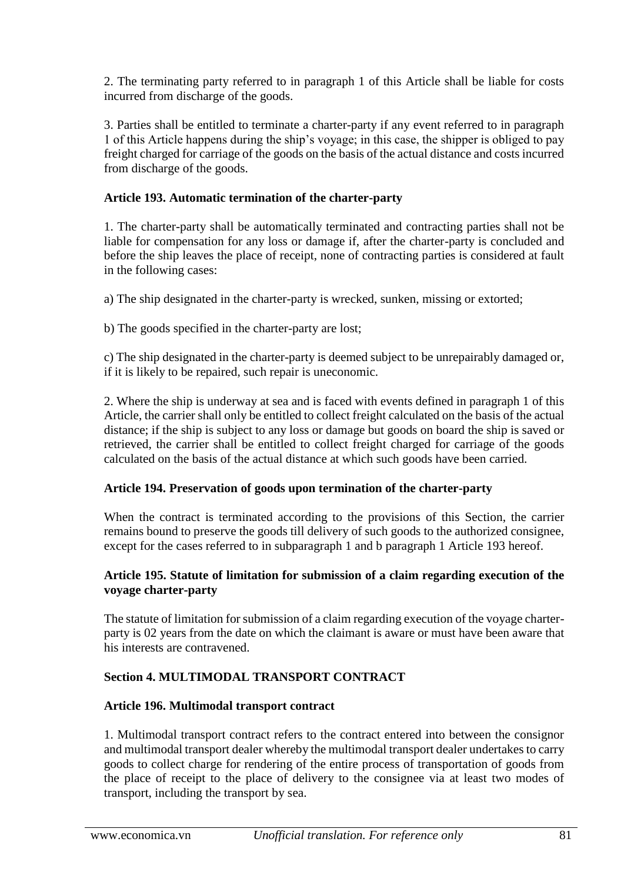2. The terminating party referred to in paragraph 1 of this Article shall be liable for costs incurred from discharge of the goods.

3. Parties shall be entitled to terminate a charter-party if any event referred to in paragraph 1 of this Article happens during the ship's voyage; in this case, the shipper is obliged to pay freight charged for carriage of the goods on the basis of the actual distance and costs incurred from discharge of the goods.

## **Article 193. Automatic termination of the charter-party**

1. The charter-party shall be automatically terminated and contracting parties shall not be liable for compensation for any loss or damage if, after the charter-party is concluded and before the ship leaves the place of receipt, none of contracting parties is considered at fault in the following cases:

a) The ship designated in the charter-party is wrecked, sunken, missing or extorted;

b) The goods specified in the charter-party are lost;

c) The ship designated in the charter-party is deemed subject to be unrepairably damaged or, if it is likely to be repaired, such repair is uneconomic.

2. Where the ship is underway at sea and is faced with events defined in paragraph 1 of this Article, the carrier shall only be entitled to collect freight calculated on the basis of the actual distance; if the ship is subject to any loss or damage but goods on board the ship is saved or retrieved, the carrier shall be entitled to collect freight charged for carriage of the goods calculated on the basis of the actual distance at which such goods have been carried.

#### **Article 194. Preservation of goods upon termination of the charter-party**

When the contract is terminated according to the provisions of this Section, the carrier remains bound to preserve the goods till delivery of such goods to the authorized consignee, except for the cases referred to in subparagraph 1 and b paragraph 1 Article 193 hereof.

#### **Article 195. Statute of limitation for submission of a claim regarding execution of the voyage charter-party**

The statute of limitation for submission of a claim regarding execution of the voyage charterparty is 02 years from the date on which the claimant is aware or must have been aware that his interests are contravened.

#### **Section 4. MULTIMODAL TRANSPORT CONTRACT**

#### **Article 196. Multimodal transport contract**

1. Multimodal transport contract refers to the contract entered into between the consignor and multimodal transport dealer whereby the multimodal transport dealer undertakes to carry goods to collect charge for rendering of the entire process of transportation of goods from the place of receipt to the place of delivery to the consignee via at least two modes of transport, including the transport by sea.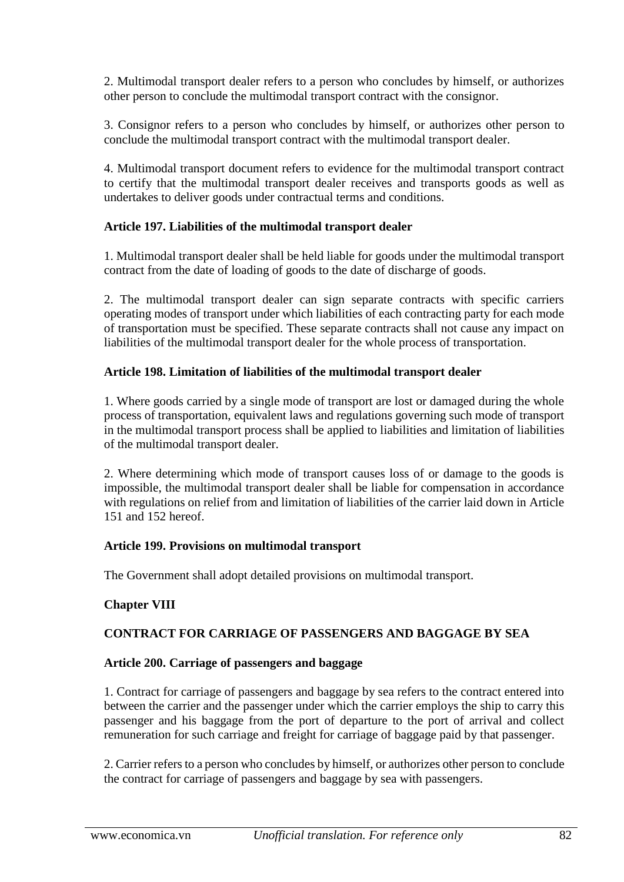2. Multimodal transport dealer refers to a person who concludes by himself, or authorizes other person to conclude the multimodal transport contract with the consignor.

3. Consignor refers to a person who concludes by himself, or authorizes other person to conclude the multimodal transport contract with the multimodal transport dealer.

4. Multimodal transport document refers to evidence for the multimodal transport contract to certify that the multimodal transport dealer receives and transports goods as well as undertakes to deliver goods under contractual terms and conditions.

### **Article 197. Liabilities of the multimodal transport dealer**

1. Multimodal transport dealer shall be held liable for goods under the multimodal transport contract from the date of loading of goods to the date of discharge of goods.

2. The multimodal transport dealer can sign separate contracts with specific carriers operating modes of transport under which liabilities of each contracting party for each mode of transportation must be specified. These separate contracts shall not cause any impact on liabilities of the multimodal transport dealer for the whole process of transportation.

## **Article 198. Limitation of liabilities of the multimodal transport dealer**

1. Where goods carried by a single mode of transport are lost or damaged during the whole process of transportation, equivalent laws and regulations governing such mode of transport in the multimodal transport process shall be applied to liabilities and limitation of liabilities of the multimodal transport dealer.

2. Where determining which mode of transport causes loss of or damage to the goods is impossible, the multimodal transport dealer shall be liable for compensation in accordance with regulations on relief from and limitation of liabilities of the carrier laid down in Article 151 and 152 hereof.

#### **Article 199. Provisions on multimodal transport**

The Government shall adopt detailed provisions on multimodal transport.

## **Chapter VIII**

## **CONTRACT FOR CARRIAGE OF PASSENGERS AND BAGGAGE BY SEA**

#### **Article 200. Carriage of passengers and baggage**

1. Contract for carriage of passengers and baggage by sea refers to the contract entered into between the carrier and the passenger under which the carrier employs the ship to carry this passenger and his baggage from the port of departure to the port of arrival and collect remuneration for such carriage and freight for carriage of baggage paid by that passenger.

2. Carrier refers to a person who concludes by himself, or authorizes other person to conclude the contract for carriage of passengers and baggage by sea with passengers.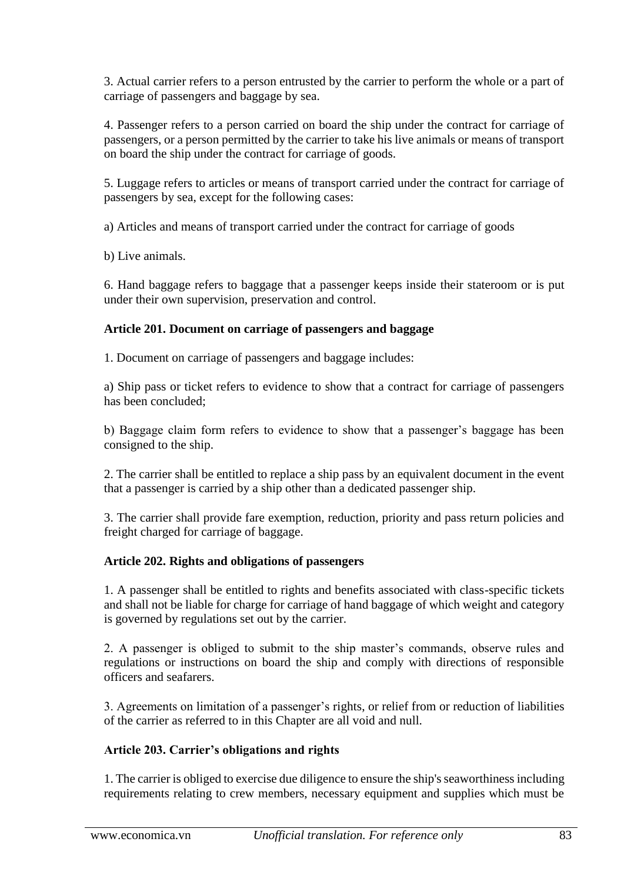3. Actual carrier refers to a person entrusted by the carrier to perform the whole or a part of carriage of passengers and baggage by sea.

4. Passenger refers to a person carried on board the ship under the contract for carriage of passengers, or a person permitted by the carrier to take his live animals or means of transport on board the ship under the contract for carriage of goods.

5. Luggage refers to articles or means of transport carried under the contract for carriage of passengers by sea, except for the following cases:

a) Articles and means of transport carried under the contract for carriage of goods

b) Live animals.

6. Hand baggage refers to baggage that a passenger keeps inside their stateroom or is put under their own supervision, preservation and control.

### **Article 201. Document on carriage of passengers and baggage**

1. Document on carriage of passengers and baggage includes:

a) Ship pass or ticket refers to evidence to show that a contract for carriage of passengers has been concluded;

b) Baggage claim form refers to evidence to show that a passenger's baggage has been consigned to the ship.

2. The carrier shall be entitled to replace a ship pass by an equivalent document in the event that a passenger is carried by a ship other than a dedicated passenger ship.

3. The carrier shall provide fare exemption, reduction, priority and pass return policies and freight charged for carriage of baggage.

#### **Article 202. Rights and obligations of passengers**

1. A passenger shall be entitled to rights and benefits associated with class-specific tickets and shall not be liable for charge for carriage of hand baggage of which weight and category is governed by regulations set out by the carrier.

2. A passenger is obliged to submit to the ship master's commands, observe rules and regulations or instructions on board the ship and comply with directions of responsible officers and seafarers.

3. Agreements on limitation of a passenger's rights, or relief from or reduction of liabilities of the carrier as referred to in this Chapter are all void and null.

## **Article 203. Carrier's obligations and rights**

1. The carrier is obliged to exercise due diligence to ensure the ship's seaworthiness including requirements relating to crew members, necessary equipment and supplies which must be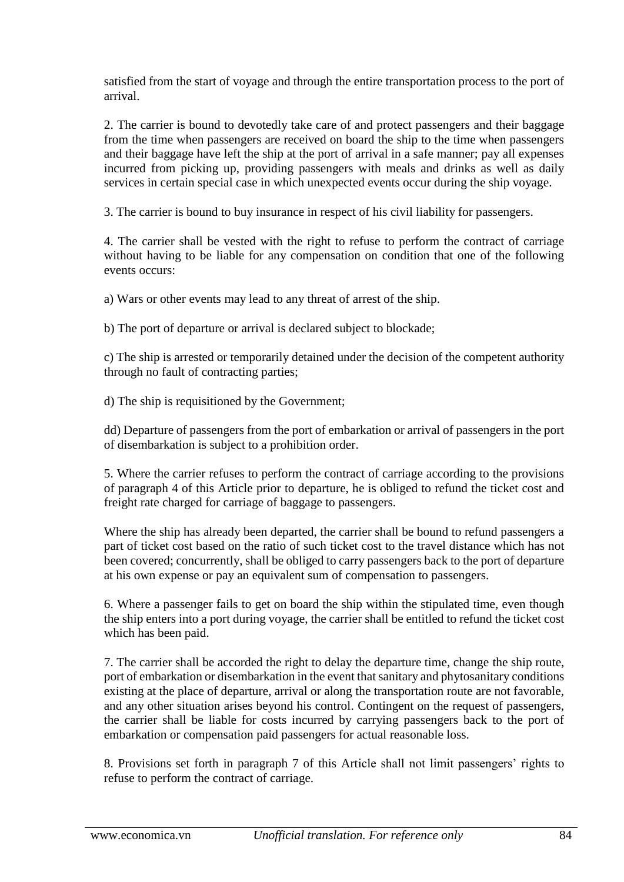satisfied from the start of voyage and through the entire transportation process to the port of arrival.

2. The carrier is bound to devotedly take care of and protect passengers and their baggage from the time when passengers are received on board the ship to the time when passengers and their baggage have left the ship at the port of arrival in a safe manner; pay all expenses incurred from picking up, providing passengers with meals and drinks as well as daily services in certain special case in which unexpected events occur during the ship voyage.

3. The carrier is bound to buy insurance in respect of his civil liability for passengers.

4. The carrier shall be vested with the right to refuse to perform the contract of carriage without having to be liable for any compensation on condition that one of the following events occurs:

a) Wars or other events may lead to any threat of arrest of the ship.

b) The port of departure or arrival is declared subject to blockade;

c) The ship is arrested or temporarily detained under the decision of the competent authority through no fault of contracting parties;

d) The ship is requisitioned by the Government;

dd) Departure of passengers from the port of embarkation or arrival of passengers in the port of disembarkation is subject to a prohibition order.

5. Where the carrier refuses to perform the contract of carriage according to the provisions of paragraph 4 of this Article prior to departure, he is obliged to refund the ticket cost and freight rate charged for carriage of baggage to passengers.

Where the ship has already been departed, the carrier shall be bound to refund passengers a part of ticket cost based on the ratio of such ticket cost to the travel distance which has not been covered; concurrently, shall be obliged to carry passengers back to the port of departure at his own expense or pay an equivalent sum of compensation to passengers.

6. Where a passenger fails to get on board the ship within the stipulated time, even though the ship enters into a port during voyage, the carrier shall be entitled to refund the ticket cost which has been paid.

7. The carrier shall be accorded the right to delay the departure time, change the ship route, port of embarkation or disembarkation in the event that sanitary and phytosanitary conditions existing at the place of departure, arrival or along the transportation route are not favorable, and any other situation arises beyond his control. Contingent on the request of passengers, the carrier shall be liable for costs incurred by carrying passengers back to the port of embarkation or compensation paid passengers for actual reasonable loss.

8. Provisions set forth in paragraph 7 of this Article shall not limit passengers' rights to refuse to perform the contract of carriage.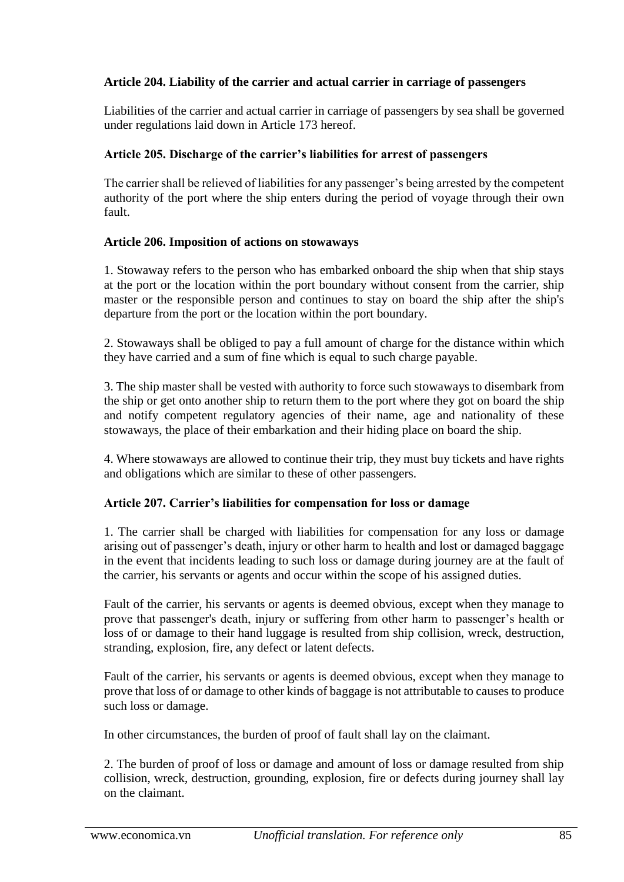## **Article 204. Liability of the carrier and actual carrier in carriage of passengers**

Liabilities of the carrier and actual carrier in carriage of passengers by sea shall be governed under regulations laid down in Article 173 hereof.

### **Article 205. Discharge of the carrier's liabilities for arrest of passengers**

The carrier shall be relieved of liabilities for any passenger's being arrested by the competent authority of the port where the ship enters during the period of voyage through their own fault.

#### **Article 206. Imposition of actions on stowaways**

1. Stowaway refers to the person who has embarked onboard the ship when that ship stays at the port or the location within the port boundary without consent from the carrier, ship master or the responsible person and continues to stay on board the ship after the ship's departure from the port or the location within the port boundary.

2. Stowaways shall be obliged to pay a full amount of charge for the distance within which they have carried and a sum of fine which is equal to such charge payable.

3. The ship master shall be vested with authority to force such stowaways to disembark from the ship or get onto another ship to return them to the port where they got on board the ship and notify competent regulatory agencies of their name, age and nationality of these stowaways, the place of their embarkation and their hiding place on board the ship.

4. Where stowaways are allowed to continue their trip, they must buy tickets and have rights and obligations which are similar to these of other passengers.

## **Article 207. Carrier's liabilities for compensation for loss or damage**

1. The carrier shall be charged with liabilities for compensation for any loss or damage arising out of passenger's death, injury or other harm to health and lost or damaged baggage in the event that incidents leading to such loss or damage during journey are at the fault of the carrier, his servants or agents and occur within the scope of his assigned duties.

Fault of the carrier, his servants or agents is deemed obvious, except when they manage to prove that passenger's death, injury or suffering from other harm to passenger's health or loss of or damage to their hand luggage is resulted from ship collision, wreck, destruction, stranding, explosion, fire, any defect or latent defects.

Fault of the carrier, his servants or agents is deemed obvious, except when they manage to prove that loss of or damage to other kinds of baggage is not attributable to causes to produce such loss or damage.

In other circumstances, the burden of proof of fault shall lay on the claimant.

2. The burden of proof of loss or damage and amount of loss or damage resulted from ship collision, wreck, destruction, grounding, explosion, fire or defects during journey shall lay on the claimant.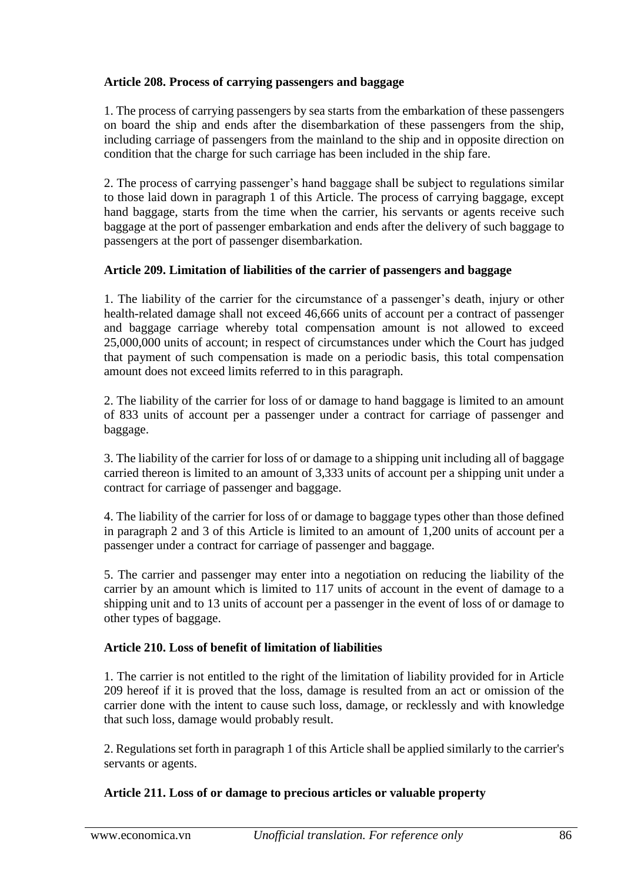## **Article 208. Process of carrying passengers and baggage**

1. The process of carrying passengers by sea starts from the embarkation of these passengers on board the ship and ends after the disembarkation of these passengers from the ship, including carriage of passengers from the mainland to the ship and in opposite direction on condition that the charge for such carriage has been included in the ship fare.

2. The process of carrying passenger's hand baggage shall be subject to regulations similar to those laid down in paragraph 1 of this Article. The process of carrying baggage, except hand baggage, starts from the time when the carrier, his servants or agents receive such baggage at the port of passenger embarkation and ends after the delivery of such baggage to passengers at the port of passenger disembarkation.

### **Article 209. Limitation of liabilities of the carrier of passengers and baggage**

1. The liability of the carrier for the circumstance of a passenger's death, injury or other health-related damage shall not exceed 46,666 units of account per a contract of passenger and baggage carriage whereby total compensation amount is not allowed to exceed 25,000,000 units of account; in respect of circumstances under which the Court has judged that payment of such compensation is made on a periodic basis, this total compensation amount does not exceed limits referred to in this paragraph.

2. The liability of the carrier for loss of or damage to hand baggage is limited to an amount of 833 units of account per a passenger under a contract for carriage of passenger and baggage.

3. The liability of the carrier for loss of or damage to a shipping unit including all of baggage carried thereon is limited to an amount of 3,333 units of account per a shipping unit under a contract for carriage of passenger and baggage.

4. The liability of the carrier for loss of or damage to baggage types other than those defined in paragraph 2 and 3 of this Article is limited to an amount of 1,200 units of account per a passenger under a contract for carriage of passenger and baggage.

5. The carrier and passenger may enter into a negotiation on reducing the liability of the carrier by an amount which is limited to 117 units of account in the event of damage to a shipping unit and to 13 units of account per a passenger in the event of loss of or damage to other types of baggage.

## **Article 210. Loss of benefit of limitation of liabilities**

1. The carrier is not entitled to the right of the limitation of liability provided for in Article 209 hereof if it is proved that the loss, damage is resulted from an act or omission of the carrier done with the intent to cause such loss, damage, or recklessly and with knowledge that such loss, damage would probably result.

2. Regulations set forth in paragraph 1 of this Article shall be applied similarly to the carrier's servants or agents.

## **Article 211. Loss of or damage to precious articles or valuable property**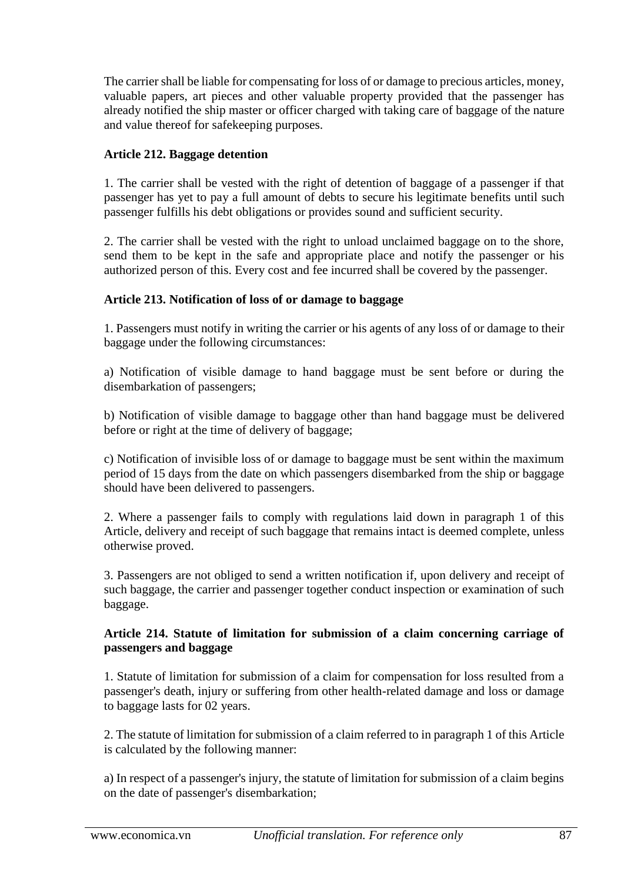The carrier shall be liable for compensating for loss of or damage to precious articles, money, valuable papers, art pieces and other valuable property provided that the passenger has already notified the ship master or officer charged with taking care of baggage of the nature and value thereof for safekeeping purposes.

### **Article 212. Baggage detention**

1. The carrier shall be vested with the right of detention of baggage of a passenger if that passenger has yet to pay a full amount of debts to secure his legitimate benefits until such passenger fulfills his debt obligations or provides sound and sufficient security.

2. The carrier shall be vested with the right to unload unclaimed baggage on to the shore, send them to be kept in the safe and appropriate place and notify the passenger or his authorized person of this. Every cost and fee incurred shall be covered by the passenger.

### **Article 213. Notification of loss of or damage to baggage**

1. Passengers must notify in writing the carrier or his agents of any loss of or damage to their baggage under the following circumstances:

a) Notification of visible damage to hand baggage must be sent before or during the disembarkation of passengers;

b) Notification of visible damage to baggage other than hand baggage must be delivered before or right at the time of delivery of baggage;

c) Notification of invisible loss of or damage to baggage must be sent within the maximum period of 15 days from the date on which passengers disembarked from the ship or baggage should have been delivered to passengers.

2. Where a passenger fails to comply with regulations laid down in paragraph 1 of this Article, delivery and receipt of such baggage that remains intact is deemed complete, unless otherwise proved.

3. Passengers are not obliged to send a written notification if, upon delivery and receipt of such baggage, the carrier and passenger together conduct inspection or examination of such baggage.

#### **Article 214. Statute of limitation for submission of a claim concerning carriage of passengers and baggage**

1. Statute of limitation for submission of a claim for compensation for loss resulted from a passenger's death, injury or suffering from other health-related damage and loss or damage to baggage lasts for 02 years.

2. The statute of limitation for submission of a claim referred to in paragraph 1 of this Article is calculated by the following manner:

a) In respect of a passenger's injury, the statute of limitation for submission of a claim begins on the date of passenger's disembarkation;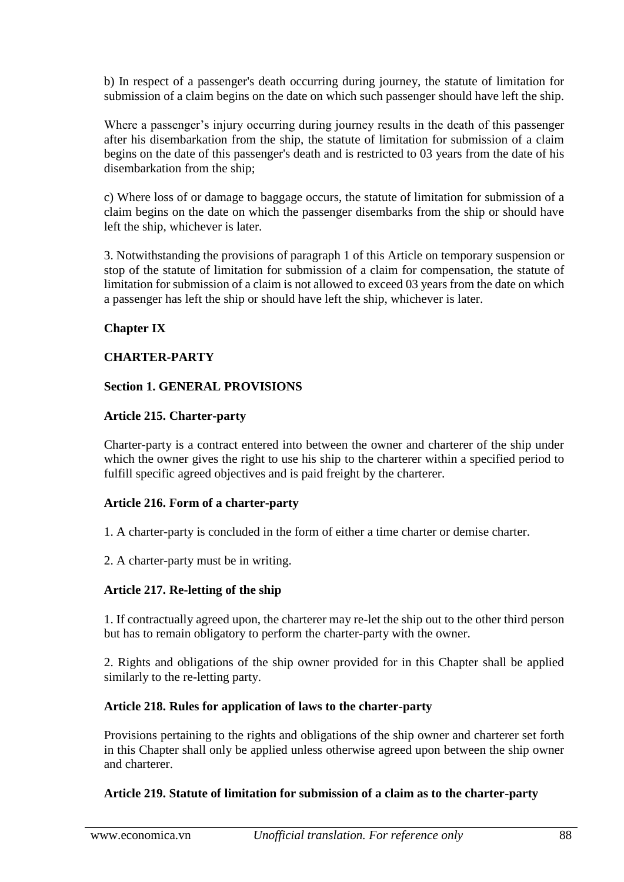b) In respect of a passenger's death occurring during journey, the statute of limitation for submission of a claim begins on the date on which such passenger should have left the ship.

Where a passenger's injury occurring during journey results in the death of this passenger after his disembarkation from the ship, the statute of limitation for submission of a claim begins on the date of this passenger's death and is restricted to 03 years from the date of his disembarkation from the ship;

c) Where loss of or damage to baggage occurs, the statute of limitation for submission of a claim begins on the date on which the passenger disembarks from the ship or should have left the ship, whichever is later.

3. Notwithstanding the provisions of paragraph 1 of this Article on temporary suspension or stop of the statute of limitation for submission of a claim for compensation, the statute of limitation for submission of a claim is not allowed to exceed 03 years from the date on which a passenger has left the ship or should have left the ship, whichever is later.

### **Chapter IX**

### **CHARTER-PARTY**

#### **Section 1. GENERAL PROVISIONS**

### **Article 215. Charter-party**

Charter-party is a contract entered into between the owner and charterer of the ship under which the owner gives the right to use his ship to the charterer within a specified period to fulfill specific agreed objectives and is paid freight by the charterer.

#### **Article 216. Form of a charter-party**

- 1. A charter-party is concluded in the form of either a time charter or demise charter.
- 2. A charter-party must be in writing.

## **Article 217. Re-letting of the ship**

1. If contractually agreed upon, the charterer may re-let the ship out to the other third person but has to remain obligatory to perform the charter-party with the owner.

2. Rights and obligations of the ship owner provided for in this Chapter shall be applied similarly to the re-letting party.

#### **Article 218. Rules for application of laws to the charter-party**

Provisions pertaining to the rights and obligations of the ship owner and charterer set forth in this Chapter shall only be applied unless otherwise agreed upon between the ship owner and charterer.

#### **Article 219. Statute of limitation for submission of a claim as to the charter-party**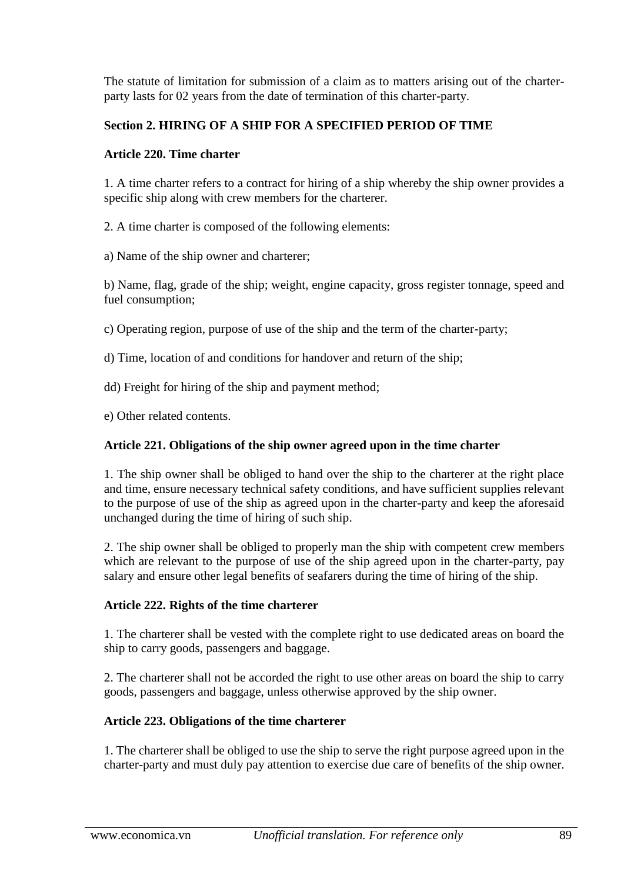The statute of limitation for submission of a claim as to matters arising out of the charterparty lasts for 02 years from the date of termination of this charter-party.

# **Section 2. HIRING OF A SHIP FOR A SPECIFIED PERIOD OF TIME**

### **Article 220. Time charter**

1. A time charter refers to a contract for hiring of a ship whereby the ship owner provides a specific ship along with crew members for the charterer.

2. A time charter is composed of the following elements:

a) Name of the ship owner and charterer;

b) Name, flag, grade of the ship; weight, engine capacity, gross register tonnage, speed and fuel consumption;

c) Operating region, purpose of use of the ship and the term of the charter-party;

d) Time, location of and conditions for handover and return of the ship;

dd) Freight for hiring of the ship and payment method;

e) Other related contents.

### **Article 221. Obligations of the ship owner agreed upon in the time charter**

1. The ship owner shall be obliged to hand over the ship to the charterer at the right place and time, ensure necessary technical safety conditions, and have sufficient supplies relevant to the purpose of use of the ship as agreed upon in the charter-party and keep the aforesaid unchanged during the time of hiring of such ship.

2. The ship owner shall be obliged to properly man the ship with competent crew members which are relevant to the purpose of use of the ship agreed upon in the charter-party, pay salary and ensure other legal benefits of seafarers during the time of hiring of the ship.

#### **Article 222. Rights of the time charterer**

1. The charterer shall be vested with the complete right to use dedicated areas on board the ship to carry goods, passengers and baggage.

2. The charterer shall not be accorded the right to use other areas on board the ship to carry goods, passengers and baggage, unless otherwise approved by the ship owner.

## **Article 223. Obligations of the time charterer**

1. The charterer shall be obliged to use the ship to serve the right purpose agreed upon in the charter-party and must duly pay attention to exercise due care of benefits of the ship owner.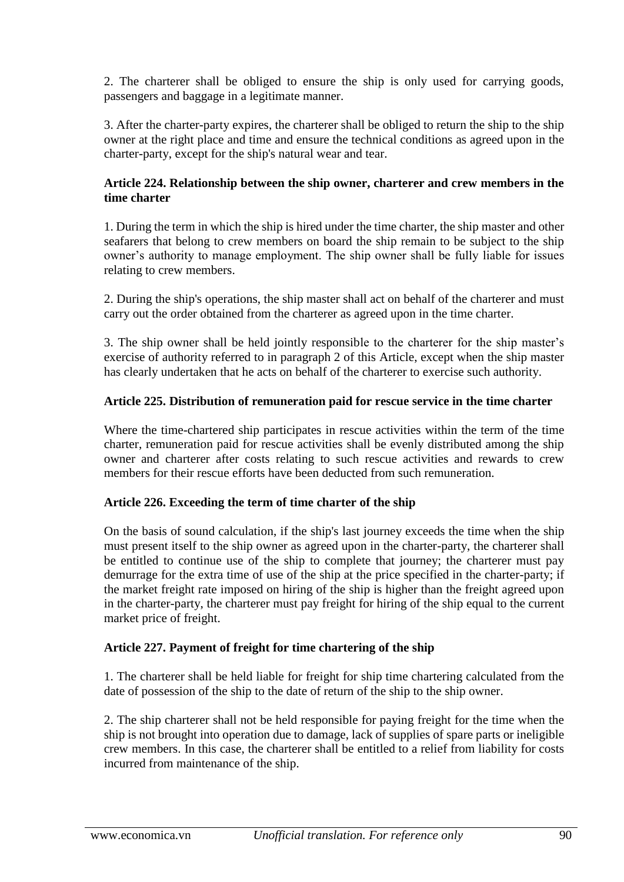2. The charterer shall be obliged to ensure the ship is only used for carrying goods, passengers and baggage in a legitimate manner.

3. After the charter-party expires, the charterer shall be obliged to return the ship to the ship owner at the right place and time and ensure the technical conditions as agreed upon in the charter-party, except for the ship's natural wear and tear.

### **Article 224. Relationship between the ship owner, charterer and crew members in the time charter**

1. During the term in which the ship is hired under the time charter, the ship master and other seafarers that belong to crew members on board the ship remain to be subject to the ship owner's authority to manage employment. The ship owner shall be fully liable for issues relating to crew members.

2. During the ship's operations, the ship master shall act on behalf of the charterer and must carry out the order obtained from the charterer as agreed upon in the time charter.

3. The ship owner shall be held jointly responsible to the charterer for the ship master's exercise of authority referred to in paragraph 2 of this Article, except when the ship master has clearly undertaken that he acts on behalf of the charterer to exercise such authority.

### **Article 225. Distribution of remuneration paid for rescue service in the time charter**

Where the time-chartered ship participates in rescue activities within the term of the time charter, remuneration paid for rescue activities shall be evenly distributed among the ship owner and charterer after costs relating to such rescue activities and rewards to crew members for their rescue efforts have been deducted from such remuneration.

#### **Article 226. Exceeding the term of time charter of the ship**

On the basis of sound calculation, if the ship's last journey exceeds the time when the ship must present itself to the ship owner as agreed upon in the charter-party, the charterer shall be entitled to continue use of the ship to complete that journey; the charterer must pay demurrage for the extra time of use of the ship at the price specified in the charter-party; if the market freight rate imposed on hiring of the ship is higher than the freight agreed upon in the charter-party, the charterer must pay freight for hiring of the ship equal to the current market price of freight.

## **Article 227. Payment of freight for time chartering of the ship**

1. The charterer shall be held liable for freight for ship time chartering calculated from the date of possession of the ship to the date of return of the ship to the ship owner.

2. The ship charterer shall not be held responsible for paying freight for the time when the ship is not brought into operation due to damage, lack of supplies of spare parts or ineligible crew members. In this case, the charterer shall be entitled to a relief from liability for costs incurred from maintenance of the ship.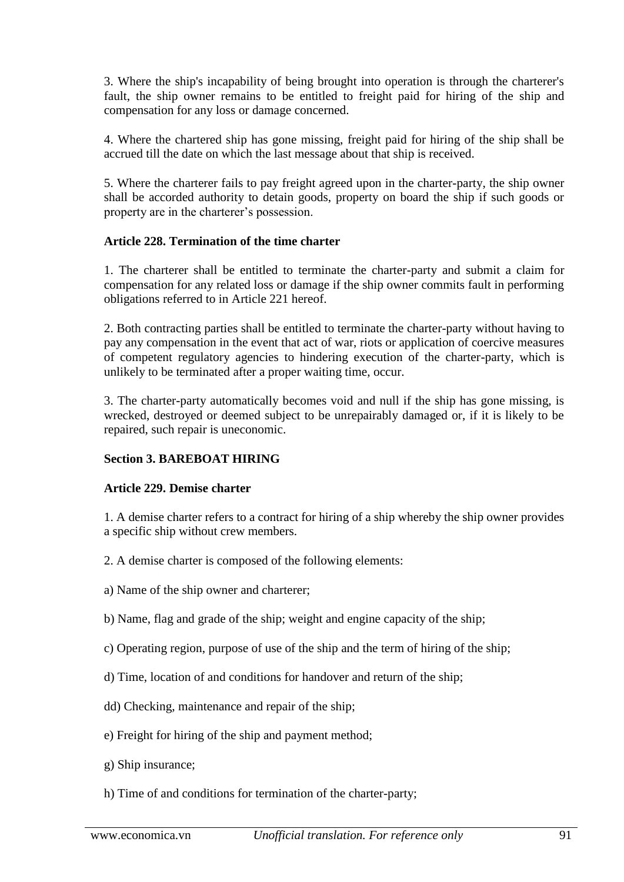3. Where the ship's incapability of being brought into operation is through the charterer's fault, the ship owner remains to be entitled to freight paid for hiring of the ship and compensation for any loss or damage concerned.

4. Where the chartered ship has gone missing, freight paid for hiring of the ship shall be accrued till the date on which the last message about that ship is received.

5. Where the charterer fails to pay freight agreed upon in the charter-party, the ship owner shall be accorded authority to detain goods, property on board the ship if such goods or property are in the charterer's possession.

### **Article 228. Termination of the time charter**

1. The charterer shall be entitled to terminate the charter-party and submit a claim for compensation for any related loss or damage if the ship owner commits fault in performing obligations referred to in Article 221 hereof.

2. Both contracting parties shall be entitled to terminate the charter-party without having to pay any compensation in the event that act of war, riots or application of coercive measures of competent regulatory agencies to hindering execution of the charter-party, which is unlikely to be terminated after a proper waiting time, occur.

3. The charter-party automatically becomes void and null if the ship has gone missing, is wrecked, destroyed or deemed subject to be unrepairably damaged or, if it is likely to be repaired, such repair is uneconomic.

#### **Section 3. BAREBOAT HIRING**

#### **Article 229. Demise charter**

1. A demise charter refers to a contract for hiring of a ship whereby the ship owner provides a specific ship without crew members.

- 2. A demise charter is composed of the following elements:
- a) Name of the ship owner and charterer;
- b) Name, flag and grade of the ship; weight and engine capacity of the ship;
- c) Operating region, purpose of use of the ship and the term of hiring of the ship;
- d) Time, location of and conditions for handover and return of the ship;
- dd) Checking, maintenance and repair of the ship;
- e) Freight for hiring of the ship and payment method;
- g) Ship insurance;
- h) Time of and conditions for termination of the charter-party;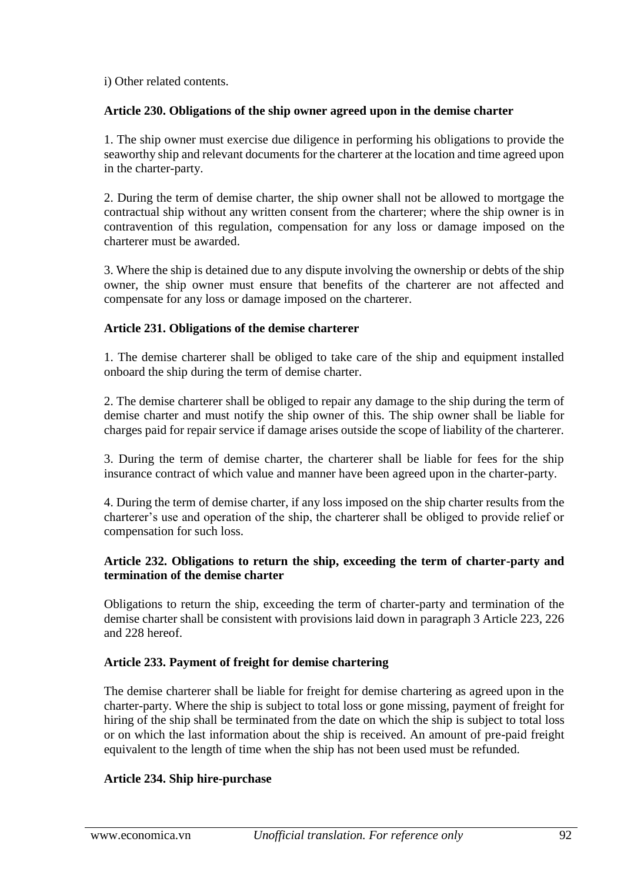i) Other related contents.

### **Article 230. Obligations of the ship owner agreed upon in the demise charter**

1. The ship owner must exercise due diligence in performing his obligations to provide the seaworthy ship and relevant documents for the charterer at the location and time agreed upon in the charter-party.

2. During the term of demise charter, the ship owner shall not be allowed to mortgage the contractual ship without any written consent from the charterer; where the ship owner is in contravention of this regulation, compensation for any loss or damage imposed on the charterer must be awarded.

3. Where the ship is detained due to any dispute involving the ownership or debts of the ship owner, the ship owner must ensure that benefits of the charterer are not affected and compensate for any loss or damage imposed on the charterer.

### **Article 231. Obligations of the demise charterer**

1. The demise charterer shall be obliged to take care of the ship and equipment installed onboard the ship during the term of demise charter.

2. The demise charterer shall be obliged to repair any damage to the ship during the term of demise charter and must notify the ship owner of this. The ship owner shall be liable for charges paid for repair service if damage arises outside the scope of liability of the charterer.

3. During the term of demise charter, the charterer shall be liable for fees for the ship insurance contract of which value and manner have been agreed upon in the charter-party.

4. During the term of demise charter, if any loss imposed on the ship charter results from the charterer's use and operation of the ship, the charterer shall be obliged to provide relief or compensation for such loss.

### **Article 232. Obligations to return the ship, exceeding the term of charter-party and termination of the demise charter**

Obligations to return the ship, exceeding the term of charter-party and termination of the demise charter shall be consistent with provisions laid down in paragraph 3 Article 223, 226 and 228 hereof.

## **Article 233. Payment of freight for demise chartering**

The demise charterer shall be liable for freight for demise chartering as agreed upon in the charter-party. Where the ship is subject to total loss or gone missing, payment of freight for hiring of the ship shall be terminated from the date on which the ship is subject to total loss or on which the last information about the ship is received. An amount of pre-paid freight equivalent to the length of time when the ship has not been used must be refunded.

## **Article 234. Ship hire-purchase**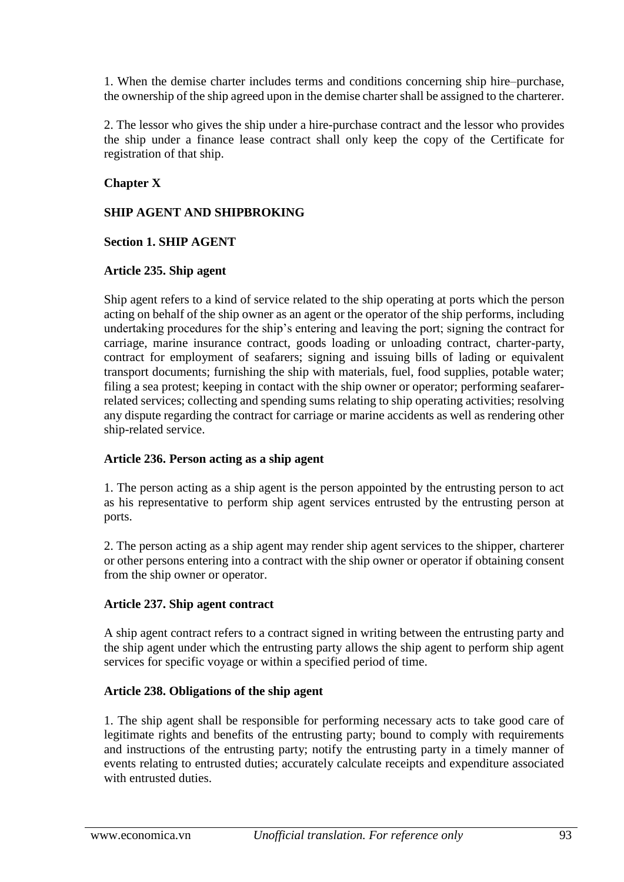1. When the demise charter includes terms and conditions concerning ship hire–purchase, the ownership of the ship agreed upon in the demise charter shall be assigned to the charterer.

2. The lessor who gives the ship under a hire-purchase contract and the lessor who provides the ship under a finance lease contract shall only keep the copy of the Certificate for registration of that ship.

## **Chapter X**

### **SHIP AGENT AND SHIPBROKING**

#### **Section 1. SHIP AGENT**

#### **Article 235. Ship agent**

Ship agent refers to a kind of service related to the ship operating at ports which the person acting on behalf of the ship owner as an agent or the operator of the ship performs, including undertaking procedures for the ship's entering and leaving the port; signing the contract for carriage, marine insurance contract, goods loading or unloading contract, charter-party, contract for employment of seafarers; signing and issuing bills of lading or equivalent transport documents; furnishing the ship with materials, fuel, food supplies, potable water; filing a sea protest; keeping in contact with the ship owner or operator; performing seafarerrelated services; collecting and spending sums relating to ship operating activities; resolving any dispute regarding the contract for carriage or marine accidents as well as rendering other ship-related service.

#### **Article 236. Person acting as a ship agent**

1. The person acting as a ship agent is the person appointed by the entrusting person to act as his representative to perform ship agent services entrusted by the entrusting person at ports.

2. The person acting as a ship agent may render ship agent services to the shipper, charterer or other persons entering into a contract with the ship owner or operator if obtaining consent from the ship owner or operator.

#### **Article 237. Ship agent contract**

A ship agent contract refers to a contract signed in writing between the entrusting party and the ship agent under which the entrusting party allows the ship agent to perform ship agent services for specific voyage or within a specified period of time.

#### **Article 238. Obligations of the ship agent**

1. The ship agent shall be responsible for performing necessary acts to take good care of legitimate rights and benefits of the entrusting party; bound to comply with requirements and instructions of the entrusting party; notify the entrusting party in a timely manner of events relating to entrusted duties; accurately calculate receipts and expenditure associated with entrusted duties.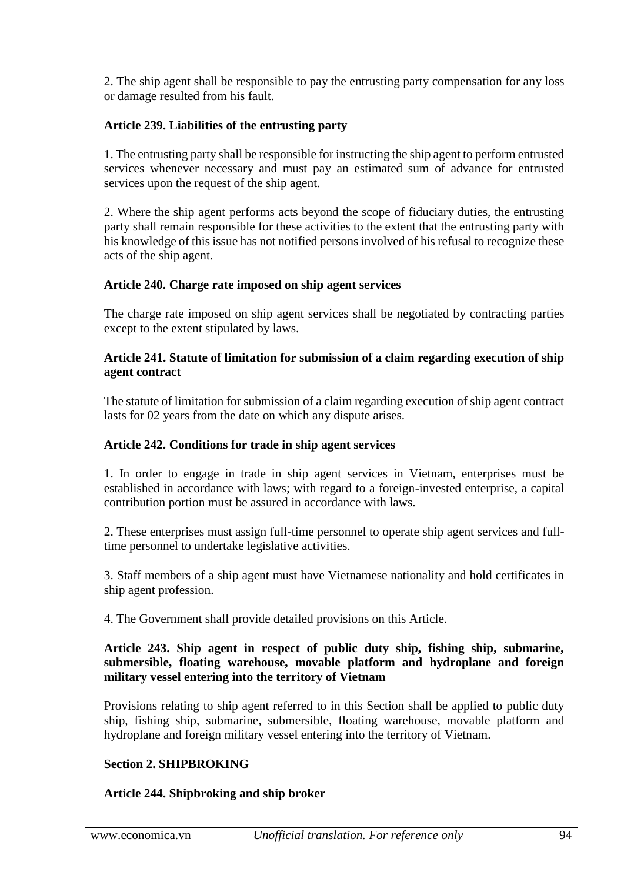2. The ship agent shall be responsible to pay the entrusting party compensation for any loss or damage resulted from his fault.

## **Article 239. Liabilities of the entrusting party**

1. The entrusting party shall be responsible for instructing the ship agent to perform entrusted services whenever necessary and must pay an estimated sum of advance for entrusted services upon the request of the ship agent.

2. Where the ship agent performs acts beyond the scope of fiduciary duties, the entrusting party shall remain responsible for these activities to the extent that the entrusting party with his knowledge of this issue has not notified persons involved of his refusal to recognize these acts of the ship agent.

#### **Article 240. Charge rate imposed on ship agent services**

The charge rate imposed on ship agent services shall be negotiated by contracting parties except to the extent stipulated by laws.

#### **Article 241. Statute of limitation for submission of a claim regarding execution of ship agent contract**

The statute of limitation for submission of a claim regarding execution of ship agent contract lasts for 02 years from the date on which any dispute arises.

#### **Article 242. Conditions for trade in ship agent services**

1. In order to engage in trade in ship agent services in Vietnam, enterprises must be established in accordance with laws; with regard to a foreign-invested enterprise, a capital contribution portion must be assured in accordance with laws.

2. These enterprises must assign full-time personnel to operate ship agent services and fulltime personnel to undertake legislative activities.

3. Staff members of a ship agent must have Vietnamese nationality and hold certificates in ship agent profession.

4. The Government shall provide detailed provisions on this Article.

#### **Article 243. Ship agent in respect of public duty ship, fishing ship, submarine, submersible, floating warehouse, movable platform and hydroplane and foreign military vessel entering into the territory of Vietnam**

Provisions relating to ship agent referred to in this Section shall be applied to public duty ship, fishing ship, submarine, submersible, floating warehouse, movable platform and hydroplane and foreign military vessel entering into the territory of Vietnam.

#### **Section 2. SHIPBROKING**

#### **Article 244. Shipbroking and ship broker**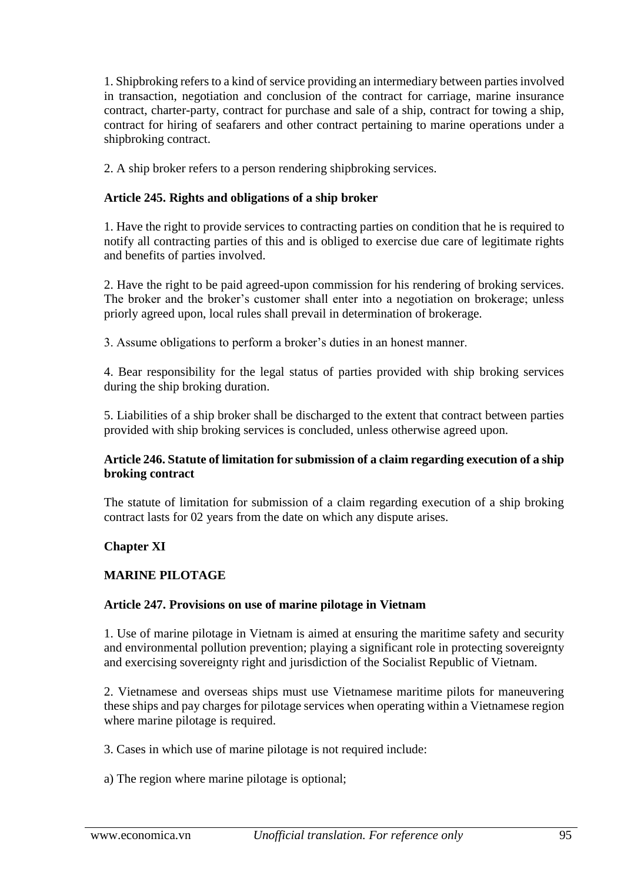1. Shipbroking refers to a kind of service providing an intermediary between parties involved in transaction, negotiation and conclusion of the contract for carriage, marine insurance contract, charter-party, contract for purchase and sale of a ship, contract for towing a ship, contract for hiring of seafarers and other contract pertaining to marine operations under a shipbroking contract.

2. A ship broker refers to a person rendering shipbroking services.

## **Article 245. Rights and obligations of a ship broker**

1. Have the right to provide services to contracting parties on condition that he is required to notify all contracting parties of this and is obliged to exercise due care of legitimate rights and benefits of parties involved.

2. Have the right to be paid agreed-upon commission for his rendering of broking services. The broker and the broker's customer shall enter into a negotiation on brokerage; unless priorly agreed upon, local rules shall prevail in determination of brokerage.

3. Assume obligations to perform a broker's duties in an honest manner.

4. Bear responsibility for the legal status of parties provided with ship broking services during the ship broking duration.

5. Liabilities of a ship broker shall be discharged to the extent that contract between parties provided with ship broking services is concluded, unless otherwise agreed upon.

#### **Article 246. Statute of limitation for submission of a claim regarding execution of a ship broking contract**

The statute of limitation for submission of a claim regarding execution of a ship broking contract lasts for 02 years from the date on which any dispute arises.

#### **Chapter XI**

## **MARINE PILOTAGE**

#### **Article 247. Provisions on use of marine pilotage in Vietnam**

1. Use of marine pilotage in Vietnam is aimed at ensuring the maritime safety and security and environmental pollution prevention; playing a significant role in protecting sovereignty and exercising sovereignty right and jurisdiction of the Socialist Republic of Vietnam.

2. Vietnamese and overseas ships must use Vietnamese maritime pilots for maneuvering these ships and pay charges for pilotage services when operating within a Vietnamese region where marine pilotage is required.

- 3. Cases in which use of marine pilotage is not required include:
- a) The region where marine pilotage is optional;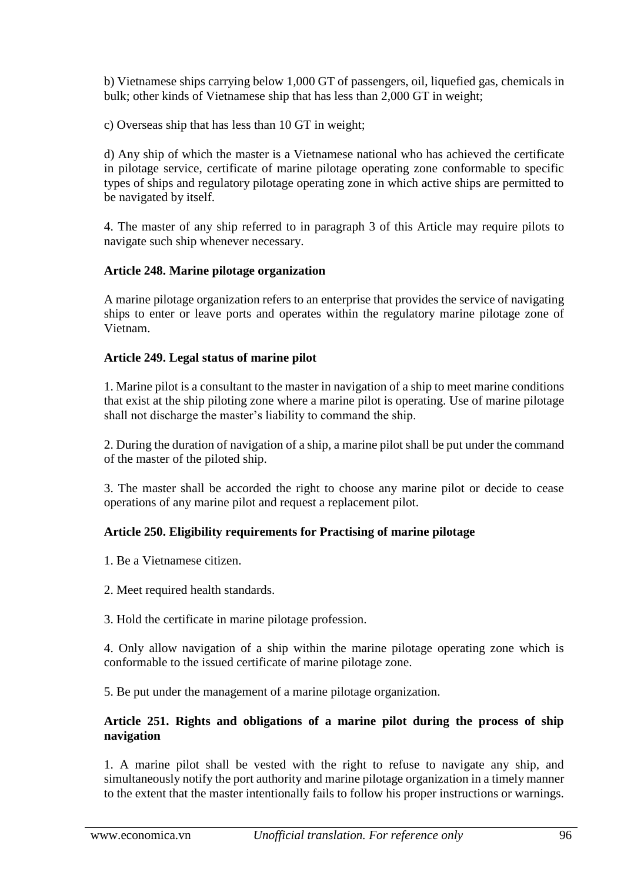b) Vietnamese ships carrying below 1,000 GT of passengers, oil, liquefied gas, chemicals in bulk; other kinds of Vietnamese ship that has less than 2,000 GT in weight;

c) Overseas ship that has less than 10 GT in weight;

d) Any ship of which the master is a Vietnamese national who has achieved the certificate in pilotage service, certificate of marine pilotage operating zone conformable to specific types of ships and regulatory pilotage operating zone in which active ships are permitted to be navigated by itself.

4. The master of any ship referred to in paragraph 3 of this Article may require pilots to navigate such ship whenever necessary.

### **Article 248. Marine pilotage organization**

A marine pilotage organization refers to an enterprise that provides the service of navigating ships to enter or leave ports and operates within the regulatory marine pilotage zone of Vietnam.

### **Article 249. Legal status of marine pilot**

1. Marine pilot is a consultant to the master in navigation of a ship to meet marine conditions that exist at the ship piloting zone where a marine pilot is operating. Use of marine pilotage shall not discharge the master's liability to command the ship.

2. During the duration of navigation of a ship, a marine pilot shall be put under the command of the master of the piloted ship.

3. The master shall be accorded the right to choose any marine pilot or decide to cease operations of any marine pilot and request a replacement pilot.

## **Article 250. Eligibility requirements for Practising of marine pilotage**

- 1. Be a Vietnamese citizen.
- 2. Meet required health standards.
- 3. Hold the certificate in marine pilotage profession.

4. Only allow navigation of a ship within the marine pilotage operating zone which is conformable to the issued certificate of marine pilotage zone.

5. Be put under the management of a marine pilotage organization.

#### **Article 251. Rights and obligations of a marine pilot during the process of ship navigation**

1. A marine pilot shall be vested with the right to refuse to navigate any ship, and simultaneously notify the port authority and marine pilotage organization in a timely manner to the extent that the master intentionally fails to follow his proper instructions or warnings.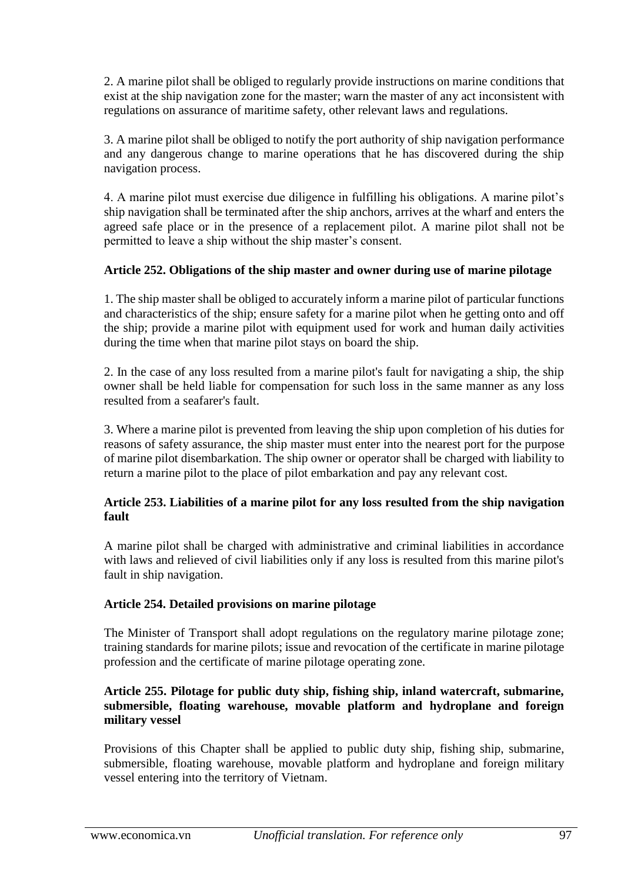2. A marine pilot shall be obliged to regularly provide instructions on marine conditions that exist at the ship navigation zone for the master; warn the master of any act inconsistent with regulations on assurance of maritime safety, other relevant laws and regulations.

3. A marine pilot shall be obliged to notify the port authority of ship navigation performance and any dangerous change to marine operations that he has discovered during the ship navigation process.

4. A marine pilot must exercise due diligence in fulfilling his obligations. A marine pilot's ship navigation shall be terminated after the ship anchors, arrives at the wharf and enters the agreed safe place or in the presence of a replacement pilot. A marine pilot shall not be permitted to leave a ship without the ship master's consent.

## **Article 252. Obligations of the ship master and owner during use of marine pilotage**

1. The ship master shall be obliged to accurately inform a marine pilot of particular functions and characteristics of the ship; ensure safety for a marine pilot when he getting onto and off the ship; provide a marine pilot with equipment used for work and human daily activities during the time when that marine pilot stays on board the ship.

2. In the case of any loss resulted from a marine pilot's fault for navigating a ship, the ship owner shall be held liable for compensation for such loss in the same manner as any loss resulted from a seafarer's fault.

3. Where a marine pilot is prevented from leaving the ship upon completion of his duties for reasons of safety assurance, the ship master must enter into the nearest port for the purpose of marine pilot disembarkation. The ship owner or operator shall be charged with liability to return a marine pilot to the place of pilot embarkation and pay any relevant cost.

### **Article 253. Liabilities of a marine pilot for any loss resulted from the ship navigation fault**

A marine pilot shall be charged with administrative and criminal liabilities in accordance with laws and relieved of civil liabilities only if any loss is resulted from this marine pilot's fault in ship navigation.

## **Article 254. Detailed provisions on marine pilotage**

The Minister of Transport shall adopt regulations on the regulatory marine pilotage zone; training standards for marine pilots; issue and revocation of the certificate in marine pilotage profession and the certificate of marine pilotage operating zone.

### **Article 255. Pilotage for public duty ship, fishing ship, inland watercraft, submarine, submersible, floating warehouse, movable platform and hydroplane and foreign military vessel**

Provisions of this Chapter shall be applied to public duty ship, fishing ship, submarine, submersible, floating warehouse, movable platform and hydroplane and foreign military vessel entering into the territory of Vietnam.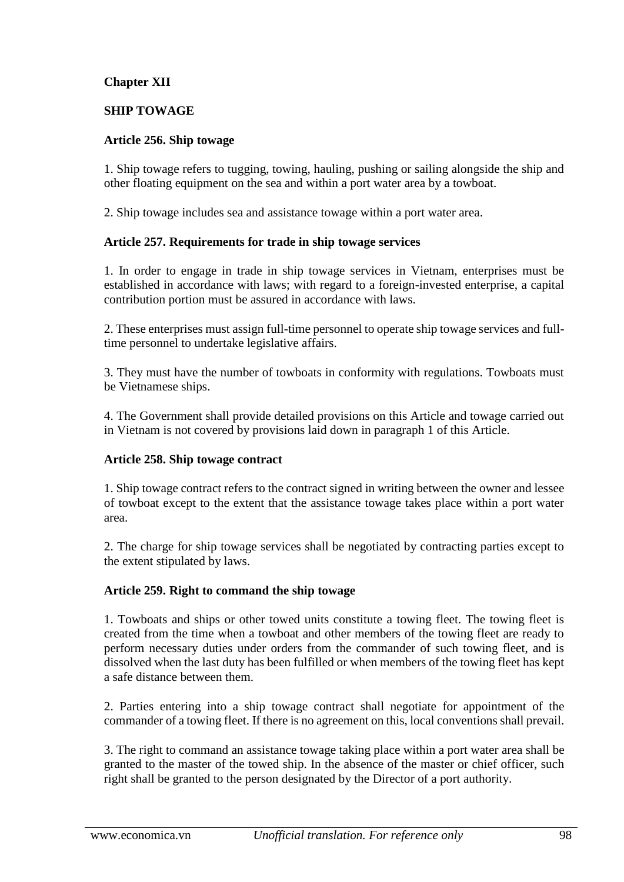## **Chapter XII**

### **SHIP TOWAGE**

#### **Article 256. Ship towage**

1. Ship towage refers to tugging, towing, hauling, pushing or sailing alongside the ship and other floating equipment on the sea and within a port water area by a towboat.

2. Ship towage includes sea and assistance towage within a port water area.

#### **Article 257. Requirements for trade in ship towage services**

1. In order to engage in trade in ship towage services in Vietnam, enterprises must be established in accordance with laws; with regard to a foreign-invested enterprise, a capital contribution portion must be assured in accordance with laws.

2. These enterprises must assign full-time personnel to operate ship towage services and fulltime personnel to undertake legislative affairs.

3. They must have the number of towboats in conformity with regulations. Towboats must be Vietnamese ships.

4. The Government shall provide detailed provisions on this Article and towage carried out in Vietnam is not covered by provisions laid down in paragraph 1 of this Article.

#### **Article 258. Ship towage contract**

1. Ship towage contract refers to the contract signed in writing between the owner and lessee of towboat except to the extent that the assistance towage takes place within a port water area.

2. The charge for ship towage services shall be negotiated by contracting parties except to the extent stipulated by laws.

#### **Article 259. Right to command the ship towage**

1. Towboats and ships or other towed units constitute a towing fleet. The towing fleet is created from the time when a towboat and other members of the towing fleet are ready to perform necessary duties under orders from the commander of such towing fleet, and is dissolved when the last duty has been fulfilled or when members of the towing fleet has kept a safe distance between them.

2. Parties entering into a ship towage contract shall negotiate for appointment of the commander of a towing fleet. If there is no agreement on this, local conventions shall prevail.

3. The right to command an assistance towage taking place within a port water area shall be granted to the master of the towed ship. In the absence of the master or chief officer, such right shall be granted to the person designated by the Director of a port authority.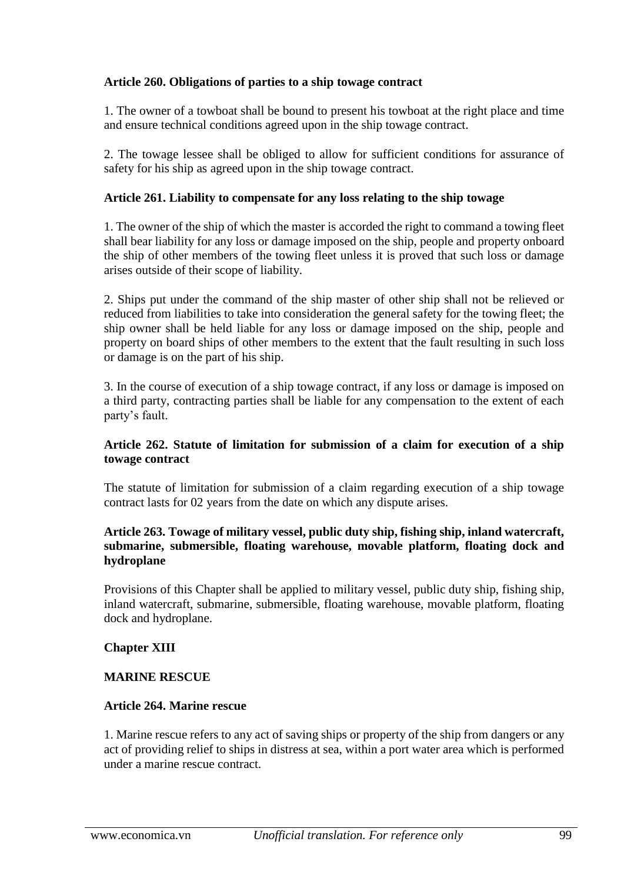### **Article 260. Obligations of parties to a ship towage contract**

1. The owner of a towboat shall be bound to present his towboat at the right place and time and ensure technical conditions agreed upon in the ship towage contract.

2. The towage lessee shall be obliged to allow for sufficient conditions for assurance of safety for his ship as agreed upon in the ship towage contract.

### **Article 261. Liability to compensate for any loss relating to the ship towage**

1. The owner of the ship of which the master is accorded the right to command a towing fleet shall bear liability for any loss or damage imposed on the ship, people and property onboard the ship of other members of the towing fleet unless it is proved that such loss or damage arises outside of their scope of liability.

2. Ships put under the command of the ship master of other ship shall not be relieved or reduced from liabilities to take into consideration the general safety for the towing fleet; the ship owner shall be held liable for any loss or damage imposed on the ship, people and property on board ships of other members to the extent that the fault resulting in such loss or damage is on the part of his ship.

3. In the course of execution of a ship towage contract, if any loss or damage is imposed on a third party, contracting parties shall be liable for any compensation to the extent of each party's fault.

### **Article 262. Statute of limitation for submission of a claim for execution of a ship towage contract**

The statute of limitation for submission of a claim regarding execution of a ship towage contract lasts for 02 years from the date on which any dispute arises.

#### **Article 263. Towage of military vessel, public duty ship, fishing ship, inland watercraft, submarine, submersible, floating warehouse, movable platform, floating dock and hydroplane**

Provisions of this Chapter shall be applied to military vessel, public duty ship, fishing ship, inland watercraft, submarine, submersible, floating warehouse, movable platform, floating dock and hydroplane.

#### **Chapter XIII**

#### **MARINE RESCUE**

#### **Article 264. Marine rescue**

1. Marine rescue refers to any act of saving ships or property of the ship from dangers or any act of providing relief to ships in distress at sea, within a port water area which is performed under a marine rescue contract.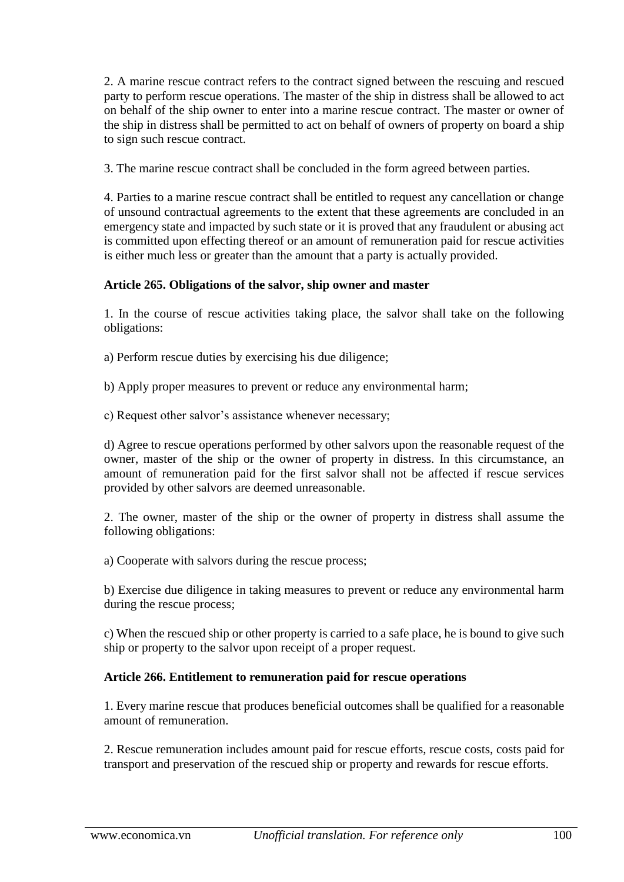2. A marine rescue contract refers to the contract signed between the rescuing and rescued party to perform rescue operations. The master of the ship in distress shall be allowed to act on behalf of the ship owner to enter into a marine rescue contract. The master or owner of the ship in distress shall be permitted to act on behalf of owners of property on board a ship to sign such rescue contract.

3. The marine rescue contract shall be concluded in the form agreed between parties.

4. Parties to a marine rescue contract shall be entitled to request any cancellation or change of unsound contractual agreements to the extent that these agreements are concluded in an emergency state and impacted by such state or it is proved that any fraudulent or abusing act is committed upon effecting thereof or an amount of remuneration paid for rescue activities is either much less or greater than the amount that a party is actually provided.

### **Article 265. Obligations of the salvor, ship owner and master**

1. In the course of rescue activities taking place, the salvor shall take on the following obligations:

a) Perform rescue duties by exercising his due diligence;

b) Apply proper measures to prevent or reduce any environmental harm;

c) Request other salvor's assistance whenever necessary;

d) Agree to rescue operations performed by other salvors upon the reasonable request of the owner, master of the ship or the owner of property in distress. In this circumstance, an amount of remuneration paid for the first salvor shall not be affected if rescue services provided by other salvors are deemed unreasonable.

2. The owner, master of the ship or the owner of property in distress shall assume the following obligations:

a) Cooperate with salvors during the rescue process;

b) Exercise due diligence in taking measures to prevent or reduce any environmental harm during the rescue process;

c) When the rescued ship or other property is carried to a safe place, he is bound to give such ship or property to the salvor upon receipt of a proper request.

## **Article 266. Entitlement to remuneration paid for rescue operations**

1. Every marine rescue that produces beneficial outcomes shall be qualified for a reasonable amount of remuneration.

2. Rescue remuneration includes amount paid for rescue efforts, rescue costs, costs paid for transport and preservation of the rescued ship or property and rewards for rescue efforts.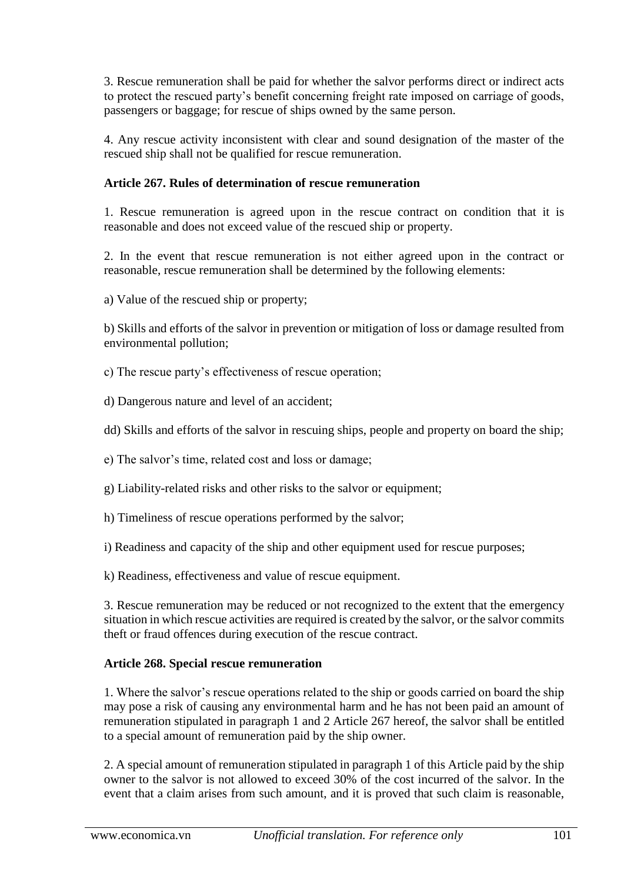3. Rescue remuneration shall be paid for whether the salvor performs direct or indirect acts to protect the rescued party's benefit concerning freight rate imposed on carriage of goods, passengers or baggage; for rescue of ships owned by the same person.

4. Any rescue activity inconsistent with clear and sound designation of the master of the rescued ship shall not be qualified for rescue remuneration.

### **Article 267. Rules of determination of rescue remuneration**

1. Rescue remuneration is agreed upon in the rescue contract on condition that it is reasonable and does not exceed value of the rescued ship or property.

2. In the event that rescue remuneration is not either agreed upon in the contract or reasonable, rescue remuneration shall be determined by the following elements:

a) Value of the rescued ship or property;

b) Skills and efforts of the salvor in prevention or mitigation of loss or damage resulted from environmental pollution;

c) The rescue party's effectiveness of rescue operation;

d) Dangerous nature and level of an accident;

dd) Skills and efforts of the salvor in rescuing ships, people and property on board the ship;

e) The salvor's time, related cost and loss or damage;

- g) Liability-related risks and other risks to the salvor or equipment;
- h) Timeliness of rescue operations performed by the salvor;

i) Readiness and capacity of the ship and other equipment used for rescue purposes;

k) Readiness, effectiveness and value of rescue equipment.

3. Rescue remuneration may be reduced or not recognized to the extent that the emergency situation in which rescue activities are required is created by the salvor, or the salvor commits theft or fraud offences during execution of the rescue contract.

#### **Article 268. Special rescue remuneration**

1. Where the salvor's rescue operations related to the ship or goods carried on board the ship may pose a risk of causing any environmental harm and he has not been paid an amount of remuneration stipulated in paragraph 1 and 2 Article 267 hereof, the salvor shall be entitled to a special amount of remuneration paid by the ship owner.

2. A special amount of remuneration stipulated in paragraph 1 of this Article paid by the ship owner to the salvor is not allowed to exceed 30% of the cost incurred of the salvor. In the event that a claim arises from such amount, and it is proved that such claim is reasonable,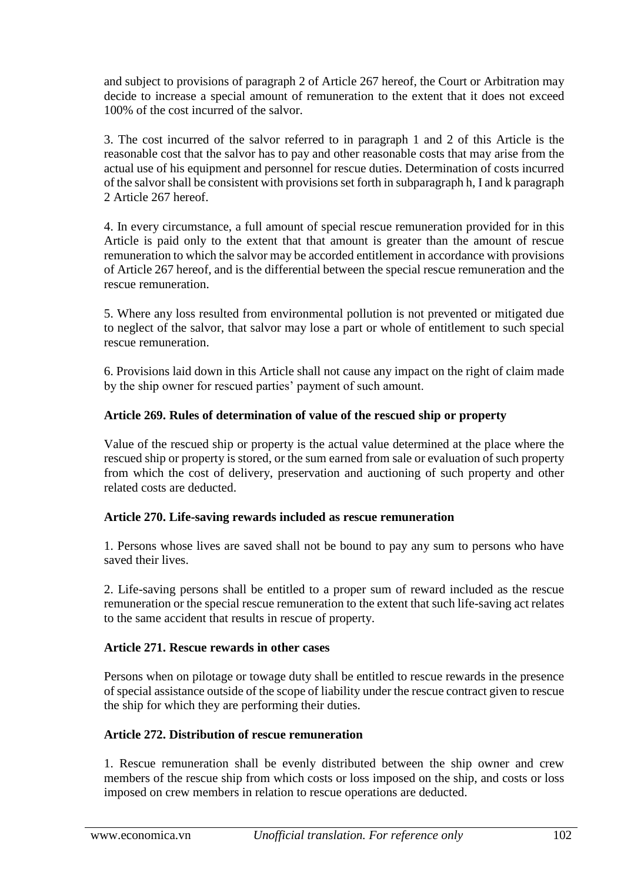and subject to provisions of paragraph 2 of Article 267 hereof, the Court or Arbitration may decide to increase a special amount of remuneration to the extent that it does not exceed 100% of the cost incurred of the salvor.

3. The cost incurred of the salvor referred to in paragraph 1 and 2 of this Article is the reasonable cost that the salvor has to pay and other reasonable costs that may arise from the actual use of his equipment and personnel for rescue duties. Determination of costs incurred of the salvor shall be consistent with provisions set forth in subparagraph h, I and k paragraph 2 Article 267 hereof.

4. In every circumstance, a full amount of special rescue remuneration provided for in this Article is paid only to the extent that that amount is greater than the amount of rescue remuneration to which the salvor may be accorded entitlement in accordance with provisions of Article 267 hereof, and is the differential between the special rescue remuneration and the rescue remuneration.

5. Where any loss resulted from environmental pollution is not prevented or mitigated due to neglect of the salvor, that salvor may lose a part or whole of entitlement to such special rescue remuneration.

6. Provisions laid down in this Article shall not cause any impact on the right of claim made by the ship owner for rescued parties' payment of such amount.

## **Article 269. Rules of determination of value of the rescued ship or property**

Value of the rescued ship or property is the actual value determined at the place where the rescued ship or property is stored, or the sum earned from sale or evaluation of such property from which the cost of delivery, preservation and auctioning of such property and other related costs are deducted.

#### **Article 270. Life-saving rewards included as rescue remuneration**

1. Persons whose lives are saved shall not be bound to pay any sum to persons who have saved their lives.

2. Life-saving persons shall be entitled to a proper sum of reward included as the rescue remuneration or the special rescue remuneration to the extent that such life-saving act relates to the same accident that results in rescue of property.

#### **Article 271. Rescue rewards in other cases**

Persons when on pilotage or towage duty shall be entitled to rescue rewards in the presence of special assistance outside of the scope of liability under the rescue contract given to rescue the ship for which they are performing their duties.

#### **Article 272. Distribution of rescue remuneration**

1. Rescue remuneration shall be evenly distributed between the ship owner and crew members of the rescue ship from which costs or loss imposed on the ship, and costs or loss imposed on crew members in relation to rescue operations are deducted.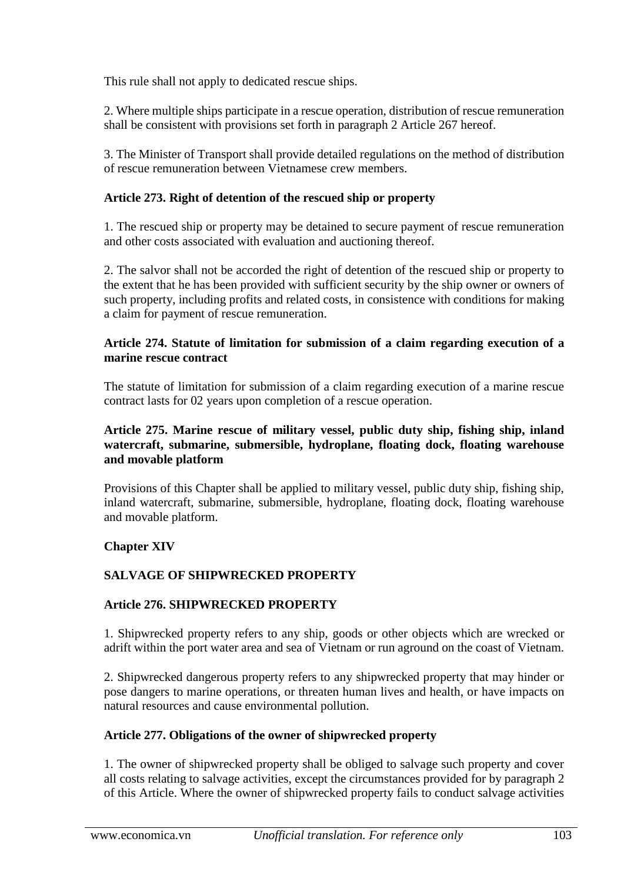This rule shall not apply to dedicated rescue ships.

2. Where multiple ships participate in a rescue operation, distribution of rescue remuneration shall be consistent with provisions set forth in paragraph 2 Article 267 hereof.

3. The Minister of Transport shall provide detailed regulations on the method of distribution of rescue remuneration between Vietnamese crew members.

## **Article 273. Right of detention of the rescued ship or property**

1. The rescued ship or property may be detained to secure payment of rescue remuneration and other costs associated with evaluation and auctioning thereof.

2. The salvor shall not be accorded the right of detention of the rescued ship or property to the extent that he has been provided with sufficient security by the ship owner or owners of such property, including profits and related costs, in consistence with conditions for making a claim for payment of rescue remuneration.

### **Article 274. Statute of limitation for submission of a claim regarding execution of a marine rescue contract**

The statute of limitation for submission of a claim regarding execution of a marine rescue contract lasts for 02 years upon completion of a rescue operation.

### **Article 275. Marine rescue of military vessel, public duty ship, fishing ship, inland watercraft, submarine, submersible, hydroplane, floating dock, floating warehouse and movable platform**

Provisions of this Chapter shall be applied to military vessel, public duty ship, fishing ship, inland watercraft, submarine, submersible, hydroplane, floating dock, floating warehouse and movable platform.

## **Chapter XIV**

# **SALVAGE OF SHIPWRECKED PROPERTY**

## **Article 276. SHIPWRECKED PROPERTY**

1. Shipwrecked property refers to any ship, goods or other objects which are wrecked or adrift within the port water area and sea of Vietnam or run aground on the coast of Vietnam.

2. Shipwrecked dangerous property refers to any shipwrecked property that may hinder or pose dangers to marine operations, or threaten human lives and health, or have impacts on natural resources and cause environmental pollution.

## **Article 277. Obligations of the owner of shipwrecked property**

1. The owner of shipwrecked property shall be obliged to salvage such property and cover all costs relating to salvage activities, except the circumstances provided for by paragraph 2 of this Article. Where the owner of shipwrecked property fails to conduct salvage activities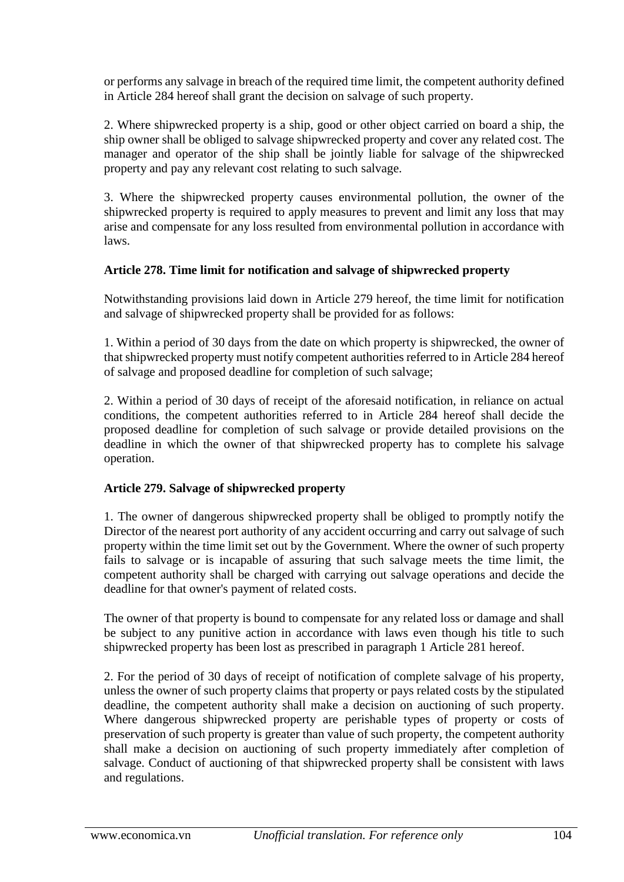or performs any salvage in breach of the required time limit, the competent authority defined in Article 284 hereof shall grant the decision on salvage of such property.

2. Where shipwrecked property is a ship, good or other object carried on board a ship, the ship owner shall be obliged to salvage shipwrecked property and cover any related cost. The manager and operator of the ship shall be jointly liable for salvage of the shipwrecked property and pay any relevant cost relating to such salvage.

3. Where the shipwrecked property causes environmental pollution, the owner of the shipwrecked property is required to apply measures to prevent and limit any loss that may arise and compensate for any loss resulted from environmental pollution in accordance with laws.

## **Article 278. Time limit for notification and salvage of shipwrecked property**

Notwithstanding provisions laid down in Article 279 hereof, the time limit for notification and salvage of shipwrecked property shall be provided for as follows:

1. Within a period of 30 days from the date on which property is shipwrecked, the owner of that shipwrecked property must notify competent authorities referred to in Article 284 hereof of salvage and proposed deadline for completion of such salvage;

2. Within a period of 30 days of receipt of the aforesaid notification, in reliance on actual conditions, the competent authorities referred to in Article 284 hereof shall decide the proposed deadline for completion of such salvage or provide detailed provisions on the deadline in which the owner of that shipwrecked property has to complete his salvage operation.

## **Article 279. Salvage of shipwrecked property**

1. The owner of dangerous shipwrecked property shall be obliged to promptly notify the Director of the nearest port authority of any accident occurring and carry out salvage of such property within the time limit set out by the Government. Where the owner of such property fails to salvage or is incapable of assuring that such salvage meets the time limit, the competent authority shall be charged with carrying out salvage operations and decide the deadline for that owner's payment of related costs.

The owner of that property is bound to compensate for any related loss or damage and shall be subject to any punitive action in accordance with laws even though his title to such shipwrecked property has been lost as prescribed in paragraph 1 Article 281 hereof.

2. For the period of 30 days of receipt of notification of complete salvage of his property, unless the owner of such property claims that property or pays related costs by the stipulated deadline, the competent authority shall make a decision on auctioning of such property. Where dangerous shipwrecked property are perishable types of property or costs of preservation of such property is greater than value of such property, the competent authority shall make a decision on auctioning of such property immediately after completion of salvage. Conduct of auctioning of that shipwrecked property shall be consistent with laws and regulations.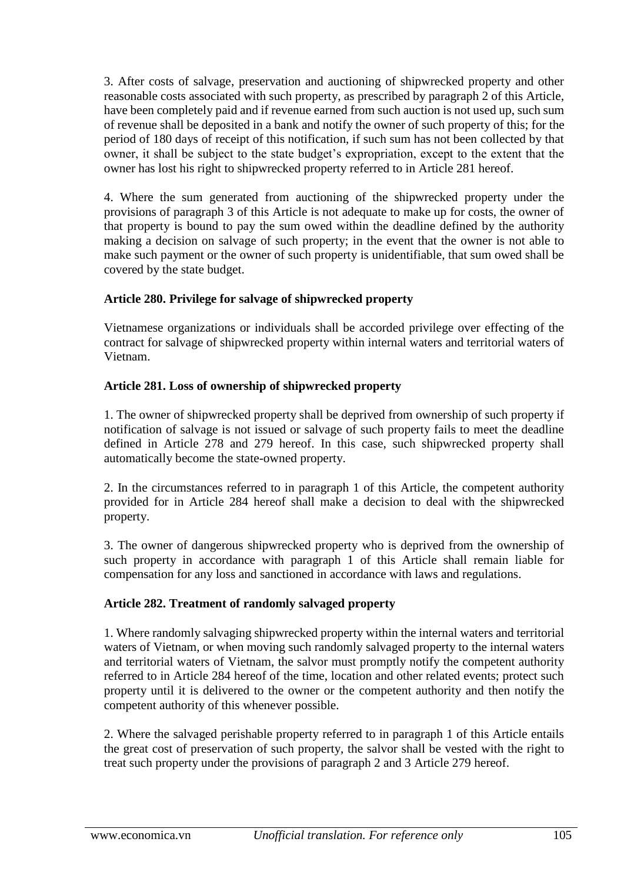3. After costs of salvage, preservation and auctioning of shipwrecked property and other reasonable costs associated with such property, as prescribed by paragraph 2 of this Article, have been completely paid and if revenue earned from such auction is not used up, such sum of revenue shall be deposited in a bank and notify the owner of such property of this; for the period of 180 days of receipt of this notification, if such sum has not been collected by that owner, it shall be subject to the state budget's expropriation, except to the extent that the owner has lost his right to shipwrecked property referred to in Article 281 hereof.

4. Where the sum generated from auctioning of the shipwrecked property under the provisions of paragraph 3 of this Article is not adequate to make up for costs, the owner of that property is bound to pay the sum owed within the deadline defined by the authority making a decision on salvage of such property; in the event that the owner is not able to make such payment or the owner of such property is unidentifiable, that sum owed shall be covered by the state budget.

## **Article 280. Privilege for salvage of shipwrecked property**

Vietnamese organizations or individuals shall be accorded privilege over effecting of the contract for salvage of shipwrecked property within internal waters and territorial waters of Vietnam.

### **Article 281. Loss of ownership of shipwrecked property**

1. The owner of shipwrecked property shall be deprived from ownership of such property if notification of salvage is not issued or salvage of such property fails to meet the deadline defined in Article 278 and 279 hereof. In this case, such shipwrecked property shall automatically become the state-owned property.

2. In the circumstances referred to in paragraph 1 of this Article, the competent authority provided for in Article 284 hereof shall make a decision to deal with the shipwrecked property.

3. The owner of dangerous shipwrecked property who is deprived from the ownership of such property in accordance with paragraph 1 of this Article shall remain liable for compensation for any loss and sanctioned in accordance with laws and regulations.

## **Article 282. Treatment of randomly salvaged property**

1. Where randomly salvaging shipwrecked property within the internal waters and territorial waters of Vietnam, or when moving such randomly salvaged property to the internal waters and territorial waters of Vietnam, the salvor must promptly notify the competent authority referred to in Article 284 hereof of the time, location and other related events; protect such property until it is delivered to the owner or the competent authority and then notify the competent authority of this whenever possible.

2. Where the salvaged perishable property referred to in paragraph 1 of this Article entails the great cost of preservation of such property, the salvor shall be vested with the right to treat such property under the provisions of paragraph 2 and 3 Article 279 hereof.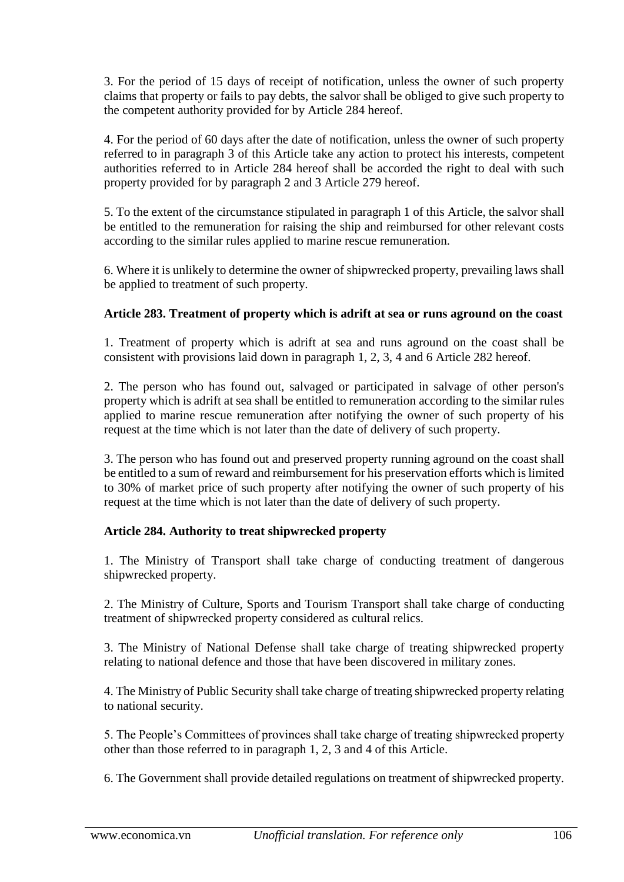3. For the period of 15 days of receipt of notification, unless the owner of such property claims that property or fails to pay debts, the salvor shall be obliged to give such property to the competent authority provided for by Article 284 hereof.

4. For the period of 60 days after the date of notification, unless the owner of such property referred to in paragraph 3 of this Article take any action to protect his interests, competent authorities referred to in Article 284 hereof shall be accorded the right to deal with such property provided for by paragraph 2 and 3 Article 279 hereof.

5. To the extent of the circumstance stipulated in paragraph 1 of this Article, the salvor shall be entitled to the remuneration for raising the ship and reimbursed for other relevant costs according to the similar rules applied to marine rescue remuneration.

6. Where it is unlikely to determine the owner of shipwrecked property, prevailing laws shall be applied to treatment of such property.

### **Article 283. Treatment of property which is adrift at sea or runs aground on the coast**

1. Treatment of property which is adrift at sea and runs aground on the coast shall be consistent with provisions laid down in paragraph 1, 2, 3, 4 and 6 Article 282 hereof.

2. The person who has found out, salvaged or participated in salvage of other person's property which is adrift at sea shall be entitled to remuneration according to the similar rules applied to marine rescue remuneration after notifying the owner of such property of his request at the time which is not later than the date of delivery of such property.

3. The person who has found out and preserved property running aground on the coast shall be entitled to a sum of reward and reimbursement for his preservation efforts which is limited to 30% of market price of such property after notifying the owner of such property of his request at the time which is not later than the date of delivery of such property.

#### **Article 284. Authority to treat shipwrecked property**

1. The Ministry of Transport shall take charge of conducting treatment of dangerous shipwrecked property.

2. The Ministry of Culture, Sports and Tourism Transport shall take charge of conducting treatment of shipwrecked property considered as cultural relics.

3. The Ministry of National Defense shall take charge of treating shipwrecked property relating to national defence and those that have been discovered in military zones.

4. The Ministry of Public Security shall take charge of treating shipwrecked property relating to national security.

5. The People's Committees of provinces shall take charge of treating shipwrecked property other than those referred to in paragraph 1, 2, 3 and 4 of this Article.

6. The Government shall provide detailed regulations on treatment of shipwrecked property.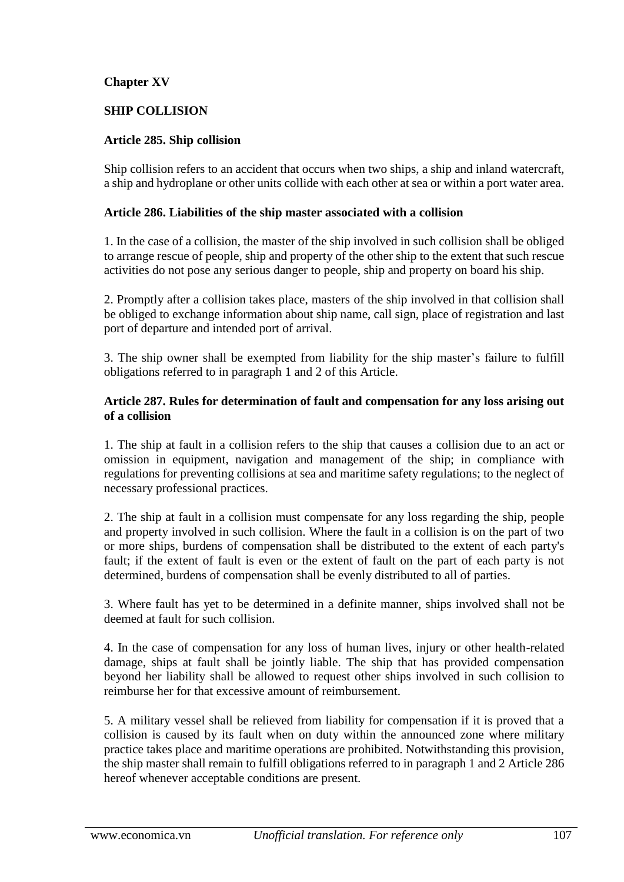## **Chapter XV**

### **SHIP COLLISION**

### **Article 285. Ship collision**

Ship collision refers to an accident that occurs when two ships, a ship and inland watercraft, a ship and hydroplane or other units collide with each other at sea or within a port water area.

#### **Article 286. Liabilities of the ship master associated with a collision**

1. In the case of a collision, the master of the ship involved in such collision shall be obliged to arrange rescue of people, ship and property of the other ship to the extent that such rescue activities do not pose any serious danger to people, ship and property on board his ship.

2. Promptly after a collision takes place, masters of the ship involved in that collision shall be obliged to exchange information about ship name, call sign, place of registration and last port of departure and intended port of arrival.

3. The ship owner shall be exempted from liability for the ship master's failure to fulfill obligations referred to in paragraph 1 and 2 of this Article.

### **Article 287. Rules for determination of fault and compensation for any loss arising out of a collision**

1. The ship at fault in a collision refers to the ship that causes a collision due to an act or omission in equipment, navigation and management of the ship; in compliance with regulations for preventing collisions at sea and maritime safety regulations; to the neglect of necessary professional practices.

2. The ship at fault in a collision must compensate for any loss regarding the ship, people and property involved in such collision. Where the fault in a collision is on the part of two or more ships, burdens of compensation shall be distributed to the extent of each party's fault; if the extent of fault is even or the extent of fault on the part of each party is not determined, burdens of compensation shall be evenly distributed to all of parties.

3. Where fault has yet to be determined in a definite manner, ships involved shall not be deemed at fault for such collision.

4. In the case of compensation for any loss of human lives, injury or other health-related damage, ships at fault shall be jointly liable. The ship that has provided compensation beyond her liability shall be allowed to request other ships involved in such collision to reimburse her for that excessive amount of reimbursement.

5. A military vessel shall be relieved from liability for compensation if it is proved that a collision is caused by its fault when on duty within the announced zone where military practice takes place and maritime operations are prohibited. Notwithstanding this provision, the ship master shall remain to fulfill obligations referred to in paragraph 1 and 2 Article 286 hereof whenever acceptable conditions are present.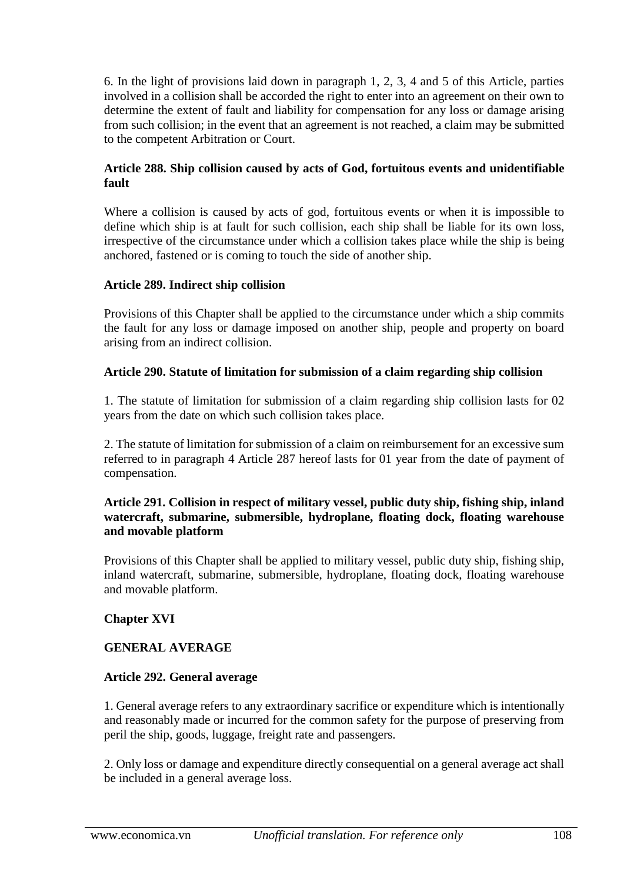6. In the light of provisions laid down in paragraph 1, 2, 3, 4 and 5 of this Article, parties involved in a collision shall be accorded the right to enter into an agreement on their own to determine the extent of fault and liability for compensation for any loss or damage arising from such collision; in the event that an agreement is not reached, a claim may be submitted to the competent Arbitration or Court.

### **Article 288. Ship collision caused by acts of God, fortuitous events and unidentifiable fault**

Where a collision is caused by acts of god, fortuitous events or when it is impossible to define which ship is at fault for such collision, each ship shall be liable for its own loss, irrespective of the circumstance under which a collision takes place while the ship is being anchored, fastened or is coming to touch the side of another ship.

### **Article 289. Indirect ship collision**

Provisions of this Chapter shall be applied to the circumstance under which a ship commits the fault for any loss or damage imposed on another ship, people and property on board arising from an indirect collision.

### **Article 290. Statute of limitation for submission of a claim regarding ship collision**

1. The statute of limitation for submission of a claim regarding ship collision lasts for 02 years from the date on which such collision takes place.

2. The statute of limitation for submission of a claim on reimbursement for an excessive sum referred to in paragraph 4 Article 287 hereof lasts for 01 year from the date of payment of compensation.

### **Article 291. Collision in respect of military vessel, public duty ship, fishing ship, inland watercraft, submarine, submersible, hydroplane, floating dock, floating warehouse and movable platform**

Provisions of this Chapter shall be applied to military vessel, public duty ship, fishing ship, inland watercraft, submarine, submersible, hydroplane, floating dock, floating warehouse and movable platform.

## **Chapter XVI**

## **GENERAL AVERAGE**

#### **Article 292. General average**

1. General average refers to any extraordinary sacrifice or expenditure which is intentionally and reasonably made or incurred for the common safety for the purpose of preserving from peril the ship, goods, luggage, freight rate and passengers.

2. Only loss or damage and expenditure directly consequential on a general average act shall be included in a general average loss.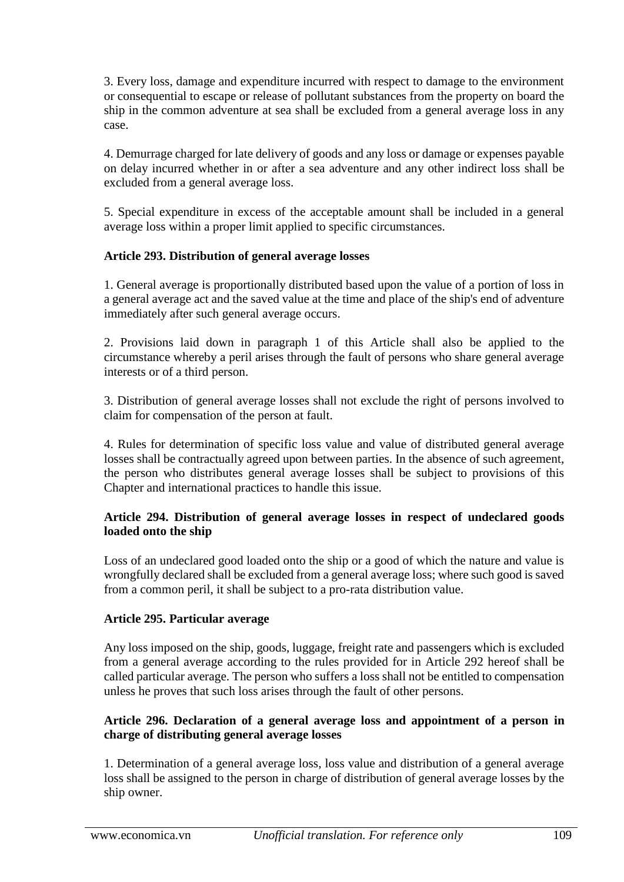3. Every loss, damage and expenditure incurred with respect to damage to the environment or consequential to escape or release of pollutant substances from the property on board the ship in the common adventure at sea shall be excluded from a general average loss in any case.

4. Demurrage charged for late delivery of goods and any loss or damage or expenses payable on delay incurred whether in or after a sea adventure and any other indirect loss shall be excluded from a general average loss.

5. Special expenditure in excess of the acceptable amount shall be included in a general average loss within a proper limit applied to specific circumstances.

# **Article 293. Distribution of general average losses**

1. General average is proportionally distributed based upon the value of a portion of loss in a general average act and the saved value at the time and place of the ship's end of adventure immediately after such general average occurs.

2. Provisions laid down in paragraph 1 of this Article shall also be applied to the circumstance whereby a peril arises through the fault of persons who share general average interests or of a third person.

3. Distribution of general average losses shall not exclude the right of persons involved to claim for compensation of the person at fault.

4. Rules for determination of specific loss value and value of distributed general average losses shall be contractually agreed upon between parties. In the absence of such agreement, the person who distributes general average losses shall be subject to provisions of this Chapter and international practices to handle this issue.

## **Article 294. Distribution of general average losses in respect of undeclared goods loaded onto the ship**

Loss of an undeclared good loaded onto the ship or a good of which the nature and value is wrongfully declared shall be excluded from a general average loss; where such good is saved from a common peril, it shall be subject to a pro-rata distribution value.

# **Article 295. Particular average**

Any loss imposed on the ship, goods, luggage, freight rate and passengers which is excluded from a general average according to the rules provided for in Article 292 hereof shall be called particular average. The person who suffers a loss shall not be entitled to compensation unless he proves that such loss arises through the fault of other persons.

## **Article 296. Declaration of a general average loss and appointment of a person in charge of distributing general average losses**

1. Determination of a general average loss, loss value and distribution of a general average loss shall be assigned to the person in charge of distribution of general average losses by the ship owner.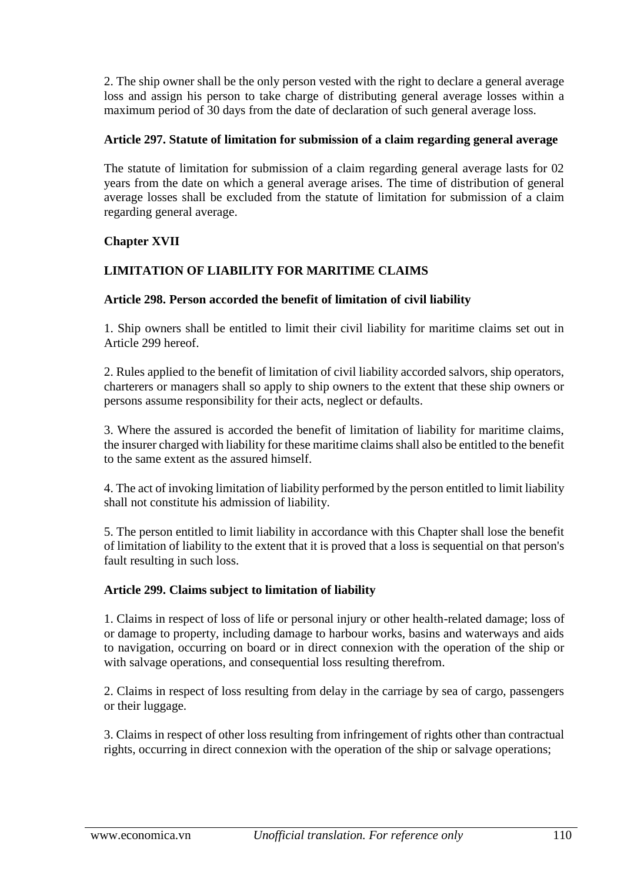2. The ship owner shall be the only person vested with the right to declare a general average loss and assign his person to take charge of distributing general average losses within a maximum period of 30 days from the date of declaration of such general average loss.

## **Article 297. Statute of limitation for submission of a claim regarding general average**

The statute of limitation for submission of a claim regarding general average lasts for 02 years from the date on which a general average arises. The time of distribution of general average losses shall be excluded from the statute of limitation for submission of a claim regarding general average.

## **Chapter XVII**

## **LIMITATION OF LIABILITY FOR MARITIME CLAIMS**

### **Article 298. Person accorded the benefit of limitation of civil liability**

1. Ship owners shall be entitled to limit their civil liability for maritime claims set out in Article 299 hereof.

2. Rules applied to the benefit of limitation of civil liability accorded salvors, ship operators, charterers or managers shall so apply to ship owners to the extent that these ship owners or persons assume responsibility for their acts, neglect or defaults.

3. Where the assured is accorded the benefit of limitation of liability for maritime claims, the insurer charged with liability for these maritime claims shall also be entitled to the benefit to the same extent as the assured himself.

4. The act of invoking limitation of liability performed by the person entitled to limit liability shall not constitute his admission of liability.

5. The person entitled to limit liability in accordance with this Chapter shall lose the benefit of limitation of liability to the extent that it is proved that a loss is sequential on that person's fault resulting in such loss.

### **Article 299. Claims subject to limitation of liability**

1. Claims in respect of loss of life or personal injury or other health-related damage; loss of or damage to property, including damage to harbour works, basins and waterways and aids to navigation, occurring on board or in direct connexion with the operation of the ship or with salvage operations, and consequential loss resulting therefrom.

2. Claims in respect of loss resulting from delay in the carriage by sea of cargo, passengers or their luggage.

3. Claims in respect of other loss resulting from infringement of rights other than contractual rights, occurring in direct connexion with the operation of the ship or salvage operations;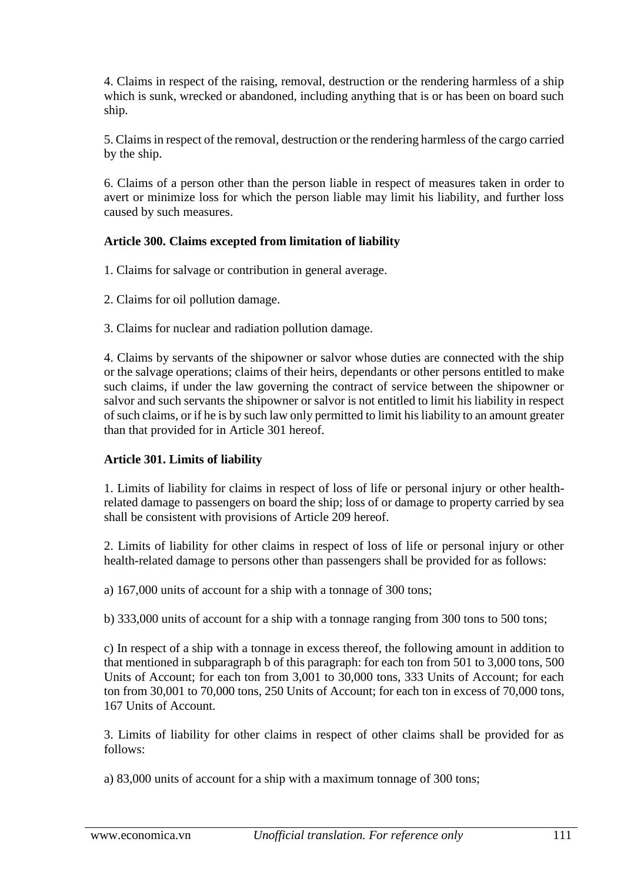4. Claims in respect of the raising, removal, destruction or the rendering harmless of a ship which is sunk, wrecked or abandoned, including anything that is or has been on board such ship.

5. Claims in respect of the removal, destruction or the rendering harmless of the cargo carried by the ship.

6. Claims of a person other than the person liable in respect of measures taken in order to avert or minimize loss for which the person liable may limit his liability, and further loss caused by such measures.

# **Article 300. Claims excepted from limitation of liability**

- 1. Claims for salvage or contribution in general average.
- 2. Claims for oil pollution damage.
- 3. Claims for nuclear and radiation pollution damage.

4. Claims by servants of the shipowner or salvor whose duties are connected with the ship or the salvage operations; claims of their heirs, dependants or other persons entitled to make such claims, if under the law governing the contract of service between the shipowner or salvor and such servants the shipowner or salvor is not entitled to limit his liability in respect of such claims, or if he is by such law only permitted to limit his liability to an amount greater than that provided for in Article 301 hereof.

# **Article 301. Limits of liability**

1. Limits of liability for claims in respect of loss of life or personal injury or other healthrelated damage to passengers on board the ship; loss of or damage to property carried by sea shall be consistent with provisions of Article 209 hereof.

2. Limits of liability for other claims in respect of loss of life or personal injury or other health-related damage to persons other than passengers shall be provided for as follows:

a) 167,000 units of account for a ship with a tonnage of 300 tons;

b) 333,000 units of account for a ship with a tonnage ranging from 300 tons to 500 tons;

c) In respect of a ship with a tonnage in excess thereof, the following amount in addition to that mentioned in subparagraph b of this paragraph: for each ton from 501 to 3,000 tons, 500 Units of Account; for each ton from 3,001 to 30,000 tons, 333 Units of Account; for each ton from 30,001 to 70,000 tons, 250 Units of Account; for each ton in excess of 70,000 tons, 167 Units of Account.

3. Limits of liability for other claims in respect of other claims shall be provided for as follows:

a) 83,000 units of account for a ship with a maximum tonnage of 300 tons;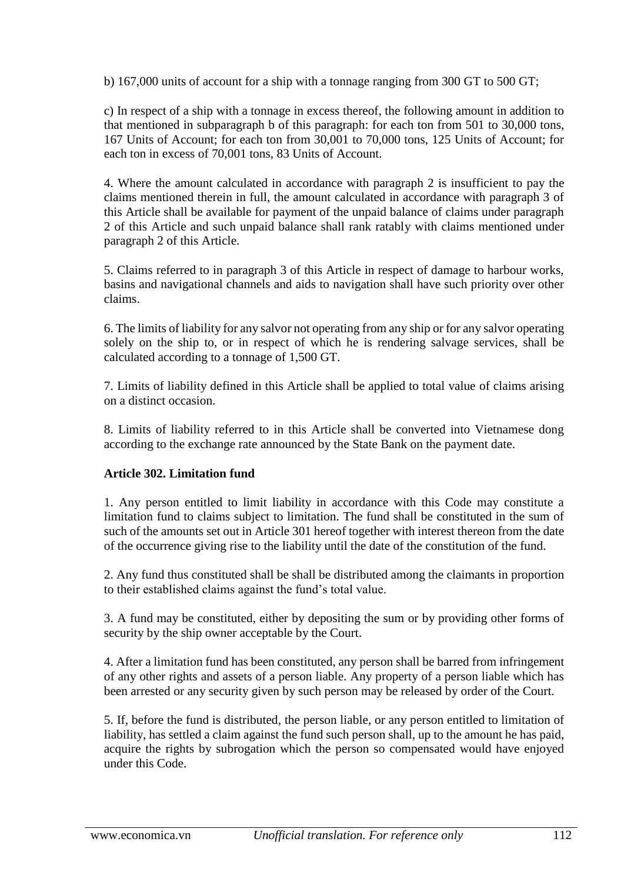b) 167,000 units of account for a ship with a tonnage ranging from 300 GT to 500 GT;

c) In respect of a ship with a tonnage in excess thereof, the following amount in addition to that mentioned in subparagraph b of this paragraph: for each ton from 501 to 30,000 tons, 167 Units of Account; for each ton from 30,001 to 70,000 tons, 125 Units of Account; for each ton in excess of 70,001 tons, 83 Units of Account.

4. Where the amount calculated in accordance with paragraph 2 is insufficient to pay the claims mentioned therein in full, the amount calculated in accordance with paragraph 3 of this Article shall be available for payment of the unpaid balance of claims under paragraph 2 of this Article and such unpaid balance shall rank ratably with claims mentioned under paragraph 2 of this Article.

5. Claims referred to in paragraph 3 of this Article in respect of damage to harbour works, basins and navigational channels and aids to navigation shall have such priority over other claims.

6. The limits of liability for any salvor not operating from any ship or for any salvor operating solely on the ship to, or in respect of which he is rendering salvage services, shall be calculated according to a tonnage of 1,500 GT.

7. Limits of liability defined in this Article shall be applied to total value of claims arising on a distinct occasion.

8. Limits of liability referred to in this Article shall be converted into Vietnamese dong according to the exchange rate announced by the State Bank on the payment date.

# **Article 302. Limitation fund**

1. Any person entitled to limit liability in accordance with this Code may constitute a limitation fund to claims subject to limitation. The fund shall be constituted in the sum of such of the amounts set out in Article 301 hereof together with interest thereon from the date of the occurrence giving rise to the liability until the date of the constitution of the fund.

2. Any fund thus constituted shall be shall be distributed among the claimants in proportion to their established claims against the fund's total value.

3. A fund may be constituted, either by depositing the sum or by providing other forms of security by the ship owner acceptable by the Court.

4. After a limitation fund has been constituted, any person shall be barred from infringement of any other rights and assets of a person liable. Any property of a person liable which has been arrested or any security given by such person may be released by order of the Court.

5. If, before the fund is distributed, the person liable, or any person entitled to limitation of liability, has settled a claim against the fund such person shall, up to the amount he has paid, acquire the rights by subrogation which the person so compensated would have enjoyed under this Code.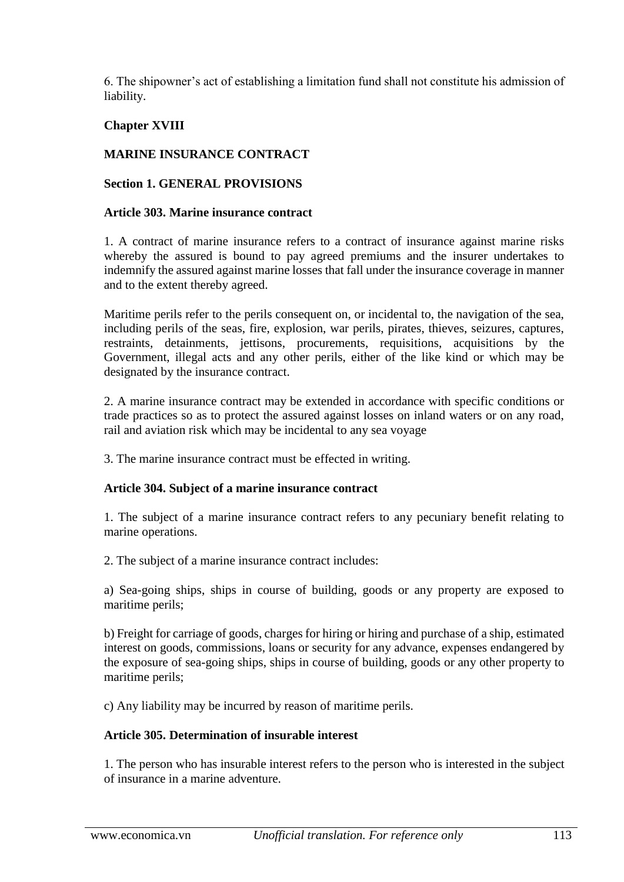6. The shipowner's act of establishing a limitation fund shall not constitute his admission of liability.

# **Chapter XVIII**

## **MARINE INSURANCE CONTRACT**

## **Section 1. GENERAL PROVISIONS**

#### **Article 303. Marine insurance contract**

1. A contract of marine insurance refers to a contract of insurance against marine risks whereby the assured is bound to pay agreed premiums and the insurer undertakes to indemnify the assured against marine losses that fall under the insurance coverage in manner and to the extent thereby agreed.

Maritime perils refer to the perils consequent on, or incidental to, the navigation of the sea, including perils of the seas, fire, explosion, war perils, pirates, thieves, seizures, captures, restraints, detainments, jettisons, procurements, requisitions, acquisitions by the Government, illegal acts and any other perils, either of the like kind or which may be designated by the insurance contract.

2. A marine insurance contract may be extended in accordance with specific conditions or trade practices so as to protect the assured against losses on inland waters or on any road, rail and aviation risk which may be incidental to any sea voyage

3. The marine insurance contract must be effected in writing.

### **Article 304. Subject of a marine insurance contract**

1. The subject of a marine insurance contract refers to any pecuniary benefit relating to marine operations.

2. The subject of a marine insurance contract includes:

a) Sea-going ships, ships in course of building, goods or any property are exposed to maritime perils;

b) Freight for carriage of goods, charges for hiring or hiring and purchase of a ship, estimated interest on goods, commissions, loans or security for any advance, expenses endangered by the exposure of sea-going ships, ships in course of building, goods or any other property to maritime perils;

c) Any liability may be incurred by reason of maritime perils.

#### **Article 305. Determination of insurable interest**

1. The person who has insurable interest refers to the person who is interested in the subject of insurance in a marine adventure.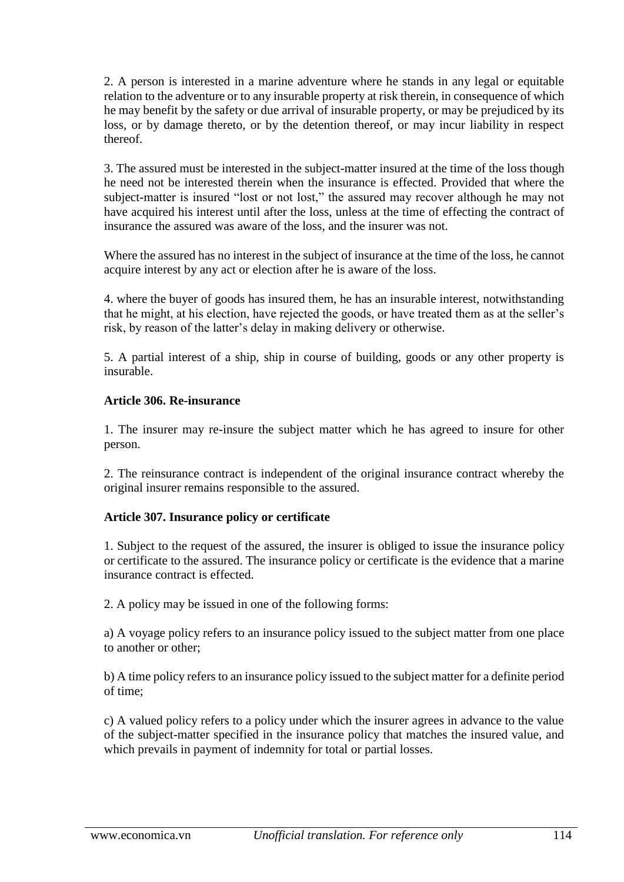2. A person is interested in a marine adventure where he stands in any legal or equitable relation to the adventure or to any insurable property at risk therein, in consequence of which he may benefit by the safety or due arrival of insurable property, or may be prejudiced by its loss, or by damage thereto, or by the detention thereof, or may incur liability in respect thereof.

3. The assured must be interested in the subject-matter insured at the time of the loss though he need not be interested therein when the insurance is effected. Provided that where the subject-matter is insured "lost or not lost," the assured may recover although he may not have acquired his interest until after the loss, unless at the time of effecting the contract of insurance the assured was aware of the loss, and the insurer was not.

Where the assured has no interest in the subject of insurance at the time of the loss, he cannot acquire interest by any act or election after he is aware of the loss.

4. where the buyer of goods has insured them, he has an insurable interest, notwithstanding that he might, at his election, have rejected the goods, or have treated them as at the seller's risk, by reason of the latter's delay in making delivery or otherwise.

5. A partial interest of a ship, ship in course of building, goods or any other property is insurable.

### **Article 306. Re-insurance**

1. The insurer may re-insure the subject matter which he has agreed to insure for other person.

2. The reinsurance contract is independent of the original insurance contract whereby the original insurer remains responsible to the assured.

### **Article 307. Insurance policy or certificate**

1. Subject to the request of the assured, the insurer is obliged to issue the insurance policy or certificate to the assured. The insurance policy or certificate is the evidence that a marine insurance contract is effected.

2. A policy may be issued in one of the following forms:

a) A voyage policy refers to an insurance policy issued to the subject matter from one place to another or other;

b) A time policy refers to an insurance policy issued to the subject matter for a definite period of time;

c) A valued policy refers to a policy under which the insurer agrees in advance to the value of the subject-matter specified in the insurance policy that matches the insured value, and which prevails in payment of indemnity for total or partial losses.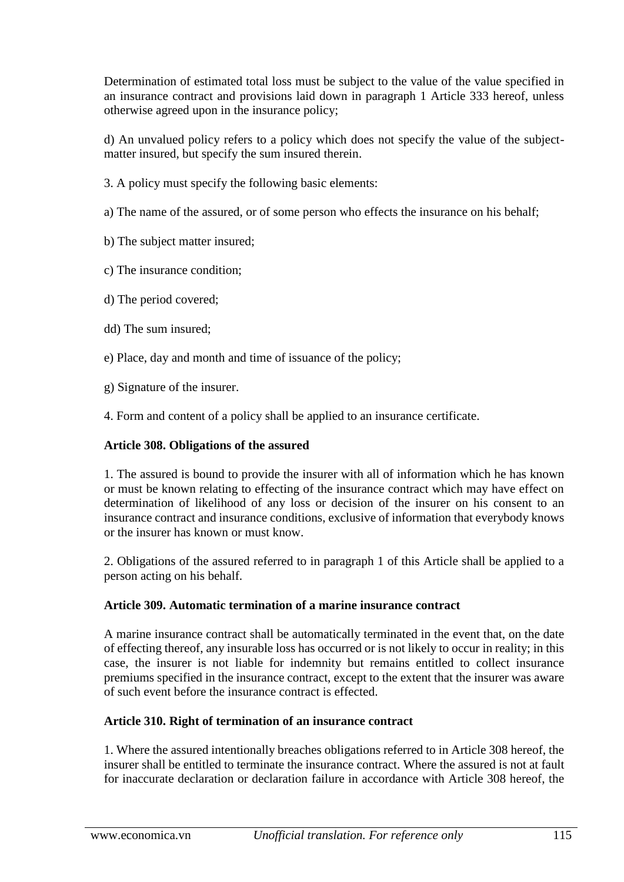Determination of estimated total loss must be subject to the value of the value specified in an insurance contract and provisions laid down in paragraph 1 Article 333 hereof, unless otherwise agreed upon in the insurance policy;

d) An unvalued policy refers to a policy which does not specify the value of the subjectmatter insured, but specify the sum insured therein.

- 3. A policy must specify the following basic elements:
- a) The name of the assured, or of some person who effects the insurance on his behalf;
- b) The subject matter insured;
- c) The insurance condition;
- d) The period covered;
- dd) The sum insured;
- e) Place, day and month and time of issuance of the policy;
- g) Signature of the insurer.
- 4. Form and content of a policy shall be applied to an insurance certificate.

### **Article 308. Obligations of the assured**

1. The assured is bound to provide the insurer with all of information which he has known or must be known relating to effecting of the insurance contract which may have effect on determination of likelihood of any loss or decision of the insurer on his consent to an insurance contract and insurance conditions, exclusive of information that everybody knows or the insurer has known or must know.

2. Obligations of the assured referred to in paragraph 1 of this Article shall be applied to a person acting on his behalf.

### **Article 309. Automatic termination of a marine insurance contract**

A marine insurance contract shall be automatically terminated in the event that, on the date of effecting thereof, any insurable loss has occurred or is not likely to occur in reality; in this case, the insurer is not liable for indemnity but remains entitled to collect insurance premiums specified in the insurance contract, except to the extent that the insurer was aware of such event before the insurance contract is effected.

### **Article 310. Right of termination of an insurance contract**

1. Where the assured intentionally breaches obligations referred to in Article 308 hereof, the insurer shall be entitled to terminate the insurance contract. Where the assured is not at fault for inaccurate declaration or declaration failure in accordance with Article 308 hereof, the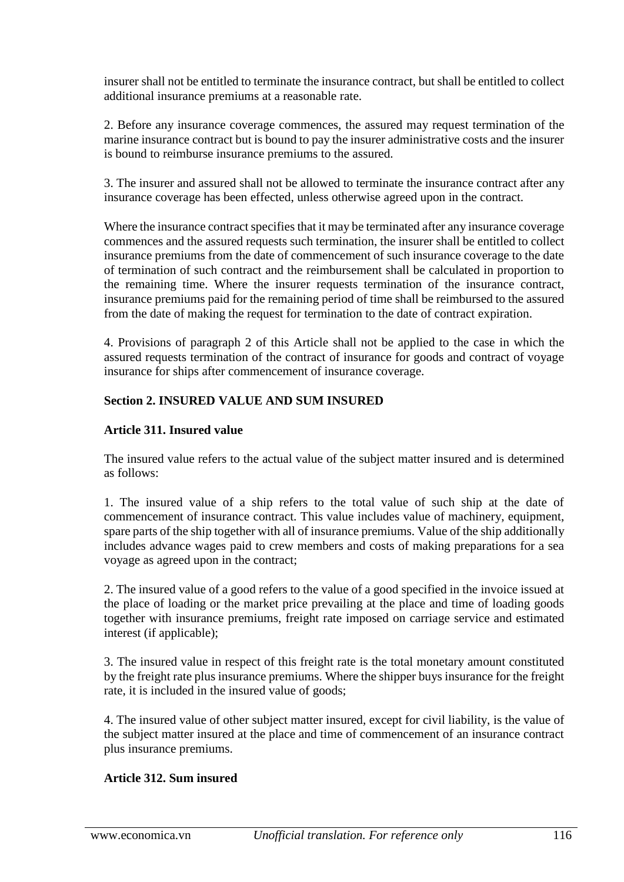insurer shall not be entitled to terminate the insurance contract, but shall be entitled to collect additional insurance premiums at a reasonable rate.

2. Before any insurance coverage commences, the assured may request termination of the marine insurance contract but is bound to pay the insurer administrative costs and the insurer is bound to reimburse insurance premiums to the assured.

3. The insurer and assured shall not be allowed to terminate the insurance contract after any insurance coverage has been effected, unless otherwise agreed upon in the contract.

Where the insurance contract specifies that it may be terminated after any insurance coverage commences and the assured requests such termination, the insurer shall be entitled to collect insurance premiums from the date of commencement of such insurance coverage to the date of termination of such contract and the reimbursement shall be calculated in proportion to the remaining time. Where the insurer requests termination of the insurance contract, insurance premiums paid for the remaining period of time shall be reimbursed to the assured from the date of making the request for termination to the date of contract expiration.

4. Provisions of paragraph 2 of this Article shall not be applied to the case in which the assured requests termination of the contract of insurance for goods and contract of voyage insurance for ships after commencement of insurance coverage.

# **Section 2. INSURED VALUE AND SUM INSURED**

## **Article 311. Insured value**

The insured value refers to the actual value of the subject matter insured and is determined as follows:

1. The insured value of a ship refers to the total value of such ship at the date of commencement of insurance contract. This value includes value of machinery, equipment, spare parts of the ship together with all of insurance premiums. Value of the ship additionally includes advance wages paid to crew members and costs of making preparations for a sea voyage as agreed upon in the contract;

2. The insured value of a good refers to the value of a good specified in the invoice issued at the place of loading or the market price prevailing at the place and time of loading goods together with insurance premiums, freight rate imposed on carriage service and estimated interest (if applicable);

3. The insured value in respect of this freight rate is the total monetary amount constituted by the freight rate plus insurance premiums. Where the shipper buys insurance for the freight rate, it is included in the insured value of goods;

4. The insured value of other subject matter insured, except for civil liability, is the value of the subject matter insured at the place and time of commencement of an insurance contract plus insurance premiums.

### **Article 312. Sum insured**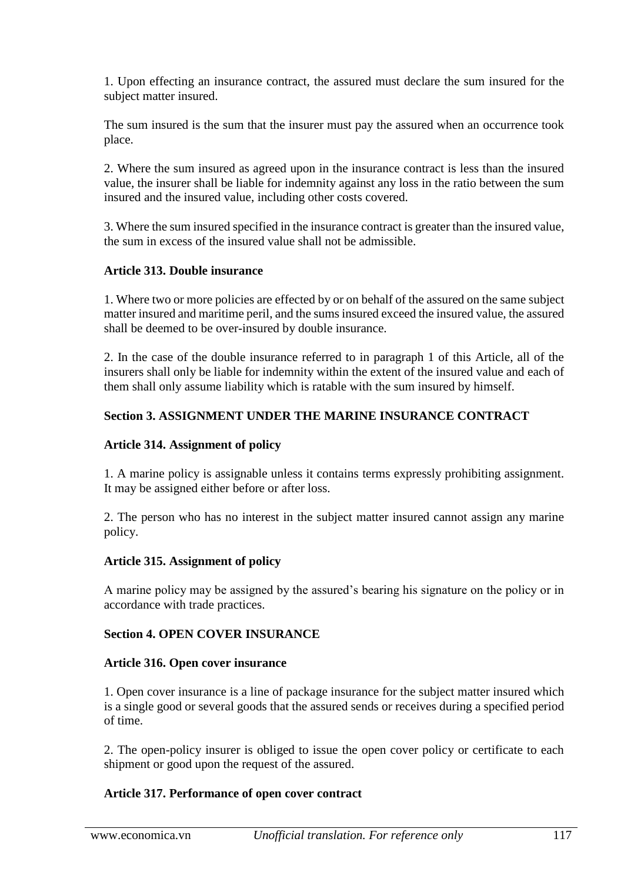1. Upon effecting an insurance contract, the assured must declare the sum insured for the subject matter insured.

The sum insured is the sum that the insurer must pay the assured when an occurrence took place.

2. Where the sum insured as agreed upon in the insurance contract is less than the insured value, the insurer shall be liable for indemnity against any loss in the ratio between the sum insured and the insured value, including other costs covered.

3. Where the sum insured specified in the insurance contract is greater than the insured value, the sum in excess of the insured value shall not be admissible.

#### **Article 313. Double insurance**

1. Where two or more policies are effected by or on behalf of the assured on the same subject matter insured and maritime peril, and the sums insured exceed the insured value, the assured shall be deemed to be over-insured by double insurance.

2. In the case of the double insurance referred to in paragraph 1 of this Article, all of the insurers shall only be liable for indemnity within the extent of the insured value and each of them shall only assume liability which is ratable with the sum insured by himself.

## **Section 3. ASSIGNMENT UNDER THE MARINE INSURANCE CONTRACT**

#### **Article 314. Assignment of policy**

1. A marine policy is assignable unless it contains terms expressly prohibiting assignment. It may be assigned either before or after loss.

2. The person who has no interest in the subject matter insured cannot assign any marine policy.

#### **Article 315. Assignment of policy**

A marine policy may be assigned by the assured's bearing his signature on the policy or in accordance with trade practices.

#### **Section 4. OPEN COVER INSURANCE**

#### **Article 316. Open cover insurance**

1. Open cover insurance is a line of package insurance for the subject matter insured which is a single good or several goods that the assured sends or receives during a specified period of time.

2. The open-policy insurer is obliged to issue the open cover policy or certificate to each shipment or good upon the request of the assured.

### **Article 317. Performance of open cover contract**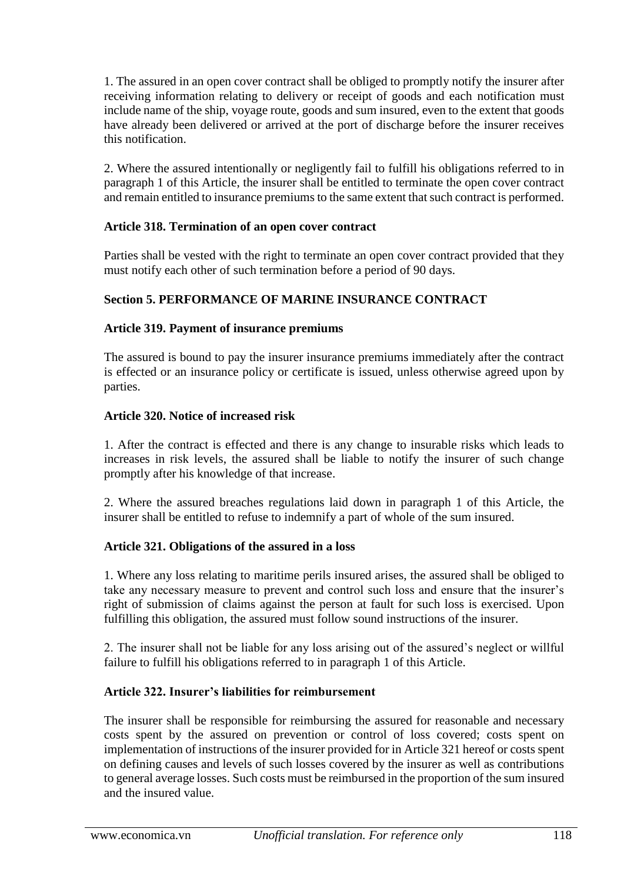1. The assured in an open cover contract shall be obliged to promptly notify the insurer after receiving information relating to delivery or receipt of goods and each notification must include name of the ship, voyage route, goods and sum insured, even to the extent that goods have already been delivered or arrived at the port of discharge before the insurer receives this notification.

2. Where the assured intentionally or negligently fail to fulfill his obligations referred to in paragraph 1 of this Article, the insurer shall be entitled to terminate the open cover contract and remain entitled to insurance premiums to the same extent that such contract is performed.

## **Article 318. Termination of an open cover contract**

Parties shall be vested with the right to terminate an open cover contract provided that they must notify each other of such termination before a period of 90 days.

# **Section 5. PERFORMANCE OF MARINE INSURANCE CONTRACT**

## **Article 319. Payment of insurance premiums**

The assured is bound to pay the insurer insurance premiums immediately after the contract is effected or an insurance policy or certificate is issued, unless otherwise agreed upon by parties.

## **Article 320. Notice of increased risk**

1. After the contract is effected and there is any change to insurable risks which leads to increases in risk levels, the assured shall be liable to notify the insurer of such change promptly after his knowledge of that increase.

2. Where the assured breaches regulations laid down in paragraph 1 of this Article, the insurer shall be entitled to refuse to indemnify a part of whole of the sum insured.

### **Article 321. Obligations of the assured in a loss**

1. Where any loss relating to maritime perils insured arises, the assured shall be obliged to take any necessary measure to prevent and control such loss and ensure that the insurer's right of submission of claims against the person at fault for such loss is exercised. Upon fulfilling this obligation, the assured must follow sound instructions of the insurer.

2. The insurer shall not be liable for any loss arising out of the assured's neglect or willful failure to fulfill his obligations referred to in paragraph 1 of this Article.

# **Article 322. Insurer's liabilities for reimbursement**

The insurer shall be responsible for reimbursing the assured for reasonable and necessary costs spent by the assured on prevention or control of loss covered; costs spent on implementation of instructions of the insurer provided for in Article 321 hereof or costs spent on defining causes and levels of such losses covered by the insurer as well as contributions to general average losses. Such costs must be reimbursed in the proportion of the sum insured and the insured value.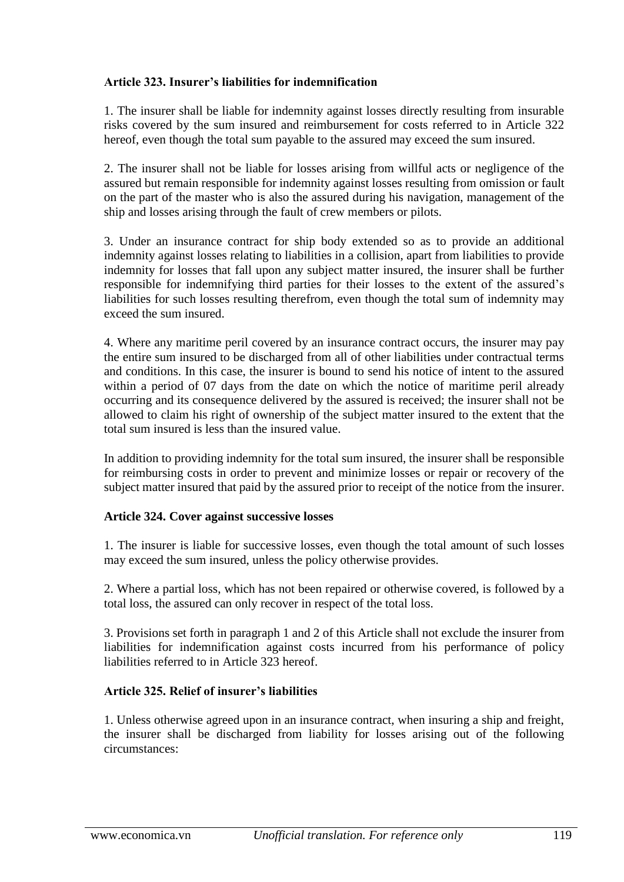## **Article 323. Insurer's liabilities for indemnification**

1. The insurer shall be liable for indemnity against losses directly resulting from insurable risks covered by the sum insured and reimbursement for costs referred to in Article 322 hereof, even though the total sum payable to the assured may exceed the sum insured.

2. The insurer shall not be liable for losses arising from willful acts or negligence of the assured but remain responsible for indemnity against losses resulting from omission or fault on the part of the master who is also the assured during his navigation, management of the ship and losses arising through the fault of crew members or pilots.

3. Under an insurance contract for ship body extended so as to provide an additional indemnity against losses relating to liabilities in a collision, apart from liabilities to provide indemnity for losses that fall upon any subject matter insured, the insurer shall be further responsible for indemnifying third parties for their losses to the extent of the assured's liabilities for such losses resulting therefrom, even though the total sum of indemnity may exceed the sum insured.

4. Where any maritime peril covered by an insurance contract occurs, the insurer may pay the entire sum insured to be discharged from all of other liabilities under contractual terms and conditions. In this case, the insurer is bound to send his notice of intent to the assured within a period of 07 days from the date on which the notice of maritime peril already occurring and its consequence delivered by the assured is received; the insurer shall not be allowed to claim his right of ownership of the subject matter insured to the extent that the total sum insured is less than the insured value.

In addition to providing indemnity for the total sum insured, the insurer shall be responsible for reimbursing costs in order to prevent and minimize losses or repair or recovery of the subject matter insured that paid by the assured prior to receipt of the notice from the insurer.

### **Article 324. Cover against successive losses**

1. The insurer is liable for successive losses, even though the total amount of such losses may exceed the sum insured, unless the policy otherwise provides.

2. Where a partial loss, which has not been repaired or otherwise covered, is followed by a total loss, the assured can only recover in respect of the total loss.

3. Provisions set forth in paragraph 1 and 2 of this Article shall not exclude the insurer from liabilities for indemnification against costs incurred from his performance of policy liabilities referred to in Article 323 hereof.

### **Article 325. Relief of insurer's liabilities**

1. Unless otherwise agreed upon in an insurance contract, when insuring a ship and freight, the insurer shall be discharged from liability for losses arising out of the following circumstances: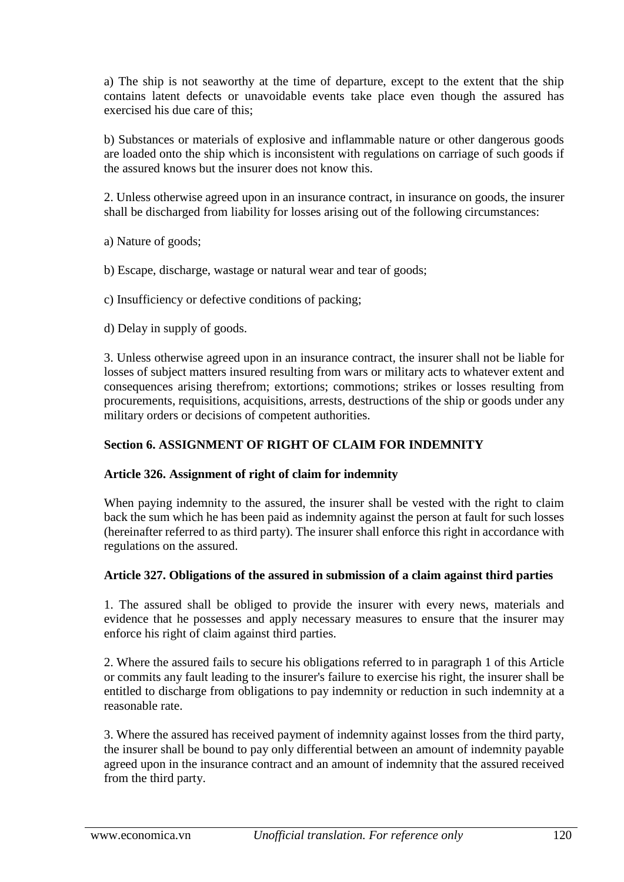a) The ship is not seaworthy at the time of departure, except to the extent that the ship contains latent defects or unavoidable events take place even though the assured has exercised his due care of this;

b) Substances or materials of explosive and inflammable nature or other dangerous goods are loaded onto the ship which is inconsistent with regulations on carriage of such goods if the assured knows but the insurer does not know this.

2. Unless otherwise agreed upon in an insurance contract, in insurance on goods, the insurer shall be discharged from liability for losses arising out of the following circumstances:

a) Nature of goods;

b) Escape, discharge, wastage or natural wear and tear of goods;

c) Insufficiency or defective conditions of packing;

d) Delay in supply of goods.

3. Unless otherwise agreed upon in an insurance contract, the insurer shall not be liable for losses of subject matters insured resulting from wars or military acts to whatever extent and consequences arising therefrom; extortions; commotions; strikes or losses resulting from procurements, requisitions, acquisitions, arrests, destructions of the ship or goods under any military orders or decisions of competent authorities.

## **Section 6. ASSIGNMENT OF RIGHT OF CLAIM FOR INDEMNITY**

### **Article 326. Assignment of right of claim for indemnity**

When paying indemnity to the assured, the insurer shall be vested with the right to claim back the sum which he has been paid as indemnity against the person at fault for such losses (hereinafter referred to as third party). The insurer shall enforce this right in accordance with regulations on the assured.

# **Article 327. Obligations of the assured in submission of a claim against third parties**

1. The assured shall be obliged to provide the insurer with every news, materials and evidence that he possesses and apply necessary measures to ensure that the insurer may enforce his right of claim against third parties.

2. Where the assured fails to secure his obligations referred to in paragraph 1 of this Article or commits any fault leading to the insurer's failure to exercise his right, the insurer shall be entitled to discharge from obligations to pay indemnity or reduction in such indemnity at a reasonable rate.

3. Where the assured has received payment of indemnity against losses from the third party, the insurer shall be bound to pay only differential between an amount of indemnity payable agreed upon in the insurance contract and an amount of indemnity that the assured received from the third party.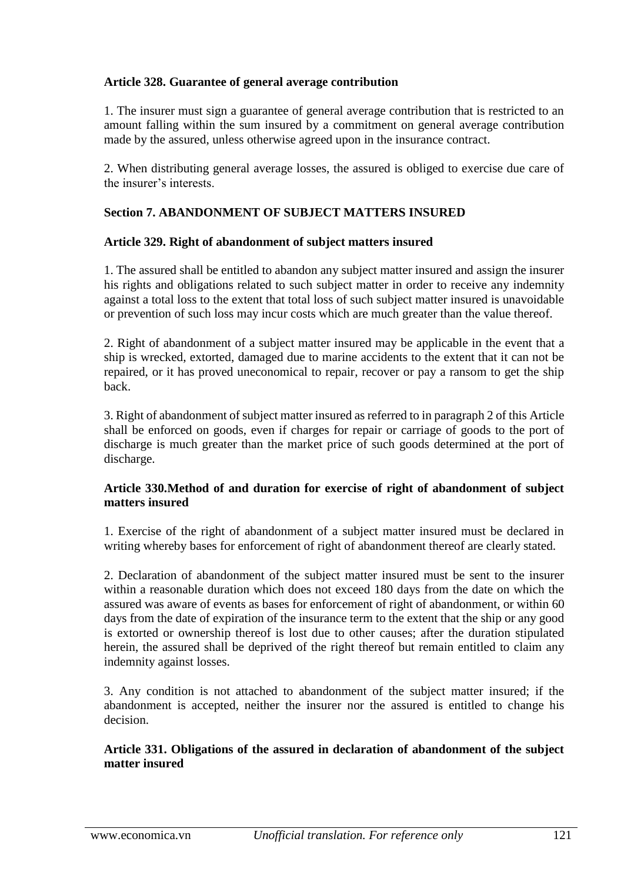## **Article 328. Guarantee of general average contribution**

1. The insurer must sign a guarantee of general average contribution that is restricted to an amount falling within the sum insured by a commitment on general average contribution made by the assured, unless otherwise agreed upon in the insurance contract.

2. When distributing general average losses, the assured is obliged to exercise due care of the insurer's interests.

# **Section 7. ABANDONMENT OF SUBJECT MATTERS INSURED**

### **Article 329. Right of abandonment of subject matters insured**

1. The assured shall be entitled to abandon any subject matter insured and assign the insurer his rights and obligations related to such subject matter in order to receive any indemnity against a total loss to the extent that total loss of such subject matter insured is unavoidable or prevention of such loss may incur costs which are much greater than the value thereof.

2. Right of abandonment of a subject matter insured may be applicable in the event that a ship is wrecked, extorted, damaged due to marine accidents to the extent that it can not be repaired, or it has proved uneconomical to repair, recover or pay a ransom to get the ship back.

3. Right of abandonment of subject matter insured as referred to in paragraph 2 of this Article shall be enforced on goods, even if charges for repair or carriage of goods to the port of discharge is much greater than the market price of such goods determined at the port of discharge.

### **Article 330.Method of and duration for exercise of right of abandonment of subject matters insured**

1. Exercise of the right of abandonment of a subject matter insured must be declared in writing whereby bases for enforcement of right of abandonment thereof are clearly stated.

2. Declaration of abandonment of the subject matter insured must be sent to the insurer within a reasonable duration which does not exceed 180 days from the date on which the assured was aware of events as bases for enforcement of right of abandonment, or within 60 days from the date of expiration of the insurance term to the extent that the ship or any good is extorted or ownership thereof is lost due to other causes; after the duration stipulated herein, the assured shall be deprived of the right thereof but remain entitled to claim any indemnity against losses.

3. Any condition is not attached to abandonment of the subject matter insured; if the abandonment is accepted, neither the insurer nor the assured is entitled to change his decision.

### **Article 331. Obligations of the assured in declaration of abandonment of the subject matter insured**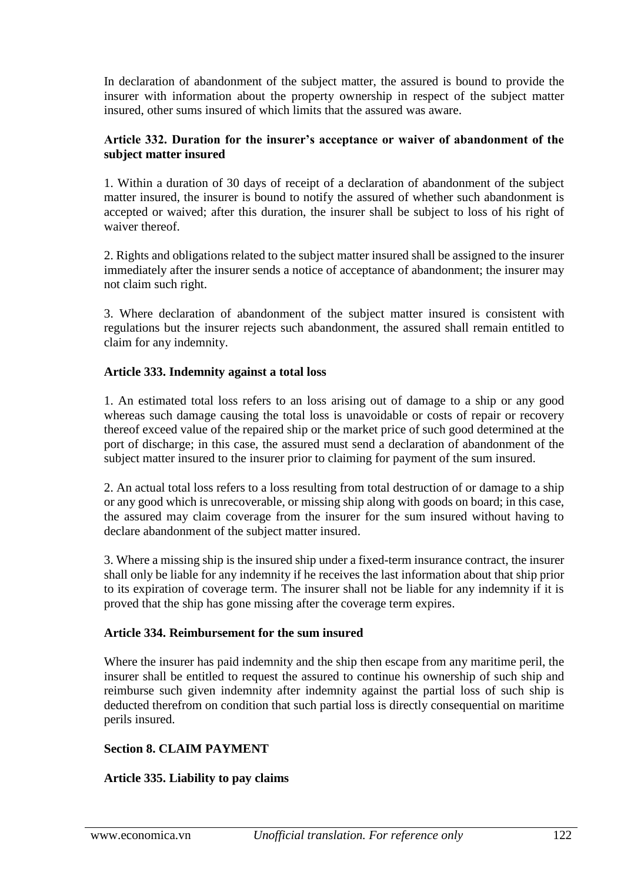In declaration of abandonment of the subject matter, the assured is bound to provide the insurer with information about the property ownership in respect of the subject matter insured, other sums insured of which limits that the assured was aware.

### **Article 332. Duration for the insurer's acceptance or waiver of abandonment of the subject matter insured**

1. Within a duration of 30 days of receipt of a declaration of abandonment of the subject matter insured, the insurer is bound to notify the assured of whether such abandonment is accepted or waived; after this duration, the insurer shall be subject to loss of his right of waiver thereof.

2. Rights and obligations related to the subject matter insured shall be assigned to the insurer immediately after the insurer sends a notice of acceptance of abandonment; the insurer may not claim such right.

3. Where declaration of abandonment of the subject matter insured is consistent with regulations but the insurer rejects such abandonment, the assured shall remain entitled to claim for any indemnity.

## **Article 333. Indemnity against a total loss**

1. An estimated total loss refers to an loss arising out of damage to a ship or any good whereas such damage causing the total loss is unavoidable or costs of repair or recovery thereof exceed value of the repaired ship or the market price of such good determined at the port of discharge; in this case, the assured must send a declaration of abandonment of the subject matter insured to the insurer prior to claiming for payment of the sum insured.

2. An actual total loss refers to a loss resulting from total destruction of or damage to a ship or any good which is unrecoverable, or missing ship along with goods on board; in this case, the assured may claim coverage from the insurer for the sum insured without having to declare abandonment of the subject matter insured.

3. Where a missing ship is the insured ship under a fixed-term insurance contract, the insurer shall only be liable for any indemnity if he receives the last information about that ship prior to its expiration of coverage term. The insurer shall not be liable for any indemnity if it is proved that the ship has gone missing after the coverage term expires.

### **Article 334. Reimbursement for the sum insured**

Where the insurer has paid indemnity and the ship then escape from any maritime peril, the insurer shall be entitled to request the assured to continue his ownership of such ship and reimburse such given indemnity after indemnity against the partial loss of such ship is deducted therefrom on condition that such partial loss is directly consequential on maritime perils insured.

# **Section 8. CLAIM PAYMENT**

# **Article 335. Liability to pay claims**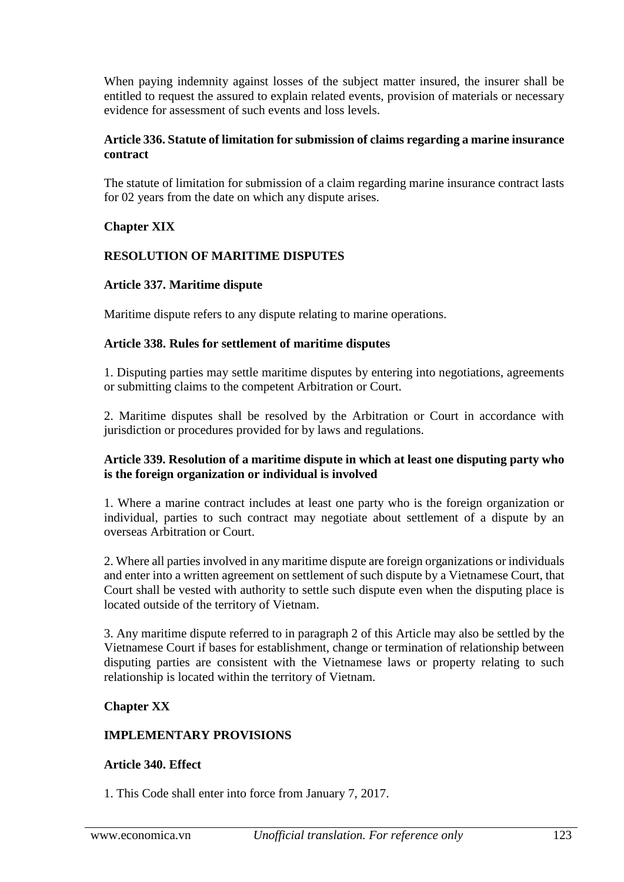When paying indemnity against losses of the subject matter insured, the insurer shall be entitled to request the assured to explain related events, provision of materials or necessary evidence for assessment of such events and loss levels.

### **Article 336. Statute of limitation for submission of claims regarding a marine insurance contract**

The statute of limitation for submission of a claim regarding marine insurance contract lasts for 02 years from the date on which any dispute arises.

# **Chapter XIX**

## **RESOLUTION OF MARITIME DISPUTES**

### **Article 337. Maritime dispute**

Maritime dispute refers to any dispute relating to marine operations.

### **Article 338. Rules for settlement of maritime disputes**

1. Disputing parties may settle maritime disputes by entering into negotiations, agreements or submitting claims to the competent Arbitration or Court.

2. Maritime disputes shall be resolved by the Arbitration or Court in accordance with jurisdiction or procedures provided for by laws and regulations.

#### **Article 339. Resolution of a maritime dispute in which at least one disputing party who is the foreign organization or individual is involved**

1. Where a marine contract includes at least one party who is the foreign organization or individual, parties to such contract may negotiate about settlement of a dispute by an overseas Arbitration or Court.

2. Where all parties involved in any maritime dispute are foreign organizations or individuals and enter into a written agreement on settlement of such dispute by a Vietnamese Court, that Court shall be vested with authority to settle such dispute even when the disputing place is located outside of the territory of Vietnam.

3. Any maritime dispute referred to in paragraph 2 of this Article may also be settled by the Vietnamese Court if bases for establishment, change or termination of relationship between disputing parties are consistent with the Vietnamese laws or property relating to such relationship is located within the territory of Vietnam.

### **Chapter XX**

### **IMPLEMENTARY PROVISIONS**

### **Article 340. Effect**

1. This Code shall enter into force from January 7, 2017.